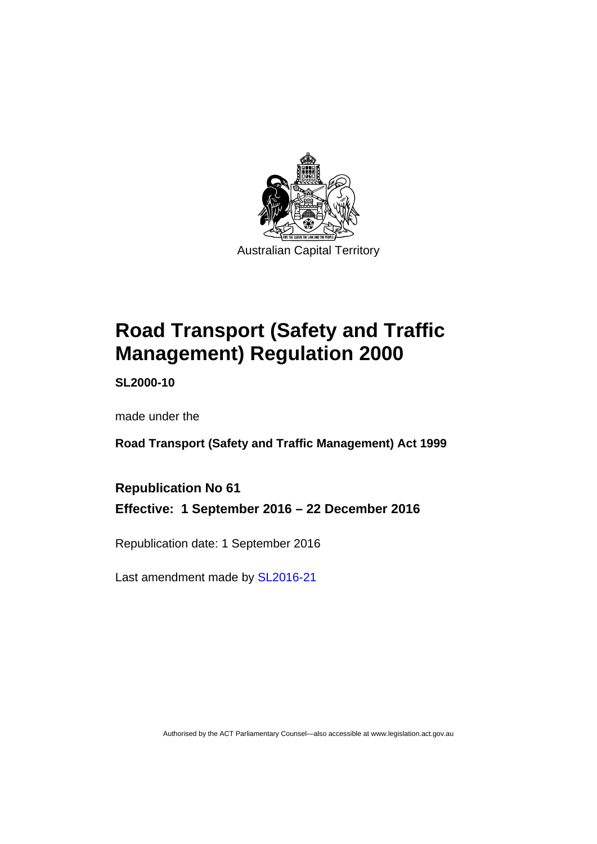

# **Road Transport (Safety and Traffic Management) Regulation 2000**

**SL2000-10** 

made under the

**Road Transport (Safety and Traffic Management) Act 1999** 

**Republication No 61 Effective: 1 September 2016 – 22 December 2016** 

Republication date: 1 September 2016

Last amendment made by [SL2016-21](http://www.legislation.act.gov.au/sl/2016-21)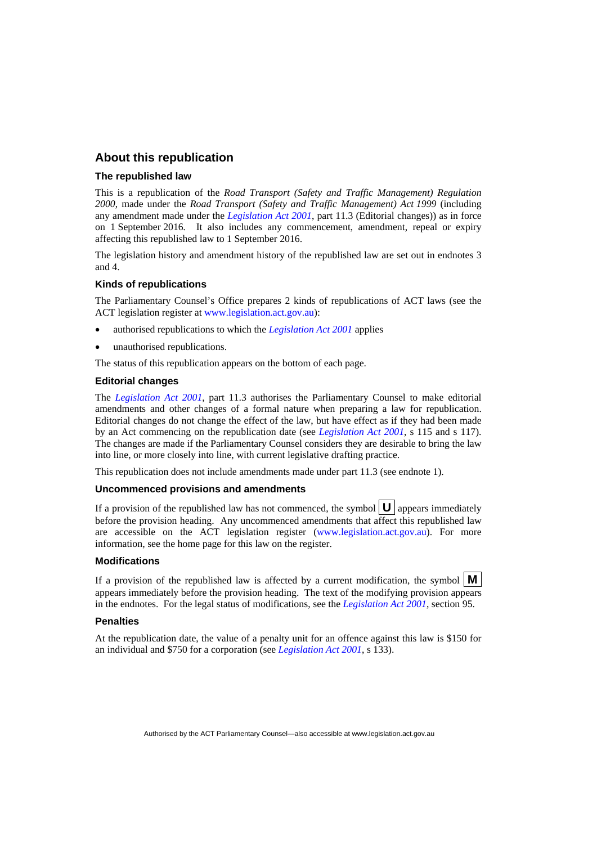#### **About this republication**

#### **The republished law**

This is a republication of the *Road Transport (Safety and Traffic Management) Regulation 2000*, made under the *Road Transport (Safety and Traffic Management) Act 1999* (including any amendment made under the *[Legislation Act 2001](http://www.legislation.act.gov.au/a/2001-14)*, part 11.3 (Editorial changes)) as in force on 1 September 2016*.* It also includes any commencement, amendment, repeal or expiry affecting this republished law to 1 September 2016.

The legislation history and amendment history of the republished law are set out in endnotes 3 and 4.

#### **Kinds of republications**

The Parliamentary Counsel's Office prepares 2 kinds of republications of ACT laws (see the ACT legislation register at [www.legislation.act.gov.au](http://www.legislation.act.gov.au/)):

- authorised republications to which the *[Legislation Act 2001](http://www.legislation.act.gov.au/a/2001-14)* applies
- unauthorised republications.

The status of this republication appears on the bottom of each page.

#### **Editorial changes**

The *[Legislation Act 2001](http://www.legislation.act.gov.au/a/2001-14)*, part 11.3 authorises the Parliamentary Counsel to make editorial amendments and other changes of a formal nature when preparing a law for republication. Editorial changes do not change the effect of the law, but have effect as if they had been made by an Act commencing on the republication date (see *[Legislation Act 2001](http://www.legislation.act.gov.au/a/2001-14)*, s 115 and s 117). The changes are made if the Parliamentary Counsel considers they are desirable to bring the law into line, or more closely into line, with current legislative drafting practice.

This republication does not include amendments made under part 11.3 (see endnote 1).

#### **Uncommenced provisions and amendments**

If a provision of the republished law has not commenced, the symbol  $\mathbf{U}$  appears immediately before the provision heading. Any uncommenced amendments that affect this republished law are accessible on the ACT legislation register [\(www.legislation.act.gov.au](http://www.legislation.act.gov.au/)). For more information, see the home page for this law on the register.

#### **Modifications**

If a provision of the republished law is affected by a current modification, the symbol  $\mathbf{M}$ appears immediately before the provision heading. The text of the modifying provision appears in the endnotes. For the legal status of modifications, see the *[Legislation Act 2001](http://www.legislation.act.gov.au/a/2001-14)*, section 95.

#### **Penalties**

At the republication date, the value of a penalty unit for an offence against this law is \$150 for an individual and \$750 for a corporation (see *[Legislation Act 2001](http://www.legislation.act.gov.au/a/2001-14)*, s 133).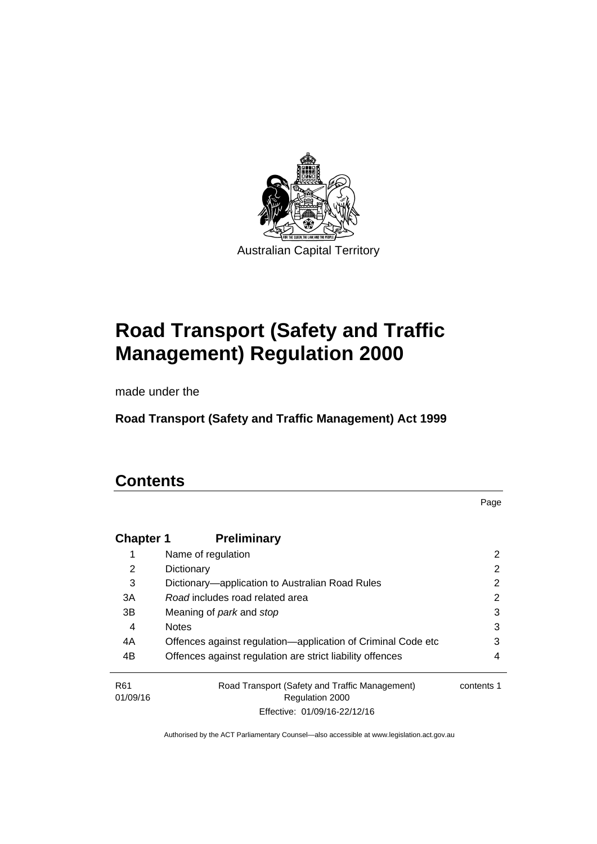

# **Road Transport (Safety and Traffic Management) Regulation 2000**

made under the

**Road Transport (Safety and Traffic Management) Act 1999** 

# **Contents**

Page

| <b>Chapter 1</b>            | <b>Preliminary</b>                                                |            |
|-----------------------------|-------------------------------------------------------------------|------------|
|                             | Name of regulation                                                | 2          |
| 2                           | Dictionary                                                        | 2          |
| 3                           | Dictionary—application to Australian Road Rules                   | 2          |
| 3A                          | Road includes road related area                                   | 2          |
| 3B                          | Meaning of <i>park</i> and <i>stop</i>                            | 3          |
| 4                           | <b>Notes</b>                                                      | 3          |
| 4A                          | Offences against regulation—application of Criminal Code etc      | 3          |
| 4B                          | Offences against regulation are strict liability offences         | 4          |
| R <sub>61</sub><br>01/09/16 | Road Transport (Safety and Traffic Management)<br>Regulation 2000 | contents 1 |
|                             | Effective: 01/09/16-22/12/16                                      |            |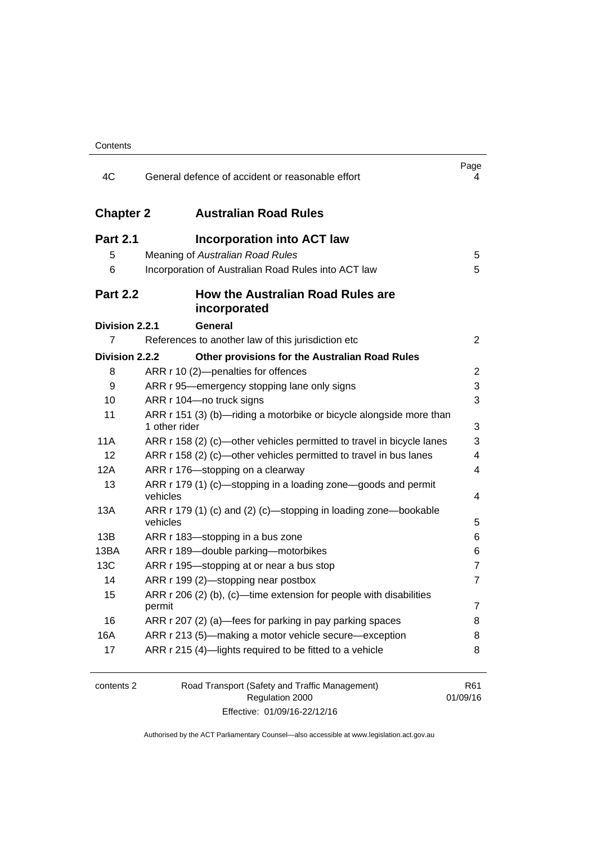| 4C               | General defence of accident or reasonable effort                                     | Page<br>4       |
|------------------|--------------------------------------------------------------------------------------|-----------------|
| <b>Chapter 2</b> | <b>Australian Road Rules</b>                                                         |                 |
| <b>Part 2.1</b>  | <b>Incorporation into ACT law</b>                                                    |                 |
| 5                | Meaning of Australian Road Rules                                                     | 5               |
| 6                | Incorporation of Australian Road Rules into ACT law                                  | 5               |
| <b>Part 2.2</b>  | <b>How the Australian Road Rules are</b><br>incorporated                             |                 |
| Division 2.2.1   | General                                                                              |                 |
| 7                | References to another law of this jurisdiction etc                                   | 2               |
| Division 2.2.2   | Other provisions for the Australian Road Rules                                       |                 |
| 8                | ARR r 10 (2)-penalties for offences                                                  | 2               |
| 9                | ARR r 95—emergency stopping lane only signs                                          | 3               |
| 10               | ARR r 104-no truck signs                                                             | 3               |
| 11               | ARR r 151 (3) (b)—riding a motorbike or bicycle alongside more than<br>1 other rider | 3               |
| <b>11A</b>       | ARR r 158 (2) (c)—other vehicles permitted to travel in bicycle lanes                | 3               |
| 12               | ARR r 158 (2) (c)—other vehicles permitted to travel in bus lanes                    | 4               |
| 12A              | ARR r 176-stopping on a clearway                                                     | 4               |
| 13               | ARR r 179 (1) (c)-stopping in a loading zone-goods and permit<br>vehicles            | 4               |
| 13A              | ARR r 179 (1) (c) and (2) (c)—stopping in loading zone—bookable<br>vehicles          | 5               |
| 13B              | ARR r 183—stopping in a bus zone                                                     | 6               |
| 13BA             | ARR r 189-double parking-motorbikes                                                  | 6               |
| 13C              | ARR r 195-stopping at or near a bus stop                                             | $\overline{7}$  |
| 14               | ARR r 199 (2)-stopping near postbox                                                  | $\overline{7}$  |
| 15               | ARR $r$ 206 (2) (b), (c)—time extension for people with disabilities<br>permit       | 7               |
| 16               | ARR r 207 (2) (a)—fees for parking in pay parking spaces                             | 8               |
| 16A              | ARR r 213 (5)-making a motor vehicle secure-exception                                | 8               |
| 17               | ARR r 215 (4)-lights required to be fitted to a vehicle                              | 8               |
| contents 2       | Road Transport (Safety and Traffic Management)<br>Regulation 2000                    | R61<br>01/09/16 |

Effective: 01/09/16-22/12/16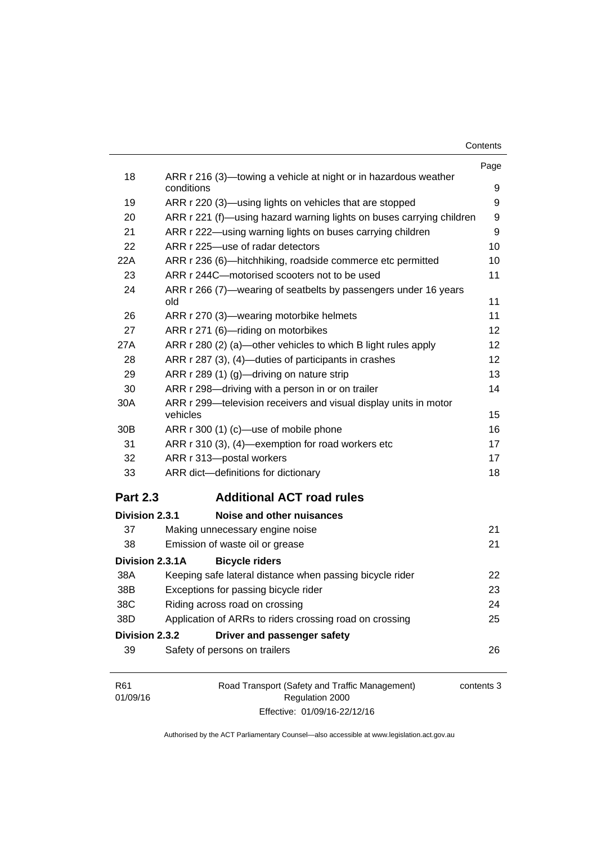| Contents |  |
|----------|--|
|----------|--|

|                             |                                                                               | Page       |
|-----------------------------|-------------------------------------------------------------------------------|------------|
| 18                          | ARR r 216 (3)—towing a vehicle at night or in hazardous weather<br>conditions | 9          |
| 19                          | ARR r 220 (3)—using lights on vehicles that are stopped                       | 9          |
| 20                          | ARR r 221 (f)—using hazard warning lights on buses carrying children          | 9          |
| 21                          | ARR r 222—using warning lights on buses carrying children                     | 9          |
| 22                          | ARR r 225-use of radar detectors                                              | 10         |
| 22A                         | ARR r 236 (6)-hitchhiking, roadside commerce etc permitted                    | 10         |
| 23                          | ARR r 244C-motorised scooters not to be used                                  | 11         |
| 24                          | ARR r 266 (7)—wearing of seatbelts by passengers under 16 years<br>old        | 11         |
| 26                          | ARR r 270 (3)—wearing motorbike helmets                                       | 11         |
| 27                          | ARR r 271 (6)-riding on motorbikes                                            | 12         |
| 27A                         | ARR r 280 (2) (a)—other vehicles to which B light rules apply                 | 12         |
| 28                          | ARR r 287 (3), (4)—duties of participants in crashes                          | 12         |
| 29                          | ARR r 289 (1) (g)-driving on nature strip                                     | 13         |
| 30                          | ARR r 298-driving with a person in or on trailer                              | 14         |
| 30A                         | ARR r 299-television receivers and visual display units in motor<br>vehicles  | 15         |
| 30 <sub>B</sub>             | ARR r 300 (1) (c)-use of mobile phone                                         | 16         |
| 31                          | ARR r 310 (3), (4)-exemption for road workers etc                             | 17         |
| 32                          | ARR r 313-postal workers                                                      | 17         |
| 33                          | ARR dict-definitions for dictionary                                           | 18         |
| <b>Part 2.3</b>             | <b>Additional ACT road rules</b>                                              |            |
| Division 2.3.1              | Noise and other nuisances                                                     |            |
| 37                          | Making unnecessary engine noise                                               | 21         |
| 38                          | Emission of waste oil or grease                                               | 21         |
| Division 2.3.1A             | <b>Bicycle riders</b>                                                         |            |
| 38A                         | Keeping safe lateral distance when passing bicycle rider                      | 22         |
| 38B                         | Exceptions for passing bicycle rider                                          | 23         |
| 38C                         | Riding across road on crossing                                                | 24         |
| 38D                         | Application of ARRs to riders crossing road on crossing                       | 25         |
| Division 2.3.2              | Driver and passenger safety                                                   |            |
| 39                          | Safety of persons on trailers                                                 | 26         |
| R <sub>61</sub><br>01/09/16 | Road Transport (Safety and Traffic Management)<br>Regulation 2000             | contents 3 |

Authorised by the ACT Parliamentary Counsel—also accessible at www.legislation.act.gov.au

Effective: 01/09/16-22/12/16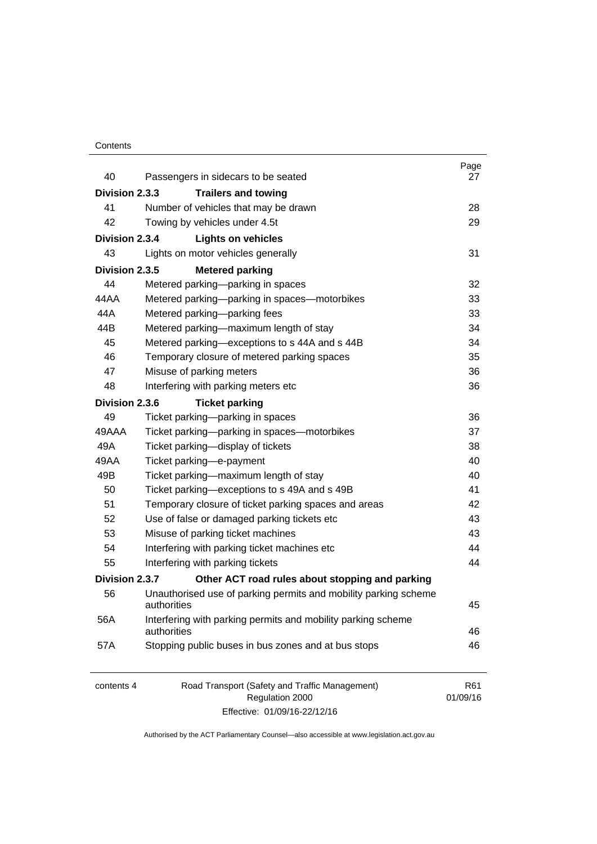#### **Contents**

| 40             | Passengers in sidecars to be seated                                            | Page<br>27      |
|----------------|--------------------------------------------------------------------------------|-----------------|
| Division 2.3.3 | <b>Trailers and towing</b>                                                     |                 |
| 41             | Number of vehicles that may be drawn                                           | 28              |
| 42             | Towing by vehicles under 4.5t                                                  | 29              |
| Division 2.3.4 | <b>Lights on vehicles</b>                                                      |                 |
| 43             | Lights on motor vehicles generally                                             | 31              |
| Division 2.3.5 | <b>Metered parking</b>                                                         |                 |
| 44             | Metered parking-parking in spaces                                              | 32              |
| 44 A A         | Metered parking-parking in spaces-motorbikes                                   | 33              |
| 44A            | Metered parking-parking fees                                                   | 33              |
| 44B            | Metered parking-maximum length of stay                                         | 34              |
| 45             | Metered parking-exceptions to s 44A and s 44B                                  | 34              |
| 46             | Temporary closure of metered parking spaces                                    | 35              |
| 47             | Misuse of parking meters                                                       | 36              |
| 48             | Interfering with parking meters etc                                            | 36              |
| Division 2.3.6 | <b>Ticket parking</b>                                                          |                 |
| 49             | Ticket parking-parking in spaces                                               | 36              |
| 49AAA          | Ticket parking-parking in spaces-motorbikes                                    | 37              |
| 49A            | Ticket parking-display of tickets                                              | 38              |
| 49AA           | Ticket parking-e-payment                                                       | 40              |
| 49B            | Ticket parking-maximum length of stay                                          | 40              |
| 50             | Ticket parking-exceptions to s 49A and s 49B                                   | 41              |
| 51             | Temporary closure of ticket parking spaces and areas                           | 42              |
| 52             | Use of false or damaged parking tickets etc                                    | 43              |
| 53             | Misuse of parking ticket machines                                              | 43              |
| 54             | Interfering with parking ticket machines etc                                   | 44              |
| 55             | Interfering with parking tickets                                               | 44              |
| Division 2.3.7 | Other ACT road rules about stopping and parking                                |                 |
| 56             | Unauthorised use of parking permits and mobility parking scheme<br>authorities | 45              |
| 56A            | Interfering with parking permits and mobility parking scheme<br>authorities    | 46              |
| 57A            | Stopping public buses in bus zones and at bus stops                            | 46              |
| contents 4     | Road Transport (Safety and Traffic Management)<br>Regulation 2000              | R61<br>01/09/16 |

Effective: 01/09/16-22/12/16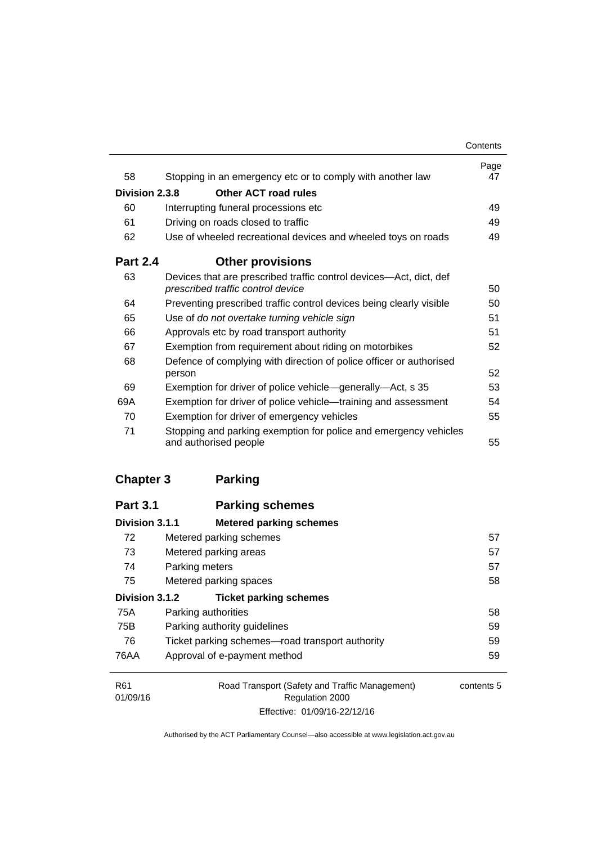|                 |                                                                                                         | Contents   |
|-----------------|---------------------------------------------------------------------------------------------------------|------------|
| 58              | Stopping in an emergency etc or to comply with another law                                              | Page<br>47 |
| Division 2.3.8  | Other ACT road rules                                                                                    |            |
| 60              | Interrupting funeral processions etc                                                                    | 49         |
| 61              | Driving on roads closed to traffic                                                                      | 49         |
| 62              | Use of wheeled recreational devices and wheeled toys on roads                                           | 49         |
| <b>Part 2.4</b> | <b>Other provisions</b>                                                                                 |            |
| 63              | Devices that are prescribed traffic control devices—Act, dict, def<br>prescribed traffic control device | 50         |
| 64              | Preventing prescribed traffic control devices being clearly visible                                     | 50         |
| 65              | Use of do not overtake turning vehicle sign                                                             | 51         |
| 66              | Approvals etc by road transport authority                                                               | 51         |
| 67              | Exemption from requirement about riding on motorbikes                                                   | 52         |
| 68              | Defence of complying with direction of police officer or authorised                                     |            |
|                 | person                                                                                                  | 52         |
| 69              | Exemption for driver of police vehicle—generally—Act, s 35                                              | 53         |
| 69A             | Exemption for driver of police vehicle—training and assessment                                          | 54         |
| 70              | Exemption for driver of emergency vehicles                                                              | 55         |
| 71              | Stopping and parking exemption for police and emergency vehicles<br>and authorised people               | 55         |

## **[Chapter 3](#page-73-0) Parking**

| <b>Part 3.1</b> | <b>Parking schemes</b>                          |            |
|-----------------|-------------------------------------------------|------------|
| Division 3.1.1  | <b>Metered parking schemes</b>                  |            |
| 72              | Metered parking schemes                         | 57         |
| 73              | Metered parking areas                           | 57         |
| 74              | Parking meters                                  | 57         |
| 75              | Metered parking spaces                          | 58         |
| Division 3.1.2  | <b>Ticket parking schemes</b>                   |            |
| 75A             | Parking authorities                             | 58         |
| 75B             | Parking authority guidelines                    | 59         |
| 76              | Ticket parking schemes—road transport authority | 59         |
| 76AA            | Approval of e-payment method                    | 59         |
| R <sub>61</sub> | Road Transport (Safety and Traffic Management)  | contents 5 |
| 01/09/16        | <b>Regulation 2000</b>                          |            |

Effective: 01/09/16-22/12/16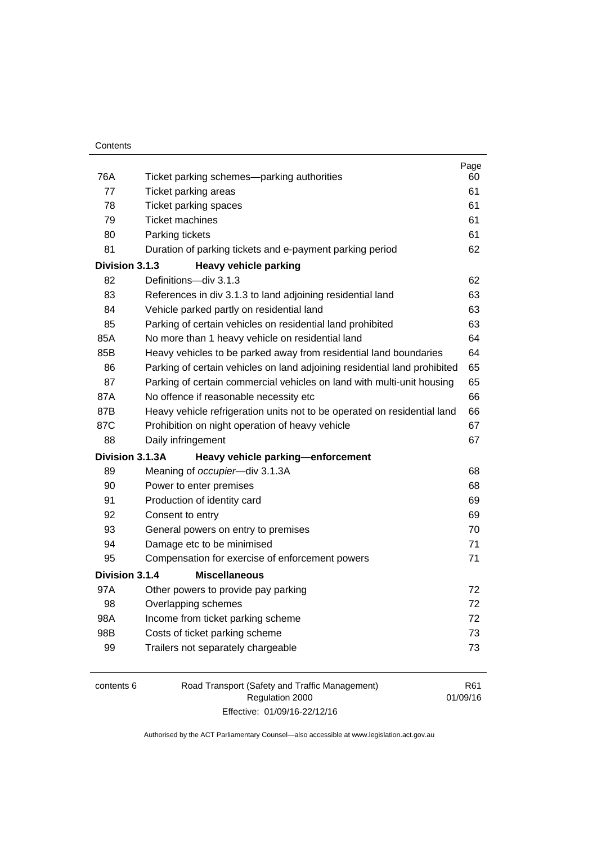| 76A            | Ticket parking schemes—parking authorities                                | Page<br>60 |
|----------------|---------------------------------------------------------------------------|------------|
| 77             | Ticket parking areas                                                      | 61         |
| 78             | Ticket parking spaces                                                     | 61         |
| 79             | <b>Ticket machines</b>                                                    | 61         |
| 80             | Parking tickets                                                           | 61         |
| 81             | Duration of parking tickets and e-payment parking period                  | 62         |
| Division 3.1.3 | <b>Heavy vehicle parking</b>                                              |            |
| 82             | Definitions-div 3.1.3                                                     | 62         |
| 83             | References in div 3.1.3 to land adjoining residential land                | 63         |
| 84             | Vehicle parked partly on residential land                                 | 63         |
| 85             | Parking of certain vehicles on residential land prohibited                | 63         |
| 85A            | No more than 1 heavy vehicle on residential land                          | 64         |
| 85B            | Heavy vehicles to be parked away from residential land boundaries         | 64         |
| 86             | Parking of certain vehicles on land adjoining residential land prohibited | 65         |
| 87             | Parking of certain commercial vehicles on land with multi-unit housing    | 65         |
| 87A            | No offence if reasonable necessity etc                                    | 66         |
| 87B            | Heavy vehicle refrigeration units not to be operated on residential land  | 66         |
| 87C            | Prohibition on night operation of heavy vehicle                           | 67         |
| 88             | Daily infringement                                                        | 67         |
|                | Division 3.1.3A<br>Heavy vehicle parking-enforcement                      |            |
| 89             | Meaning of occupier-div 3.1.3A                                            | 68         |
| 90             | Power to enter premises                                                   | 68         |
| 91             | Production of identity card                                               | 69         |
| 92             | Consent to entry                                                          | 69         |
| 93             | General powers on entry to premises                                       | 70         |
| 94             | Damage etc to be minimised                                                | 71         |
| 95             | Compensation for exercise of enforcement powers                           | 71         |
| Division 3.1.4 | <b>Miscellaneous</b>                                                      |            |
| 97A            | Other powers to provide pay parking                                       | 72         |
| 98             | Overlapping schemes                                                       | 72         |
| 98A            | Income from ticket parking scheme                                         | 72         |
| 98B            | Costs of ticket parking scheme                                            | 73         |
| 99             | Trailers not separately chargeable                                        | 73         |

| contents 6 | Road Transport (Safety and Traffic Management) | R61      |
|------------|------------------------------------------------|----------|
|            | Regulation 2000                                | 01/09/16 |
|            | Effective: 01/09/16-22/12/16                   |          |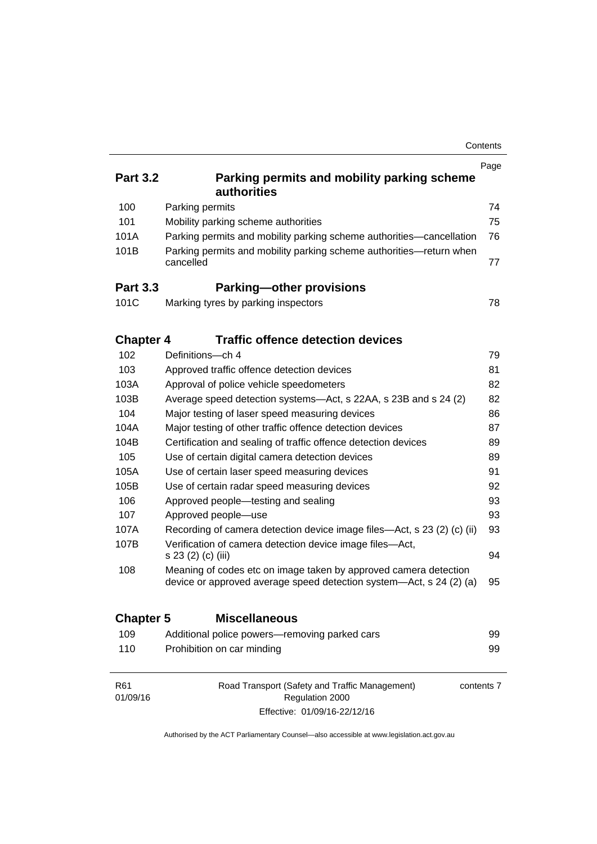|                  |                                                                                                                                         | Contents   |
|------------------|-----------------------------------------------------------------------------------------------------------------------------------------|------------|
|                  |                                                                                                                                         | Page       |
| <b>Part 3.2</b>  | Parking permits and mobility parking scheme<br>authorities                                                                              |            |
| 100              | Parking permits                                                                                                                         | 74         |
| 101              | Mobility parking scheme authorities                                                                                                     | 75         |
| 101A             | Parking permits and mobility parking scheme authorities—cancellation                                                                    | 76         |
| 101B             | Parking permits and mobility parking scheme authorities-return when<br>cancelled                                                        | 77         |
| <b>Part 3.3</b>  | <b>Parking-other provisions</b>                                                                                                         |            |
| 101C             | Marking tyres by parking inspectors                                                                                                     | 78         |
| <b>Chapter 4</b> | <b>Traffic offence detection devices</b>                                                                                                |            |
| 102              | Definitions-ch 4                                                                                                                        | 79         |
| 103              | Approved traffic offence detection devices                                                                                              | 81         |
| 103A             | Approval of police vehicle speedometers                                                                                                 | 82         |
| 103B             | Average speed detection systems-Act, s 22AA, s 23B and s 24 (2)                                                                         | 82         |
| 104              | Major testing of laser speed measuring devices                                                                                          | 86         |
| 104A             | Major testing of other traffic offence detection devices                                                                                | 87         |
| 104B             | Certification and sealing of traffic offence detection devices                                                                          | 89         |
| 105              | Use of certain digital camera detection devices                                                                                         | 89         |
| 105A             | Use of certain laser speed measuring devices                                                                                            | 91         |
| 105B             | Use of certain radar speed measuring devices                                                                                            | 92         |
| 106              | Approved people-testing and sealing                                                                                                     | 93         |
| 107              | Approved people-use                                                                                                                     | 93         |
| 107A             | Recording of camera detection device image files—Act, s 23 (2) (c) (ii)                                                                 | 93         |
| 107B             | Verification of camera detection device image files-Act,<br>s 23 (2) (c) (iii)                                                          | 94         |
| 108              | Meaning of codes etc on image taken by approved camera detection<br>device or approved average speed detection system-Act, s 24 (2) (a) | 95         |
| <b>Chapter 5</b> | <b>Miscellaneous</b>                                                                                                                    |            |
| 109              | Additional police powers-removing parked cars                                                                                           | 99         |
| 110              | Prohibition on car minding                                                                                                              | 99         |
| R61<br>01/09/16  | Road Transport (Safety and Traffic Management)<br>Regulation 2000                                                                       | contents 7 |

Authorised by the ACT Parliamentary Counsel—also accessible at www.legislation.act.gov.au

Effective: 01/09/16-22/12/16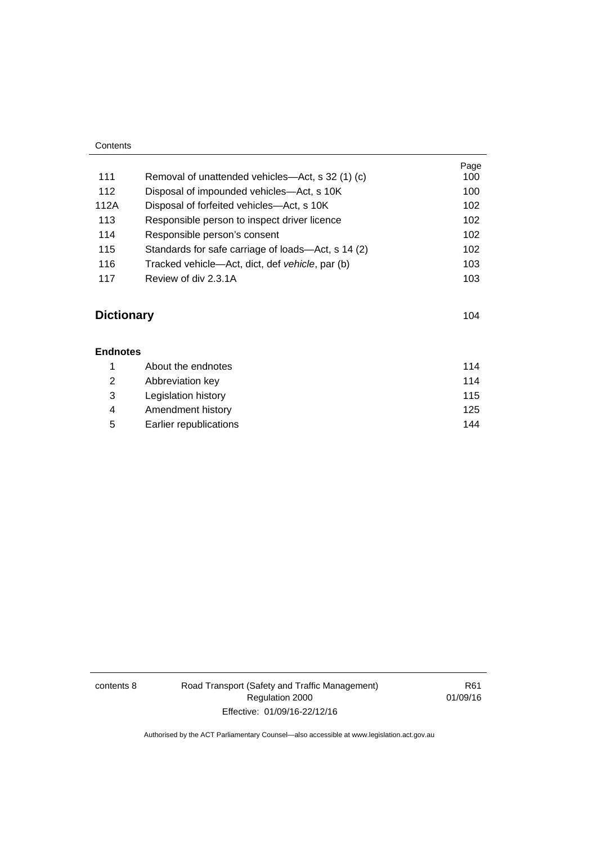| Contents |                                                    |             |
|----------|----------------------------------------------------|-------------|
| 111      | Removal of unattended vehicles—Act, s 32 (1) (c)   | Page<br>100 |
| 112      | Disposal of impounded vehicles—Act, s 10K          | 100         |
| 112A     | Disposal of forfeited vehicles—Act, s 10K          | 102         |
| 113      | Responsible person to inspect driver licence       | 102         |
| 114      | Responsible person's consent                       | 102         |
| 115      | Standards for safe carriage of loads—Act, s 14 (2) | 102         |
| 116      | Tracked vehicle—Act, dict, def vehicle, par (b)    | 103         |
| 117      | Review of div 2.3.1A                               | 103         |

# **[Dictionary](#page-120-0)** [104](#page-120-0)

| <b>Endnotes</b> |                        |     |
|-----------------|------------------------|-----|
|                 | About the endnotes     | 114 |
| 2               | Abbreviation key       | 114 |
| 3               | Legislation history    | 115 |
| 4               | Amendment history      | 125 |
| 5               | Earlier republications | 144 |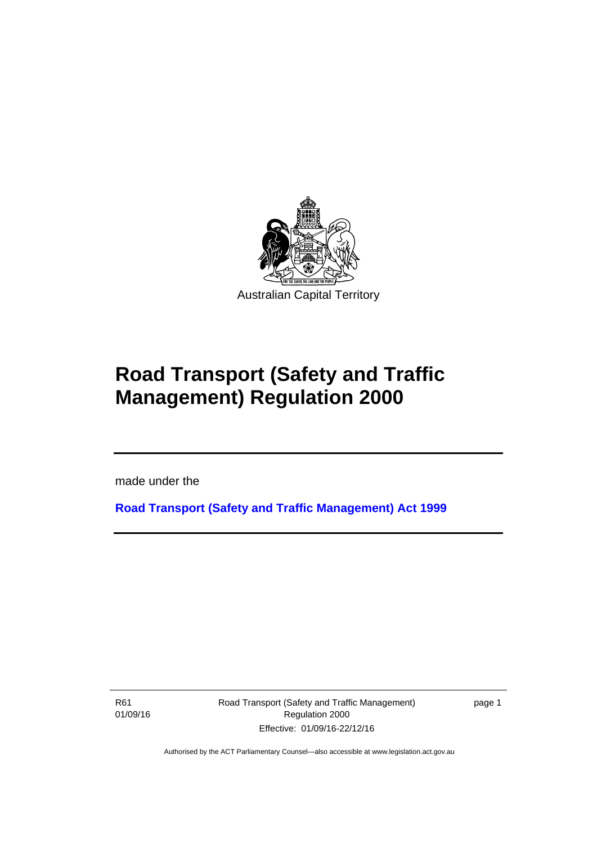

# **Road Transport (Safety and Traffic Management) Regulation 2000**

made under the

**[Road Transport \(Safety and Traffic Management\) Act 1999](http://www.legislation.act.gov.au/a/1999-80)**

R61 01/09/16

l

Road Transport (Safety and Traffic Management) Regulation 2000 Effective: 01/09/16-22/12/16

page 1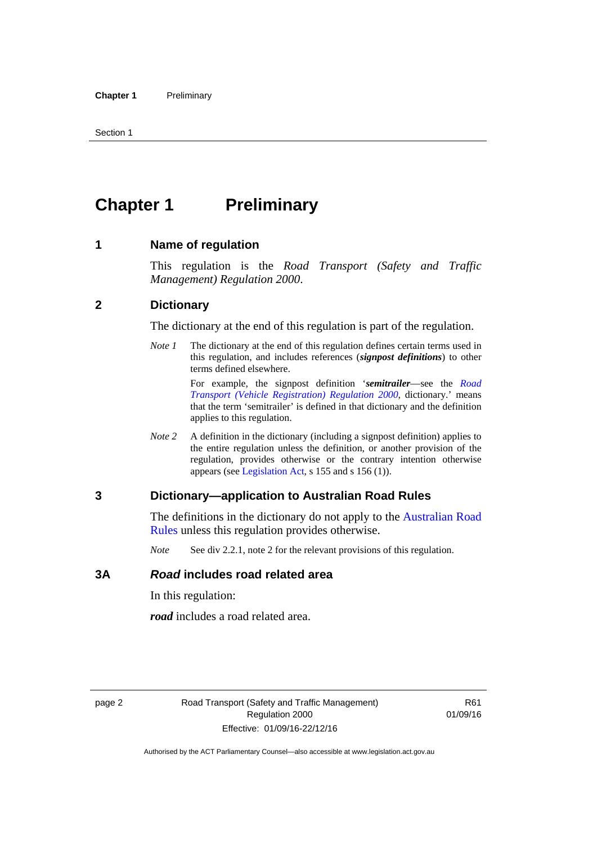# <span id="page-11-0"></span>**Chapter 1** Preliminary

#### <span id="page-11-1"></span>**1 Name of regulation**

This regulation is the *Road Transport (Safety and Traffic Management) Regulation 2000*.

#### <span id="page-11-2"></span>**2 Dictionary**

The dictionary at the end of this regulation is part of the regulation.

*Note 1* The dictionary at the end of this regulation defines certain terms used in this regulation, and includes references (*signpost definitions*) to other terms defined elsewhere.

> For example, the signpost definition '*semitrailer*—see the *[Road](http://www.legislation.act.gov.au/sl/2000-12)  [Transport \(Vehicle Registration\) Regulation 2000](http://www.legislation.act.gov.au/sl/2000-12)*, dictionary.' means that the term 'semitrailer' is defined in that dictionary and the definition applies to this regulation.

*Note 2* A definition in the dictionary (including a signpost definition) applies to the entire regulation unless the definition, or another provision of the regulation, provides otherwise or the contrary intention otherwise appears (see [Legislation Act,](http://www.legislation.act.gov.au/a/2001-14) s 155 and s 156 (1)).

#### <span id="page-11-3"></span>**3 Dictionary—application to Australian Road Rules**

The definitions in the dictionary do not apply to the Australian Road [Rules](http://www.legislation.act.gov.au//ni/db_37271/default.asp) unless this regulation provides otherwise.

*Note* See div 2.2.1, note 2 for the relevant provisions of this regulation.

#### <span id="page-11-4"></span>**3A** *Road* **includes road related area**

In this regulation:

*road* includes a road related area.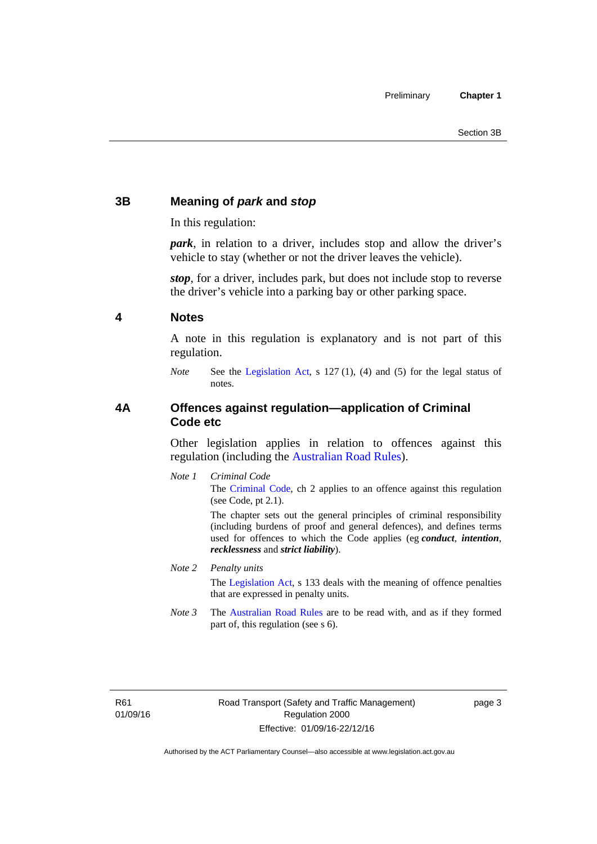### <span id="page-12-0"></span>**3B Meaning of** *park* **and** *stop*

In this regulation:

*park*, in relation to a driver, includes stop and allow the driver's vehicle to stay (whether or not the driver leaves the vehicle).

*stop*, for a driver, includes park, but does not include stop to reverse the driver's vehicle into a parking bay or other parking space.

#### <span id="page-12-1"></span>**4 Notes**

A note in this regulation is explanatory and is not part of this regulation.

*Note* See the [Legislation Act,](http://www.legislation.act.gov.au/a/2001-14) s 127 (1), (4) and (5) for the legal status of notes.

#### <span id="page-12-2"></span>**4A Offences against regulation—application of Criminal Code etc**

Other legislation applies in relation to offences against this regulation (including the [Australian Road Rules](http://www.legislation.act.gov.au//ni/db_37271/default.asp)).

*Note 1 Criminal Code* The [Criminal Code,](http://www.legislation.act.gov.au/a/2002-51) ch 2 applies to an offence against this regulation (see Code, pt 2.1).

> The chapter sets out the general principles of criminal responsibility (including burdens of proof and general defences), and defines terms used for offences to which the Code applies (eg *conduct*, *intention*, *recklessness* and *strict liability*).

#### *Note 2 Penalty units*

The [Legislation Act](http://www.legislation.act.gov.au/a/2001-14), s 133 deals with the meaning of offence penalties that are expressed in penalty units.

*Note 3* The [Australian Road Rules](http://www.legislation.act.gov.au//ni/db_37271/default.asp) are to be read with, and as if they formed part of, this regulation (see s 6).

R61 01/09/16 page 3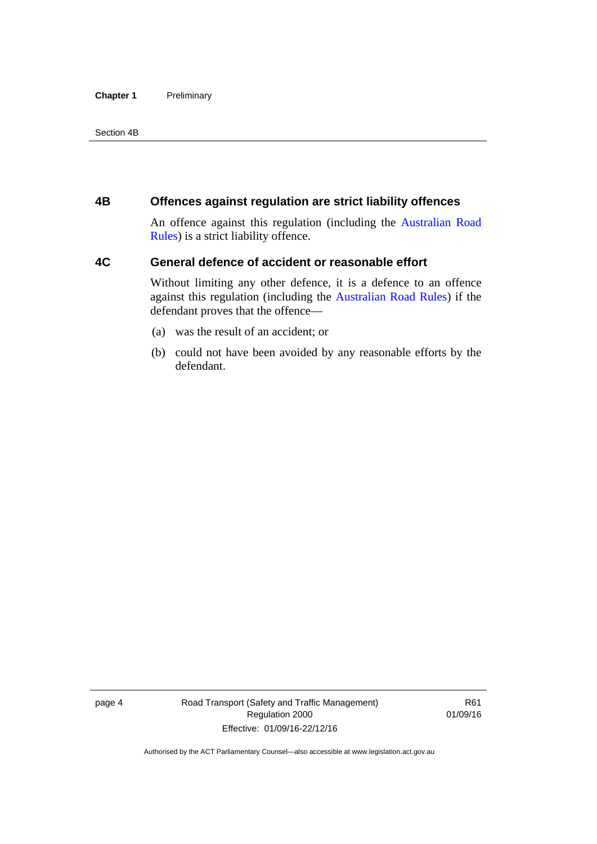#### **Chapter 1** Preliminary

Section 4B

#### <span id="page-13-0"></span>**4B Offences against regulation are strict liability offences**

An offence against this regulation (including the [Australian Road](http://www.legislation.act.gov.au//ni/db_37271/default.asp)  [Rules](http://www.legislation.act.gov.au//ni/db_37271/default.asp)) is a strict liability offence.

#### <span id="page-13-1"></span>**4C General defence of accident or reasonable effort**

Without limiting any other defence, it is a defence to an offence against this regulation (including the [Australian Road Rules\)](http://www.legislation.act.gov.au//ni/db_37271/default.asp) if the defendant proves that the offence—

- (a) was the result of an accident; or
- (b) could not have been avoided by any reasonable efforts by the defendant.

page 4 Road Transport (Safety and Traffic Management) Regulation 2000 Effective: 01/09/16-22/12/16

R61 01/09/16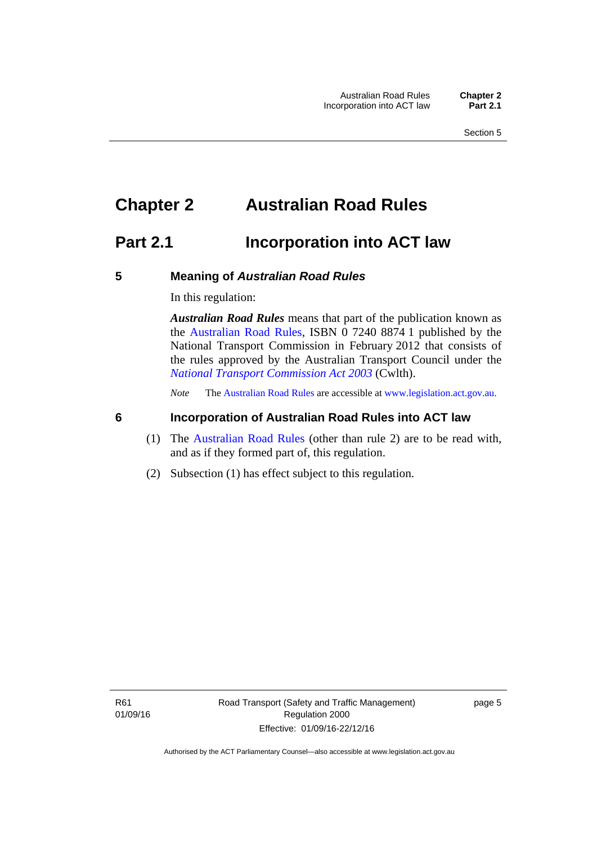# <span id="page-14-0"></span>**Chapter 2 Australian Road Rules**

## <span id="page-14-1"></span>**Part 2.1 Incorporation into ACT law**

#### <span id="page-14-2"></span>**5 Meaning of** *Australian Road Rules*

In this regulation:

*Australian Road Rules* means that part of the publication known as the [Australian Road Rules](http://www.legislation.act.gov.au//ni/db_37271/default.asp), ISBN 0 7240 8874 1 published by the National Transport Commission in February 2012 that consists of the rules approved by the Australian Transport Council under the *[National Transport Commission Act 2003](http://www.comlaw.gov.au/Series/C2004A01166)* (Cwlth).

*Note* The [Australian Road Rules](http://www.legislation.act.gov.au//ni/db_37271/default.asp) are accessible at [www.legislation.act.gov.au](http://www.legislation.act.gov.au/).

#### <span id="page-14-3"></span>**6 Incorporation of Australian Road Rules into ACT law**

- (1) The [Australian Road Rules](http://www.legislation.act.gov.au//ni/db_37271/default.asp) (other than rule 2) are to be read with, and as if they formed part of, this regulation.
- (2) Subsection (1) has effect subject to this regulation.

page 5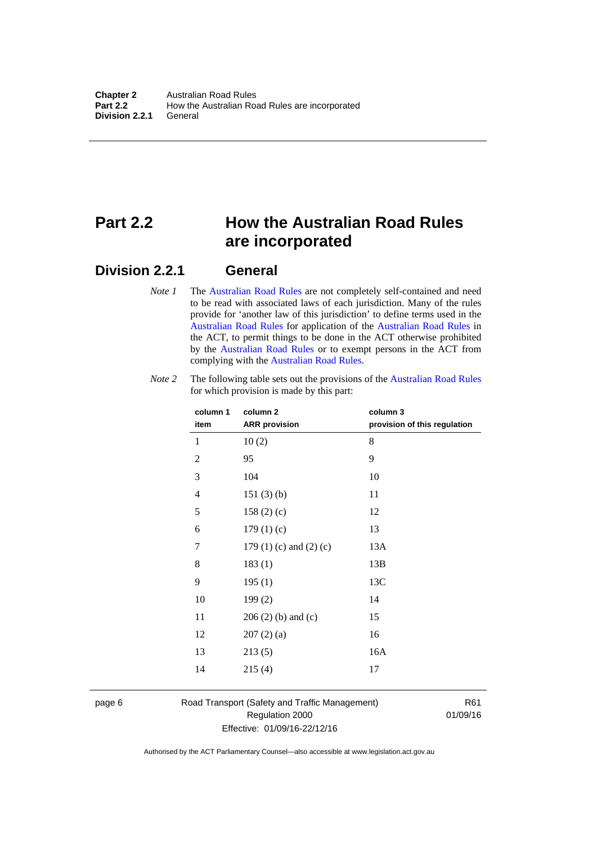# <span id="page-15-0"></span>**Part 2.2 How the Australian Road Rules are incorporated**

#### <span id="page-15-1"></span>**Division 2.2.1 General**

*Note 1* The [Australian Road Rules](http://www.legislation.act.gov.au//ni/db_37271/default.asp) are not completely self-contained and need to be read with associated laws of each jurisdiction. Many of the rules provide for 'another law of this jurisdiction' to define terms used in the [Australian Road Rules](http://www.legislation.act.gov.au//ni/db_37271/default.asp) for application of the [Australian Road Rules](http://www.legislation.act.gov.au//ni/db_37271/default.asp) in the ACT, to permit things to be done in the ACT otherwise prohibited by the [Australian Road Rules](http://www.legislation.act.gov.au//ni/db_37271/default.asp) or to exempt persons in the ACT from complying with the [Australian Road Rules.](http://www.legislation.act.gov.au//ni/db_37271/default.asp)

| column 1<br>item | column <sub>2</sub><br><b>ARR</b> provision | column 3<br>provision of this regulation |
|------------------|---------------------------------------------|------------------------------------------|
| 1                | 10(2)                                       | 8                                        |
| $\mathbf{2}$     | 95                                          | 9                                        |
| 3                | 104                                         | 10                                       |
| $\overline{4}$   | 151(3)(b)                                   | 11                                       |
| 5                | 158 $(2)(c)$                                | 12                                       |
| 6                | 179(1)(c)                                   | 13                                       |
| 7                | 179 $(1)$ $(c)$ and $(2)$ $(c)$             | 13A                                      |
| 8                | 183(1)                                      | 13B                                      |
| 9                | 195(1)                                      | 13C                                      |
| 10               | 199(2)                                      | 14                                       |
| 11               | $206(2)$ (b) and (c)                        | 15                                       |
| 12               | 207(2)(a)                                   | 16                                       |
| 13               | 213(5)                                      | 16A                                      |
| 14               | 215(4)                                      | 17                                       |

*Note 2* The following table sets out the provisions of the [Australian Road Rules](http://www.legislation.act.gov.au//ni/db_37271/default.asp) for which provision is made by this part:

page 6 Road Transport (Safety and Traffic Management) Regulation 2000 Effective: 01/09/16-22/12/16

R61 01/09/16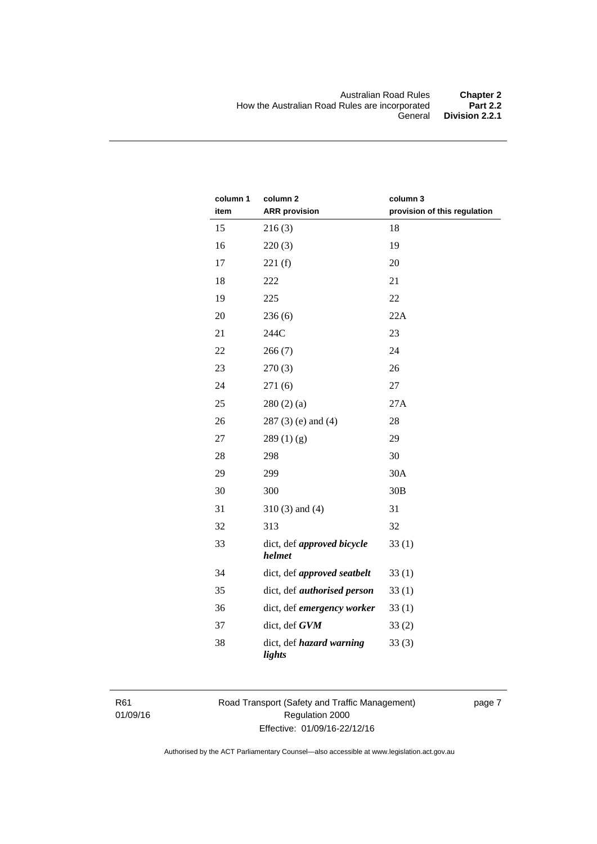| column 1<br>item | column <sub>2</sub><br><b>ARR</b> provision | column 3<br>provision of this regulation |
|------------------|---------------------------------------------|------------------------------------------|
| 15               | 216(3)                                      | 18                                       |
| 16               | 220(3)                                      | 19                                       |
| 17               | 221(f)                                      | 20                                       |
| 18               | 222                                         | 21                                       |
| 19               | 225                                         | 22                                       |
| 20               | 236(6)                                      | 22A                                      |
| 21               | 244C                                        | 23                                       |
| 22               | 266(7)                                      | 24                                       |
| 23               | 270(3)                                      | 26                                       |
| 24               | 271(6)                                      | 27                                       |
| 25               | 280(2)(a)                                   | 27A                                      |
| 26               | $287(3)$ (e) and (4)                        | 28                                       |
| 27               | 289(1)(g)                                   | 29                                       |
| 28               | 298                                         | 30                                       |
| 29               | 299                                         | 30A                                      |
| 30               | 300                                         | 30B                                      |
| 31               | $310(3)$ and $(4)$                          | 31                                       |
| 32               | 313                                         | 32                                       |
| 33               | dict, def approved bicycle<br>helmet        | 33(1)                                    |
| 34               | dict, def approved seatbelt                 | 33(1)                                    |
| 35               | dict, def <i>authorised</i> person          | 33(1)                                    |
| 36               | dict, def emergency worker                  | 33(1)                                    |
| 37               | dict, def GVM                               | 33(2)                                    |
| 38               | dict, def hazard warning<br>lights          | 33(3)                                    |

R61 01/09/16 Road Transport (Safety and Traffic Management) Regulation 2000 Effective: 01/09/16-22/12/16

page 7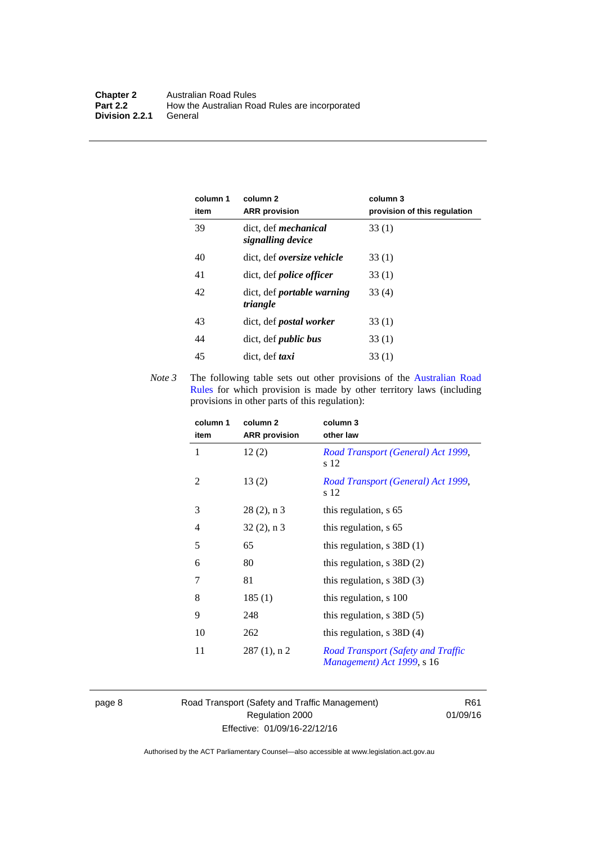| column 1<br>item | column 2<br><b>ARR</b> provision                 | column 3<br>provision of this regulation |
|------------------|--------------------------------------------------|------------------------------------------|
| 39               | dict. def <i>mechanical</i><br>signalling device | 33(1)                                    |
| 40               | dict, def oversize vehicle                       | 33(1)                                    |
| 41               | dict, def <i>police</i> officer                  | 33(1)                                    |
| 42               | dict, def portable warning<br>triangle           | 33(4)                                    |
| 43               | dict, def <i>postal</i> worker                   | 33(1)                                    |
| 44               | dict, def <i>public</i> bus                      | 33(1)                                    |
| 45               | dict, def taxi                                   | 33(1)                                    |

*Note 3* The following table sets out other provisions of the Australian Road [Rules](http://www.legislation.act.gov.au//ni/db_37271/default.asp) for which provision is made by other territory laws (including provisions in other parts of this regulation):

| column 1<br>item | column 2<br><b>ARR</b> provision | column 3<br>other law                                                   |
|------------------|----------------------------------|-------------------------------------------------------------------------|
| 1                | 12(2)                            | Road Transport (General) Act 1999,<br>s 12                              |
| 2                | 13(2)                            | Road Transport (General) Act 1999,<br>s 12                              |
| 3                | $28(2)$ , n 3                    | this regulation, s 65                                                   |
| $\overline{4}$   | $32(2)$ , n 3                    | this regulation, s 65                                                   |
| 5                | 65                               | this regulation, $s$ 38D $(1)$                                          |
| 6                | 80                               | this regulation, $s$ 38D $(2)$                                          |
| 7                | 81                               | this regulation, $s$ 38D $(3)$                                          |
| 8                | 185(1)                           | this regulation, s 100                                                  |
| 9                | 248                              | this regulation, $s$ 38D $(5)$                                          |
| 10               | 262                              | this regulation, $s$ 38D $(4)$                                          |
| 11               | $287(1)$ , n 2                   | <b>Road Transport (Safety and Traffic</b><br>Management) Act 1999, s 16 |

page 8 Road Transport (Safety and Traffic Management) Regulation 2000 Effective: 01/09/16-22/12/16

R61 01/09/16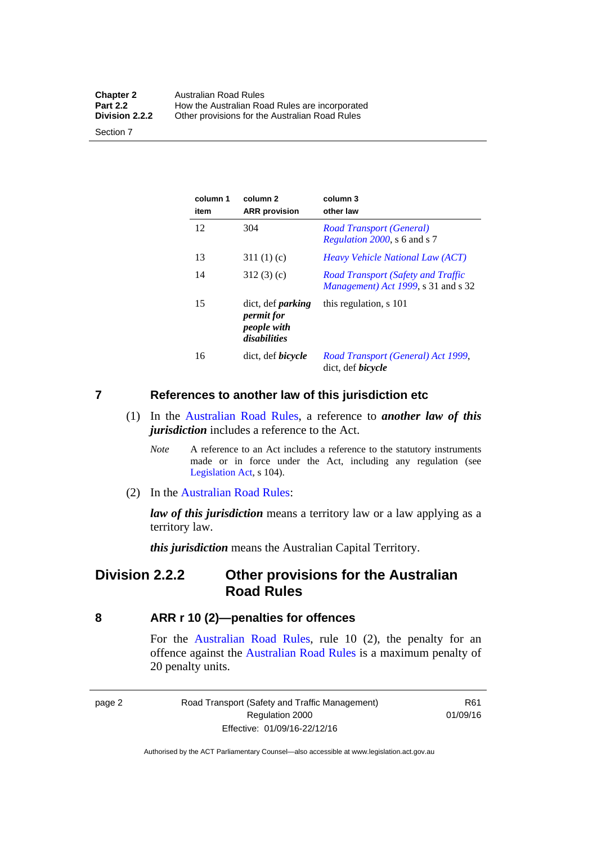| <b>Chapter 2</b> | <b>Australian Road Rules</b>                   |
|------------------|------------------------------------------------|
| <b>Part 2.2</b>  | How the Australian Road Rules are incorporated |
| Division 2.2.2   | Other provisions for the Australian Road Rules |

Section 7

| column 1<br>item | column <sub>2</sub><br><b>ARR</b> provision                           | column 3<br>other law                                                                    |
|------------------|-----------------------------------------------------------------------|------------------------------------------------------------------------------------------|
| 12               | 304                                                                   | <b>Road Transport (General)</b><br><i>Regulation 2000</i> , s 6 and s 7                  |
| 13               | 311(1)(c)                                                             | <i>Heavy Vehicle National Law (ACT)</i>                                                  |
| 14               | 312(3)(c)                                                             | <b>Road Transport (Safety and Traffic</b><br><i>Management</i> ) Act 1999, s 31 and s 32 |
| 15               | dict, def <i>parking</i><br>permit for<br>people with<br>disabilities | this regulation, s 101                                                                   |
| 16               | dict, def <i>bicycle</i>                                              | Road Transport (General) Act 1999,<br>dict, def <i>bicycle</i>                           |

#### <span id="page-18-0"></span>**7 References to another law of this jurisdiction etc**

- (1) In the [Australian Road Rules,](http://www.legislation.act.gov.au//ni/db_37271/default.asp) a reference to *another law of this jurisdiction* includes a reference to the Act.
	- *Note* A reference to an Act includes a reference to the statutory instruments made or in force under the Act, including any regulation (see [Legislation Act,](http://www.legislation.act.gov.au/a/2001-14) s 104).
- (2) In the [Australian Road Rules](http://www.legislation.act.gov.au//ni/db_37271/default.asp):

*law of this jurisdiction* means a territory law or a law applying as a territory law.

*this jurisdiction* means the Australian Capital Territory.

### <span id="page-18-1"></span>**Division 2.2.2 Other provisions for the Australian Road Rules**

#### <span id="page-18-2"></span>**8 ARR r 10 (2)—penalties for offences**

For the [Australian Road Rules,](http://www.legislation.act.gov.au//ni/db_37271/default.asp) rule 10 (2), the penalty for an offence against the [Australian Road Rules](http://www.legislation.act.gov.au//ni/db_37271/default.asp) is a maximum penalty of 20 penalty units.

|--|--|

Road Transport (Safety and Traffic Management) Regulation 2000 Effective: 01/09/16-22/12/16

R61 01/09/16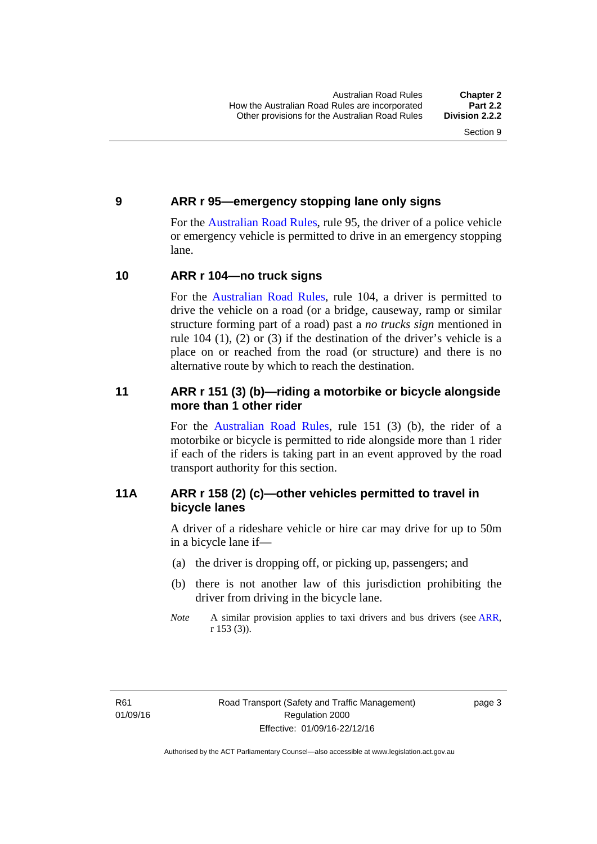#### <span id="page-19-0"></span>**9 ARR r 95—emergency stopping lane only signs**

For the [Australian Road Rules,](http://www.legislation.act.gov.au//ni/db_37271/default.asp) rule 95, the driver of a police vehicle or emergency vehicle is permitted to drive in an emergency stopping lane.

#### <span id="page-19-1"></span>**10 ARR r 104—no truck signs**

For the [Australian Road Rules,](http://www.legislation.act.gov.au//ni/db_37271/default.asp) rule 104, a driver is permitted to drive the vehicle on a road (or a bridge, causeway, ramp or similar structure forming part of a road) past a *no trucks sign* mentioned in rule 104 (1), (2) or (3) if the destination of the driver's vehicle is a place on or reached from the road (or structure) and there is no alternative route by which to reach the destination.

#### <span id="page-19-2"></span>**11 ARR r 151 (3) (b)—riding a motorbike or bicycle alongside more than 1 other rider**

For the [Australian Road Rules](http://www.legislation.act.gov.au//ni/db_37271/default.asp), rule 151 (3) (b), the rider of a motorbike or bicycle is permitted to ride alongside more than 1 rider if each of the riders is taking part in an event approved by the road transport authority for this section.

#### <span id="page-19-3"></span>**11A ARR r 158 (2) (c)—other vehicles permitted to travel in bicycle lanes**

A driver of a rideshare vehicle or hire car may drive for up to 50m in a bicycle lane if—

- (a) the driver is dropping off, or picking up, passengers; and
- (b) there is not another law of this jurisdiction prohibiting the driver from driving in the bicycle lane.
- *Note* A similar provision applies to taxi drivers and bus drivers (see [ARR,](http://www.legislation.act.gov.au//ni/db_37271/default.asp) r 153 (3)).

page 3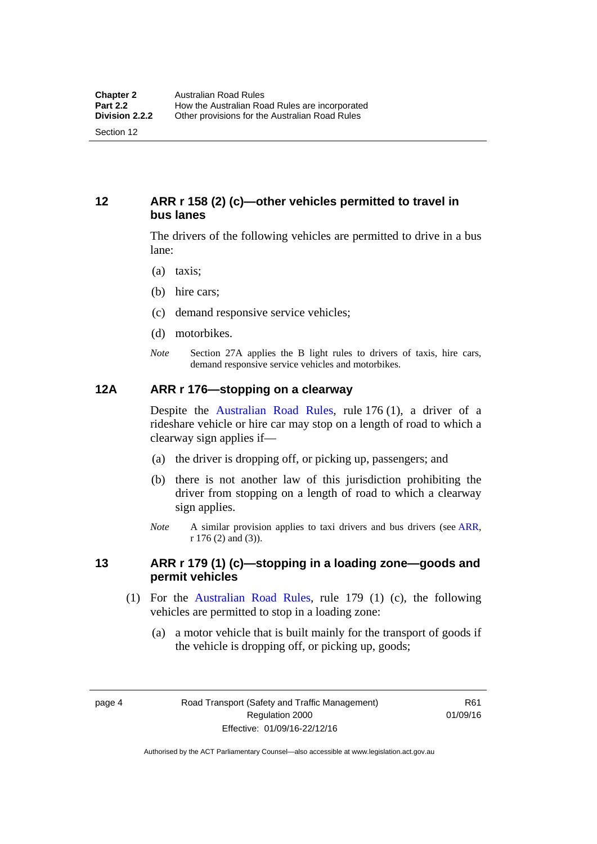#### <span id="page-20-0"></span>**12 ARR r 158 (2) (c)—other vehicles permitted to travel in bus lanes**

The drivers of the following vehicles are permitted to drive in a bus lane:

- (a) taxis;
- (b) hire cars;
- (c) demand responsive service vehicles;
- (d) motorbikes.
- *Note* Section 27A applies the B light rules to drivers of taxis, hire cars, demand responsive service vehicles and motorbikes.

#### <span id="page-20-1"></span>**12A ARR r 176—stopping on a clearway**

Despite the [Australian Road Rules,](http://www.legislation.act.gov.au//ni/db_37271/default.asp) rule 176 (1), a driver of a rideshare vehicle or hire car may stop on a length of road to which a clearway sign applies if—

- (a) the driver is dropping off, or picking up, passengers; and
- (b) there is not another law of this jurisdiction prohibiting the driver from stopping on a length of road to which a clearway sign applies.
- *Note* A similar provision applies to taxi drivers and bus drivers (see [ARR,](http://www.legislation.act.gov.au//ni/db_37271/default.asp) r 176 (2) and (3)).

#### <span id="page-20-2"></span>**13 ARR r 179 (1) (c)—stopping in a loading zone—goods and permit vehicles**

- (1) For the [Australian Road Rules,](http://www.legislation.act.gov.au//ni/db_37271/default.asp) rule 179 (1) (c), the following vehicles are permitted to stop in a loading zone:
	- (a) a motor vehicle that is built mainly for the transport of goods if the vehicle is dropping off, or picking up, goods;

page 4 Road Transport (Safety and Traffic Management) Regulation 2000 Effective: 01/09/16-22/12/16

R61 01/09/16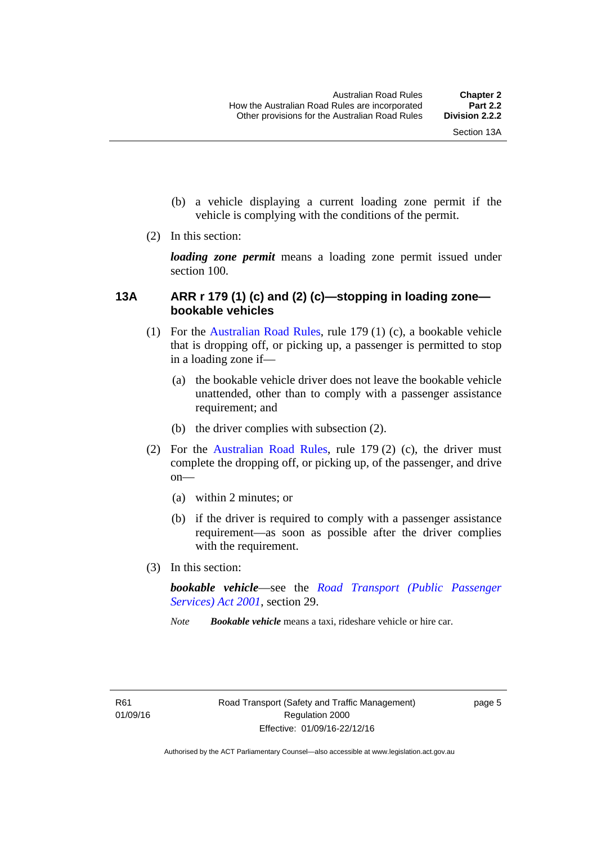- (b) a vehicle displaying a current loading zone permit if the vehicle is complying with the conditions of the permit.
- (2) In this section:

*loading zone permit* means a loading zone permit issued under section 100.

#### <span id="page-21-0"></span>**13A ARR r 179 (1) (c) and (2) (c)—stopping in loading zone bookable vehicles**

- (1) For the [Australian Road Rules,](http://www.legislation.act.gov.au//ni/db_37271/default.asp) rule 179 (1) (c), a bookable vehicle that is dropping off, or picking up, a passenger is permitted to stop in a loading zone if—
	- (a) the bookable vehicle driver does not leave the bookable vehicle unattended, other than to comply with a passenger assistance requirement; and
	- (b) the driver complies with subsection (2).
- (2) For the [Australian Road Rules,](http://www.legislation.act.gov.au//ni/db_37271/default.asp) rule 179 (2) (c), the driver must complete the dropping off, or picking up, of the passenger, and drive on—
	- (a) within 2 minutes; or
	- (b) if the driver is required to comply with a passenger assistance requirement—as soon as possible after the driver complies with the requirement.
- (3) In this section:

*bookable vehicle*—see the *[Road Transport \(Public Passenger](http://www.legislation.act.gov.au/a/2001-62)  [Services\) Act 2001](http://www.legislation.act.gov.au/a/2001-62)*, section 29.

*Note Bookable vehicle* means a taxi, rideshare vehicle or hire car.

page 5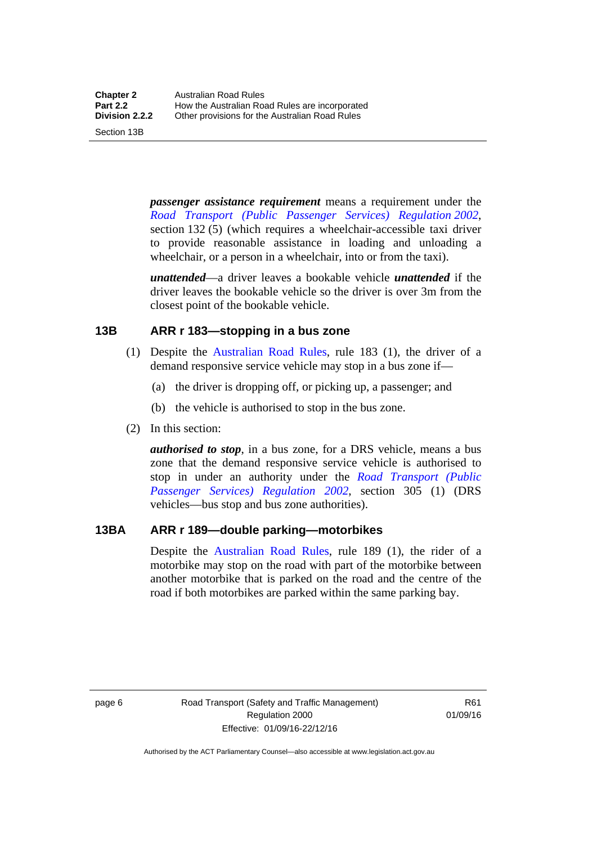Section 13B

*passenger assistance requirement* means a requirement under the *[Road Transport \(Public Passenger Services\) Regulation 2002](http://www.legislation.act.gov.au/sl/2002-3)*, section 132 (5) (which requires a wheelchair-accessible taxi driver to provide reasonable assistance in loading and unloading a wheelchair, or a person in a wheelchair, into or from the taxi).

*unattended*—a driver leaves a bookable vehicle *unattended* if the driver leaves the bookable vehicle so the driver is over 3m from the closest point of the bookable vehicle.

#### <span id="page-22-0"></span>**13B ARR r 183—stopping in a bus zone**

- (1) Despite the [Australian Road Rules](http://www.legislation.act.gov.au//ni/db_37271/default.asp), rule 183 (1), the driver of a demand responsive service vehicle may stop in a bus zone if—
	- (a) the driver is dropping off, or picking up, a passenger; and
	- (b) the vehicle is authorised to stop in the bus zone.
- (2) In this section:

*authorised to stop*, in a bus zone, for a DRS vehicle, means a bus zone that the demand responsive service vehicle is authorised to stop in under an authority under the *[Road Transport \(Public](http://www.legislation.act.gov.au/sl/2002-3)  [Passenger Services\) Regulation 2002](http://www.legislation.act.gov.au/sl/2002-3)*, section 305 (1) (DRS vehicles—bus stop and bus zone authorities).

#### <span id="page-22-1"></span>**13BA ARR r 189—double parking—motorbikes**

Despite the [Australian Road Rules](http://www.legislation.act.gov.au//ni/db_37271/default.asp), rule 189 (1), the rider of a motorbike may stop on the road with part of the motorbike between another motorbike that is parked on the road and the centre of the road if both motorbikes are parked within the same parking bay.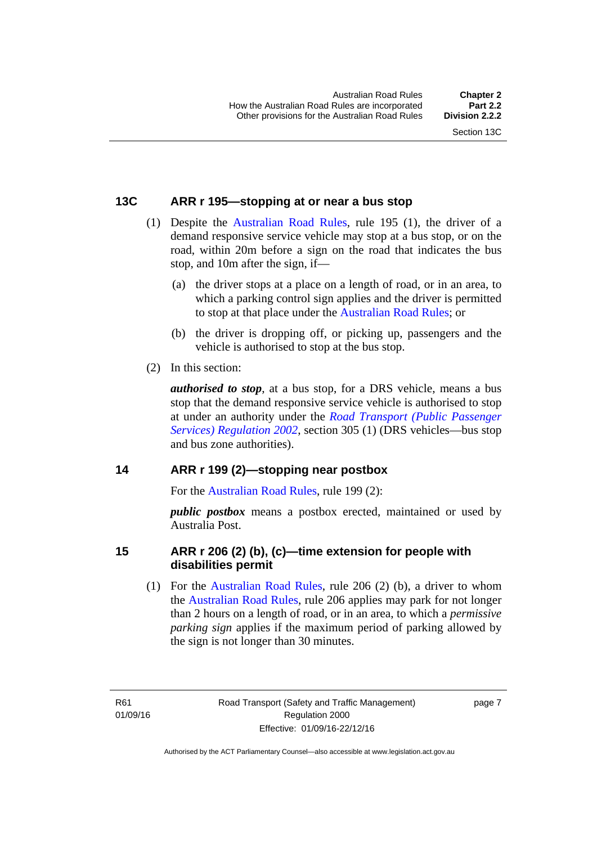#### <span id="page-23-0"></span>**13C ARR r 195—stopping at or near a bus stop**

- (1) Despite the [Australian Road Rules](http://www.legislation.act.gov.au//ni/db_37271/default.asp), rule 195 (1), the driver of a demand responsive service vehicle may stop at a bus stop, or on the road, within 20m before a sign on the road that indicates the bus stop, and 10m after the sign, if—
	- (a) the driver stops at a place on a length of road, or in an area, to which a parking control sign applies and the driver is permitted to stop at that place under the [Australian Road Rules](http://www.legislation.act.gov.au//ni/db_37271/default.asp); or
	- (b) the driver is dropping off, or picking up, passengers and the vehicle is authorised to stop at the bus stop.
- (2) In this section:

*authorised to stop*, at a bus stop, for a DRS vehicle, means a bus stop that the demand responsive service vehicle is authorised to stop at under an authority under the *[Road Transport \(Public Passenger](http://www.legislation.act.gov.au/sl/2002-3)  [Services\) Regulation 2002](http://www.legislation.act.gov.au/sl/2002-3)*, section 305 (1) (DRS vehicles—bus stop and bus zone authorities).

#### <span id="page-23-1"></span>**14 ARR r 199 (2)—stopping near postbox**

For the [Australian Road Rules](http://www.legislation.act.gov.au//ni/db_37271/default.asp), rule 199 (2):

*public postbox* means a postbox erected, maintained or used by Australia Post.

#### <span id="page-23-2"></span>**15 ARR r 206 (2) (b), (c)—time extension for people with disabilities permit**

 (1) For the [Australian Road Rules,](http://www.legislation.act.gov.au//ni/db_37271/default.asp) rule 206 (2) (b), a driver to whom the [Australian Road Rules,](http://www.legislation.act.gov.au//ni/db_37271/default.asp) rule 206 applies may park for not longer than 2 hours on a length of road, or in an area, to which a *permissive parking sign* applies if the maximum period of parking allowed by the sign is not longer than 30 minutes.

R61 01/09/16 page 7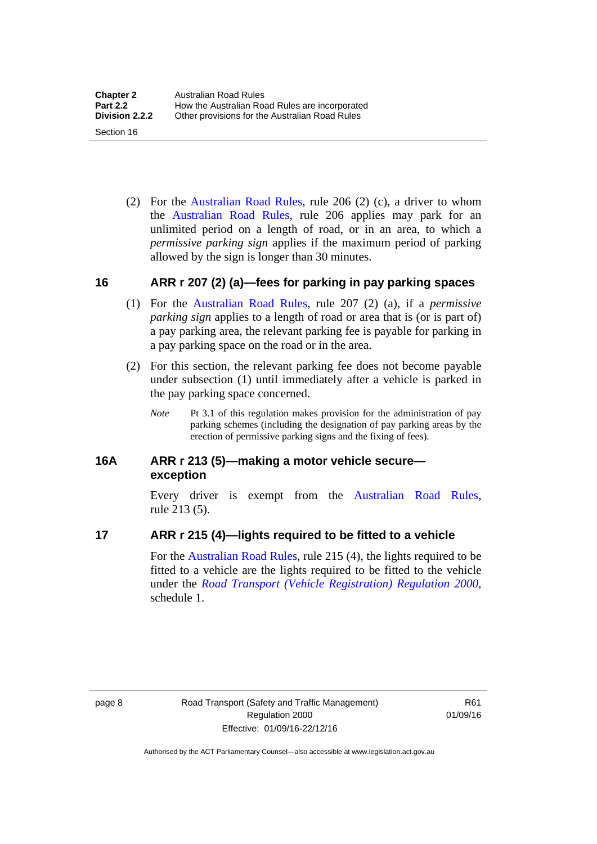(2) For the [Australian Road Rules,](http://www.legislation.act.gov.au//ni/db_37271/default.asp) rule 206 (2) (c), a driver to whom the [Australian Road Rules,](http://www.legislation.act.gov.au//ni/db_37271/default.asp) rule 206 applies may park for an unlimited period on a length of road, or in an area, to which a *permissive parking sign* applies if the maximum period of parking allowed by the sign is longer than 30 minutes.

#### <span id="page-24-0"></span>**16 ARR r 207 (2) (a)—fees for parking in pay parking spaces**

- (1) For the [Australian Road Rules,](http://www.legislation.act.gov.au//ni/db_37271/default.asp) rule 207 (2) (a), if a *permissive parking sign* applies to a length of road or area that is (or is part of) a pay parking area, the relevant parking fee is payable for parking in a pay parking space on the road or in the area.
- (2) For this section, the relevant parking fee does not become payable under subsection (1) until immediately after a vehicle is parked in the pay parking space concerned.
	- *Note* Pt 3.1 of this regulation makes provision for the administration of pay parking schemes (including the designation of pay parking areas by the erection of permissive parking signs and the fixing of fees).

#### <span id="page-24-1"></span>**16A ARR r 213 (5)—making a motor vehicle secure exception**

Every driver is exempt from the [Australian Road Rules](http://www.legislation.act.gov.au//ni/db_37271/default.asp), rule 213 (5).

#### <span id="page-24-2"></span>**17 ARR r 215 (4)—lights required to be fitted to a vehicle**

For the [Australian Road Rules,](http://www.legislation.act.gov.au//ni/db_37271/default.asp) rule 215 (4), the lights required to be fitted to a vehicle are the lights required to be fitted to the vehicle under the *[Road Transport \(Vehicle Registration\) Regulation 2000](http://www.legislation.act.gov.au/sl/2000-12),*  schedule 1.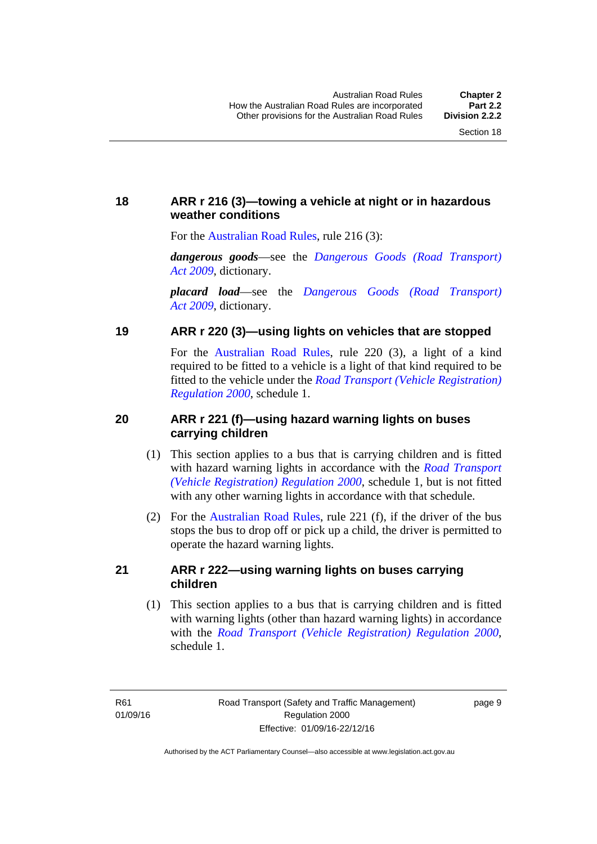#### <span id="page-25-0"></span>**18 ARR r 216 (3)—towing a vehicle at night or in hazardous weather conditions**

For the [Australian Road Rules](http://www.legislation.act.gov.au//ni/db_37271/default.asp), rule 216 (3):

*dangerous goods*—see the *[Dangerous Goods \(Road Transport\)](http://www.legislation.act.gov.au/a/2009-34)  [Act 2009](http://www.legislation.act.gov.au/a/2009-34)*, dictionary.

*placard load*—see the *[Dangerous Goods \(Road Transport\)](http://www.legislation.act.gov.au/a/2009-34)  [Act 2009](http://www.legislation.act.gov.au/a/2009-34)*, dictionary.

#### <span id="page-25-1"></span>**19 ARR r 220 (3)—using lights on vehicles that are stopped**

For the [Australian Road Rules](http://www.legislation.act.gov.au//ni/db_37271/default.asp), rule 220 (3), a light of a kind required to be fitted to a vehicle is a light of that kind required to be fitted to the vehicle under the *[Road Transport \(Vehicle Registration\)](http://www.legislation.act.gov.au/sl/2000-12)  [Regulation 2000](http://www.legislation.act.gov.au/sl/2000-12)*, schedule 1.

#### <span id="page-25-2"></span>**20 ARR r 221 (f)—using hazard warning lights on buses carrying children**

- (1) This section applies to a bus that is carrying children and is fitted with hazard warning lights in accordance with the *[Road Transport](http://www.legislation.act.gov.au/sl/2000-12)  [\(Vehicle Registration\) Regulation 2000](http://www.legislation.act.gov.au/sl/2000-12)*, schedule 1, but is not fitted with any other warning lights in accordance with that schedule.
- (2) For the [Australian Road Rules](http://www.legislation.act.gov.au//ni/db_37271/default.asp), rule 221 (f), if the driver of the bus stops the bus to drop off or pick up a child, the driver is permitted to operate the hazard warning lights.

#### <span id="page-25-3"></span>**21 ARR r 222—using warning lights on buses carrying children**

(1) This section applies to a bus that is carrying children and is fitted with warning lights (other than hazard warning lights) in accordance with the *[Road Transport \(Vehicle Registration\) Regulation 2000](http://www.legislation.act.gov.au/sl/2000-12)*, schedule 1.

page 9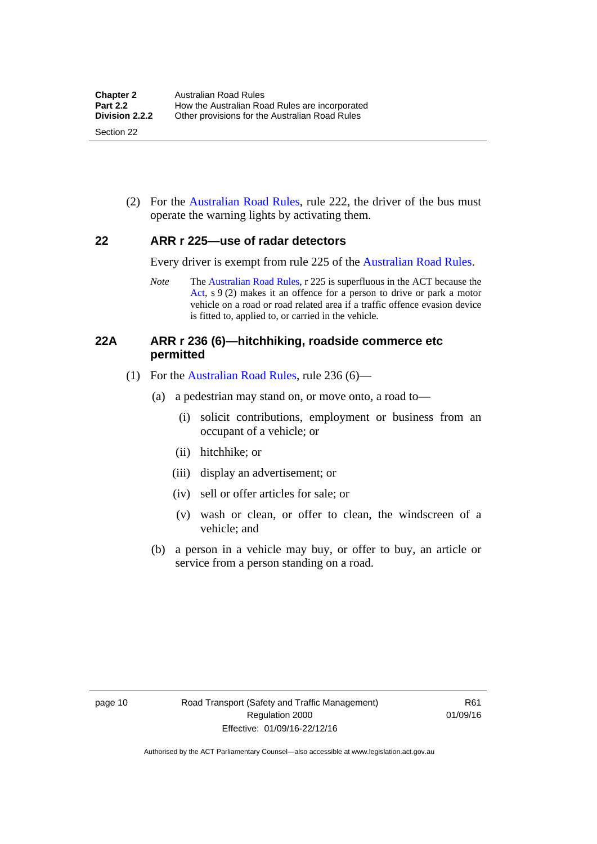(2) For the [Australian Road Rules](http://www.legislation.act.gov.au//ni/db_37271/default.asp), rule 222, the driver of the bus must operate the warning lights by activating them.

#### <span id="page-26-0"></span>**22 ARR r 225—use of radar detectors**

Every driver is exempt from rule 225 of the [Australian Road Rules.](http://www.legislation.act.gov.au//ni/db_37271/default.asp)

*Note* The [Australian Road Rules,](http://www.legislation.act.gov.au//ni/db_37271/default.asp) r 225 is superfluous in the ACT because the [Act](http://www.legislation.act.gov.au/a/1999-80/default.asp), s 9 (2) makes it an offence for a person to drive or park a motor vehicle on a road or road related area if a traffic offence evasion device is fitted to, applied to, or carried in the vehicle.

#### <span id="page-26-1"></span>**22A ARR r 236 (6)—hitchhiking, roadside commerce etc permitted**

- (1) For the [Australian Road Rules,](http://www.legislation.act.gov.au//ni/db_37271/default.asp) rule 236 (6)—
	- (a) a pedestrian may stand on, or move onto, a road to—
		- (i) solicit contributions, employment or business from an occupant of a vehicle; or
		- (ii) hitchhike; or
		- (iii) display an advertisement; or
		- (iv) sell or offer articles for sale; or
		- (v) wash or clean, or offer to clean, the windscreen of a vehicle; and
	- (b) a person in a vehicle may buy, or offer to buy, an article or service from a person standing on a road.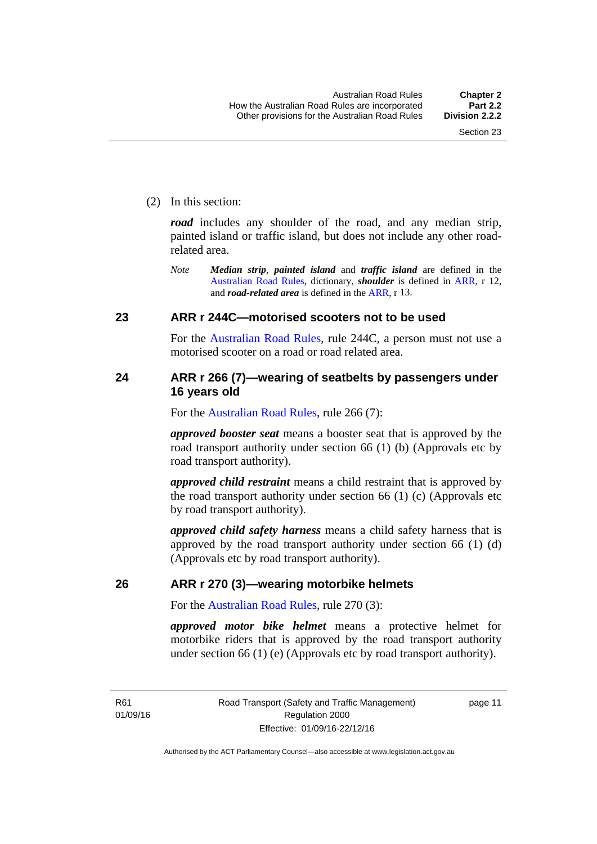(2) In this section:

*road* includes any shoulder of the road, and any median strip, painted island or traffic island, but does not include any other roadrelated area.

*Note Median strip*, *painted island* and *traffic island* are defined in the [Australian Road Rules,](http://www.legislation.act.gov.au//ni/db_37271/default.asp) dictionary, *shoulder* is defined in [ARR](http://www.legislation.act.gov.au//ni/db_37271/default.asp), r 12, and *road-related area* is defined in the [ARR](http://www.legislation.act.gov.au//ni/db_37271/default.asp), r 13.

#### <span id="page-27-0"></span>**23 ARR r 244C—motorised scooters not to be used**

For the [Australian Road Rules](http://www.legislation.act.gov.au//ni/db_37271/default.asp), rule 244C, a person must not use a motorised scooter on a road or road related area.

#### <span id="page-27-1"></span>**24 ARR r 266 (7)—wearing of seatbelts by passengers under 16 years old**

For the [Australian Road Rules](http://www.legislation.act.gov.au//ni/db_37271/default.asp), rule 266 (7):

*approved booster seat* means a booster seat that is approved by the road transport authority under section 66 (1) (b) (Approvals etc by road transport authority).

*approved child restraint* means a child restraint that is approved by the road transport authority under section 66 (1) (c) (Approvals etc by road transport authority).

*approved child safety harness* means a child safety harness that is approved by the road transport authority under section 66 (1) (d) (Approvals etc by road transport authority).

#### <span id="page-27-2"></span>**26 ARR r 270 (3)—wearing motorbike helmets**

For the [Australian Road Rules](http://www.legislation.act.gov.au//ni/db_37271/default.asp), rule 270 (3):

*approved motor bike helmet* means a protective helmet for motorbike riders that is approved by the road transport authority under section 66 (1) (e) (Approvals etc by road transport authority).

R61 01/09/16 page 11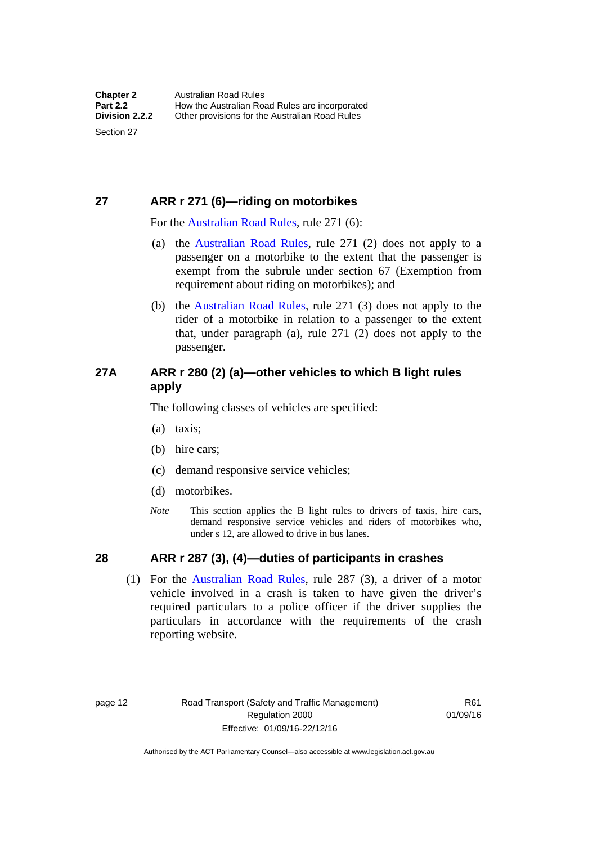### <span id="page-28-0"></span>**27 ARR r 271 (6)—riding on motorbikes**

For the [Australian Road Rules,](http://www.legislation.act.gov.au//ni/db_37271/default.asp) rule 271 (6):

- (a) the [Australian Road Rules](http://www.legislation.act.gov.au//ni/db_37271/default.asp), rule 271 (2) does not apply to a passenger on a motorbike to the extent that the passenger is exempt from the subrule under section 67 (Exemption from requirement about riding on motorbikes); and
- (b) the [Australian Road Rules,](http://www.legislation.act.gov.au//ni/db_37271/default.asp) rule 271 (3) does not apply to the rider of a motorbike in relation to a passenger to the extent that, under paragraph (a), rule 271 (2) does not apply to the passenger.

#### <span id="page-28-1"></span>**27A ARR r 280 (2) (a)—other vehicles to which B light rules apply**

The following classes of vehicles are specified:

- (a) taxis;
- (b) hire cars;
- (c) demand responsive service vehicles;
- (d) motorbikes.
- *Note* This section applies the B light rules to drivers of taxis, hire cars, demand responsive service vehicles and riders of motorbikes who, under s 12, are allowed to drive in bus lanes.

#### <span id="page-28-2"></span>**28 ARR r 287 (3), (4)—duties of participants in crashes**

 (1) For the [Australian Road Rules,](http://www.legislation.act.gov.au//ni/db_37271/default.asp) rule 287 (3), a driver of a motor vehicle involved in a crash is taken to have given the driver's required particulars to a police officer if the driver supplies the particulars in accordance with the requirements of the crash reporting website.

page 12 Road Transport (Safety and Traffic Management) Regulation 2000 Effective: 01/09/16-22/12/16

R61 01/09/16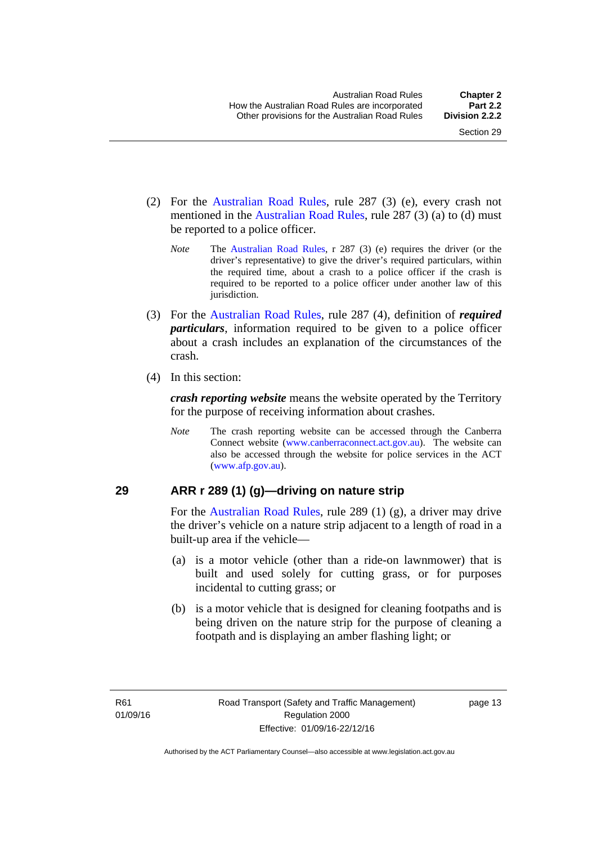- (2) For the [Australian Road Rules,](http://www.legislation.act.gov.au//ni/db_37271/default.asp) rule 287 (3) (e), every crash not mentioned in the [Australian Road Rules,](http://www.legislation.act.gov.au//ni/db_37271/default.asp) rule 287 (3) (a) to (d) must be reported to a police officer.
	- *Note* The [Australian Road Rules,](http://www.legislation.act.gov.au//ni/db_37271/default.asp) r 287 (3) (e) requires the driver (or the driver's representative) to give the driver's required particulars, within the required time, about a crash to a police officer if the crash is required to be reported to a police officer under another law of this jurisdiction.
- (3) For the [Australian Road Rules](http://www.legislation.act.gov.au//ni/db_37271/default.asp), rule 287 (4), definition of *required particulars*, information required to be given to a police officer about a crash includes an explanation of the circumstances of the crash.
- (4) In this section:

*crash reporting website* means the website operated by the Territory for the purpose of receiving information about crashes.

*Note* The crash reporting website can be accessed through the Canberra Connect website [\(www.canberraconnect.act.gov.au\)](http://www.canberraconnect.act.gov.au/). The website can also be accessed through the website for police services in the ACT [\(www.afp.gov.au\)](http://www.afp.gov.au/).

#### <span id="page-29-0"></span>**29 ARR r 289 (1) (g)—driving on nature strip**

For the [Australian Road Rules,](http://www.legislation.act.gov.au//ni/db_37271/default.asp) rule 289 (1) (g), a driver may drive the driver's vehicle on a nature strip adjacent to a length of road in a built-up area if the vehicle—

- (a) is a motor vehicle (other than a ride-on lawnmower) that is built and used solely for cutting grass, or for purposes incidental to cutting grass; or
- (b) is a motor vehicle that is designed for cleaning footpaths and is being driven on the nature strip for the purpose of cleaning a footpath and is displaying an amber flashing light; or

page 13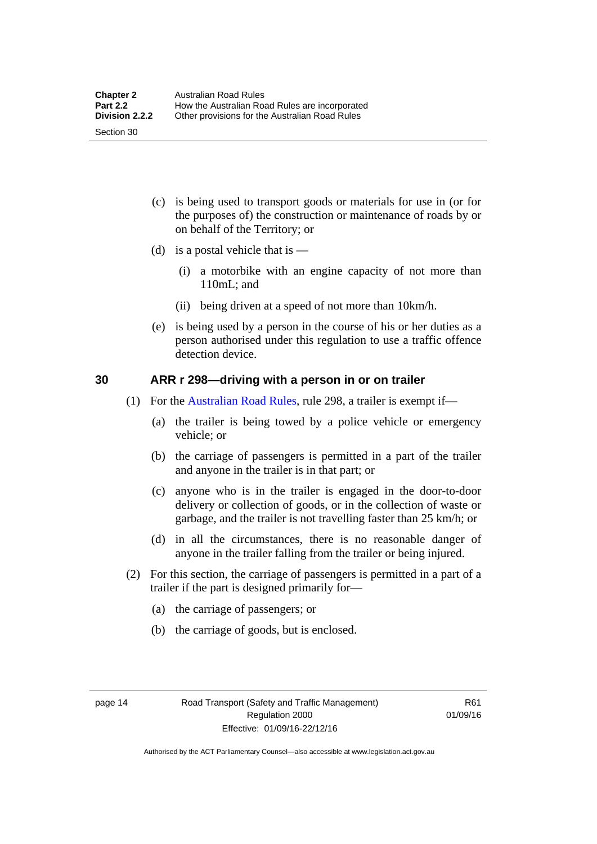(c) is being used to transport goods or materials for use in (or for the purposes of) the construction or maintenance of roads by or on behalf of the Territory; or

- (d) is a postal vehicle that is  $-$ 
	- (i) a motorbike with an engine capacity of not more than 110mL; and
	- (ii) being driven at a speed of not more than 10km/h.
- (e) is being used by a person in the course of his or her duties as a person authorised under this regulation to use a traffic offence detection device.

#### <span id="page-30-0"></span>**30 ARR r 298—driving with a person in or on trailer**

- (1) For the [Australian Road Rules,](http://www.legislation.act.gov.au//ni/db_37271/default.asp) rule 298, a trailer is exempt if—
	- (a) the trailer is being towed by a police vehicle or emergency vehicle; or
	- (b) the carriage of passengers is permitted in a part of the trailer and anyone in the trailer is in that part; or
	- (c) anyone who is in the trailer is engaged in the door-to-door delivery or collection of goods, or in the collection of waste or garbage, and the trailer is not travelling faster than 25 km/h; or
	- (d) in all the circumstances, there is no reasonable danger of anyone in the trailer falling from the trailer or being injured.
- (2) For this section, the carriage of passengers is permitted in a part of a trailer if the part is designed primarily for—
	- (a) the carriage of passengers; or
	- (b) the carriage of goods, but is enclosed.

Section 30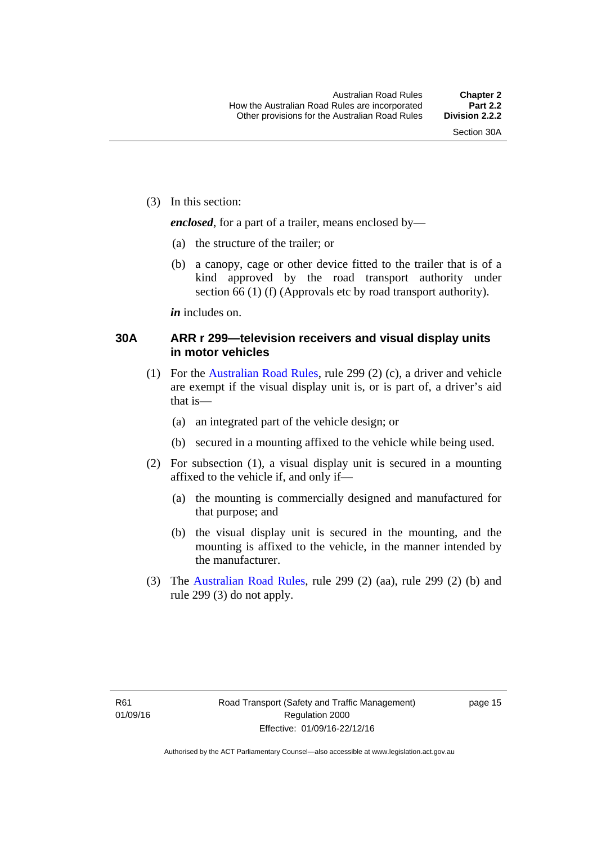(3) In this section:

*enclosed*, for a part of a trailer, means enclosed by—

- (a) the structure of the trailer; or
- (b) a canopy, cage or other device fitted to the trailer that is of a kind approved by the road transport authority under section 66 (1) (f) (Approvals etc by road transport authority).

*in* includes on.

#### <span id="page-31-0"></span>**30A ARR r 299—television receivers and visual display units in motor vehicles**

- (1) For the [Australian Road Rules,](http://www.legislation.act.gov.au//ni/db_37271/default.asp) rule 299 (2) (c), a driver and vehicle are exempt if the visual display unit is, or is part of, a driver's aid that is—
	- (a) an integrated part of the vehicle design; or
	- (b) secured in a mounting affixed to the vehicle while being used.
- (2) For subsection (1), a visual display unit is secured in a mounting affixed to the vehicle if, and only if—
	- (a) the mounting is commercially designed and manufactured for that purpose; and
	- (b) the visual display unit is secured in the mounting, and the mounting is affixed to the vehicle, in the manner intended by the manufacturer.
- (3) The [Australian Road Rules](http://www.legislation.act.gov.au//ni/db_37271/default.asp), rule 299 (2) (aa), rule 299 (2) (b) and rule 299 (3) do not apply.

page 15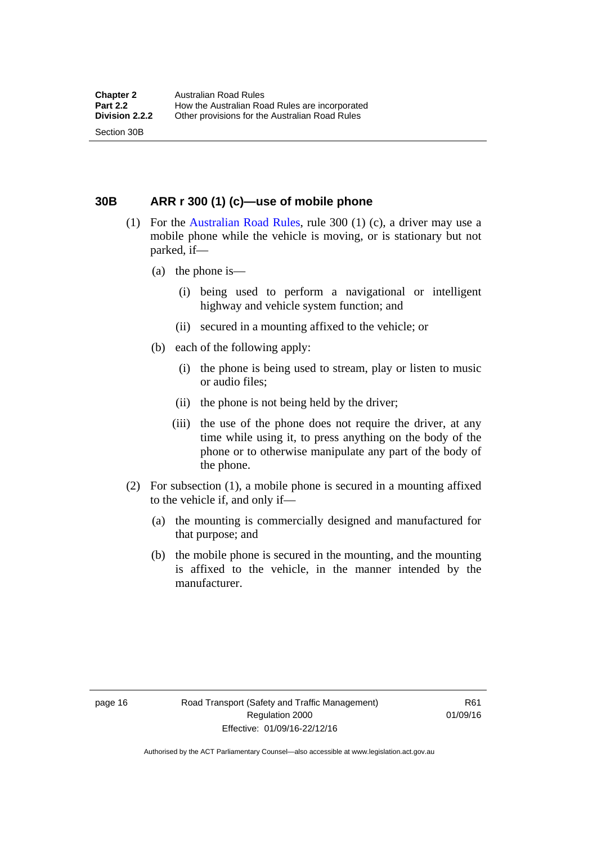<span id="page-32-0"></span>**30B ARR r 300 (1) (c)—use of mobile phone** 

- (1) For the [Australian Road Rules,](http://www.legislation.act.gov.au//ni/db_37271/default.asp) rule 300 (1) (c), a driver may use a mobile phone while the vehicle is moving, or is stationary but not parked, if—
	- (a) the phone is—

Section 30B

- (i) being used to perform a navigational or intelligent highway and vehicle system function; and
- (ii) secured in a mounting affixed to the vehicle; or
- (b) each of the following apply:
	- (i) the phone is being used to stream, play or listen to music or audio files;
	- (ii) the phone is not being held by the driver;
	- (iii) the use of the phone does not require the driver, at any time while using it, to press anything on the body of the phone or to otherwise manipulate any part of the body of the phone.
- (2) For subsection (1), a mobile phone is secured in a mounting affixed to the vehicle if, and only if—
	- (a) the mounting is commercially designed and manufactured for that purpose; and
	- (b) the mobile phone is secured in the mounting, and the mounting is affixed to the vehicle, in the manner intended by the manufacturer.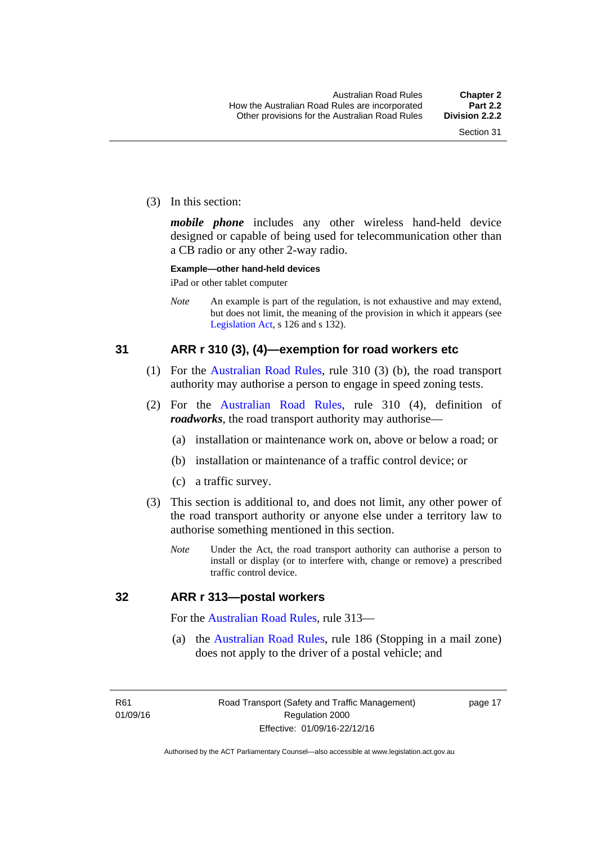(3) In this section:

*mobile phone* includes any other wireless hand-held device designed or capable of being used for telecommunication other than a CB radio or any other 2-way radio.

#### **Example—other hand-held devices**

iPad or other tablet computer

*Note* An example is part of the regulation, is not exhaustive and may extend, but does not limit, the meaning of the provision in which it appears (see [Legislation Act,](http://www.legislation.act.gov.au/a/2001-14) s 126 and s 132).

#### <span id="page-33-0"></span>**31 ARR r 310 (3), (4)—exemption for road workers etc**

- (1) For the [Australian Road Rules](http://www.legislation.act.gov.au//ni/db_37271/default.asp), rule 310 (3) (b), the road transport authority may authorise a person to engage in speed zoning tests.
- (2) For the [Australian Road Rules](http://www.legislation.act.gov.au//ni/db_37271/default.asp), rule 310 (4), definition of *roadworks*, the road transport authority may authorise—
	- (a) installation or maintenance work on, above or below a road; or
	- (b) installation or maintenance of a traffic control device; or
	- (c) a traffic survey.
- (3) This section is additional to, and does not limit, any other power of the road transport authority or anyone else under a territory law to authorise something mentioned in this section.
	- *Note* Under the Act, the road transport authority can authorise a person to install or display (or to interfere with, change or remove) a prescribed traffic control device.

#### <span id="page-33-1"></span>**32 ARR r 313—postal workers**

For the [Australian Road Rules](http://www.legislation.act.gov.au//ni/db_37271/default.asp), rule 313—

 (a) the [Australian Road Rules,](http://www.legislation.act.gov.au//ni/db_37271/default.asp) rule 186 (Stopping in a mail zone) does not apply to the driver of a postal vehicle; and

page 17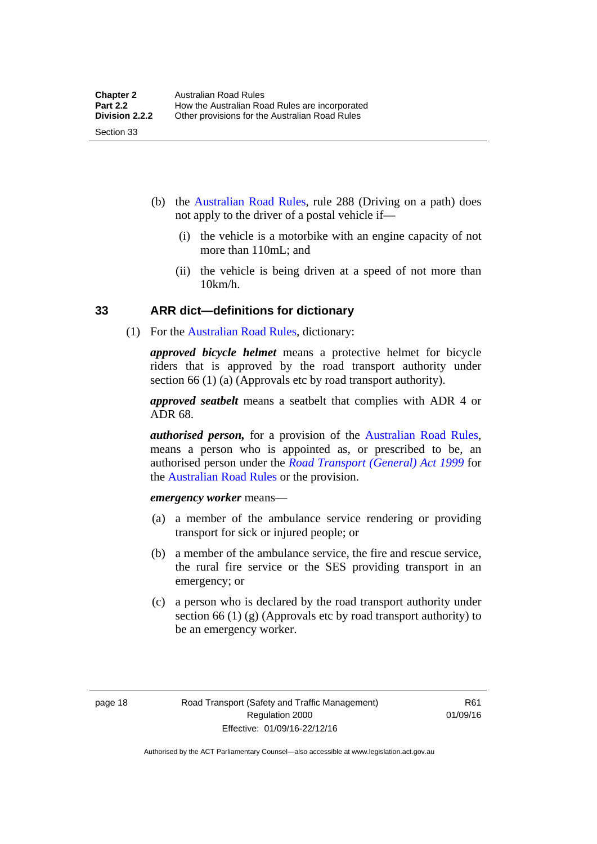(b) the [Australian Road Rules](http://www.legislation.act.gov.au//ni/db_37271/default.asp), rule 288 (Driving on a path) does not apply to the driver of a postal vehicle if—

- (i) the vehicle is a motorbike with an engine capacity of not more than 110mL; and
- (ii) the vehicle is being driven at a speed of not more than 10km/h.

#### <span id="page-34-0"></span>**33 ARR dict—definitions for dictionary**

(1) For the [Australian Road Rules,](http://www.legislation.act.gov.au//ni/db_37271/default.asp) dictionary:

*approved bicycle helmet* means a protective helmet for bicycle riders that is approved by the road transport authority under section 66 (1) (a) (Approvals etc by road transport authority).

*approved seatbelt* means a seatbelt that complies with ADR 4 or ADR 68.

*authorised person,* for a provision of the [Australian Road Rules](http://www.legislation.act.gov.au//ni/db_37271/default.asp), means a person who is appointed as, or prescribed to be, an authorised person under the *[Road Transport \(General\) Act 1999](http://www.legislation.act.gov.au/a/1999-77)* for the [Australian Road Rules](http://www.legislation.act.gov.au//ni/db_37271/default.asp) or the provision.

*emergency worker* means—

- (a) a member of the ambulance service rendering or providing transport for sick or injured people; or
- (b) a member of the ambulance service, the fire and rescue service, the rural fire service or the SES providing transport in an emergency; or
- (c) a person who is declared by the road transport authority under section 66 (1) (g) (Approvals etc by road transport authority) to be an emergency worker.

Section 33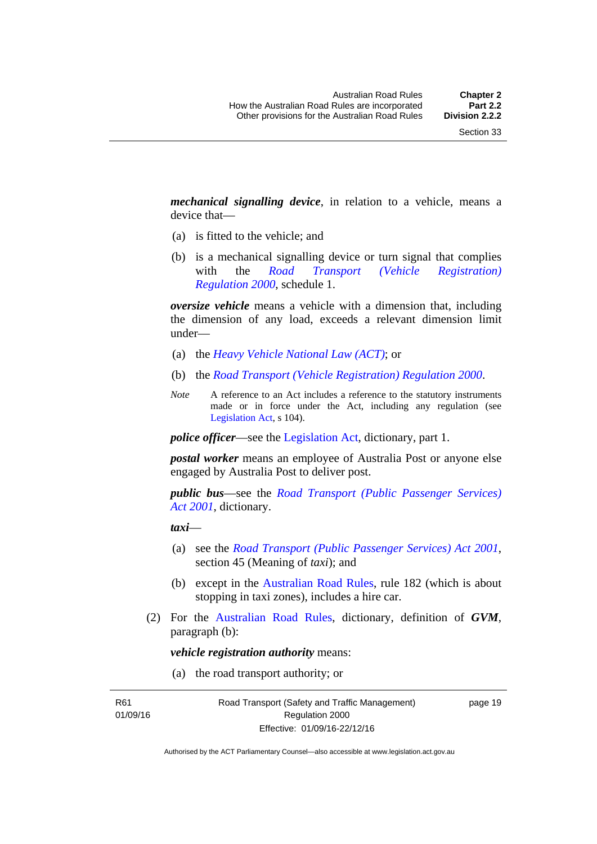*mechanical signalling device*, in relation to a vehicle, means a device that—

- (a) is fitted to the vehicle; and
- (b) is a mechanical signalling device or turn signal that complies with the *[Road Transport \(Vehicle Registration\)](http://www.legislation.act.gov.au/sl/2000-12)  [Regulation 2000](http://www.legislation.act.gov.au/sl/2000-12)*, schedule 1.

*oversize vehicle* means a vehicle with a dimension that, including the dimension of any load, exceeds a relevant dimension limit under—

- (a) the *[Heavy Vehicle National Law \(ACT\)](http://www.legislation.act.gov.au/a/db_49155/default.asp)*; or
- (b) the *[Road Transport \(Vehicle Registration\) Regulation 2000](http://www.legislation.act.gov.au/sl/2000-12)*.
- *Note* A reference to an Act includes a reference to the statutory instruments made or in force under the Act, including any regulation (see [Legislation Act,](http://www.legislation.act.gov.au/a/2001-14) s 104).

*police officer*—see the [Legislation Act](http://www.legislation.act.gov.au/a/2001-14), dictionary, part 1.

*postal worker* means an employee of Australia Post or anyone else engaged by Australia Post to deliver post.

*public bus*—see the *[Road Transport \(Public Passenger Services\)](http://www.legislation.act.gov.au/a/2001-62)  [Act 2001](http://www.legislation.act.gov.au/a/2001-62)*, dictionary.

*taxi*—

- (a) see the *[Road Transport \(Public Passenger Services\) Act 2001](http://www.legislation.act.gov.au/a/2001-62)*, section 45 (Meaning of *taxi*); and
- (b) except in the [Australian Road Rules,](http://www.legislation.act.gov.au//ni/db_37271/default.asp) rule 182 (which is about stopping in taxi zones), includes a hire car.
- (2) For the [Australian Road Rules](http://www.legislation.act.gov.au//ni/db_37271/default.asp), dictionary, definition of *GVM*, paragraph (b):

*vehicle registration authority* means:

(a) the road transport authority; or

R61 01/09/16 page 19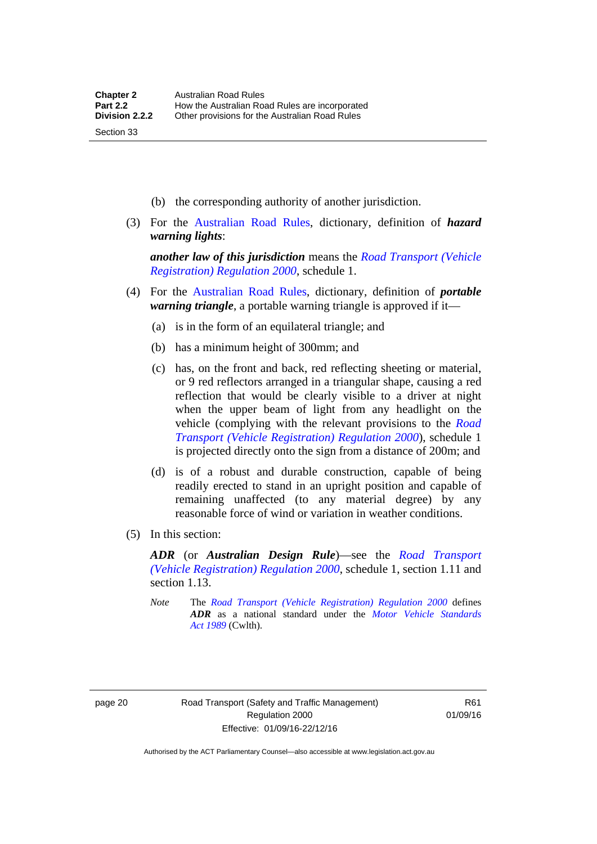- (b) the corresponding authority of another jurisdiction.
- (3) For the [Australian Road Rules](http://www.legislation.act.gov.au//ni/db_37271/default.asp), dictionary, definition of *hazard warning lights*:

*another law of this jurisdiction* means the *[Road Transport \(Vehicle](http://www.legislation.act.gov.au/sl/2000-12)  [Registration\) Regulation 2000](http://www.legislation.act.gov.au/sl/2000-12)*, schedule 1.

- (4) For the [Australian Road Rules](http://www.legislation.act.gov.au//ni/db_37271/default.asp), dictionary, definition of *portable warning triangle*, a portable warning triangle is approved if it—
	- (a) is in the form of an equilateral triangle; and
	- (b) has a minimum height of 300mm; and
	- (c) has, on the front and back, red reflecting sheeting or material, or 9 red reflectors arranged in a triangular shape, causing a red reflection that would be clearly visible to a driver at night when the upper beam of light from any headlight on the vehicle (complying with the relevant provisions to the *[Road](http://www.legislation.act.gov.au/sl/2000-12)  [Transport \(Vehicle Registration\) Regulation 2000](http://www.legislation.act.gov.au/sl/2000-12)*), schedule 1 is projected directly onto the sign from a distance of 200m; and
	- (d) is of a robust and durable construction, capable of being readily erected to stand in an upright position and capable of remaining unaffected (to any material degree) by any reasonable force of wind or variation in weather conditions.
- (5) In this section:

*ADR* (or *Australian Design Rule*)—see the *[Road Transport](http://www.legislation.act.gov.au/sl/2000-12)  [\(Vehicle Registration\) Regulation 2000](http://www.legislation.act.gov.au/sl/2000-12)*, schedule 1, section 1.11 and section 1.13.

*Note* The *[Road Transport \(Vehicle Registration\) Regulation 2000](http://www.legislation.act.gov.au/sl/2000-12)* defines *ADR* as a national standard under the *[Motor Vehicle Standards](http://www.comlaw.gov.au/Series/C2004A03813)  [Act 1989](http://www.comlaw.gov.au/Series/C2004A03813)* (Cwlth).

Section 33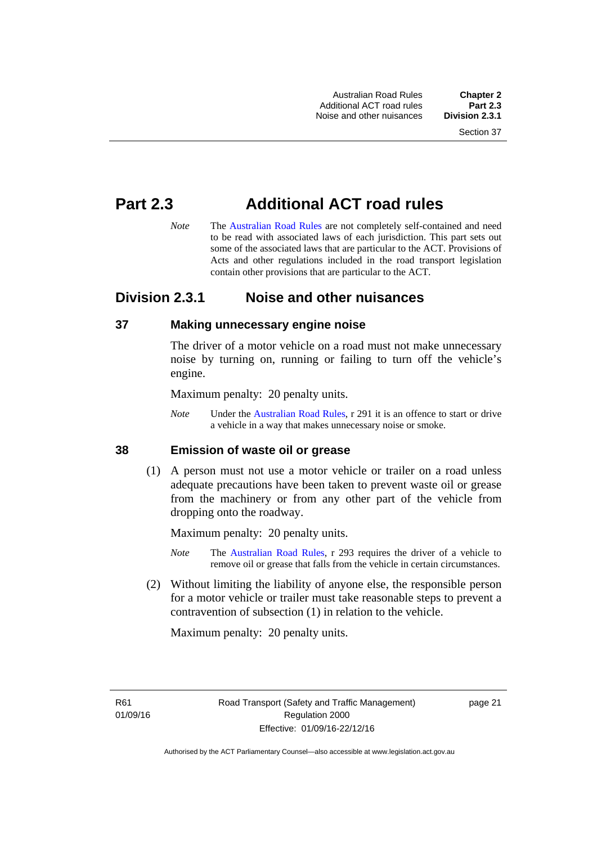Australian Road Rules **Chapter 2** Additional ACT road rules **Part 2.3** Noise and other nuisances

## **Part 2.3 Additional ACT road rules**

*Note* The [Australian Road Rules](http://www.legislation.act.gov.au//ni/db_37271/default.asp) are not completely self-contained and need to be read with associated laws of each jurisdiction. This part sets out some of the associated laws that are particular to the ACT. Provisions of Acts and other regulations included in the road transport legislation contain other provisions that are particular to the ACT.

## **Division 2.3.1 Noise and other nuisances**

## **37 Making unnecessary engine noise**

The driver of a motor vehicle on a road must not make unnecessary noise by turning on, running or failing to turn off the vehicle's engine.

Maximum penalty: 20 penalty units.

*Note* Under the [Australian Road Rules,](http://www.legislation.act.gov.au//ni/db_37271/default.asp) r 291 it is an offence to start or drive a vehicle in a way that makes unnecessary noise or smoke.

#### **38 Emission of waste oil or grease**

 (1) A person must not use a motor vehicle or trailer on a road unless adequate precautions have been taken to prevent waste oil or grease from the machinery or from any other part of the vehicle from dropping onto the roadway.

Maximum penalty: 20 penalty units.

- *Note* The [Australian Road Rules,](http://www.legislation.act.gov.au//ni/db_37271/default.asp) r 293 requires the driver of a vehicle to remove oil or grease that falls from the vehicle in certain circumstances.
- (2) Without limiting the liability of anyone else, the responsible person for a motor vehicle or trailer must take reasonable steps to prevent a contravention of subsection (1) in relation to the vehicle.

Maximum penalty: 20 penalty units.

R61 01/09/16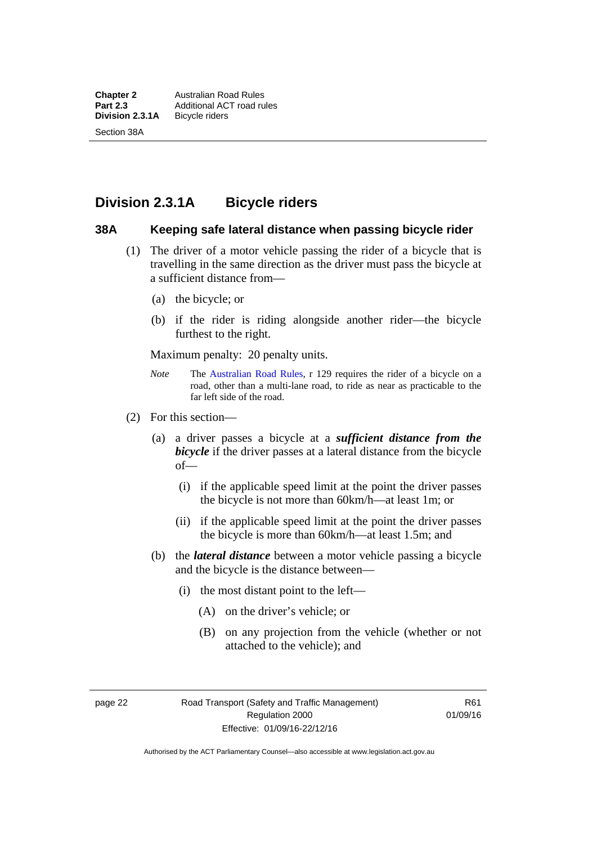## **Division 2.3.1A Bicycle riders**

#### **38A Keeping safe lateral distance when passing bicycle rider**

- (1) The driver of a motor vehicle passing the rider of a bicycle that is travelling in the same direction as the driver must pass the bicycle at a sufficient distance from—
	- (a) the bicycle; or
	- (b) if the rider is riding alongside another rider—the bicycle furthest to the right.

Maximum penalty: 20 penalty units.

- *Note* **The [Australian Road Rules](http://www.legislation.act.gov.au//ni/db_37271/default.asp), r 129 requires the rider of a bicycle on a** road, other than a multi-lane road, to ride as near as practicable to the far left side of the road.
- (2) For this section—
	- (a) a driver passes a bicycle at a *sufficient distance from the bicycle* if the driver passes at a lateral distance from the bicycle of—
		- (i) if the applicable speed limit at the point the driver passes the bicycle is not more than 60km/h—at least 1m; or
		- (ii) if the applicable speed limit at the point the driver passes the bicycle is more than 60km/h—at least 1.5m; and
	- (b) the *lateral distance* between a motor vehicle passing a bicycle and the bicycle is the distance between—
		- (i) the most distant point to the left—
			- (A) on the driver's vehicle; or
			- (B) on any projection from the vehicle (whether or not attached to the vehicle); and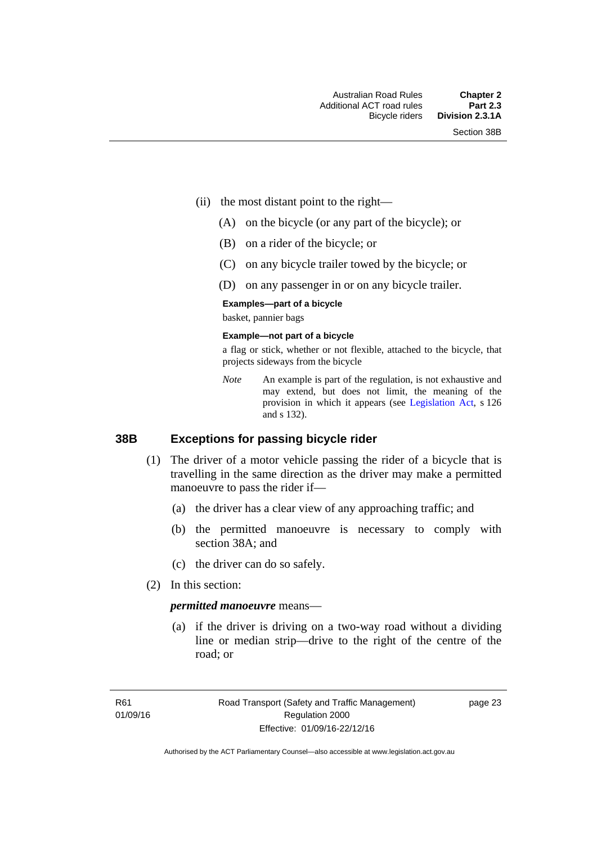- (ii) the most distant point to the right—
	- (A) on the bicycle (or any part of the bicycle); or
	- (B) on a rider of the bicycle; or
	- (C) on any bicycle trailer towed by the bicycle; or
	- (D) on any passenger in or on any bicycle trailer.

#### **Examples—part of a bicycle**

basket, pannier bags

#### **Example—not part of a bicycle**

a flag or stick, whether or not flexible, attached to the bicycle, that projects sideways from the bicycle

*Note* An example is part of the regulation, is not exhaustive and may extend, but does not limit, the meaning of the provision in which it appears (see [Legislation Act,](http://www.legislation.act.gov.au/a/2001-14) s 126 and s 132).

#### **38B Exceptions for passing bicycle rider**

- (1) The driver of a motor vehicle passing the rider of a bicycle that is travelling in the same direction as the driver may make a permitted manoeuvre to pass the rider if—
	- (a) the driver has a clear view of any approaching traffic; and
	- (b) the permitted manoeuvre is necessary to comply with section 38A; and
	- (c) the driver can do so safely.
- (2) In this section:

#### *permitted manoeuvre* means—

 (a) if the driver is driving on a two-way road without a dividing line or median strip—drive to the right of the centre of the road; or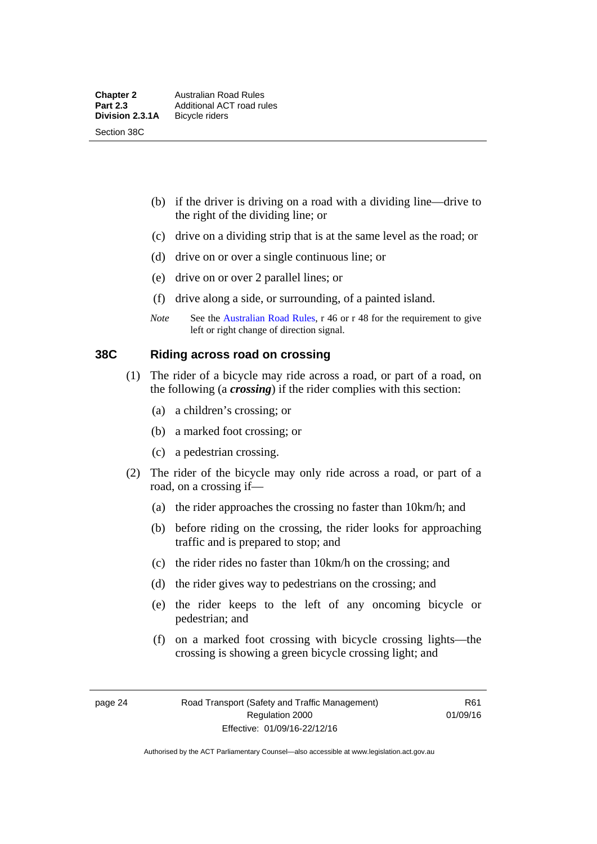- (b) if the driver is driving on a road with a dividing line—drive to the right of the dividing line; or
- (c) drive on a dividing strip that is at the same level as the road; or
- (d) drive on or over a single continuous line; or
- (e) drive on or over 2 parallel lines; or
- (f) drive along a side, or surrounding, of a painted island.
- *Note* See the [Australian Road Rules](http://www.legislation.act.gov.au//ni/db_37271/default.asp), r 46 or r 48 for the requirement to give left or right change of direction signal.

## **38C Riding across road on crossing**

- (1) The rider of a bicycle may ride across a road, or part of a road, on the following (a *crossing*) if the rider complies with this section:
	- (a) a children's crossing; or
	- (b) a marked foot crossing; or
	- (c) a pedestrian crossing.
- (2) The rider of the bicycle may only ride across a road, or part of a road, on a crossing if—
	- (a) the rider approaches the crossing no faster than 10km/h; and
	- (b) before riding on the crossing, the rider looks for approaching traffic and is prepared to stop; and
	- (c) the rider rides no faster than 10km/h on the crossing; and
	- (d) the rider gives way to pedestrians on the crossing; and
	- (e) the rider keeps to the left of any oncoming bicycle or pedestrian; and
	- (f) on a marked foot crossing with bicycle crossing lights—the crossing is showing a green bicycle crossing light; and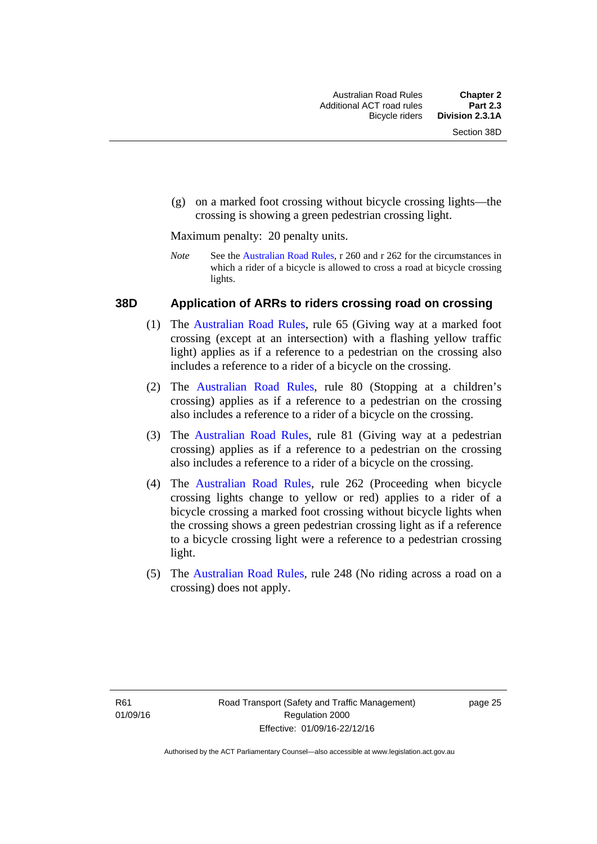(g) on a marked foot crossing without bicycle crossing lights—the crossing is showing a green pedestrian crossing light.

Maximum penalty: 20 penalty units.

*Note* See the [Australian Road Rules](http://www.legislation.act.gov.au//ni/db_37271/default.asp), r 260 and r 262 for the circumstances in which a rider of a bicycle is allowed to cross a road at bicycle crossing lights.

### **38D Application of ARRs to riders crossing road on crossing**

- (1) The [Australian Road Rules,](http://www.legislation.act.gov.au//ni/db_37271/default.asp) rule 65 (Giving way at a marked foot crossing (except at an intersection) with a flashing yellow traffic light) applies as if a reference to a pedestrian on the crossing also includes a reference to a rider of a bicycle on the crossing.
- (2) The [Australian Road Rules](http://www.legislation.act.gov.au//ni/db_37271/default.asp), rule 80 (Stopping at a children's crossing) applies as if a reference to a pedestrian on the crossing also includes a reference to a rider of a bicycle on the crossing.
- (3) The [Australian Road Rules,](http://www.legislation.act.gov.au//ni/db_37271/default.asp) rule 81 (Giving way at a pedestrian crossing) applies as if a reference to a pedestrian on the crossing also includes a reference to a rider of a bicycle on the crossing.
- (4) The [Australian Road Rules](http://www.legislation.act.gov.au//ni/db_37271/default.asp), rule 262 (Proceeding when bicycle crossing lights change to yellow or red) applies to a rider of a bicycle crossing a marked foot crossing without bicycle lights when the crossing shows a green pedestrian crossing light as if a reference to a bicycle crossing light were a reference to a pedestrian crossing light.
- (5) The [Australian Road Rules](http://www.legislation.act.gov.au//ni/db_37271/default.asp), rule 248 (No riding across a road on a crossing) does not apply.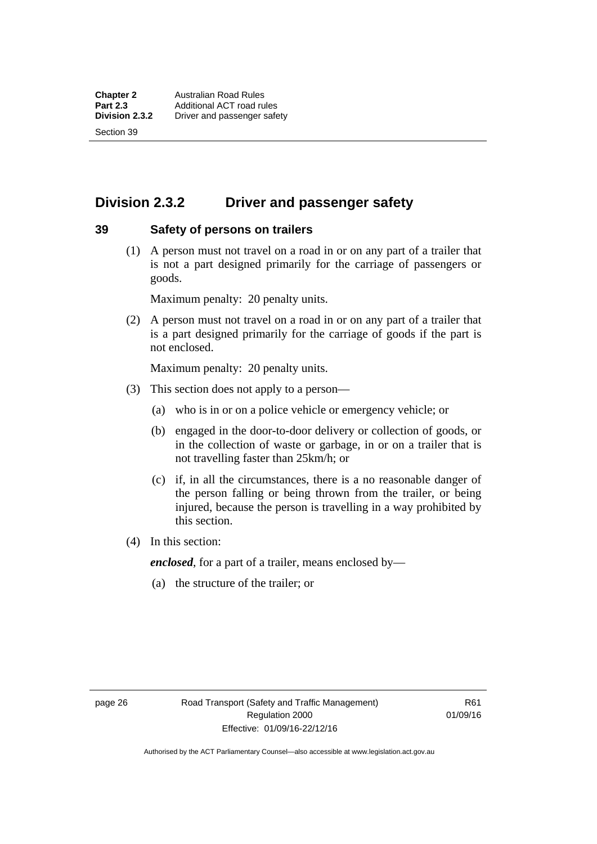Section 39

## **Division 2.3.2 Driver and passenger safety**

#### **39 Safety of persons on trailers**

 (1) A person must not travel on a road in or on any part of a trailer that is not a part designed primarily for the carriage of passengers or goods.

Maximum penalty: 20 penalty units.

 (2) A person must not travel on a road in or on any part of a trailer that is a part designed primarily for the carriage of goods if the part is not enclosed.

Maximum penalty: 20 penalty units.

- (3) This section does not apply to a person—
	- (a) who is in or on a police vehicle or emergency vehicle; or
	- (b) engaged in the door-to-door delivery or collection of goods, or in the collection of waste or garbage, in or on a trailer that is not travelling faster than 25km/h; or
	- (c) if, in all the circumstances, there is a no reasonable danger of the person falling or being thrown from the trailer, or being injured, because the person is travelling in a way prohibited by this section.
- (4) In this section:

*enclosed*, for a part of a trailer, means enclosed by—

(a) the structure of the trailer; or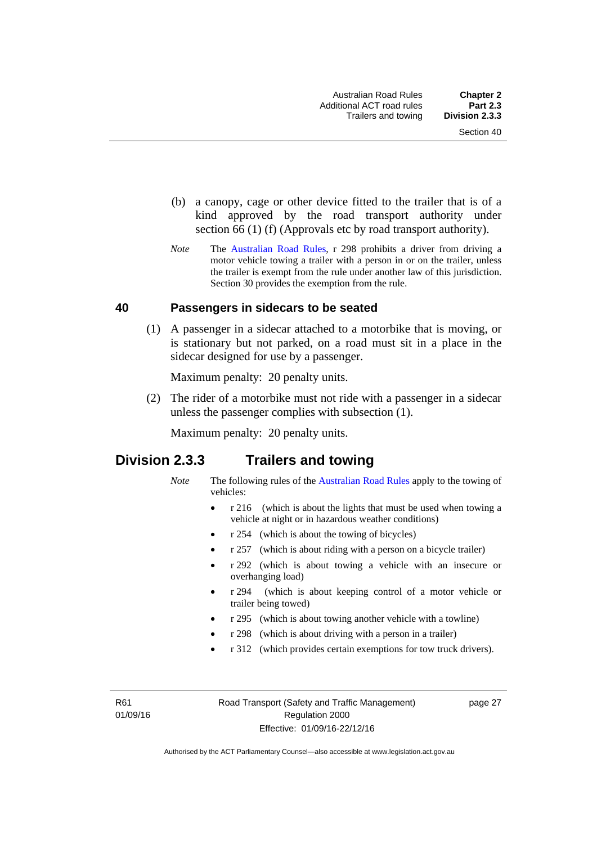- (b) a canopy, cage or other device fitted to the trailer that is of a kind approved by the road transport authority under section 66 (1) (f) (Approvals etc by road transport authority).
- *Note* The [Australian Road Rules](http://www.legislation.act.gov.au//ni/db_37271/default.asp), r 298 prohibits a driver from driving a motor vehicle towing a trailer with a person in or on the trailer, unless the trailer is exempt from the rule under another law of this jurisdiction. Section 30 provides the exemption from the rule.

## **40 Passengers in sidecars to be seated**

 (1) A passenger in a sidecar attached to a motorbike that is moving, or is stationary but not parked, on a road must sit in a place in the sidecar designed for use by a passenger.

Maximum penalty: 20 penalty units.

 (2) The rider of a motorbike must not ride with a passenger in a sidecar unless the passenger complies with subsection (1).

Maximum penalty: 20 penalty units.

## **Division 2.3.3 Trailers and towing**

- *Note* The following rules of the [Australian Road Rules](http://www.legislation.act.gov.au//ni/db_37271/default.asp) apply to the towing of vehicles:
	- r 216 (which is about the lights that must be used when towing a vehicle at night or in hazardous weather conditions)
	- r 254 (which is about the towing of bicycles)
	- r 257 (which is about riding with a person on a bicycle trailer)
	- r 292 (which is about towing a vehicle with an insecure or overhanging load)
	- r 294 (which is about keeping control of a motor vehicle or trailer being towed)
	- r 295 (which is about towing another vehicle with a towline)
	- r 298 (which is about driving with a person in a trailer)
	- r 312 (which provides certain exemptions for tow truck drivers).

R61 01/09/16 page 27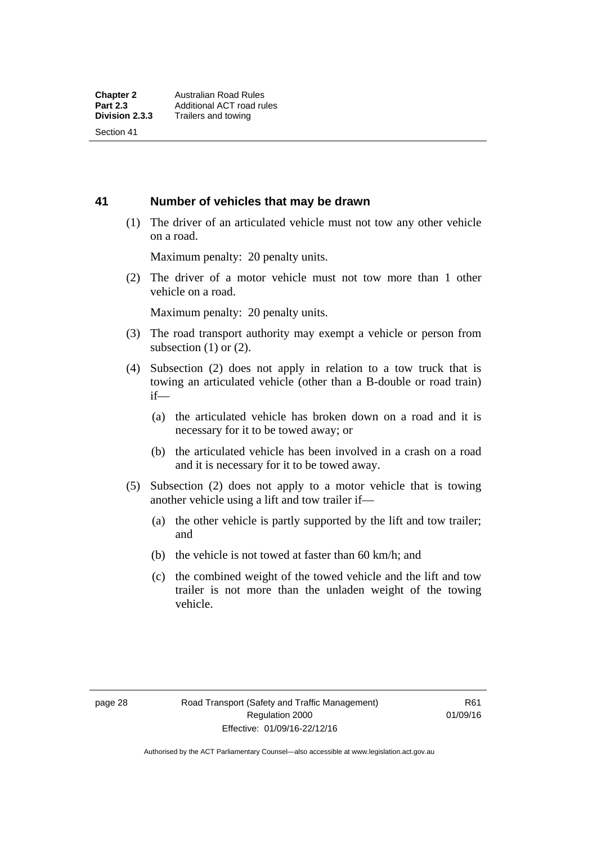Section 41

## **41 Number of vehicles that may be drawn**

 (1) The driver of an articulated vehicle must not tow any other vehicle on a road.

Maximum penalty: 20 penalty units.

 (2) The driver of a motor vehicle must not tow more than 1 other vehicle on a road.

Maximum penalty: 20 penalty units.

- (3) The road transport authority may exempt a vehicle or person from subsection  $(1)$  or  $(2)$ .
- (4) Subsection (2) does not apply in relation to a tow truck that is towing an articulated vehicle (other than a B-double or road train) if—
	- (a) the articulated vehicle has broken down on a road and it is necessary for it to be towed away; or
	- (b) the articulated vehicle has been involved in a crash on a road and it is necessary for it to be towed away.
- (5) Subsection (2) does not apply to a motor vehicle that is towing another vehicle using a lift and tow trailer if—
	- (a) the other vehicle is partly supported by the lift and tow trailer; and
	- (b) the vehicle is not towed at faster than 60 km/h; and
	- (c) the combined weight of the towed vehicle and the lift and tow trailer is not more than the unladen weight of the towing vehicle.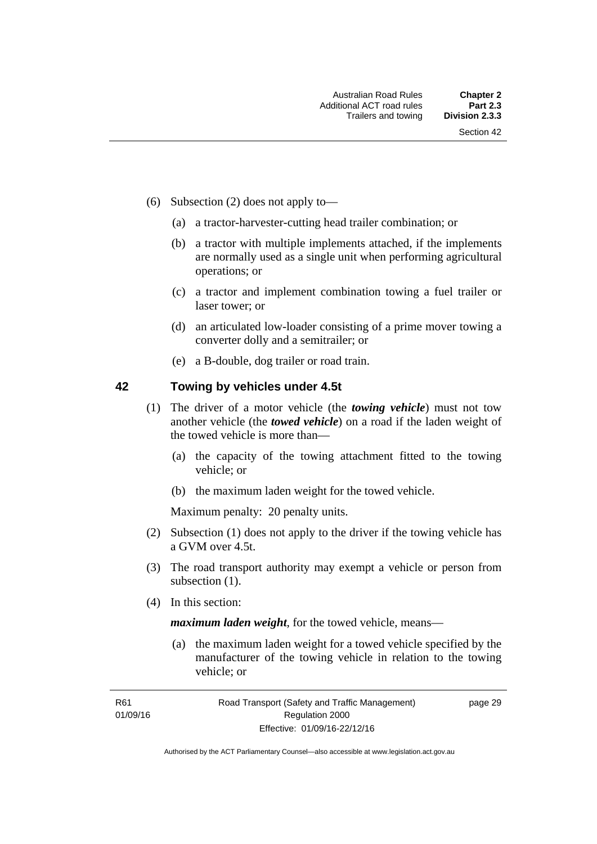- (6) Subsection (2) does not apply to—
	- (a) a tractor-harvester-cutting head trailer combination; or
	- (b) a tractor with multiple implements attached, if the implements are normally used as a single unit when performing agricultural operations; or
	- (c) a tractor and implement combination towing a fuel trailer or laser tower; or
	- (d) an articulated low-loader consisting of a prime mover towing a converter dolly and a semitrailer; or
	- (e) a B-double, dog trailer or road train.

## **42 Towing by vehicles under 4.5t**

- (1) The driver of a motor vehicle (the *towing vehicle*) must not tow another vehicle (the *towed vehicle*) on a road if the laden weight of the towed vehicle is more than—
	- (a) the capacity of the towing attachment fitted to the towing vehicle; or
	- (b) the maximum laden weight for the towed vehicle.

Maximum penalty: 20 penalty units.

- (2) Subsection (1) does not apply to the driver if the towing vehicle has a GVM over 4.5t.
- (3) The road transport authority may exempt a vehicle or person from subsection  $(1)$ .
- (4) In this section:

*maximum laden weight*, for the towed vehicle, means—

 (a) the maximum laden weight for a towed vehicle specified by the manufacturer of the towing vehicle in relation to the towing vehicle; or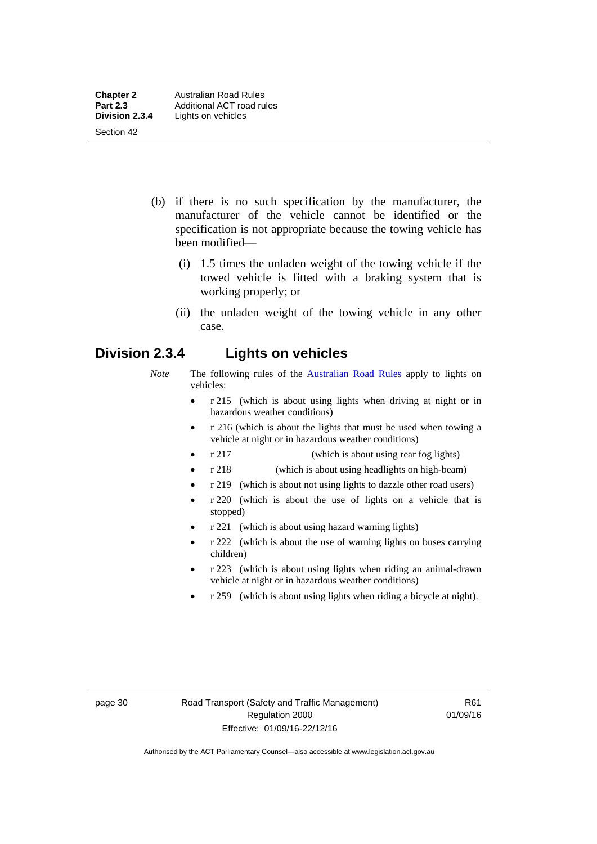- (b) if there is no such specification by the manufacturer, the manufacturer of the vehicle cannot be identified or the specification is not appropriate because the towing vehicle has been modified—
	- (i) 1.5 times the unladen weight of the towing vehicle if the towed vehicle is fitted with a braking system that is working properly; or
	- (ii) the unladen weight of the towing vehicle in any other case.

## **Division 2.3.4 Lights on vehicles**

- *Note* The following rules of the [Australian Road Rules](http://www.legislation.act.gov.au//ni/db_37271/default.asp) apply to lights on vehicles:
	- r 215 (which is about using lights when driving at night or in hazardous weather conditions)
	- r 216 (which is about the lights that must be used when towing a vehicle at night or in hazardous weather conditions)
	- r 217 (which is about using rear fog lights)
	- r 218 (which is about using headlights on high-beam)
	- r 219 (which is about not using lights to dazzle other road users)
	- r 220 (which is about the use of lights on a vehicle that is stopped)
	- r 221 (which is about using hazard warning lights)
	- r 222 (which is about the use of warning lights on buses carrying children)
	- r 223 (which is about using lights when riding an animal-drawn vehicle at night or in hazardous weather conditions)
	- r 259 (which is about using lights when riding a bicycle at night).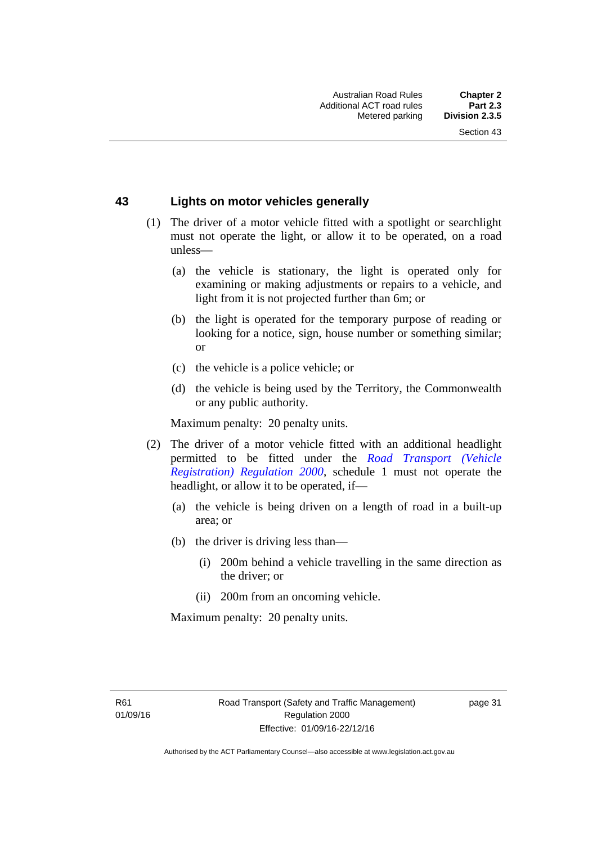## **43 Lights on motor vehicles generally**

- (1) The driver of a motor vehicle fitted with a spotlight or searchlight must not operate the light, or allow it to be operated, on a road unless—
	- (a) the vehicle is stationary, the light is operated only for examining or making adjustments or repairs to a vehicle, and light from it is not projected further than 6m; or
	- (b) the light is operated for the temporary purpose of reading or looking for a notice, sign, house number or something similar; or
	- (c) the vehicle is a police vehicle; or
	- (d) the vehicle is being used by the Territory, the Commonwealth or any public authority.

Maximum penalty: 20 penalty units.

- (2) The driver of a motor vehicle fitted with an additional headlight permitted to be fitted under the *[Road Transport \(Vehicle](http://www.legislation.act.gov.au/sl/2000-12)  [Registration\) Regulation 2000](http://www.legislation.act.gov.au/sl/2000-12)*, schedule 1 must not operate the headlight, or allow it to be operated, if—
	- (a) the vehicle is being driven on a length of road in a built-up area; or
	- (b) the driver is driving less than—
		- (i) 200m behind a vehicle travelling in the same direction as the driver; or
		- (ii) 200m from an oncoming vehicle.

Maximum penalty: 20 penalty units.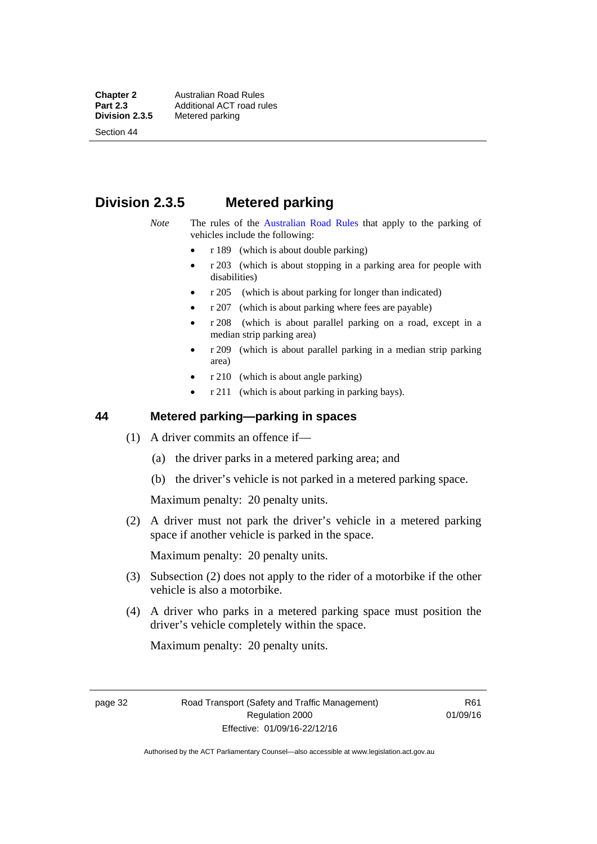**Chapter 2 Australian Road Rules**<br>**Part 2.3 Additional ACT road rules Part 2.3 Additional ACT road rules**<br>**Division 2.3.5** Metered parking

Section 44

# **Metered parking**

## **Division 2.3.5 Metered parking**

- *Note* The rules of the [Australian Road Rules](http://www.legislation.act.gov.au//ni/db_37271/default.asp) that apply to the parking of vehicles include the following:
	- r 189 (which is about double parking)
	- $r$  203 (which is about stopping in a parking area for people with disabilities)
	- r 205 (which is about parking for longer than indicated)
	- r 207 (which is about parking where fees are payable)
	- r 208 (which is about parallel parking on a road, except in a median strip parking area)
	- r 209 (which is about parallel parking in a median strip parking area)
	- r 210 (which is about angle parking)
	- r 211 (which is about parking in parking bays).

## **44 Metered parking—parking in spaces**

- (1) A driver commits an offence if—
	- (a) the driver parks in a metered parking area; and
	- (b) the driver's vehicle is not parked in a metered parking space.

Maximum penalty: 20 penalty units.

 (2) A driver must not park the driver's vehicle in a metered parking space if another vehicle is parked in the space.

Maximum penalty: 20 penalty units.

- (3) Subsection (2) does not apply to the rider of a motorbike if the other vehicle is also a motorbike.
- (4) A driver who parks in a metered parking space must position the driver's vehicle completely within the space.

Maximum penalty: 20 penalty units.

page 32 Road Transport (Safety and Traffic Management) Regulation 2000 Effective: 01/09/16-22/12/16

R61 01/09/16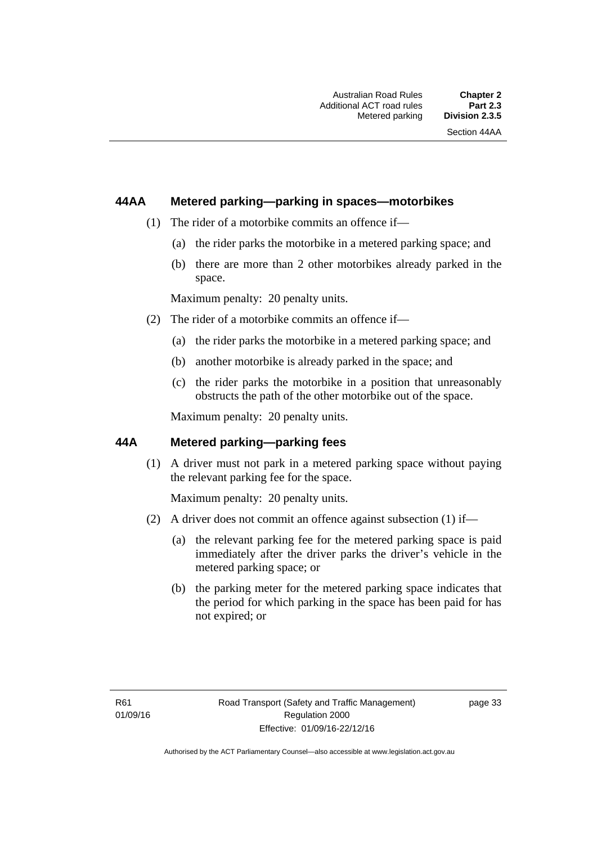## **44AA Metered parking—parking in spaces—motorbikes**

- (1) The rider of a motorbike commits an offence if—
	- (a) the rider parks the motorbike in a metered parking space; and
	- (b) there are more than 2 other motorbikes already parked in the space.

Maximum penalty: 20 penalty units.

- (2) The rider of a motorbike commits an offence if—
	- (a) the rider parks the motorbike in a metered parking space; and
	- (b) another motorbike is already parked in the space; and
	- (c) the rider parks the motorbike in a position that unreasonably obstructs the path of the other motorbike out of the space.

Maximum penalty: 20 penalty units.

## **44A Metered parking—parking fees**

(1) A driver must not park in a metered parking space without paying the relevant parking fee for the space.

Maximum penalty: 20 penalty units.

- (2) A driver does not commit an offence against subsection (1) if—
	- (a) the relevant parking fee for the metered parking space is paid immediately after the driver parks the driver's vehicle in the metered parking space; or
	- (b) the parking meter for the metered parking space indicates that the period for which parking in the space has been paid for has not expired; or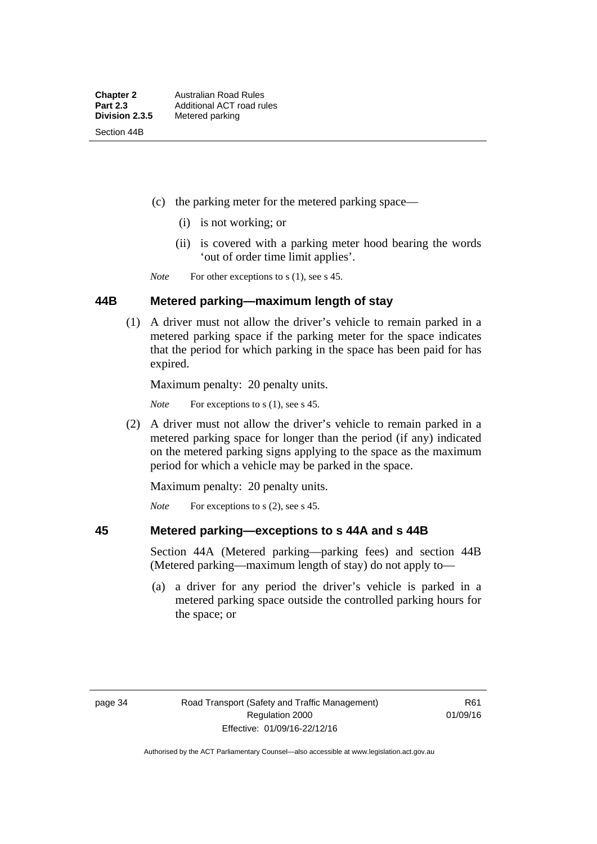- (c) the parking meter for the metered parking space—
	- (i) is not working; or
	- (ii) is covered with a parking meter hood bearing the words 'out of order time limit applies'.

*Note* For other exceptions to s (1), see s 45.

### **44B Metered parking—maximum length of stay**

 (1) A driver must not allow the driver's vehicle to remain parked in a metered parking space if the parking meter for the space indicates that the period for which parking in the space has been paid for has expired.

Maximum penalty: 20 penalty units.

*Note* For exceptions to s (1), see s 45.

 (2) A driver must not allow the driver's vehicle to remain parked in a metered parking space for longer than the period (if any) indicated on the metered parking signs applying to the space as the maximum period for which a vehicle may be parked in the space.

Maximum penalty: 20 penalty units.

*Note* For exceptions to s (2), see s 45.

#### **45 Metered parking—exceptions to s 44A and s 44B**

Section 44A (Metered parking—parking fees) and section 44B (Metered parking—maximum length of stay) do not apply to—

 (a) a driver for any period the driver's vehicle is parked in a metered parking space outside the controlled parking hours for the space; or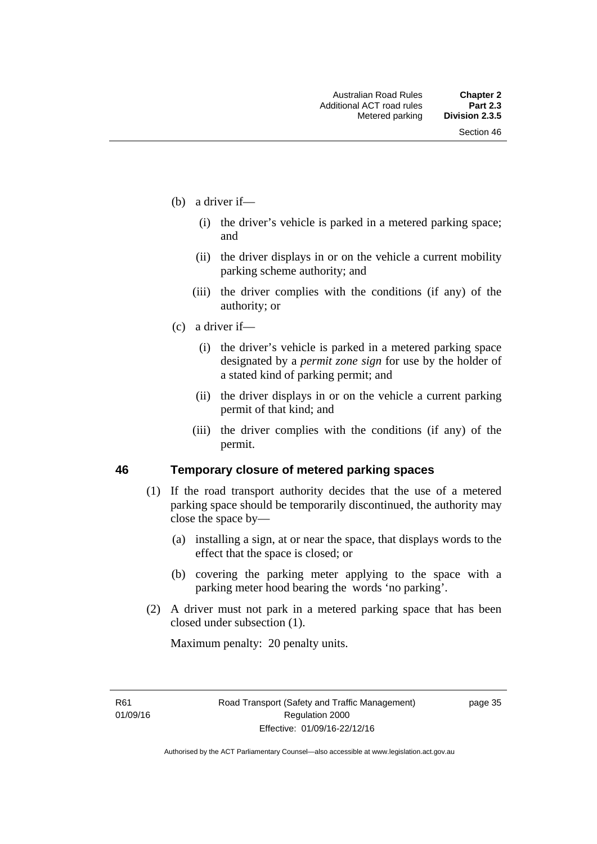- (b) a driver if—
	- (i) the driver's vehicle is parked in a metered parking space; and
	- (ii) the driver displays in or on the vehicle a current mobility parking scheme authority; and
	- (iii) the driver complies with the conditions (if any) of the authority; or
- (c) a driver if—
	- (i) the driver's vehicle is parked in a metered parking space designated by a *permit zone sign* for use by the holder of a stated kind of parking permit; and
	- (ii) the driver displays in or on the vehicle a current parking permit of that kind; and
	- (iii) the driver complies with the conditions (if any) of the permit.

## **46 Temporary closure of metered parking spaces**

- (1) If the road transport authority decides that the use of a metered parking space should be temporarily discontinued, the authority may close the space by—
	- (a) installing a sign, at or near the space, that displays words to the effect that the space is closed; or
	- (b) covering the parking meter applying to the space with a parking meter hood bearing the words 'no parking'.
- (2) A driver must not park in a metered parking space that has been closed under subsection (1).

Maximum penalty: 20 penalty units.

R61 01/09/16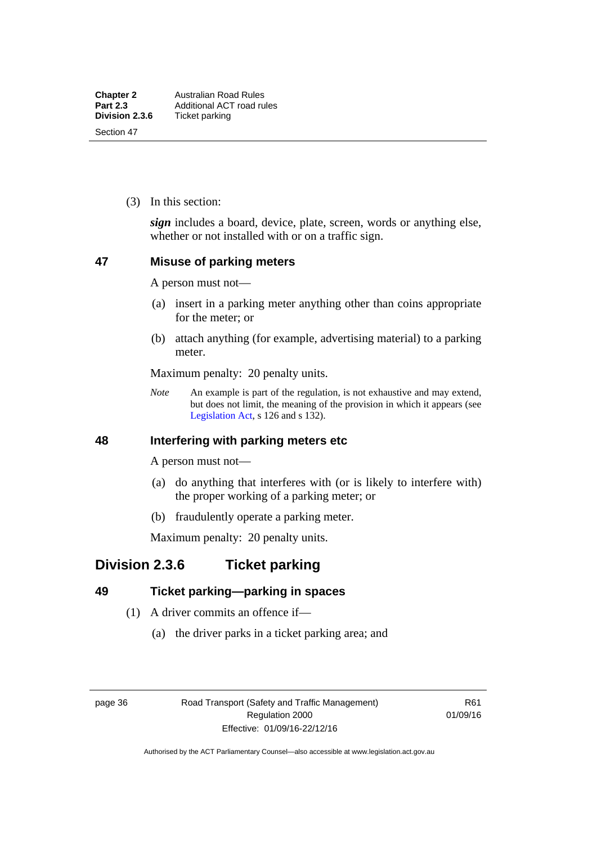(3) In this section:

*sign* includes a board, device, plate, screen, words or anything else, whether or not installed with or on a traffic sign.

## **47 Misuse of parking meters**

A person must not—

- (a) insert in a parking meter anything other than coins appropriate for the meter; or
- (b) attach anything (for example, advertising material) to a parking meter.

Maximum penalty: 20 penalty units.

*Note* An example is part of the regulation, is not exhaustive and may extend, but does not limit, the meaning of the provision in which it appears (see [Legislation Act,](http://www.legislation.act.gov.au/a/2001-14) s 126 and s 132).

## **48 Interfering with parking meters etc**

A person must not—

- (a) do anything that interferes with (or is likely to interfere with) the proper working of a parking meter; or
- (b) fraudulently operate a parking meter.

Maximum penalty: 20 penalty units.

## **Division 2.3.6 Ticket parking**

## **49 Ticket parking—parking in spaces**

- (1) A driver commits an offence if—
	- (a) the driver parks in a ticket parking area; and

page 36 Road Transport (Safety and Traffic Management) Regulation 2000 Effective: 01/09/16-22/12/16

R61 01/09/16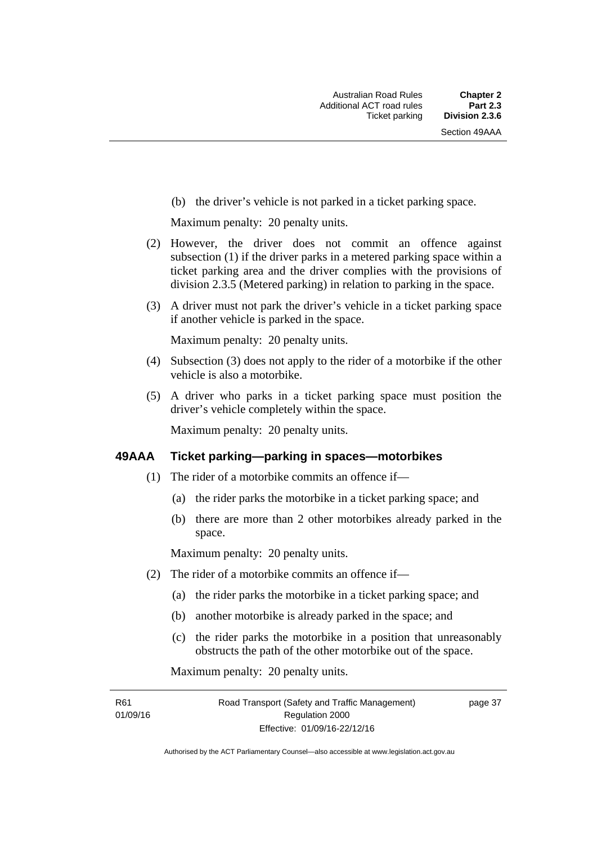(b) the driver's vehicle is not parked in a ticket parking space.

Maximum penalty: 20 penalty units.

- (2) However, the driver does not commit an offence against subsection (1) if the driver parks in a metered parking space within a ticket parking area and the driver complies with the provisions of division 2.3.5 (Metered parking) in relation to parking in the space.
- (3) A driver must not park the driver's vehicle in a ticket parking space if another vehicle is parked in the space.

Maximum penalty: 20 penalty units.

- (4) Subsection (3) does not apply to the rider of a motorbike if the other vehicle is also a motorbike.
- (5) A driver who parks in a ticket parking space must position the driver's vehicle completely within the space.

Maximum penalty: 20 penalty units.

#### **49AAA Ticket parking—parking in spaces—motorbikes**

- (1) The rider of a motorbike commits an offence if—
	- (a) the rider parks the motorbike in a ticket parking space; and
	- (b) there are more than 2 other motorbikes already parked in the space.

Maximum penalty: 20 penalty units.

- (2) The rider of a motorbike commits an offence if—
	- (a) the rider parks the motorbike in a ticket parking space; and
	- (b) another motorbike is already parked in the space; and
	- (c) the rider parks the motorbike in a position that unreasonably obstructs the path of the other motorbike out of the space.

Maximum penalty: 20 penalty units.

R61 01/09/16 page 37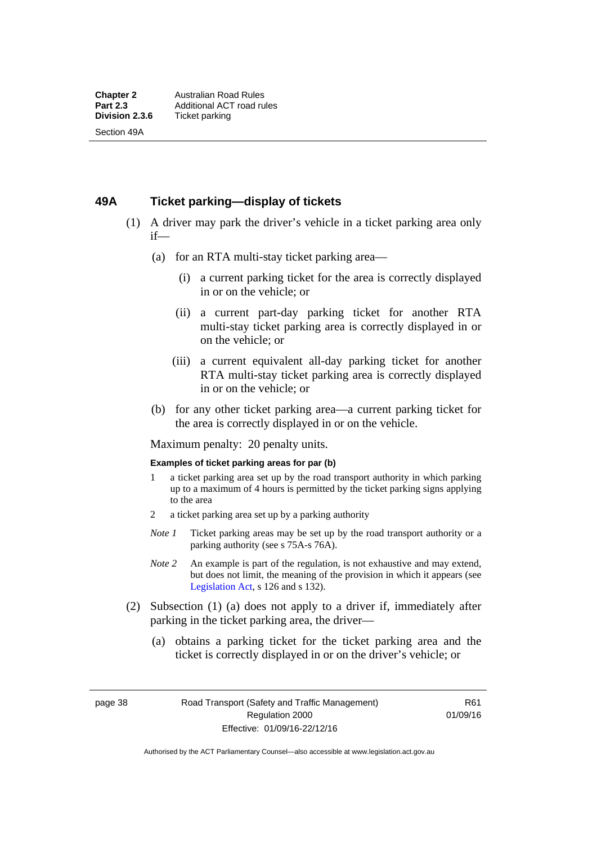## **49A Ticket parking—display of tickets**

- (1) A driver may park the driver's vehicle in a ticket parking area only if—
	- (a) for an RTA multi-stay ticket parking area—
		- (i) a current parking ticket for the area is correctly displayed in or on the vehicle; or
		- (ii) a current part-day parking ticket for another RTA multi-stay ticket parking area is correctly displayed in or on the vehicle; or
		- (iii) a current equivalent all-day parking ticket for another RTA multi-stay ticket parking area is correctly displayed in or on the vehicle; or
	- (b) for any other ticket parking area—a current parking ticket for the area is correctly displayed in or on the vehicle.

Maximum penalty: 20 penalty units.

#### **Examples of ticket parking areas for par (b)**

- 1 a ticket parking area set up by the road transport authority in which parking up to a maximum of 4 hours is permitted by the ticket parking signs applying to the area
- 2 a ticket parking area set up by a parking authority
- *Note 1* Ticket parking areas may be set up by the road transport authority or a parking authority (see s 75A-s 76A).
- *Note 2* An example is part of the regulation, is not exhaustive and may extend, but does not limit, the meaning of the provision in which it appears (see [Legislation Act,](http://www.legislation.act.gov.au/a/2001-14) s 126 and s 132).
- (2) Subsection (1) (a) does not apply to a driver if, immediately after parking in the ticket parking area, the driver—
	- (a) obtains a parking ticket for the ticket parking area and the ticket is correctly displayed in or on the driver's vehicle; or

page 38 Road Transport (Safety and Traffic Management) Regulation 2000 Effective: 01/09/16-22/12/16

R61 01/09/16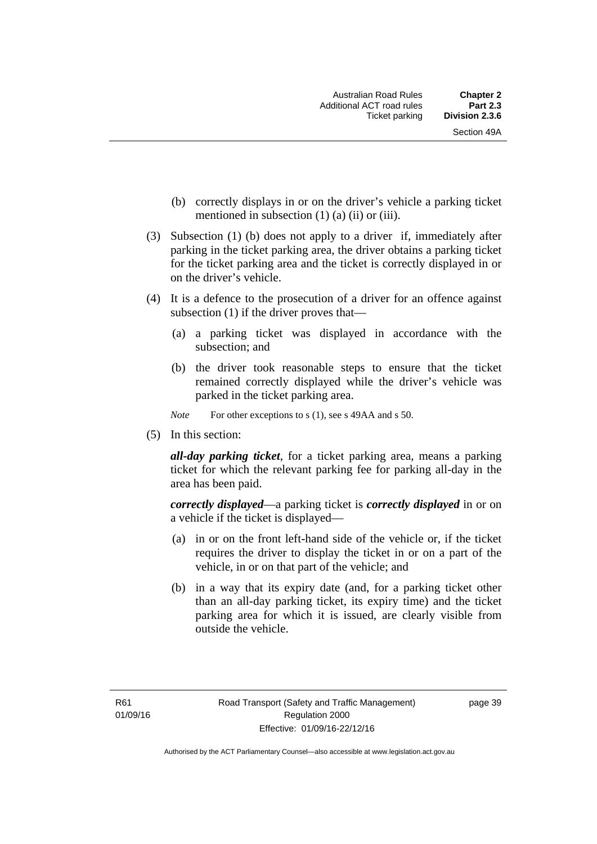- (b) correctly displays in or on the driver's vehicle a parking ticket mentioned in subsection  $(1)$   $(a)$   $(ii)$  or  $(iii)$ .
- (3) Subsection (1) (b) does not apply to a driver if, immediately after parking in the ticket parking area, the driver obtains a parking ticket for the ticket parking area and the ticket is correctly displayed in or on the driver's vehicle.
- (4) It is a defence to the prosecution of a driver for an offence against subsection (1) if the driver proves that—
	- (a) a parking ticket was displayed in accordance with the subsection; and
	- (b) the driver took reasonable steps to ensure that the ticket remained correctly displayed while the driver's vehicle was parked in the ticket parking area.
	- *Note* For other exceptions to s (1), see s 49AA and s 50.
- (5) In this section:

*all-day parking ticket*, for a ticket parking area, means a parking ticket for which the relevant parking fee for parking all-day in the area has been paid.

*correctly displayed*—a parking ticket is *correctly displayed* in or on a vehicle if the ticket is displayed—

- (a) in or on the front left-hand side of the vehicle or, if the ticket requires the driver to display the ticket in or on a part of the vehicle, in or on that part of the vehicle; and
- (b) in a way that its expiry date (and, for a parking ticket other than an all-day parking ticket, its expiry time) and the ticket parking area for which it is issued, are clearly visible from outside the vehicle.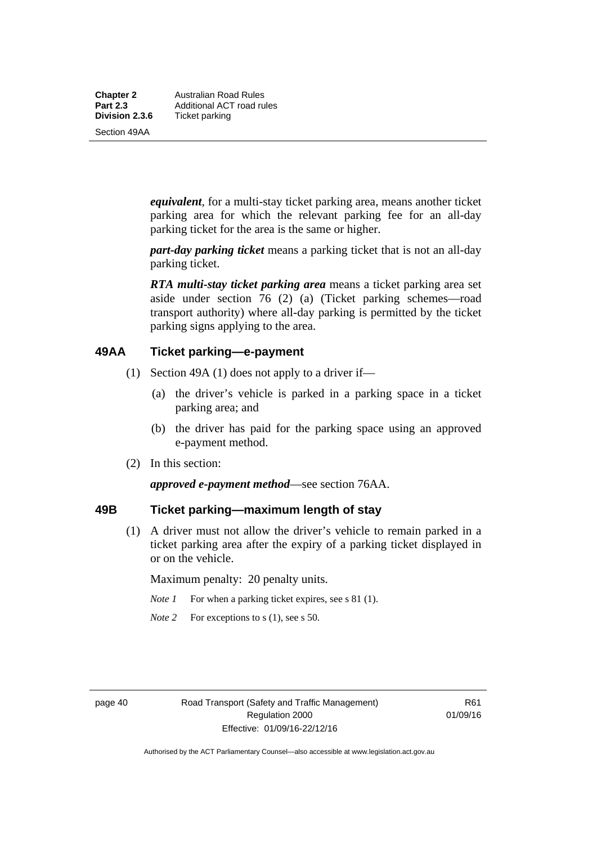**Chapter 2** Australian Road Rules<br>**Part 2.3** Additional ACT road ru **Part 2.3 Additional ACT road rules**<br>**Division 2.3.6** Ticket parking **Ticket parking** 

Section 49AA

*equivalent*, for a multi-stay ticket parking area, means another ticket parking area for which the relevant parking fee for an all-day parking ticket for the area is the same or higher.

*part-day parking ticket* means a parking ticket that is not an all-day parking ticket.

*RTA multi-stay ticket parking area* means a ticket parking area set aside under section 76 (2) (a) (Ticket parking schemes—road transport authority) where all-day parking is permitted by the ticket parking signs applying to the area.

## **49AA Ticket parking—e-payment**

- (1) Section 49A (1) does not apply to a driver if—
	- (a) the driver's vehicle is parked in a parking space in a ticket parking area; and
	- (b) the driver has paid for the parking space using an approved e-payment method.
- (2) In this section:

*approved e-payment method*—see section 76AA.

## **49B Ticket parking—maximum length of stay**

(1) A driver must not allow the driver's vehicle to remain parked in a ticket parking area after the expiry of a parking ticket displayed in or on the vehicle.

Maximum penalty: 20 penalty units.

- *Note 1* For when a parking ticket expires, see s 81 (1).
- *Note* 2 For exceptions to s (1), see s 50.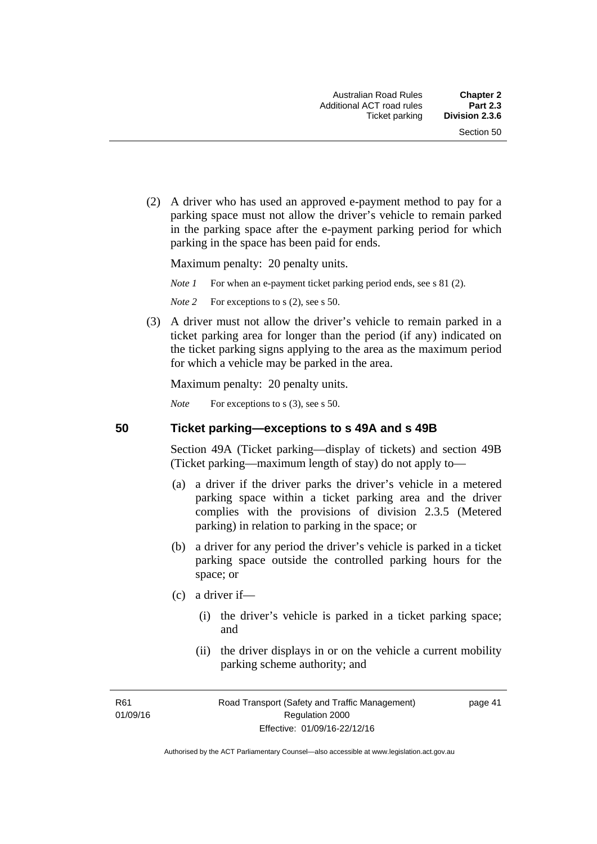(2) A driver who has used an approved e-payment method to pay for a parking space must not allow the driver's vehicle to remain parked in the parking space after the e-payment parking period for which parking in the space has been paid for ends.

Maximum penalty: 20 penalty units.

*Note 1* For when an e-payment ticket parking period ends, see s 81 (2).

*Note* 2 For exceptions to s (2), see s 50.

 (3) A driver must not allow the driver's vehicle to remain parked in a ticket parking area for longer than the period (if any) indicated on the ticket parking signs applying to the area as the maximum period for which a vehicle may be parked in the area.

Maximum penalty: 20 penalty units.

*Note* For exceptions to s (3), see s 50.

**50 Ticket parking—exceptions to s 49A and s 49B** 

Section 49A (Ticket parking—display of tickets) and section 49B (Ticket parking—maximum length of stay) do not apply to—

- (a) a driver if the driver parks the driver's vehicle in a metered parking space within a ticket parking area and the driver complies with the provisions of division 2.3.5 (Metered parking) in relation to parking in the space; or
- (b) a driver for any period the driver's vehicle is parked in a ticket parking space outside the controlled parking hours for the space; or
- (c) a driver if—
	- (i) the driver's vehicle is parked in a ticket parking space; and
	- (ii) the driver displays in or on the vehicle a current mobility parking scheme authority; and

R61 01/09/16 page 41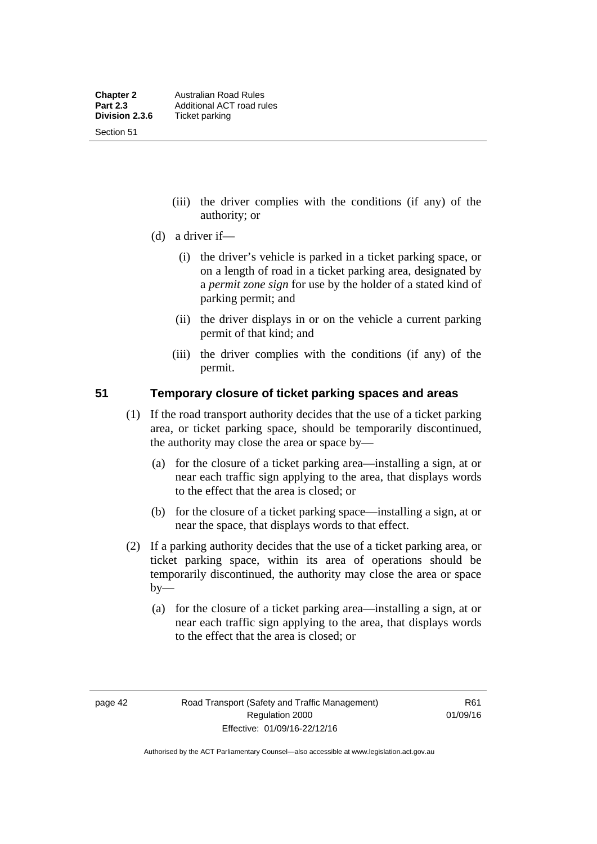Section 51

- (iii) the driver complies with the conditions (if any) of the authority; or
- (d) a driver if—
	- (i) the driver's vehicle is parked in a ticket parking space, or on a length of road in a ticket parking area, designated by a *permit zone sign* for use by the holder of a stated kind of parking permit; and
	- (ii) the driver displays in or on the vehicle a current parking permit of that kind; and
	- (iii) the driver complies with the conditions (if any) of the permit.

## **51 Temporary closure of ticket parking spaces and areas**

- (1) If the road transport authority decides that the use of a ticket parking area, or ticket parking space, should be temporarily discontinued, the authority may close the area or space by—
	- (a) for the closure of a ticket parking area—installing a sign, at or near each traffic sign applying to the area, that displays words to the effect that the area is closed; or
	- (b) for the closure of a ticket parking space—installing a sign, at or near the space, that displays words to that effect.
- (2) If a parking authority decides that the use of a ticket parking area, or ticket parking space, within its area of operations should be temporarily discontinued, the authority may close the area or space  $by-$ 
	- (a) for the closure of a ticket parking area—installing a sign, at or near each traffic sign applying to the area, that displays words to the effect that the area is closed; or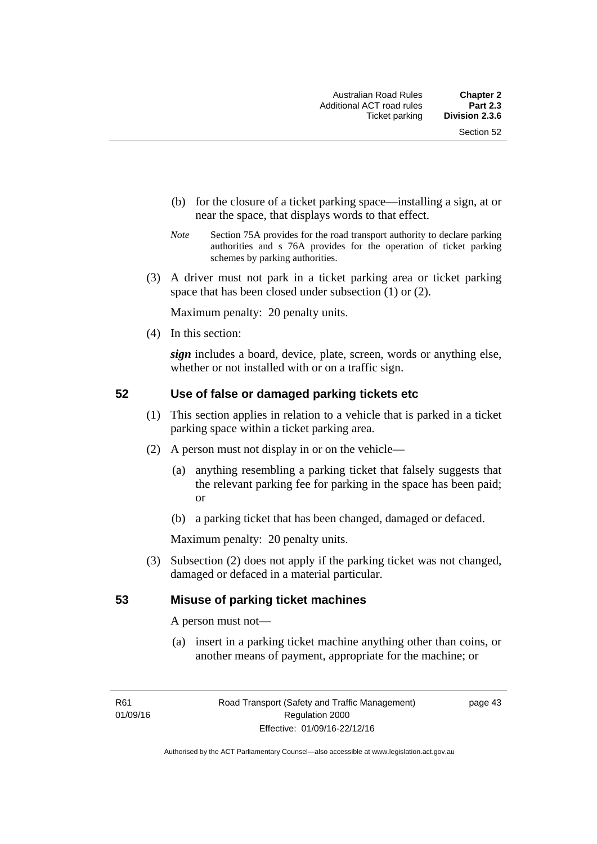- (b) for the closure of a ticket parking space—installing a sign, at or near the space, that displays words to that effect.
- *Note* Section 75A provides for the road transport authority to declare parking authorities and s 76A provides for the operation of ticket parking schemes by parking authorities.
- (3) A driver must not park in a ticket parking area or ticket parking space that has been closed under subsection (1) or (2).

Maximum penalty: 20 penalty units.

(4) In this section:

*sign* includes a board, device, plate, screen, words or anything else, whether or not installed with or on a traffic sign.

## **52 Use of false or damaged parking tickets etc**

- (1) This section applies in relation to a vehicle that is parked in a ticket parking space within a ticket parking area.
- (2) A person must not display in or on the vehicle—
	- (a) anything resembling a parking ticket that falsely suggests that the relevant parking fee for parking in the space has been paid; or
	- (b) a parking ticket that has been changed, damaged or defaced.

Maximum penalty: 20 penalty units.

 (3) Subsection (2) does not apply if the parking ticket was not changed, damaged or defaced in a material particular.

## **53 Misuse of parking ticket machines**

A person must not—

(a) insert in a parking ticket machine anything other than coins, or another means of payment, appropriate for the machine; or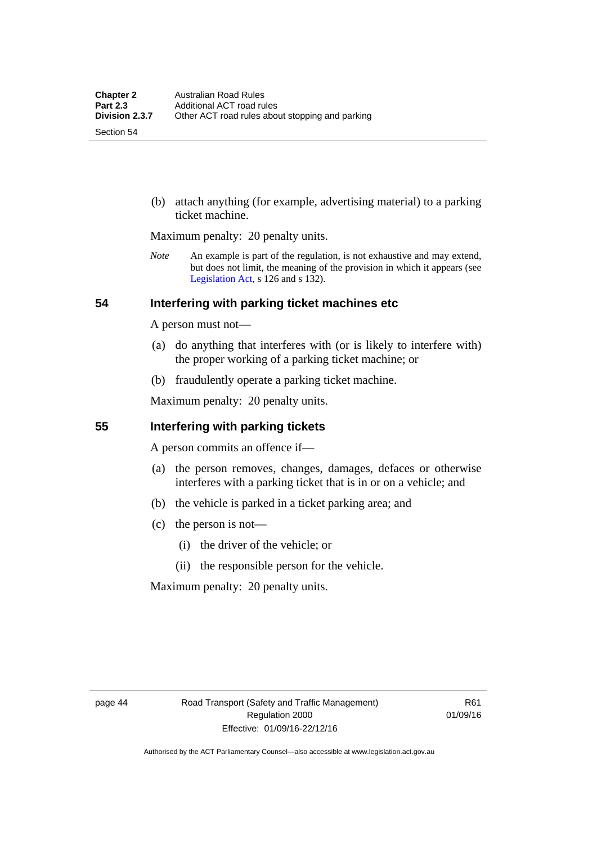Section 54

 (b) attach anything (for example, advertising material) to a parking ticket machine.

Maximum penalty: 20 penalty units.

*Note* An example is part of the regulation, is not exhaustive and may extend, but does not limit, the meaning of the provision in which it appears (see [Legislation Act,](http://www.legislation.act.gov.au/a/2001-14) s 126 and s 132).

## **54 Interfering with parking ticket machines etc**

A person must not—

- (a) do anything that interferes with (or is likely to interfere with) the proper working of a parking ticket machine; or
- (b) fraudulently operate a parking ticket machine.

Maximum penalty: 20 penalty units.

## **55 Interfering with parking tickets**

A person commits an offence if—

- (a) the person removes, changes, damages, defaces or otherwise interferes with a parking ticket that is in or on a vehicle; and
- (b) the vehicle is parked in a ticket parking area; and
- (c) the person is not—
	- (i) the driver of the vehicle; or
	- (ii) the responsible person for the vehicle.

Maximum penalty: 20 penalty units.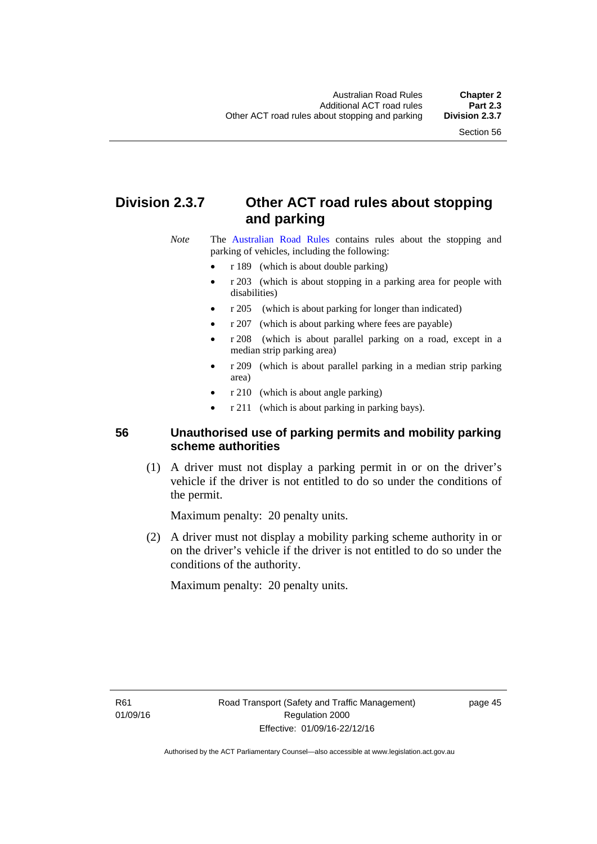## **Division 2.3.7 Other ACT road rules about stopping and parking**

*Note* The [Australian Road Rules](http://www.legislation.act.gov.au//ni/db_37271/default.asp) contains rules about the stopping and parking of vehicles, including the following:

- r 189 (which is about double parking)
- r 203 (which is about stopping in a parking area for people with disabilities)
- r 205 (which is about parking for longer than indicated)
- r 207 (which is about parking where fees are payable)
- r 208 (which is about parallel parking on a road, except in a median strip parking area)
- r 209 (which is about parallel parking in a median strip parking area)
- r 210 (which is about angle parking)
- r 211 (which is about parking in parking bays).

## **56 Unauthorised use of parking permits and mobility parking scheme authorities**

 (1) A driver must not display a parking permit in or on the driver's vehicle if the driver is not entitled to do so under the conditions of the permit.

Maximum penalty: 20 penalty units.

 (2) A driver must not display a mobility parking scheme authority in or on the driver's vehicle if the driver is not entitled to do so under the conditions of the authority.

Maximum penalty: 20 penalty units.

R61 01/09/16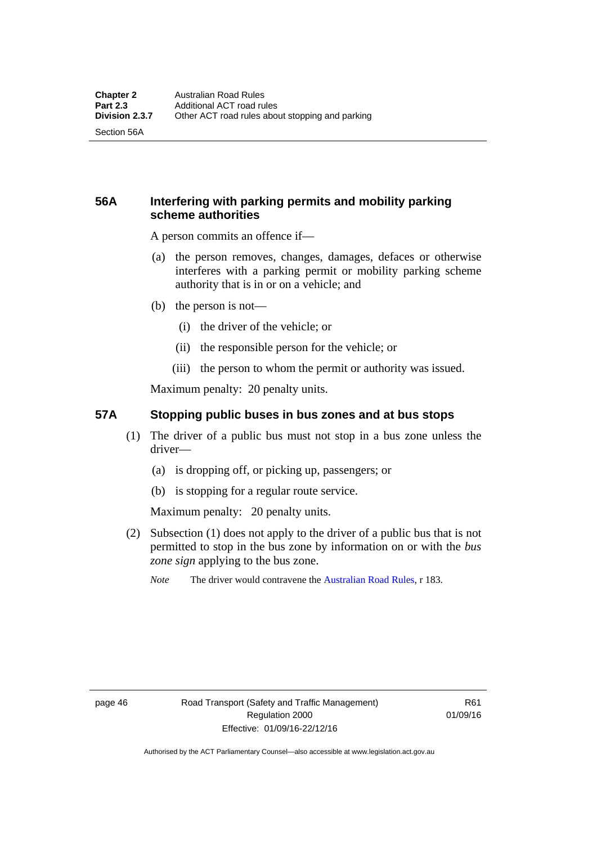Section 56A

## **56A Interfering with parking permits and mobility parking scheme authorities**

A person commits an offence if—

- (a) the person removes, changes, damages, defaces or otherwise interferes with a parking permit or mobility parking scheme authority that is in or on a vehicle; and
- (b) the person is not—
	- (i) the driver of the vehicle; or
	- (ii) the responsible person for the vehicle; or
	- (iii) the person to whom the permit or authority was issued.

Maximum penalty: 20 penalty units.

## **57A Stopping public buses in bus zones and at bus stops**

- (1) The driver of a public bus must not stop in a bus zone unless the driver—
	- (a) is dropping off, or picking up, passengers; or
	- (b) is stopping for a regular route service.

Maximum penalty: 20 penalty units.

- (2) Subsection (1) does not apply to the driver of a public bus that is not permitted to stop in the bus zone by information on or with the *bus zone sign* applying to the bus zone.
	- *Note* The driver would contravene the [Australian Road Rules,](http://www.legislation.act.gov.au//ni/db_37271/default.asp) r 183.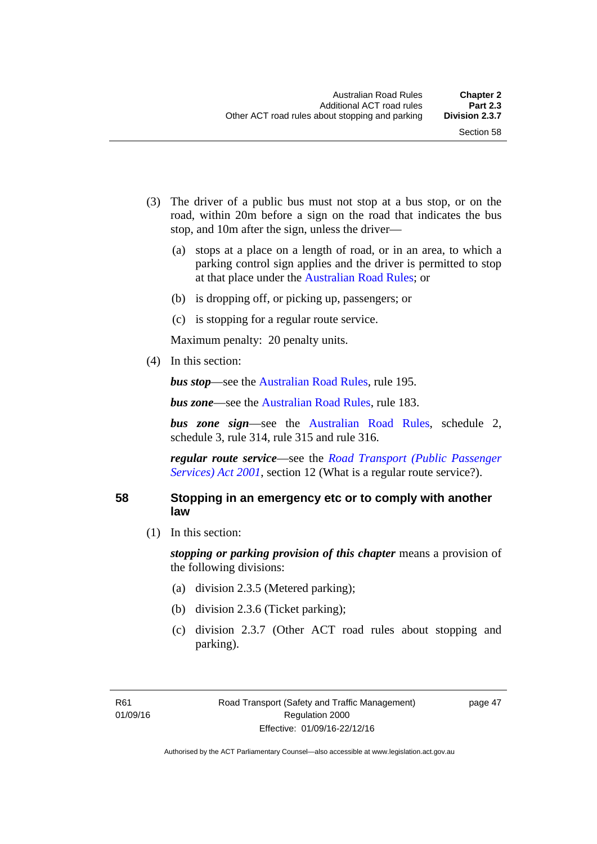- (3) The driver of a public bus must not stop at a bus stop, or on the road, within 20m before a sign on the road that indicates the bus stop, and 10m after the sign, unless the driver—
	- (a) stops at a place on a length of road, or in an area, to which a parking control sign applies and the driver is permitted to stop at that place under the [Australian Road Rules;](http://www.legislation.act.gov.au//ni/db_37271/default.asp) or
	- (b) is dropping off, or picking up, passengers; or
	- (c) is stopping for a regular route service.

Maximum penalty: 20 penalty units.

(4) In this section:

*bus stop***—see the [Australian Road Rules](http://www.legislation.act.gov.au//ni/db_37271/default.asp)**, rule 195.

*bus zone***—see the Australian Road Rules**, rule 183.

*bus zone sign*—see the [Australian Road Rules,](http://www.legislation.act.gov.au//ni/db_37271/default.asp) schedule 2, schedule 3, rule 314, rule 315 and rule 316.

*regular route service*—see the *[Road Transport \(Public Passenger](http://www.legislation.act.gov.au/a/2001-62)  Services*) *Act 2001*, section 12 (What is a regular route service?).

#### **58 Stopping in an emergency etc or to comply with another law**

(1) In this section:

*stopping or parking provision of this chapter* means a provision of the following divisions:

- (a) division 2.3.5 (Metered parking);
- (b) division 2.3.6 (Ticket parking);
- (c) division 2.3.7 (Other ACT road rules about stopping and parking).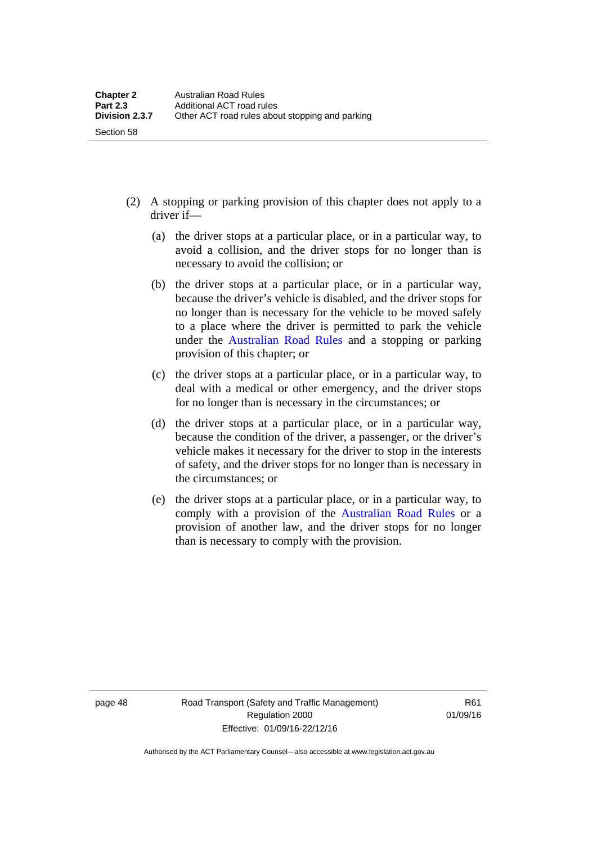- (2) A stopping or parking provision of this chapter does not apply to a driver if—
	- (a) the driver stops at a particular place, or in a particular way, to avoid a collision, and the driver stops for no longer than is necessary to avoid the collision; or
	- (b) the driver stops at a particular place, or in a particular way, because the driver's vehicle is disabled, and the driver stops for no longer than is necessary for the vehicle to be moved safely to a place where the driver is permitted to park the vehicle under the [Australian Road Rules](http://www.legislation.act.gov.au//ni/db_37271/default.asp) and a stopping or parking provision of this chapter; or
	- (c) the driver stops at a particular place, or in a particular way, to deal with a medical or other emergency, and the driver stops for no longer than is necessary in the circumstances; or
	- (d) the driver stops at a particular place, or in a particular way, because the condition of the driver, a passenger, or the driver's vehicle makes it necessary for the driver to stop in the interests of safety, and the driver stops for no longer than is necessary in the circumstances; or
	- (e) the driver stops at a particular place, or in a particular way, to comply with a provision of the [Australian Road Rules](http://www.legislation.act.gov.au//ni/db_37271/default.asp) or a provision of another law, and the driver stops for no longer than is necessary to comply with the provision.

Section 58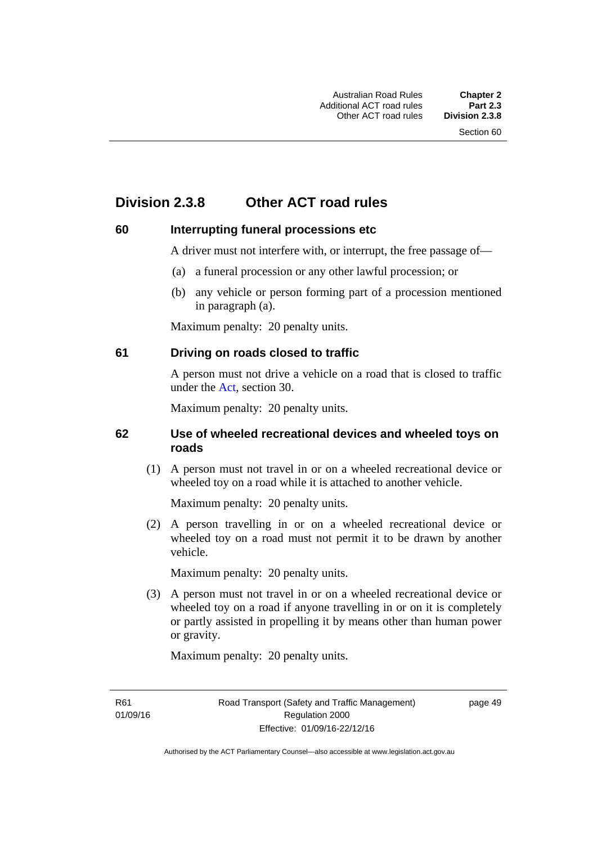## **Division 2.3.8 Other ACT road rules**

## **60 Interrupting funeral processions etc**

A driver must not interfere with, or interrupt, the free passage of—

- (a) a funeral procession or any other lawful procession; or
- (b) any vehicle or person forming part of a procession mentioned in paragraph (a).

Maximum penalty: 20 penalty units.

## **61 Driving on roads closed to traffic**

A person must not drive a vehicle on a road that is closed to traffic under the [Act](http://www.legislation.act.gov.au/a/1999-80/default.asp), section 30.

Maximum penalty: 20 penalty units.

## **62 Use of wheeled recreational devices and wheeled toys on roads**

 (1) A person must not travel in or on a wheeled recreational device or wheeled toy on a road while it is attached to another vehicle.

Maximum penalty: 20 penalty units.

 (2) A person travelling in or on a wheeled recreational device or wheeled toy on a road must not permit it to be drawn by another vehicle.

Maximum penalty: 20 penalty units.

 (3) A person must not travel in or on a wheeled recreational device or wheeled toy on a road if anyone travelling in or on it is completely or partly assisted in propelling it by means other than human power or gravity.

Maximum penalty: 20 penalty units.

R61 01/09/16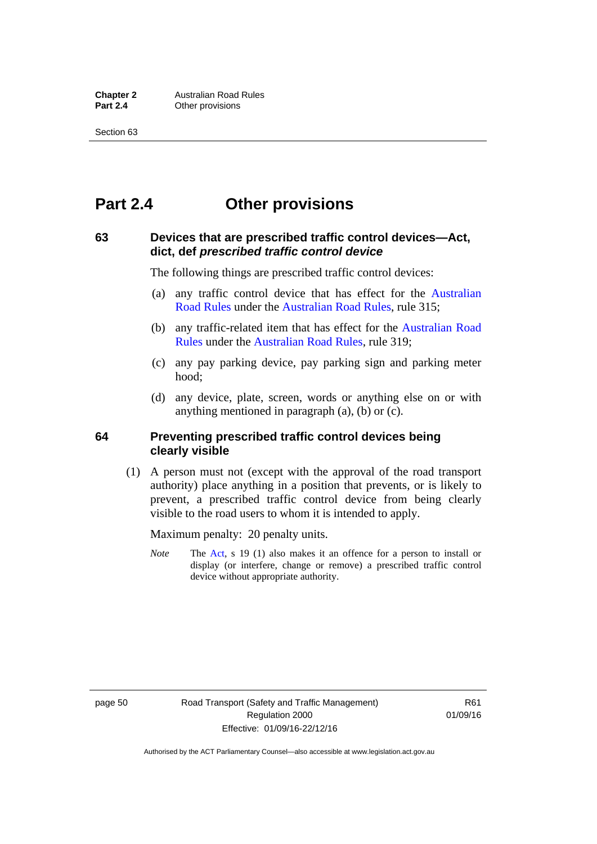## **Part 2.4 Other provisions**

## **63 Devices that are prescribed traffic control devices—Act, dict, def** *prescribed traffic control device*

The following things are prescribed traffic control devices:

- (a) any traffic control device that has effect for the [Australian](http://www.legislation.act.gov.au//ni/db_37271/default.asp)  [Road Rules](http://www.legislation.act.gov.au//ni/db_37271/default.asp) under the [Australian Road Rules](http://www.legislation.act.gov.au//ni/db_37271/default.asp), rule 315;
- (b) any traffic-related item that has effect for the [Australian Road](http://www.legislation.act.gov.au//ni/db_37271/default.asp)  [Rules](http://www.legislation.act.gov.au//ni/db_37271/default.asp) under the [Australian Road Rules,](http://www.legislation.act.gov.au//ni/db_37271/default.asp) rule 319;
- (c) any pay parking device, pay parking sign and parking meter hood;
- (d) any device, plate, screen, words or anything else on or with anything mentioned in paragraph (a), (b) or (c).

## **64 Preventing prescribed traffic control devices being clearly visible**

 (1) A person must not (except with the approval of the road transport authority) place anything in a position that prevents, or is likely to prevent, a prescribed traffic control device from being clearly visible to the road users to whom it is intended to apply.

Maximum penalty: 20 penalty units.

*Note* The [Act](http://www.legislation.act.gov.au/a/1999-80/default.asp), s 19 (1) also makes it an offence for a person to install or display (or interfere, change or remove) a prescribed traffic control device without appropriate authority.

page 50 Road Transport (Safety and Traffic Management) Regulation 2000 Effective: 01/09/16-22/12/16

R<sub>61</sub> 01/09/16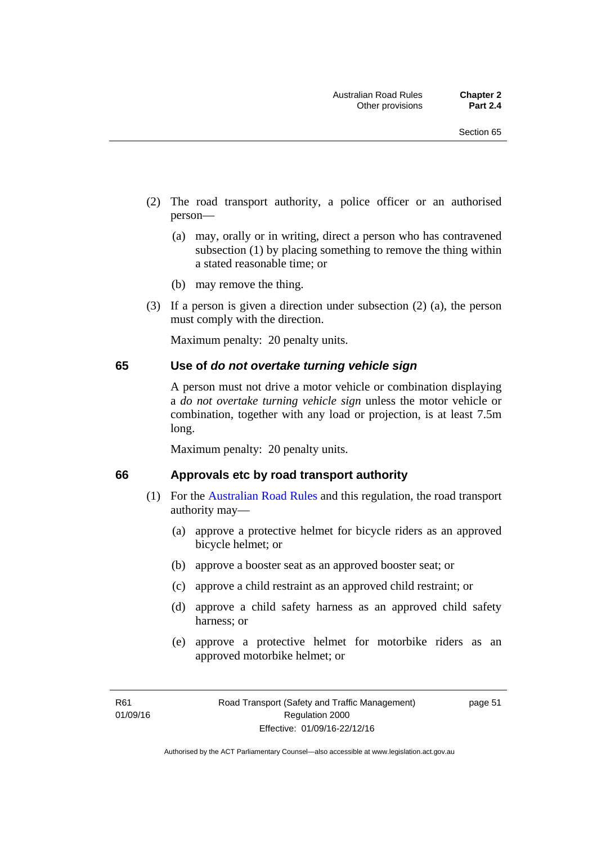- (2) The road transport authority, a police officer or an authorised person—
	- (a) may, orally or in writing, direct a person who has contravened subsection (1) by placing something to remove the thing within a stated reasonable time; or
	- (b) may remove the thing.
- (3) If a person is given a direction under subsection (2) (a), the person must comply with the direction.

Maximum penalty: 20 penalty units.

#### **65 Use of** *do not overtake turning vehicle sign*

A person must not drive a motor vehicle or combination displaying a *do not overtake turning vehicle sign* unless the motor vehicle or combination, together with any load or projection, is at least 7.5m long.

Maximum penalty: 20 penalty units.

#### **66 Approvals etc by road transport authority**

- (1) For the [Australian Road Rules](http://www.legislation.act.gov.au//ni/db_37271/default.asp) and this regulation, the road transport authority may—
	- (a) approve a protective helmet for bicycle riders as an approved bicycle helmet; or
	- (b) approve a booster seat as an approved booster seat; or
	- (c) approve a child restraint as an approved child restraint; or
	- (d) approve a child safety harness as an approved child safety harness; or
	- (e) approve a protective helmet for motorbike riders as an approved motorbike helmet; or

page 51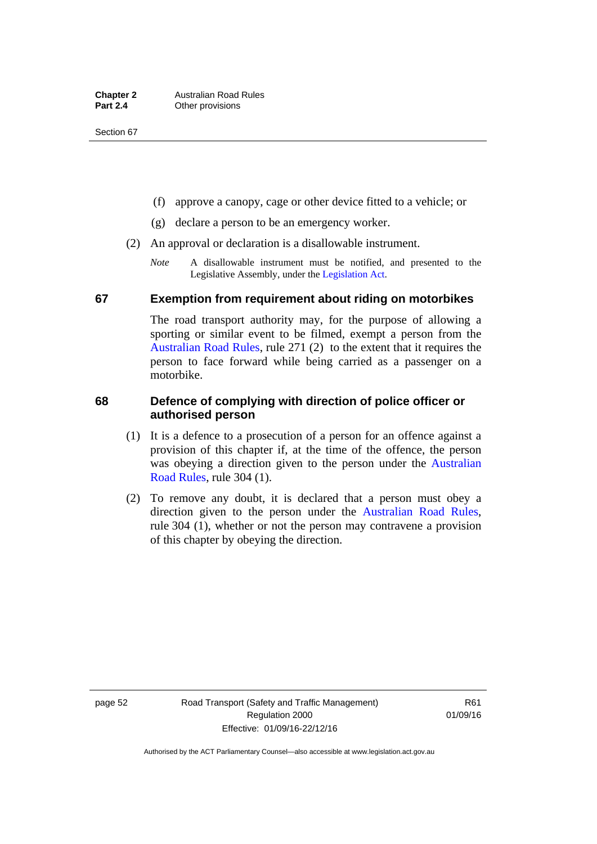- (f) approve a canopy, cage or other device fitted to a vehicle; or
- (g) declare a person to be an emergency worker.
- (2) An approval or declaration is a disallowable instrument.
	- *Note* A disallowable instrument must be notified, and presented to the Legislative Assembly, under the [Legislation Act.](http://www.legislation.act.gov.au/a/2001-14)

#### **67 Exemption from requirement about riding on motorbikes**

The road transport authority may, for the purpose of allowing a sporting or similar event to be filmed, exempt a person from the [Australian Road Rules](http://www.legislation.act.gov.au//ni/db_37271/default.asp), rule 271 (2) to the extent that it requires the person to face forward while being carried as a passenger on a motorbike.

## **68 Defence of complying with direction of police officer or authorised person**

- (1) It is a defence to a prosecution of a person for an offence against a provision of this chapter if, at the time of the offence, the person was obeying a direction given to the person under the [Australian](http://www.legislation.act.gov.au//ni/db_37271/default.asp)  [Road Rules,](http://www.legislation.act.gov.au//ni/db_37271/default.asp) rule 304 (1).
- (2) To remove any doubt, it is declared that a person must obey a direction given to the person under the [Australian Road Rules](http://www.legislation.act.gov.au//ni/db_37271/default.asp), rule 304 (1), whether or not the person may contravene a provision of this chapter by obeying the direction.

page 52 Road Transport (Safety and Traffic Management) Regulation 2000 Effective: 01/09/16-22/12/16

R61 01/09/16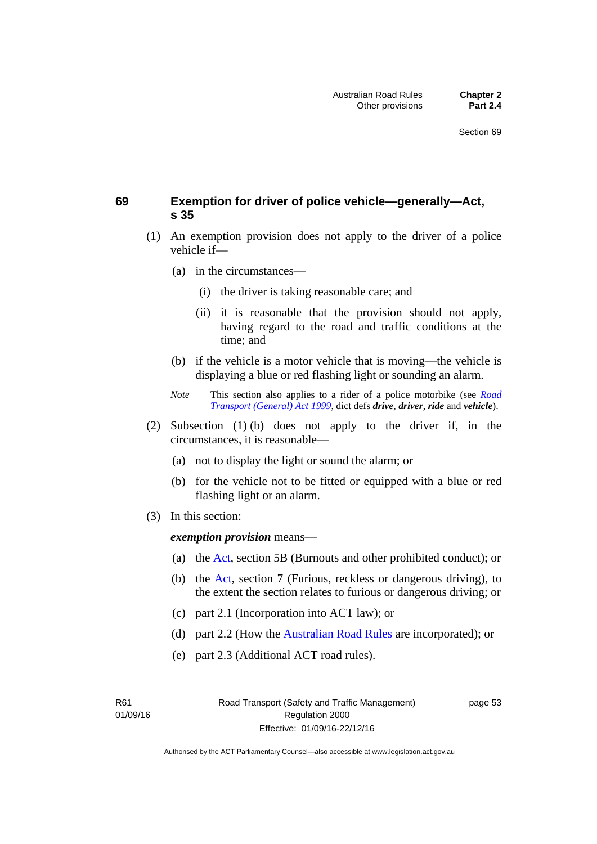## **69 Exemption for driver of police vehicle—generally—Act, s 35**

- (1) An exemption provision does not apply to the driver of a police vehicle if—
	- (a) in the circumstances—
		- (i) the driver is taking reasonable care; and
		- (ii) it is reasonable that the provision should not apply, having regard to the road and traffic conditions at the time; and
	- (b) if the vehicle is a motor vehicle that is moving—the vehicle is displaying a blue or red flashing light or sounding an alarm.
	- *Note* This section also applies to a rider of a police motorbike (see *[Road](http://www.legislation.act.gov.au/a/1999-77)  [Transport \(General\) Act 1999](http://www.legislation.act.gov.au/a/1999-77)*, dict defs *drive*, *driver*, *ride* and *vehicle*).
- (2) Subsection (1) (b) does not apply to the driver if, in the circumstances, it is reasonable—
	- (a) not to display the light or sound the alarm; or
	- (b) for the vehicle not to be fitted or equipped with a blue or red flashing light or an alarm.
- (3) In this section:

*exemption provision* means—

- (a) the [Act](http://www.legislation.act.gov.au/a/1999-80/default.asp), section 5B (Burnouts and other prohibited conduct); or
- (b) the [Act](http://www.legislation.act.gov.au/a/1999-80/default.asp), section 7 (Furious, reckless or dangerous driving), to the extent the section relates to furious or dangerous driving; or
- (c) part 2.1 (Incorporation into ACT law); or
- (d) part 2.2 (How the [Australian Road Rules](http://www.legislation.act.gov.au//ni/db_37271/default.asp) are incorporated); or
- (e) part 2.3 (Additional ACT road rules).

R61 01/09/16 page 53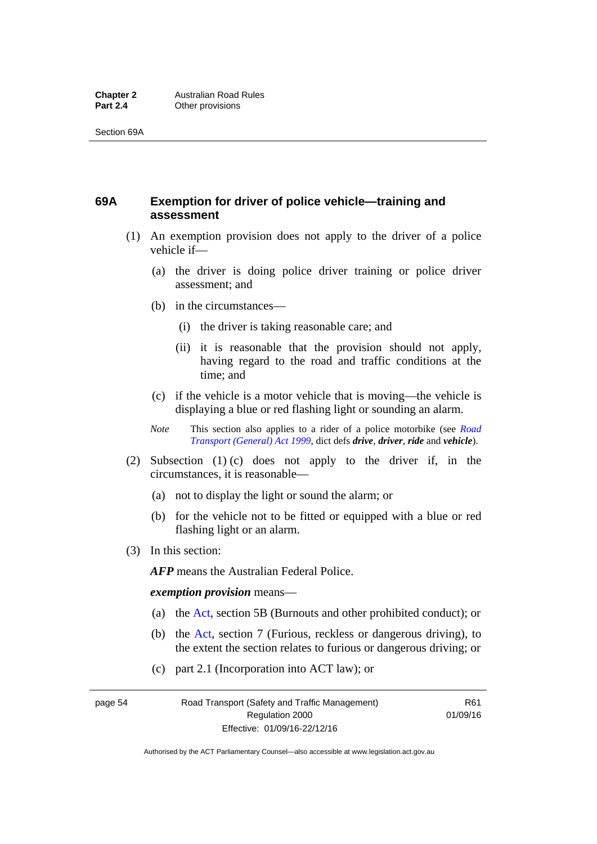## **69A Exemption for driver of police vehicle—training and assessment**

- (1) An exemption provision does not apply to the driver of a police vehicle if—
	- (a) the driver is doing police driver training or police driver assessment; and
	- (b) in the circumstances—
		- (i) the driver is taking reasonable care; and
		- (ii) it is reasonable that the provision should not apply, having regard to the road and traffic conditions at the time; and
	- (c) if the vehicle is a motor vehicle that is moving—the vehicle is displaying a blue or red flashing light or sounding an alarm.
	- *Note* This section also applies to a rider of a police motorbike (see *[Road](http://www.legislation.act.gov.au/a/1999-77)  [Transport \(General\) Act 1999](http://www.legislation.act.gov.au/a/1999-77)*, dict defs *drive*, *driver*, *ride* and *vehicle*).
- (2) Subsection (1) (c) does not apply to the driver if, in the circumstances, it is reasonable—
	- (a) not to display the light or sound the alarm; or
	- (b) for the vehicle not to be fitted or equipped with a blue or red flashing light or an alarm.
- (3) In this section:

*AFP* means the Australian Federal Police.

#### *exemption provision* means—

- (a) the [Act,](http://www.legislation.act.gov.au/a/1999-80/default.asp) section 5B (Burnouts and other prohibited conduct); or
- (b) the [Act](http://www.legislation.act.gov.au/a/1999-80/default.asp), section 7 (Furious, reckless or dangerous driving), to the extent the section relates to furious or dangerous driving; or
- (c) part 2.1 (Incorporation into ACT law); or

page 54 Road Transport (Safety and Traffic Management) Regulation 2000 Effective: 01/09/16-22/12/16

R61 01/09/16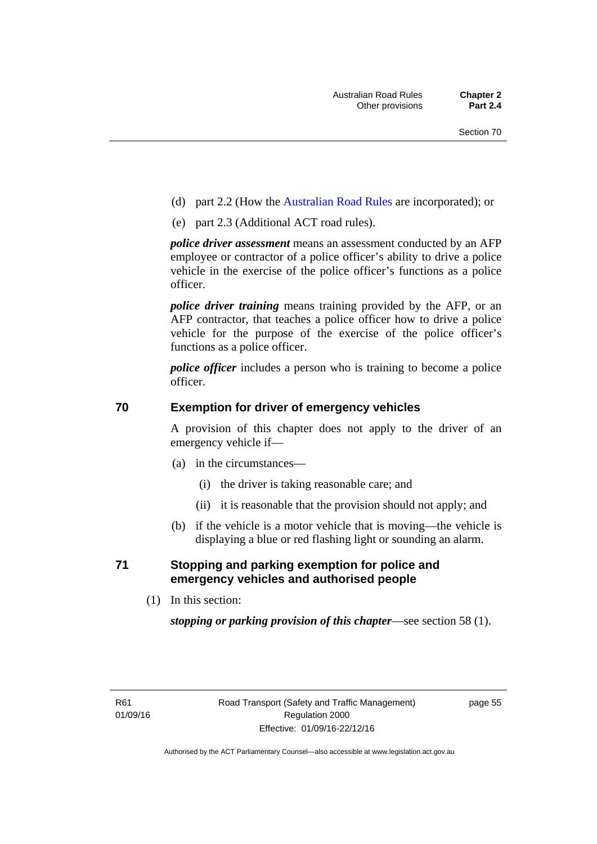- (d) part 2.2 (How the [Australian Road Rules](http://www.legislation.act.gov.au//ni/db_37271/default.asp) are incorporated); or
- (e) part 2.3 (Additional ACT road rules).

*police driver assessment* means an assessment conducted by an AFP employee or contractor of a police officer's ability to drive a police vehicle in the exercise of the police officer's functions as a police officer.

*police driver training* means training provided by the AFP, or an AFP contractor, that teaches a police officer how to drive a police vehicle for the purpose of the exercise of the police officer's functions as a police officer.

*police officer* includes a person who is training to become a police officer.

## **70 Exemption for driver of emergency vehicles**

A provision of this chapter does not apply to the driver of an emergency vehicle if—

- (a) in the circumstances—
	- (i) the driver is taking reasonable care; and
	- (ii) it is reasonable that the provision should not apply; and
- (b) if the vehicle is a motor vehicle that is moving—the vehicle is displaying a blue or red flashing light or sounding an alarm.

## **71 Stopping and parking exemption for police and emergency vehicles and authorised people**

(1) In this section:

*stopping or parking provision of this chapter*—see section 58 (1).

page 55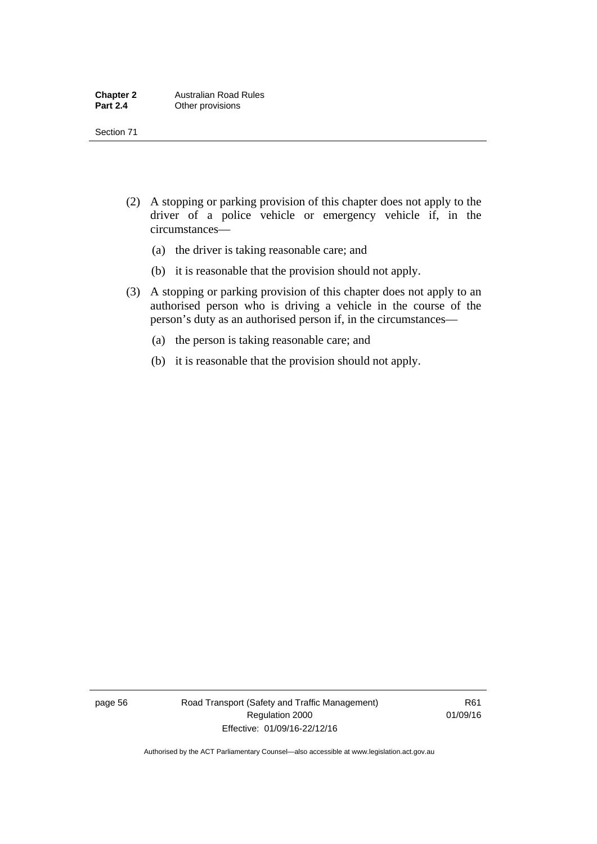- (2) A stopping or parking provision of this chapter does not apply to the driver of a police vehicle or emergency vehicle if, in the circumstances—
	- (a) the driver is taking reasonable care; and
	- (b) it is reasonable that the provision should not apply.
- (3) A stopping or parking provision of this chapter does not apply to an authorised person who is driving a vehicle in the course of the person's duty as an authorised person if, in the circumstances—
	- (a) the person is taking reasonable care; and
	- (b) it is reasonable that the provision should not apply.

page 56 Road Transport (Safety and Traffic Management) Regulation 2000 Effective: 01/09/16-22/12/16

R61 01/09/16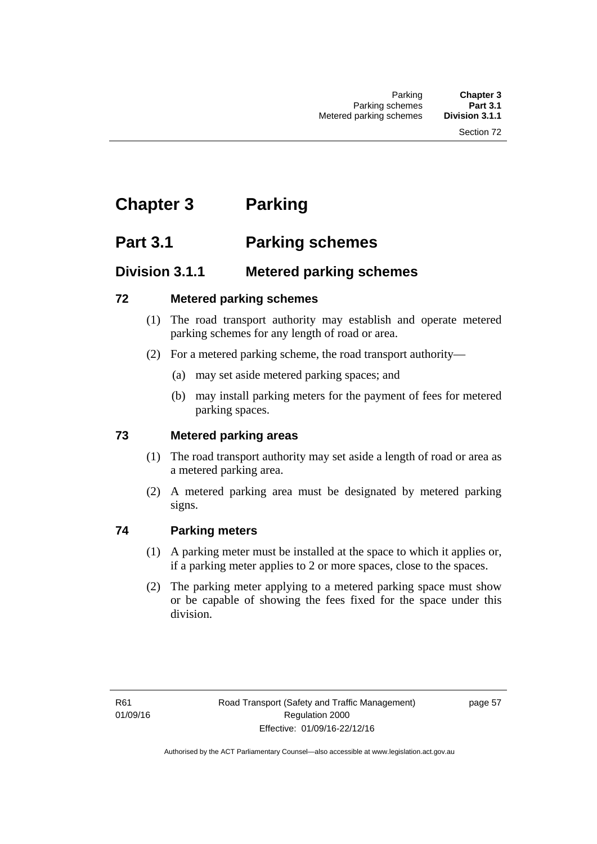# **Chapter 3 Parking**

# **Part 3.1 Parking schemes**

# **Division 3.1.1 Metered parking schemes**

# **72 Metered parking schemes**

- (1) The road transport authority may establish and operate metered parking schemes for any length of road or area.
- (2) For a metered parking scheme, the road transport authority—
	- (a) may set aside metered parking spaces; and
	- (b) may install parking meters for the payment of fees for metered parking spaces.

# **73 Metered parking areas**

- (1) The road transport authority may set aside a length of road or area as a metered parking area.
- (2) A metered parking area must be designated by metered parking signs.

# **74 Parking meters**

- (1) A parking meter must be installed at the space to which it applies or, if a parking meter applies to 2 or more spaces, close to the spaces.
- (2) The parking meter applying to a metered parking space must show or be capable of showing the fees fixed for the space under this division.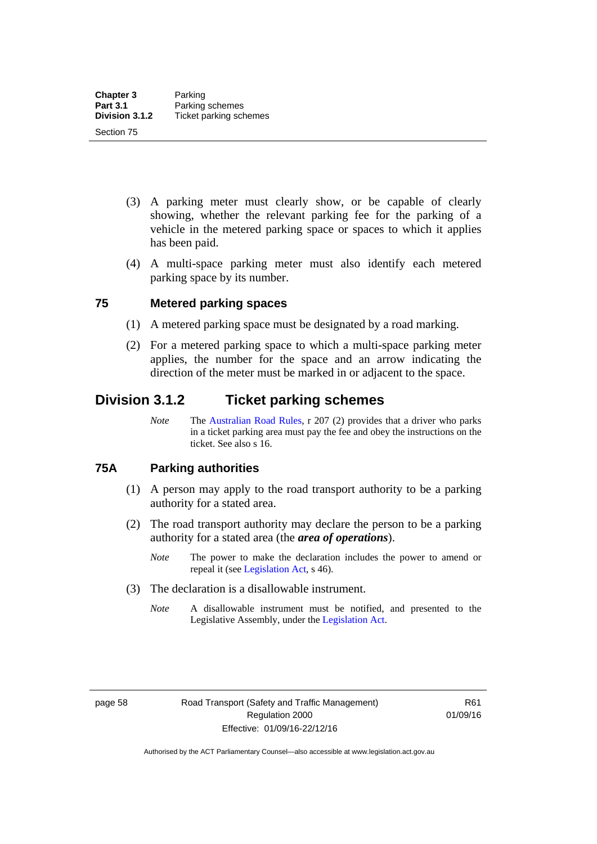- (3) A parking meter must clearly show, or be capable of clearly showing, whether the relevant parking fee for the parking of a vehicle in the metered parking space or spaces to which it applies has been paid.
- (4) A multi-space parking meter must also identify each metered parking space by its number.

### **75 Metered parking spaces**

- (1) A metered parking space must be designated by a road marking.
- (2) For a metered parking space to which a multi-space parking meter applies, the number for the space and an arrow indicating the direction of the meter must be marked in or adjacent to the space.

# **Division 3.1.2 Ticket parking schemes**

*Note* The [Australian Road Rules](http://www.legislation.act.gov.au//ni/db_37271/default.asp), r 207 (2) provides that a driver who parks in a ticket parking area must pay the fee and obey the instructions on the ticket. See also s 16.

#### **75A Parking authorities**

- (1) A person may apply to the road transport authority to be a parking authority for a stated area.
- (2) The road transport authority may declare the person to be a parking authority for a stated area (the *area of operations*).
	- *Note* The power to make the declaration includes the power to amend or repeal it (see [Legislation Act,](http://www.legislation.act.gov.au/a/2001-14) s 46).
- (3) The declaration is a disallowable instrument.
	- *Note* A disallowable instrument must be notified, and presented to the Legislative Assembly, under the [Legislation Act.](http://www.legislation.act.gov.au/a/2001-14)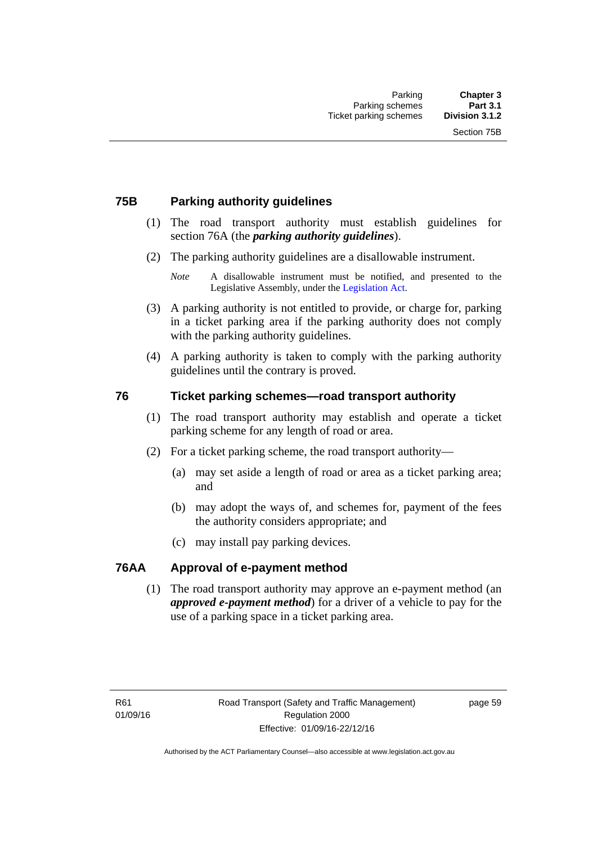## **75B Parking authority guidelines**

- (1) The road transport authority must establish guidelines for section 76A (the *parking authority guidelines*).
- (2) The parking authority guidelines are a disallowable instrument.

- (3) A parking authority is not entitled to provide, or charge for, parking in a ticket parking area if the parking authority does not comply with the parking authority guidelines.
- (4) A parking authority is taken to comply with the parking authority guidelines until the contrary is proved.

### **76 Ticket parking schemes—road transport authority**

- (1) The road transport authority may establish and operate a ticket parking scheme for any length of road or area.
- (2) For a ticket parking scheme, the road transport authority—
	- (a) may set aside a length of road or area as a ticket parking area; and
	- (b) may adopt the ways of, and schemes for, payment of the fees the authority considers appropriate; and
	- (c) may install pay parking devices.

#### **76AA Approval of e-payment method**

(1) The road transport authority may approve an e-payment method (an *approved e-payment method*) for a driver of a vehicle to pay for the use of a parking space in a ticket parking area.

*Note* A disallowable instrument must be notified, and presented to the Legislative Assembly, under the [Legislation Act.](http://www.legislation.act.gov.au/a/2001-14)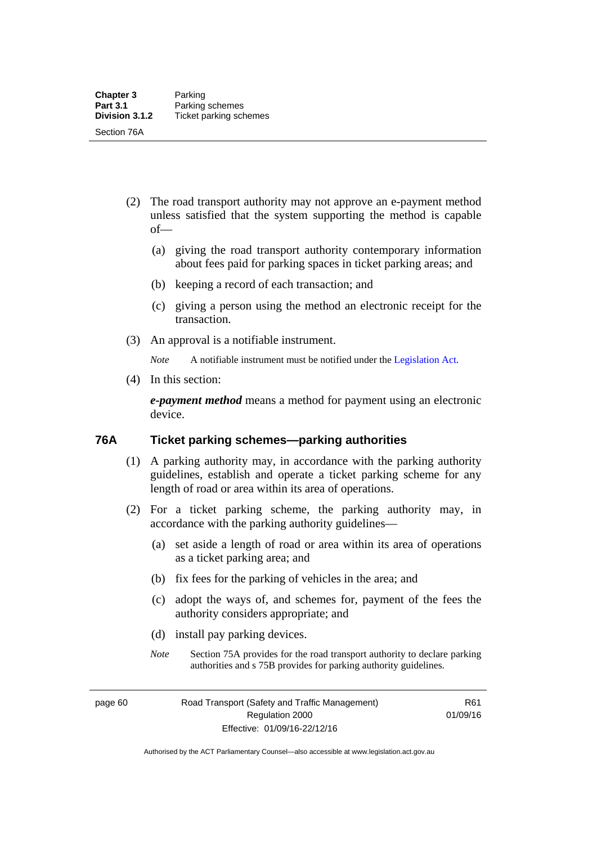- (2) The road transport authority may not approve an e-payment method unless satisfied that the system supporting the method is capable of—
	- (a) giving the road transport authority contemporary information about fees paid for parking spaces in ticket parking areas; and
	- (b) keeping a record of each transaction; and
	- (c) giving a person using the method an electronic receipt for the transaction.
- (3) An approval is a notifiable instrument.

*Note* A notifiable instrument must be notified under the [Legislation Act](http://www.legislation.act.gov.au/a/2001-14).

(4) In this section:

*e-payment method* means a method for payment using an electronic device.

#### **76A Ticket parking schemes—parking authorities**

- (1) A parking authority may, in accordance with the parking authority guidelines, establish and operate a ticket parking scheme for any length of road or area within its area of operations.
- (2) For a ticket parking scheme, the parking authority may, in accordance with the parking authority guidelines—
	- (a) set aside a length of road or area within its area of operations as a ticket parking area; and
	- (b) fix fees for the parking of vehicles in the area; and
	- (c) adopt the ways of, and schemes for, payment of the fees the authority considers appropriate; and
	- (d) install pay parking devices.
	- *Note* Section 75A provides for the road transport authority to declare parking authorities and s 75B provides for parking authority guidelines.

page 60 Road Transport (Safety and Traffic Management) Regulation 2000 Effective: 01/09/16-22/12/16

R61 01/09/16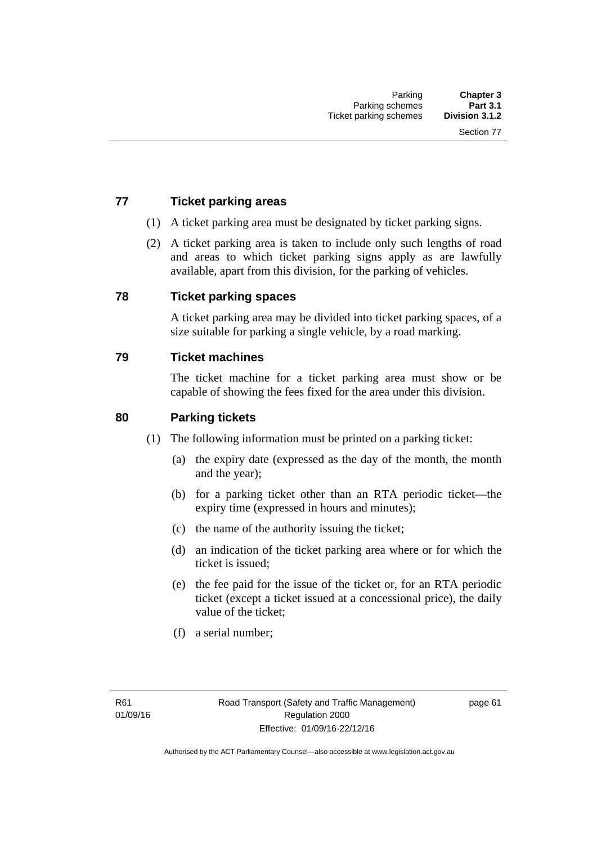# **77 Ticket parking areas**

- (1) A ticket parking area must be designated by ticket parking signs.
- (2) A ticket parking area is taken to include only such lengths of road and areas to which ticket parking signs apply as are lawfully available, apart from this division, for the parking of vehicles.

#### **78 Ticket parking spaces**

A ticket parking area may be divided into ticket parking spaces, of a size suitable for parking a single vehicle, by a road marking.

#### **79 Ticket machines**

The ticket machine for a ticket parking area must show or be capable of showing the fees fixed for the area under this division.

#### **80 Parking tickets**

- (1) The following information must be printed on a parking ticket:
	- (a) the expiry date (expressed as the day of the month, the month and the year);
	- (b) for a parking ticket other than an RTA periodic ticket—the expiry time (expressed in hours and minutes);
	- (c) the name of the authority issuing the ticket;
	- (d) an indication of the ticket parking area where or for which the ticket is issued;
	- (e) the fee paid for the issue of the ticket or, for an RTA periodic ticket (except a ticket issued at a concessional price), the daily value of the ticket;
	- (f) a serial number;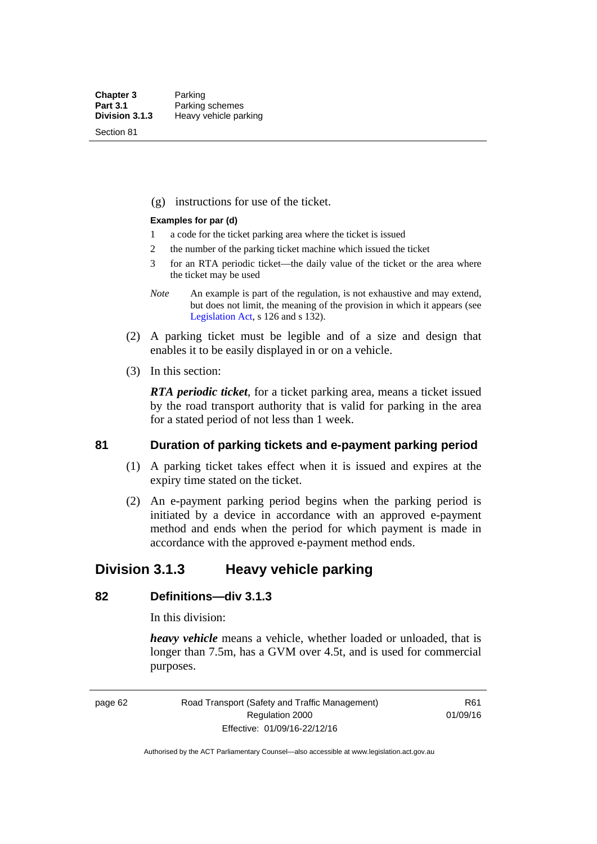Section 81

(g) instructions for use of the ticket.

#### **Examples for par (d)**

- 1 a code for the ticket parking area where the ticket is issued
- 2 the number of the parking ticket machine which issued the ticket
- 3 for an RTA periodic ticket—the daily value of the ticket or the area where the ticket may be used
- *Note* An example is part of the regulation, is not exhaustive and may extend, but does not limit, the meaning of the provision in which it appears (see [Legislation Act,](http://www.legislation.act.gov.au/a/2001-14) s 126 and s 132).
- (2) A parking ticket must be legible and of a size and design that enables it to be easily displayed in or on a vehicle.
- (3) In this section:

*RTA periodic ticket*, for a ticket parking area, means a ticket issued by the road transport authority that is valid for parking in the area for a stated period of not less than 1 week.

#### **81 Duration of parking tickets and e-payment parking period**

- (1) A parking ticket takes effect when it is issued and expires at the expiry time stated on the ticket.
- (2) An e-payment parking period begins when the parking period is initiated by a device in accordance with an approved e-payment method and ends when the period for which payment is made in accordance with the approved e-payment method ends.

# **Division 3.1.3 Heavy vehicle parking**

# **82 Definitions—div 3.1.3**

In this division:

*heavy vehicle* means a vehicle, whether loaded or unloaded, that is longer than 7.5m, has a GVM over 4.5t, and is used for commercial purposes.

page 62 Road Transport (Safety and Traffic Management) Regulation 2000 Effective: 01/09/16-22/12/16

R61 01/09/16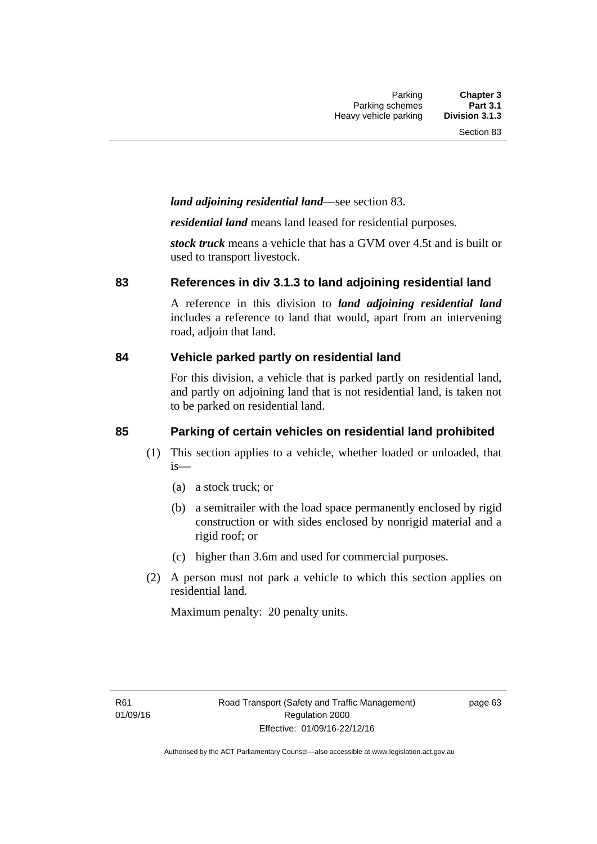## *land adjoining residential land*—see section 83.

*residential land* means land leased for residential purposes.

*stock truck* means a vehicle that has a GVM over 4.5t and is built or used to transport livestock.

#### **83 References in div 3.1.3 to land adjoining residential land**

A reference in this division to *land adjoining residential land* includes a reference to land that would, apart from an intervening road, adjoin that land.

#### **84 Vehicle parked partly on residential land**

For this division, a vehicle that is parked partly on residential land, and partly on adjoining land that is not residential land, is taken not to be parked on residential land.

# **85 Parking of certain vehicles on residential land prohibited**

- (1) This section applies to a vehicle, whether loaded or unloaded, that is—
	- (a) a stock truck; or
	- (b) a semitrailer with the load space permanently enclosed by rigid construction or with sides enclosed by nonrigid material and a rigid roof; or
	- (c) higher than 3.6m and used for commercial purposes.
- (2) A person must not park a vehicle to which this section applies on residential land.

Maximum penalty: 20 penalty units.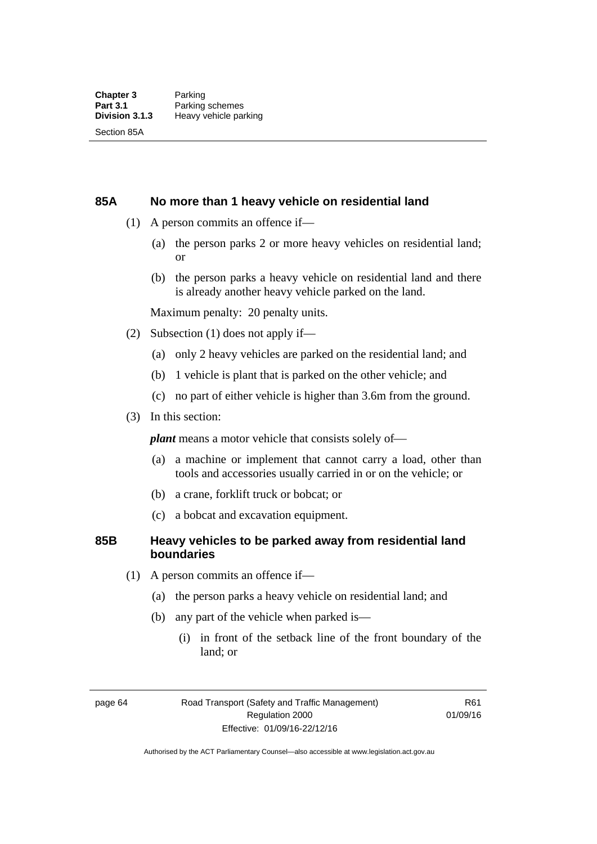#### **85A No more than 1 heavy vehicle on residential land**

- (1) A person commits an offence if—
	- (a) the person parks 2 or more heavy vehicles on residential land; or
	- (b) the person parks a heavy vehicle on residential land and there is already another heavy vehicle parked on the land.

Maximum penalty: 20 penalty units.

- (2) Subsection (1) does not apply if—
	- (a) only 2 heavy vehicles are parked on the residential land; and
	- (b) 1 vehicle is plant that is parked on the other vehicle; and
	- (c) no part of either vehicle is higher than 3.6m from the ground.
- (3) In this section:

*plant* means a motor vehicle that consists solely of—

- (a) a machine or implement that cannot carry a load, other than tools and accessories usually carried in or on the vehicle; or
- (b) a crane, forklift truck or bobcat; or
- (c) a bobcat and excavation equipment.

### **85B Heavy vehicles to be parked away from residential land boundaries**

- (1) A person commits an offence if—
	- (a) the person parks a heavy vehicle on residential land; and
	- (b) any part of the vehicle when parked is—
		- (i) in front of the setback line of the front boundary of the land; or

page 64 Road Transport (Safety and Traffic Management) Regulation 2000 Effective: 01/09/16-22/12/16

R61 01/09/16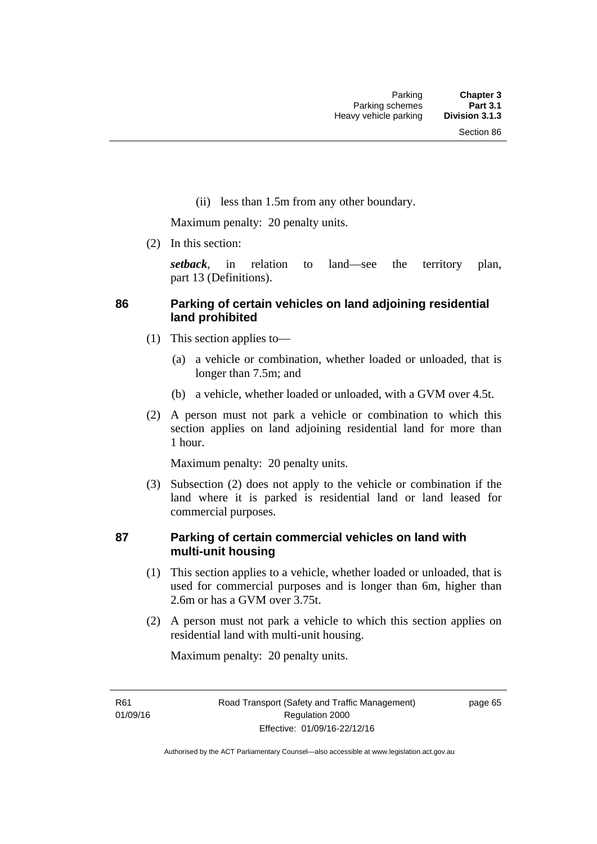(ii) less than 1.5m from any other boundary.

Maximum penalty: 20 penalty units.

(2) In this section:

*setback*, in relation to land—see the territory plan, part 13 (Definitions).

## **86 Parking of certain vehicles on land adjoining residential land prohibited**

- (1) This section applies to—
	- (a) a vehicle or combination, whether loaded or unloaded, that is longer than 7.5m; and
	- (b) a vehicle, whether loaded or unloaded, with a GVM over 4.5t.
- (2) A person must not park a vehicle or combination to which this section applies on land adjoining residential land for more than 1 hour.

Maximum penalty: 20 penalty units.

 (3) Subsection (2) does not apply to the vehicle or combination if the land where it is parked is residential land or land leased for commercial purposes.

### **87 Parking of certain commercial vehicles on land with multi-unit housing**

- (1) This section applies to a vehicle, whether loaded or unloaded, that is used for commercial purposes and is longer than 6m, higher than 2.6m or has a GVM over 3.75t.
- (2) A person must not park a vehicle to which this section applies on residential land with multi-unit housing.

Maximum penalty: 20 penalty units.

R61 01/09/16 page 65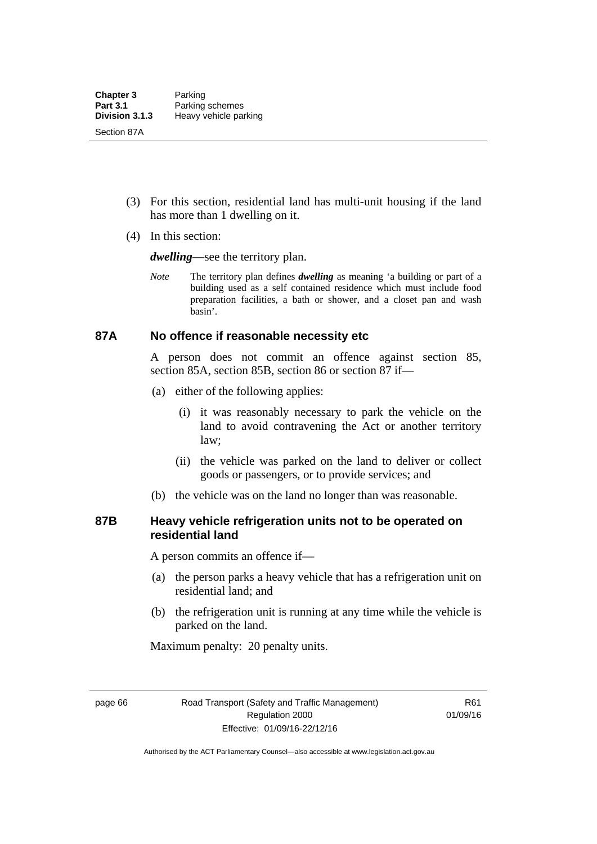- (3) For this section, residential land has multi-unit housing if the land has more than 1 dwelling on it.
- (4) In this section:

*dwelling—*see the territory plan.

*Note* The territory plan defines *dwelling* as meaning 'a building or part of a building used as a self contained residence which must include food preparation facilities, a bath or shower, and a closet pan and wash basin'.

#### **87A No offence if reasonable necessity etc**

A person does not commit an offence against section 85, section 85A, section 85B, section 86 or section 87 if—

- (a) either of the following applies:
	- (i) it was reasonably necessary to park the vehicle on the land to avoid contravening the Act or another territory law;
	- (ii) the vehicle was parked on the land to deliver or collect goods or passengers, or to provide services; and
- (b) the vehicle was on the land no longer than was reasonable.

### **87B Heavy vehicle refrigeration units not to be operated on residential land**

A person commits an offence if—

- (a) the person parks a heavy vehicle that has a refrigeration unit on residential land; and
- (b) the refrigeration unit is running at any time while the vehicle is parked on the land.

Maximum penalty: 20 penalty units.

page 66 Road Transport (Safety and Traffic Management) Regulation 2000 Effective: 01/09/16-22/12/16

R61 01/09/16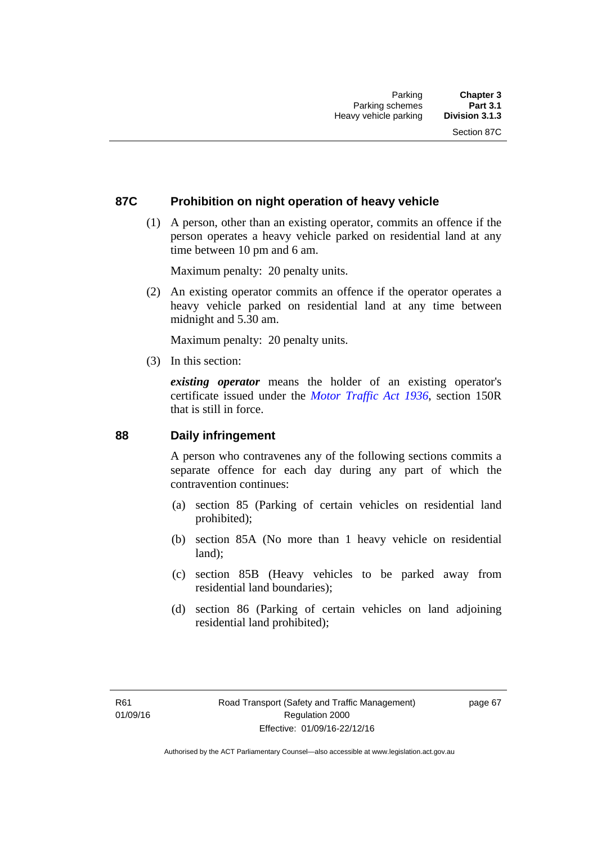### **87C Prohibition on night operation of heavy vehicle**

 (1) A person, other than an existing operator, commits an offence if the person operates a heavy vehicle parked on residential land at any time between 10 pm and 6 am.

Maximum penalty: 20 penalty units.

 (2) An existing operator commits an offence if the operator operates a heavy vehicle parked on residential land at any time between midnight and 5.30 am.

Maximum penalty: 20 penalty units.

(3) In this section:

*existing operator* means the holder of an existing operator's certificate issued under the *[Motor Traffic Act 1936](http://www.legislation.act.gov.au/a/1936-45)*, section 150R that is still in force.

#### **88 Daily infringement**

A person who contravenes any of the following sections commits a separate offence for each day during any part of which the contravention continues:

- (a) section 85 (Parking of certain vehicles on residential land prohibited);
- (b) section 85A (No more than 1 heavy vehicle on residential land);
- (c) section 85B (Heavy vehicles to be parked away from residential land boundaries);
- (d) section 86 (Parking of certain vehicles on land adjoining residential land prohibited);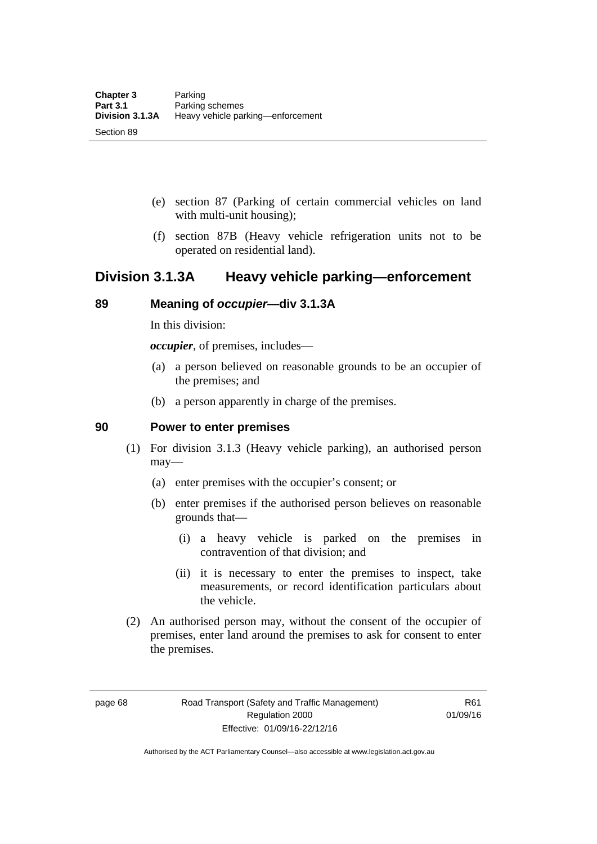- (e) section 87 (Parking of certain commercial vehicles on land with multi-unit housing);
- (f) section 87B (Heavy vehicle refrigeration units not to be operated on residential land).

# **Division 3.1.3A Heavy vehicle parking—enforcement**

### **89 Meaning of** *occupier***—div 3.1.3A**

In this division:

*occupier*, of premises, includes—

- (a) a person believed on reasonable grounds to be an occupier of the premises; and
- (b) a person apparently in charge of the premises.

#### **90 Power to enter premises**

- (1) For division 3.1.3 (Heavy vehicle parking), an authorised person may—
	- (a) enter premises with the occupier's consent; or
	- (b) enter premises if the authorised person believes on reasonable grounds that—
		- (i) a heavy vehicle is parked on the premises in contravention of that division; and
		- (ii) it is necessary to enter the premises to inspect, take measurements, or record identification particulars about the vehicle.
- (2) An authorised person may, without the consent of the occupier of premises, enter land around the premises to ask for consent to enter the premises.

page 68 Road Transport (Safety and Traffic Management) Regulation 2000 Effective: 01/09/16-22/12/16

R61 01/09/16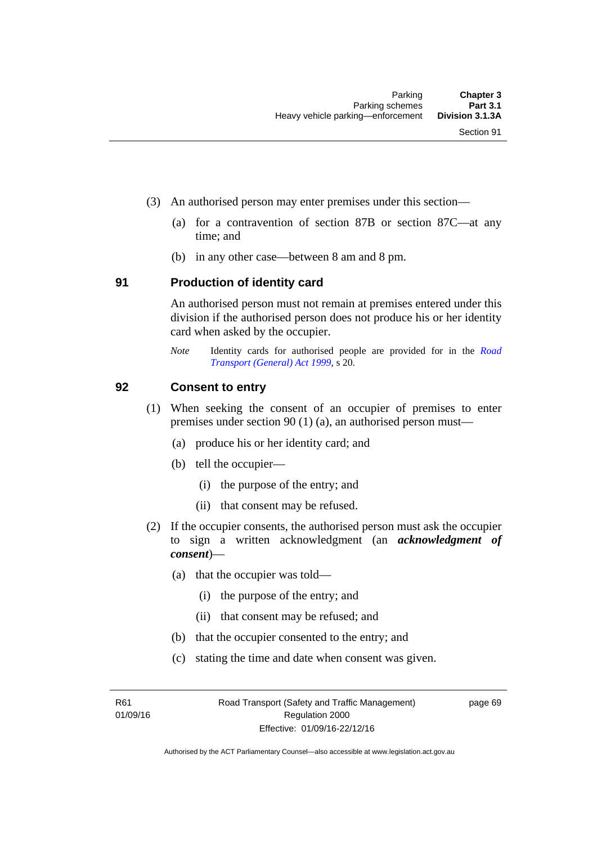- (3) An authorised person may enter premises under this section––
	- (a) for a contravention of section 87B or section 87C––at any time; and
	- (b) in any other case––between 8 am and 8 pm.

#### **91 Production of identity card**

An authorised person must not remain at premises entered under this division if the authorised person does not produce his or her identity card when asked by the occupier.

*Note* Identity cards for authorised people are provided for in the *[Road](http://www.legislation.act.gov.au/a/1999-77)  [Transport \(General\) Act 1999](http://www.legislation.act.gov.au/a/1999-77)*, s 20.

#### **92 Consent to entry**

- (1) When seeking the consent of an occupier of premises to enter premises under section 90 (1) (a), an authorised person must—
	- (a) produce his or her identity card; and
	- (b) tell the occupier—
		- (i) the purpose of the entry; and
		- (ii) that consent may be refused.
- (2) If the occupier consents, the authorised person must ask the occupier to sign a written acknowledgment (an *acknowledgment of consent*)—
	- (a) that the occupier was told—
		- (i) the purpose of the entry; and
		- (ii) that consent may be refused; and
	- (b) that the occupier consented to the entry; and
	- (c) stating the time and date when consent was given.

R61 01/09/16 page 69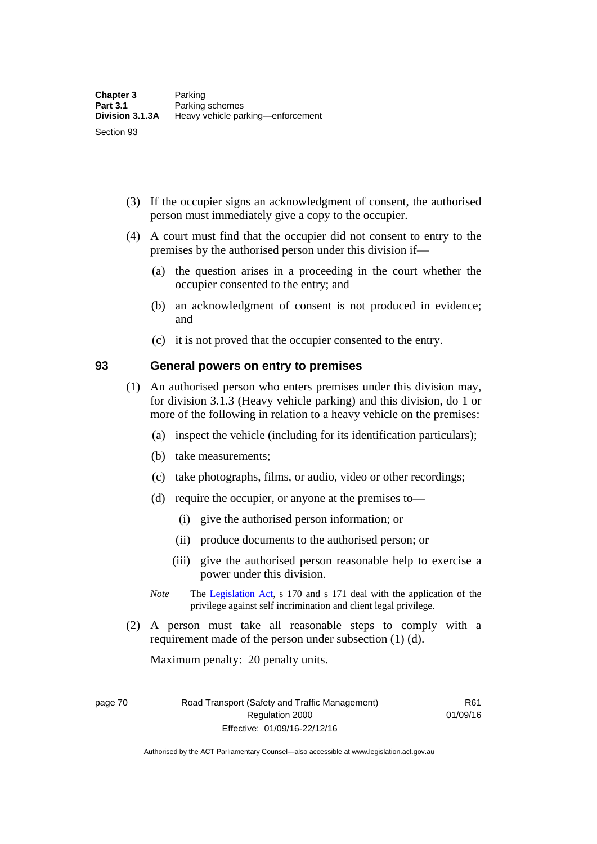- (3) If the occupier signs an acknowledgment of consent, the authorised person must immediately give a copy to the occupier.
- (4) A court must find that the occupier did not consent to entry to the premises by the authorised person under this division if—
	- (a) the question arises in a proceeding in the court whether the occupier consented to the entry; and
	- (b) an acknowledgment of consent is not produced in evidence; and
	- (c) it is not proved that the occupier consented to the entry.

#### **93 General powers on entry to premises**

- (1) An authorised person who enters premises under this division may, for division 3.1.3 (Heavy vehicle parking) and this division, do 1 or more of the following in relation to a heavy vehicle on the premises:
	- (a) inspect the vehicle (including for its identification particulars);
	- (b) take measurements;
	- (c) take photographs, films, or audio, video or other recordings;
	- (d) require the occupier, or anyone at the premises to—
		- (i) give the authorised person information; or
		- (ii) produce documents to the authorised person; or
		- (iii) give the authorised person reasonable help to exercise a power under this division.
	- *Note* The [Legislation Act](http://www.legislation.act.gov.au/a/2001-14), s 170 and s 171 deal with the application of the privilege against self incrimination and client legal privilege.
- (2) A person must take all reasonable steps to comply with a requirement made of the person under subsection (1) (d).

Maximum penalty: 20 penalty units.

page 70 Road Transport (Safety and Traffic Management) Regulation 2000 Effective: 01/09/16-22/12/16

R61 01/09/16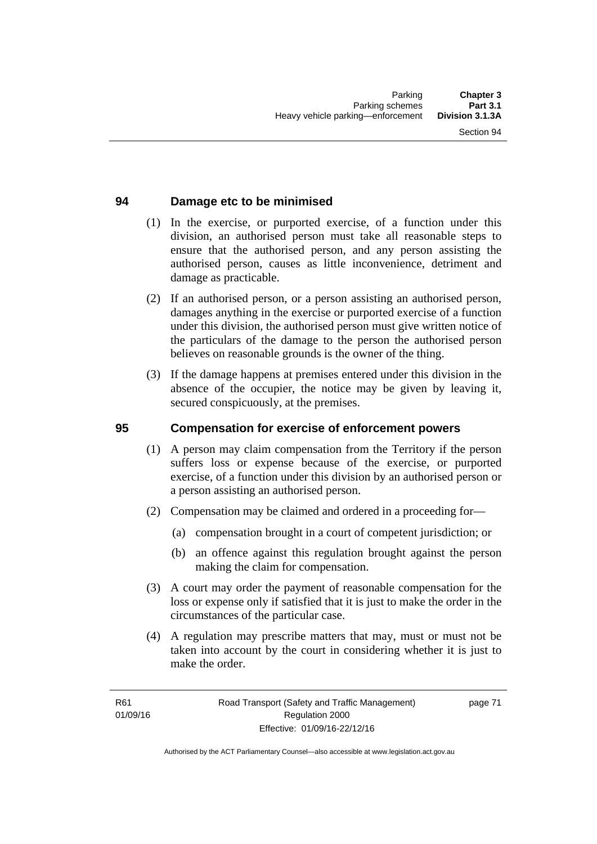### **94 Damage etc to be minimised**

- (1) In the exercise, or purported exercise, of a function under this division, an authorised person must take all reasonable steps to ensure that the authorised person, and any person assisting the authorised person, causes as little inconvenience, detriment and damage as practicable.
- (2) If an authorised person, or a person assisting an authorised person, damages anything in the exercise or purported exercise of a function under this division, the authorised person must give written notice of the particulars of the damage to the person the authorised person believes on reasonable grounds is the owner of the thing.
- (3) If the damage happens at premises entered under this division in the absence of the occupier, the notice may be given by leaving it, secured conspicuously, at the premises.

#### **95 Compensation for exercise of enforcement powers**

- (1) A person may claim compensation from the Territory if the person suffers loss or expense because of the exercise, or purported exercise, of a function under this division by an authorised person or a person assisting an authorised person.
- (2) Compensation may be claimed and ordered in a proceeding for—
	- (a) compensation brought in a court of competent jurisdiction; or
	- (b) an offence against this regulation brought against the person making the claim for compensation.
- (3) A court may order the payment of reasonable compensation for the loss or expense only if satisfied that it is just to make the order in the circumstances of the particular case.
- (4) A regulation may prescribe matters that may, must or must not be taken into account by the court in considering whether it is just to make the order.

page 71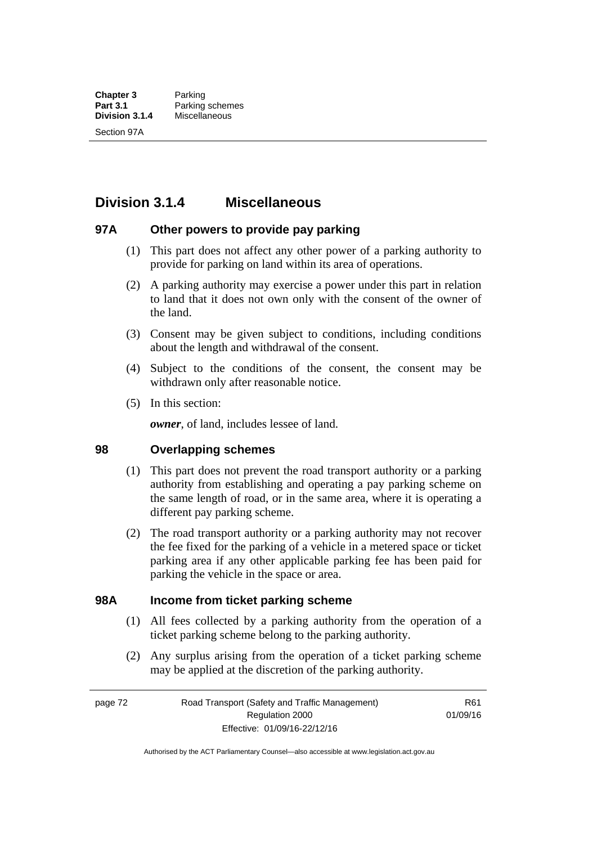# **Division 3.1.4 Miscellaneous**

#### **97A Other powers to provide pay parking**

- (1) This part does not affect any other power of a parking authority to provide for parking on land within its area of operations.
- (2) A parking authority may exercise a power under this part in relation to land that it does not own only with the consent of the owner of the land.
- (3) Consent may be given subject to conditions, including conditions about the length and withdrawal of the consent.
- (4) Subject to the conditions of the consent, the consent may be withdrawn only after reasonable notice.
- (5) In this section:

*owner*, of land, includes lessee of land.

#### **98 Overlapping schemes**

- (1) This part does not prevent the road transport authority or a parking authority from establishing and operating a pay parking scheme on the same length of road, or in the same area, where it is operating a different pay parking scheme.
- (2) The road transport authority or a parking authority may not recover the fee fixed for the parking of a vehicle in a metered space or ticket parking area if any other applicable parking fee has been paid for parking the vehicle in the space or area.

#### **98A Income from ticket parking scheme**

- (1) All fees collected by a parking authority from the operation of a ticket parking scheme belong to the parking authority.
- (2) Any surplus arising from the operation of a ticket parking scheme may be applied at the discretion of the parking authority.

page 72 Road Transport (Safety and Traffic Management) Regulation 2000 Effective: 01/09/16-22/12/16

R61 01/09/16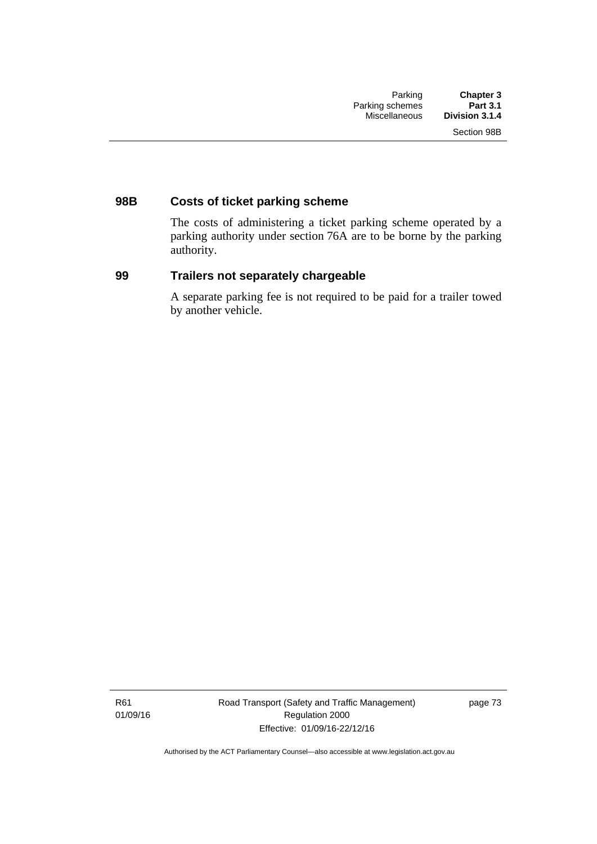# **98B Costs of ticket parking scheme**

The costs of administering a ticket parking scheme operated by a parking authority under section 76A are to be borne by the parking authority.

### **99 Trailers not separately chargeable**

A separate parking fee is not required to be paid for a trailer towed by another vehicle.

R61 01/09/16 Road Transport (Safety and Traffic Management) Regulation 2000 Effective: 01/09/16-22/12/16

page 73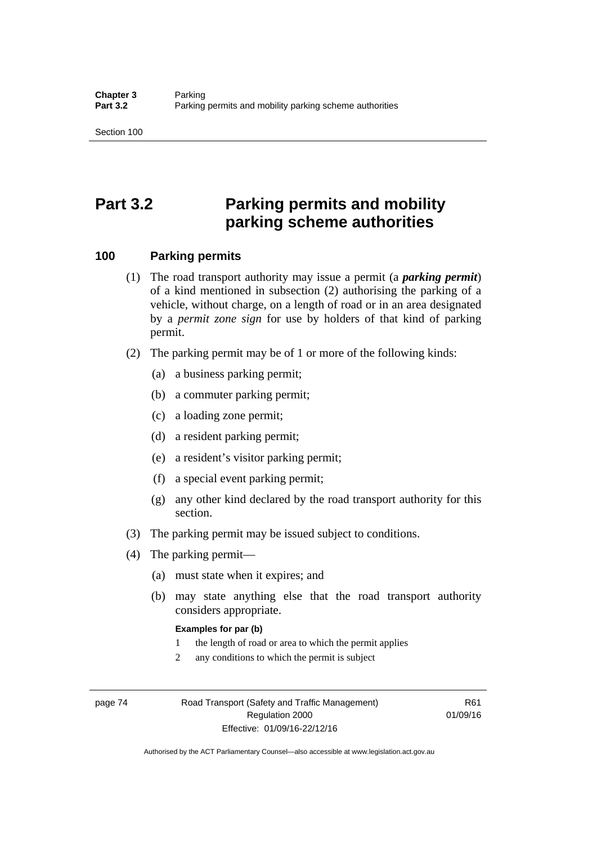# **Part 3.2 Parking permits and mobility parking scheme authorities**

#### **100 Parking permits**

- (1) The road transport authority may issue a permit (a *parking permit*) of a kind mentioned in subsection (2) authorising the parking of a vehicle, without charge, on a length of road or in an area designated by a *permit zone sign* for use by holders of that kind of parking permit.
- (2) The parking permit may be of 1 or more of the following kinds:
	- (a) a business parking permit;
	- (b) a commuter parking permit;
	- (c) a loading zone permit;
	- (d) a resident parking permit;
	- (e) a resident's visitor parking permit;
	- (f) a special event parking permit;
	- (g) any other kind declared by the road transport authority for this section.
- (3) The parking permit may be issued subject to conditions.
- (4) The parking permit—
	- (a) must state when it expires; and
	- (b) may state anything else that the road transport authority considers appropriate.

#### **Examples for par (b)**

- 1 the length of road or area to which the permit applies
- 2 any conditions to which the permit is subject

page 74 Road Transport (Safety and Traffic Management) Regulation 2000 Effective: 01/09/16-22/12/16

R61 01/09/16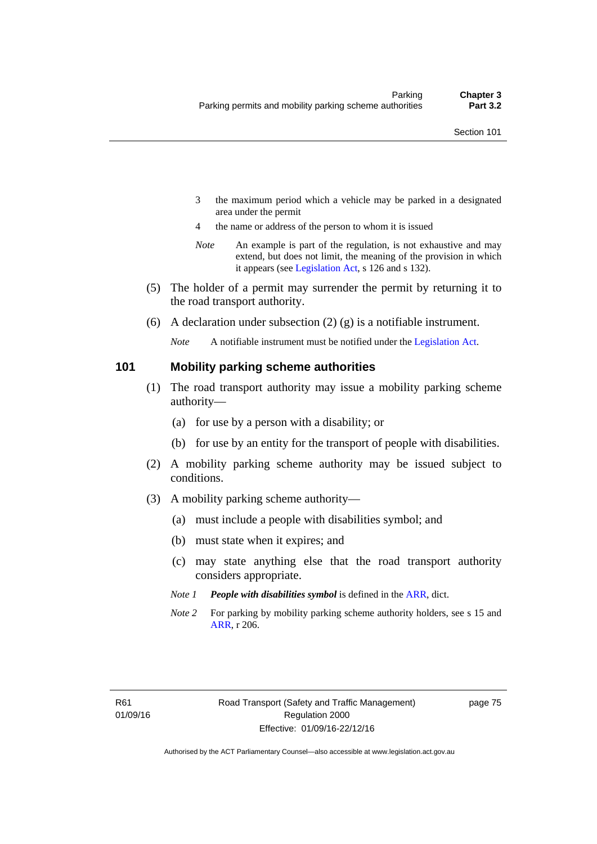- 3 the maximum period which a vehicle may be parked in a designated area under the permit
- 4 the name or address of the person to whom it is issued
- *Note* An example is part of the regulation, is not exhaustive and may extend, but does not limit, the meaning of the provision in which it appears (see [Legislation Act,](http://www.legislation.act.gov.au/a/2001-14) s 126 and s 132).
- (5) The holder of a permit may surrender the permit by returning it to the road transport authority.
- (6) A declaration under subsection  $(2)$  (g) is a notifiable instrument.

*Note* A notifiable instrument must be notified under the [Legislation Act](http://www.legislation.act.gov.au/a/2001-14).

#### **101 Mobility parking scheme authorities**

- (1) The road transport authority may issue a mobility parking scheme authority—
	- (a) for use by a person with a disability; or
	- (b) for use by an entity for the transport of people with disabilities.
- (2) A mobility parking scheme authority may be issued subject to conditions.
- (3) A mobility parking scheme authority—
	- (a) must include a people with disabilities symbol; and
	- (b) must state when it expires; and
	- (c) may state anything else that the road transport authority considers appropriate.
	- *Note 1 People with disabilities symbol* is defined in the [ARR,](http://www.legislation.act.gov.au//ni/db_37271/default.asp) dict.
	- *Note 2* For parking by mobility parking scheme authority holders, see s 15 and [ARR,](http://www.legislation.act.gov.au//ni/db_37271/default.asp) r 206.

page 75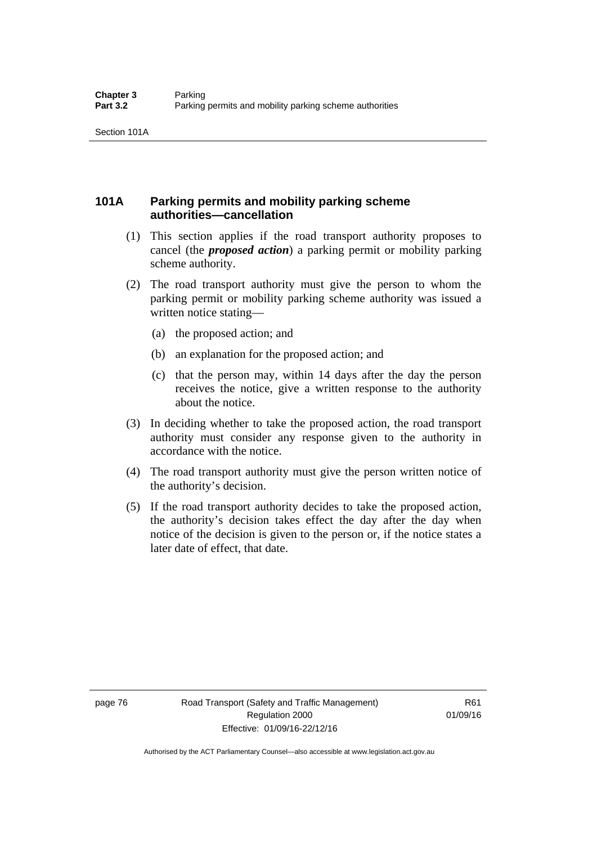# **101A Parking permits and mobility parking scheme authorities—cancellation**

- (1) This section applies if the road transport authority proposes to cancel (the *proposed action*) a parking permit or mobility parking scheme authority.
- (2) The road transport authority must give the person to whom the parking permit or mobility parking scheme authority was issued a written notice stating—
	- (a) the proposed action; and
	- (b) an explanation for the proposed action; and
	- (c) that the person may, within 14 days after the day the person receives the notice, give a written response to the authority about the notice.
- (3) In deciding whether to take the proposed action, the road transport authority must consider any response given to the authority in accordance with the notice.
- (4) The road transport authority must give the person written notice of the authority's decision.
- (5) If the road transport authority decides to take the proposed action, the authority's decision takes effect the day after the day when notice of the decision is given to the person or, if the notice states a later date of effect, that date.

page 76 Road Transport (Safety and Traffic Management) Regulation 2000 Effective: 01/09/16-22/12/16

R61 01/09/16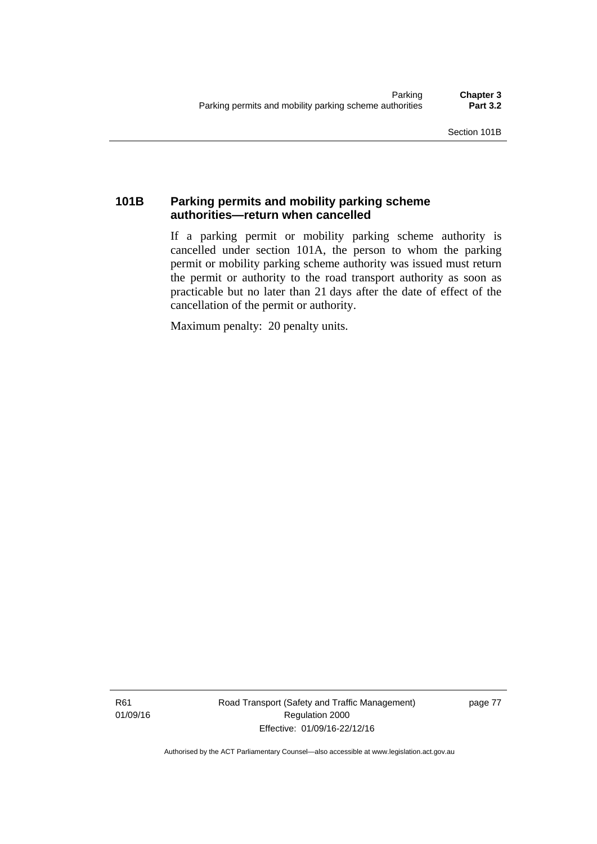# **101B Parking permits and mobility parking scheme authorities—return when cancelled**

If a parking permit or mobility parking scheme authority is cancelled under section 101A, the person to whom the parking permit or mobility parking scheme authority was issued must return the permit or authority to the road transport authority as soon as practicable but no later than 21 days after the date of effect of the cancellation of the permit or authority.

Maximum penalty: 20 penalty units.

R61 01/09/16 Road Transport (Safety and Traffic Management) Regulation 2000 Effective: 01/09/16-22/12/16

page 77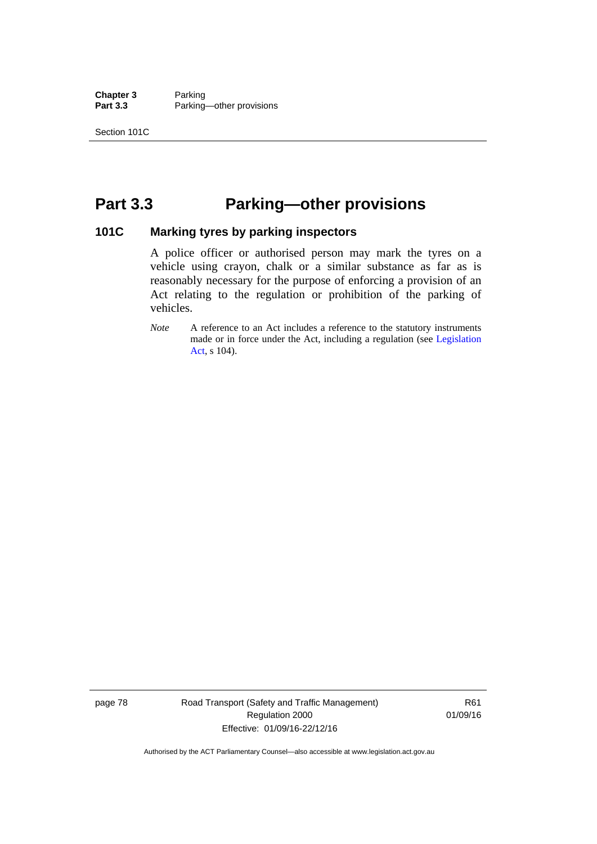**Chapter 3** Parking<br>**Part 3.3** Parking Parking—other provisions

# **Part 3.3 Parking—other provisions**

#### **101C Marking tyres by parking inspectors**

A police officer or authorised person may mark the tyres on a vehicle using crayon, chalk or a similar substance as far as is reasonably necessary for the purpose of enforcing a provision of an Act relating to the regulation or prohibition of the parking of vehicles.

page 78 Road Transport (Safety and Traffic Management) Regulation 2000 Effective: 01/09/16-22/12/16

R61 01/09/16

*Note* A reference to an Act includes a reference to the statutory instruments made or in force under the Act, including a regulation (see [Legislation](http://www.legislation.act.gov.au/a/2001-14)  [Act](http://www.legislation.act.gov.au/a/2001-14), s 104).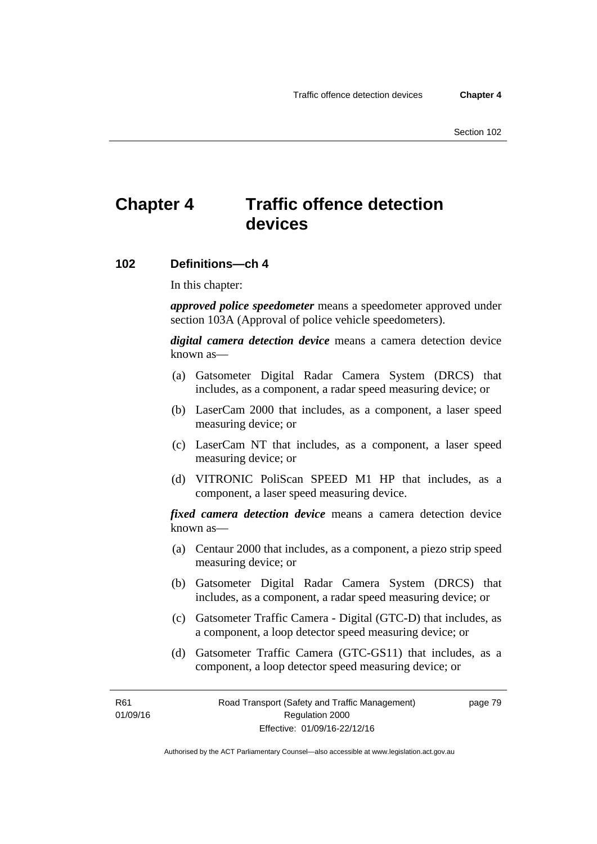# **Chapter 4 Traffic offence detection devices**

#### **102 Definitions—ch 4**

In this chapter:

*approved police speedometer* means a speedometer approved under section 103A (Approval of police vehicle speedometers).

*digital camera detection device* means a camera detection device known as—

- (a) Gatsometer Digital Radar Camera System (DRCS) that includes, as a component, a radar speed measuring device; or
- (b) LaserCam 2000 that includes, as a component, a laser speed measuring device; or
- (c) LaserCam NT that includes, as a component, a laser speed measuring device; or
- (d) VITRONIC PoliScan SPEED M1 HP that includes, as a component, a laser speed measuring device.

*fixed camera detection device* means a camera detection device known as—

- (a) Centaur 2000 that includes, as a component, a piezo strip speed measuring device; or
- (b) Gatsometer Digital Radar Camera System (DRCS) that includes, as a component, a radar speed measuring device; or
- (c) Gatsometer Traffic Camera Digital (GTC-D) that includes, as a component, a loop detector speed measuring device; or
- (d) Gatsometer Traffic Camera (GTC-GS11) that includes, as a component, a loop detector speed measuring device; or

R61 01/09/16 page 79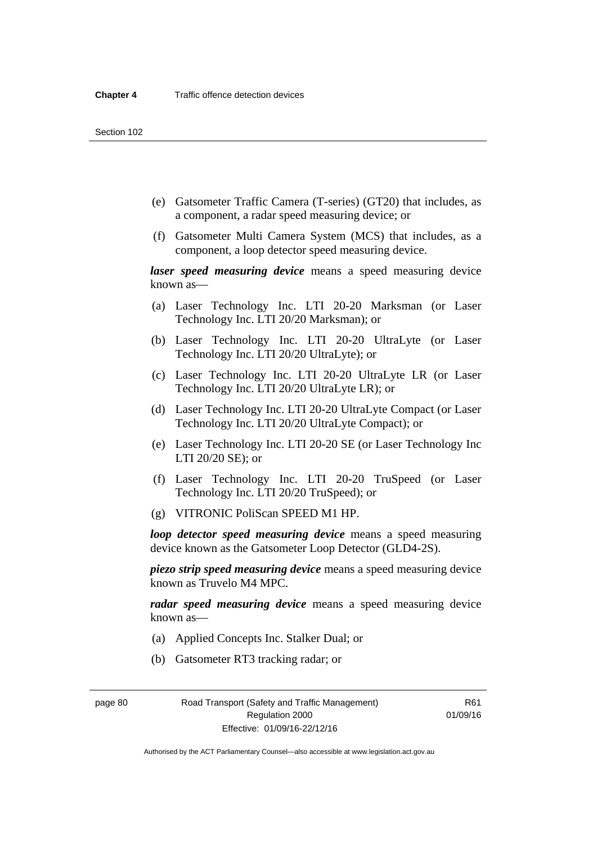- (e) Gatsometer Traffic Camera (T-series) (GT20) that includes, as a component, a radar speed measuring device; or
- (f) Gatsometer Multi Camera System (MCS) that includes, as a component, a loop detector speed measuring device.

*laser speed measuring device* means a speed measuring device known as—

- (a) Laser Technology Inc. LTI 20-20 Marksman (or Laser Technology Inc. LTI 20/20 Marksman); or
- (b) Laser Technology Inc. LTI 20-20 UltraLyte (or Laser Technology Inc. LTI 20/20 UltraLyte); or
- (c) Laser Technology Inc. LTI 20-20 UltraLyte LR (or Laser Technology Inc. LTI 20/20 UltraLyte LR); or
- (d) Laser Technology Inc. LTI 20-20 UltraLyte Compact (or Laser Technology Inc. LTI 20/20 UltraLyte Compact); or
- (e) Laser Technology Inc. LTI 20-20 SE (or Laser Technology Inc LTI 20/20 SE); or
- (f) Laser Technology Inc. LTI 20-20 TruSpeed (or Laser Technology Inc. LTI 20/20 TruSpeed); or
- (g) VITRONIC PoliScan SPEED M1 HP.

*loop detector speed measuring device* means a speed measuring device known as the Gatsometer Loop Detector (GLD4-2S).

*piezo strip speed measuring device* means a speed measuring device known as Truvelo M4 MPC.

*radar speed measuring device* means a speed measuring device known as—

- (a) Applied Concepts Inc. Stalker Dual; or
- (b) Gatsometer RT3 tracking radar; or

page 80 Road Transport (Safety and Traffic Management) Regulation 2000 Effective: 01/09/16-22/12/16

R61 01/09/16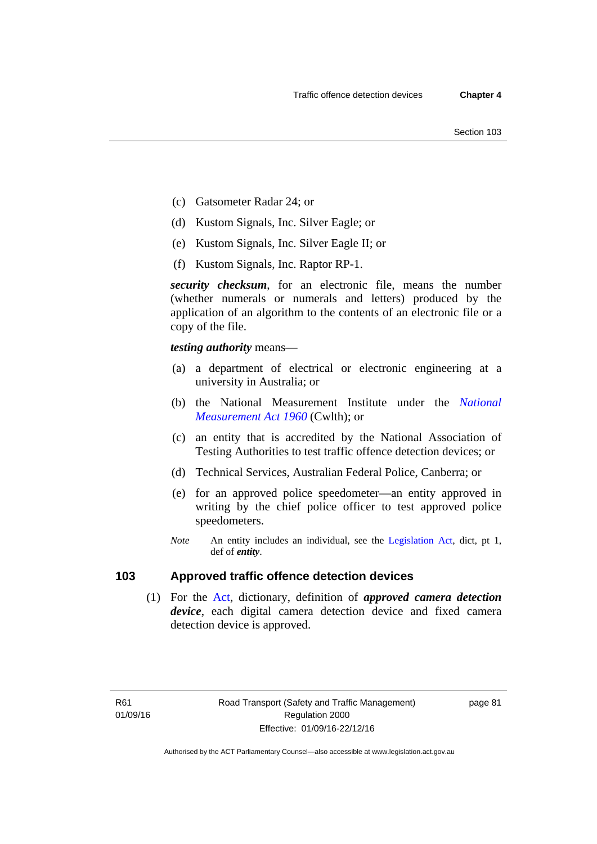- (c) Gatsometer Radar 24; or
- (d) Kustom Signals, Inc. Silver Eagle; or
- (e) Kustom Signals, Inc. Silver Eagle II; or
- (f) Kustom Signals, Inc. Raptor RP-1.

*security checksum*, for an electronic file, means the number (whether numerals or numerals and letters) produced by the application of an algorithm to the contents of an electronic file or a copy of the file.

*testing authority* means—

- (a) a department of electrical or electronic engineering at a university in Australia; or
- (b) the National Measurement Institute under the *[National](http://www.comlaw.gov.au/Series/C2004A07405)  [Measurement Act 1960](http://www.comlaw.gov.au/Series/C2004A07405)* (Cwlth); or
- (c) an entity that is accredited by the National Association of Testing Authorities to test traffic offence detection devices; or
- (d) Technical Services, Australian Federal Police, Canberra; or
- (e) for an approved police speedometer—an entity approved in writing by the chief police officer to test approved police speedometers.
- *Note* An entity includes an individual, see the [Legislation Act,](http://www.legislation.act.gov.au/a/2001-14) dict, pt 1, def of *entity*.

# **103 Approved traffic offence detection devices**

 (1) For the [Act,](http://www.legislation.act.gov.au/a/1999-80/default.asp) dictionary, definition of *approved camera detection device*, each digital camera detection device and fixed camera detection device is approved.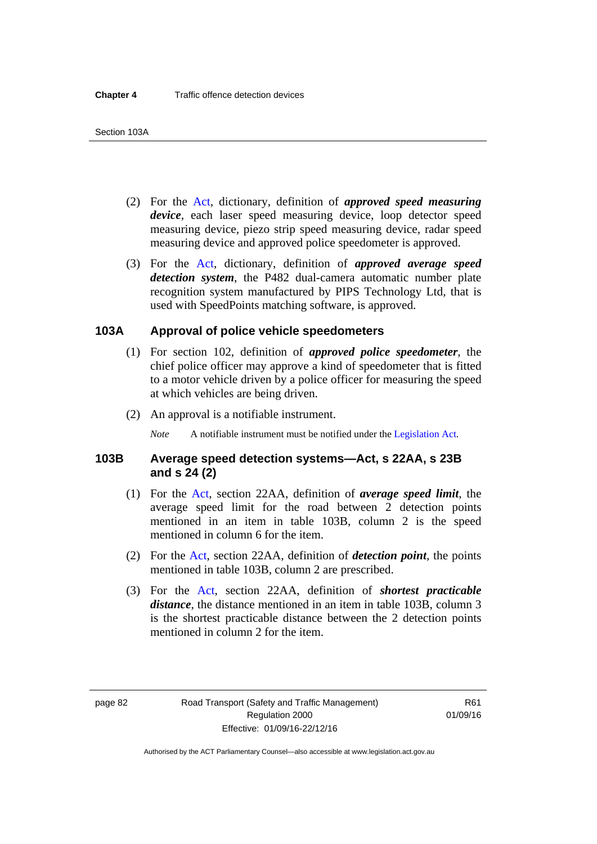- (2) For the [Act,](http://www.legislation.act.gov.au/a/1999-80/default.asp) dictionary, definition of *approved speed measuring device*, each laser speed measuring device, loop detector speed measuring device, piezo strip speed measuring device, radar speed measuring device and approved police speedometer is approved.
- (3) For the [Act](http://www.legislation.act.gov.au/a/1999-80/default.asp), dictionary, definition of *approved average speed detection system*, the P482 dual-camera automatic number plate recognition system manufactured by PIPS Technology Ltd, that is used with SpeedPoints matching software, is approved.

#### **103A Approval of police vehicle speedometers**

- (1) For section 102, definition of *approved police speedometer*, the chief police officer may approve a kind of speedometer that is fitted to a motor vehicle driven by a police officer for measuring the speed at which vehicles are being driven.
- (2) An approval is a notifiable instrument.

*Note* A notifiable instrument must be notified under the [Legislation Act](http://www.legislation.act.gov.au/a/2001-14).

#### **103B Average speed detection systems—Act, s 22AA, s 23B and s 24 (2)**

- (1) For the [Act](http://www.legislation.act.gov.au/a/1999-80/default.asp), section 22AA, definition of *average speed limit*, the average speed limit for the road between 2 detection points mentioned in an item in table 103B, column 2 is the speed mentioned in column 6 for the item.
- (2) For the [Act](http://www.legislation.act.gov.au/a/1999-80/default.asp), section 22AA, definition of *detection point*, the points mentioned in table 103B, column 2 are prescribed.
- (3) For the [Act](http://www.legislation.act.gov.au/a/1999-80/default.asp), section 22AA, definition of *shortest practicable distance*, the distance mentioned in an item in table 103B, column 3 is the shortest practicable distance between the 2 detection points mentioned in column 2 for the item.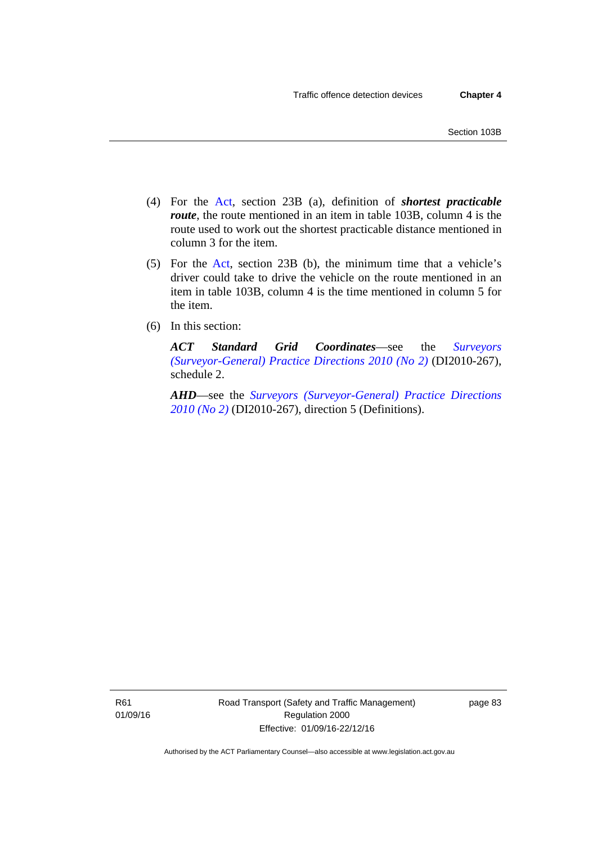- (4) For the [Act,](http://www.legislation.act.gov.au/a/1999-80/default.asp) section 23B (a), definition of *shortest practicable route*, the route mentioned in an item in table 103B, column 4 is the route used to work out the shortest practicable distance mentioned in column 3 for the item.
- (5) For the [Act](http://www.legislation.act.gov.au/a/1999-80/default.asp), section 23B (b), the minimum time that a vehicle's driver could take to drive the vehicle on the route mentioned in an item in table 103B, column 4 is the time mentioned in column 5 for the item.
- (6) In this section:

*ACT Standard Grid Coordinates*—see the *[Surveyors](http://www.legislation.act.gov.au/di/2010-267/default.asp)  [\(Surveyor-General\) Practice Directions 2010 \(No 2\)](http://www.legislation.act.gov.au/di/2010-267/default.asp)* (DI2010-267), schedule 2.

*AHD*—see the *[Surveyors \(Surveyor-General\) Practice Directions](http://www.legislation.act.gov.au/di/2010-267/default.asp)  [2010 \(No 2\)](http://www.legislation.act.gov.au/di/2010-267/default.asp)* (DI2010-267), direction 5 (Definitions).

R61 01/09/16 Road Transport (Safety and Traffic Management) Regulation 2000 Effective: 01/09/16-22/12/16

page 83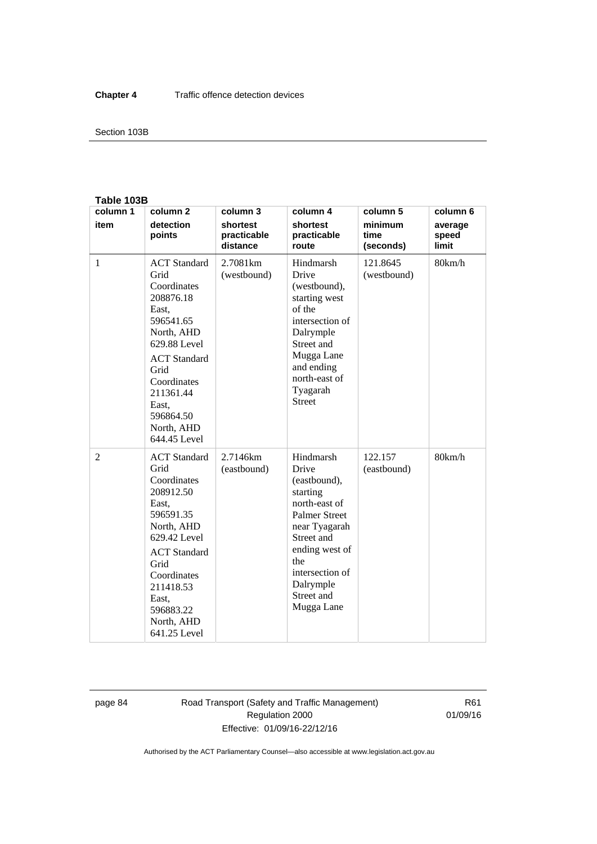#### Section 103B

#### **Table 103B**

| column 1       | column <sub>2</sub>                                                                                                                                                                                                        | column 3                            | column 4                                                                                                                                                                                                    | column 5                     | column 6                  |
|----------------|----------------------------------------------------------------------------------------------------------------------------------------------------------------------------------------------------------------------------|-------------------------------------|-------------------------------------------------------------------------------------------------------------------------------------------------------------------------------------------------------------|------------------------------|---------------------------|
| item           | detection<br>points                                                                                                                                                                                                        | shortest<br>practicable<br>distance | shortest<br>practicable<br>route                                                                                                                                                                            | minimum<br>time<br>(seconds) | average<br>speed<br>limit |
| $\mathbf{1}$   | <b>ACT</b> Standard<br>Grid<br>Coordinates<br>208876.18<br>East,<br>596541.65<br>North, AHD<br>629.88 Level<br><b>ACT</b> Standard<br>Grid<br>Coordinates<br>211361.44<br>East.<br>596864.50<br>North, AHD<br>644.45 Level | 2.7081km<br>(westbound)             | Hindmarsh<br>Drive<br>(westbound),<br>starting west<br>of the<br>intersection of<br>Dalrymple<br>Street and<br>Mugga Lane<br>and ending<br>north-east of<br>Tyagarah<br><b>Street</b>                       | 121.8645<br>(westbound)      | 80km/h                    |
| $\overline{2}$ | <b>ACT</b> Standard<br>Grid<br>Coordinates<br>208912.50<br>East,<br>596591.35<br>North, AHD<br>629.42 Level<br><b>ACT</b> Standard<br>Grid<br>Coordinates<br>211418.53<br>East,<br>596883.22<br>North, AHD<br>641.25 Level | 2.7146km<br>(eastbound)             | Hindmarsh<br>Drive<br>(eastbound),<br>starting<br>north-east of<br><b>Palmer Street</b><br>near Tyagarah<br>Street and<br>ending west of<br>the<br>intersection of<br>Dalrymple<br>Street and<br>Mugga Lane | 122.157<br>(eastbound)       | 80km/h                    |

page 84 Road Transport (Safety and Traffic Management) Regulation 2000 Effective: 01/09/16-22/12/16

R61 01/09/16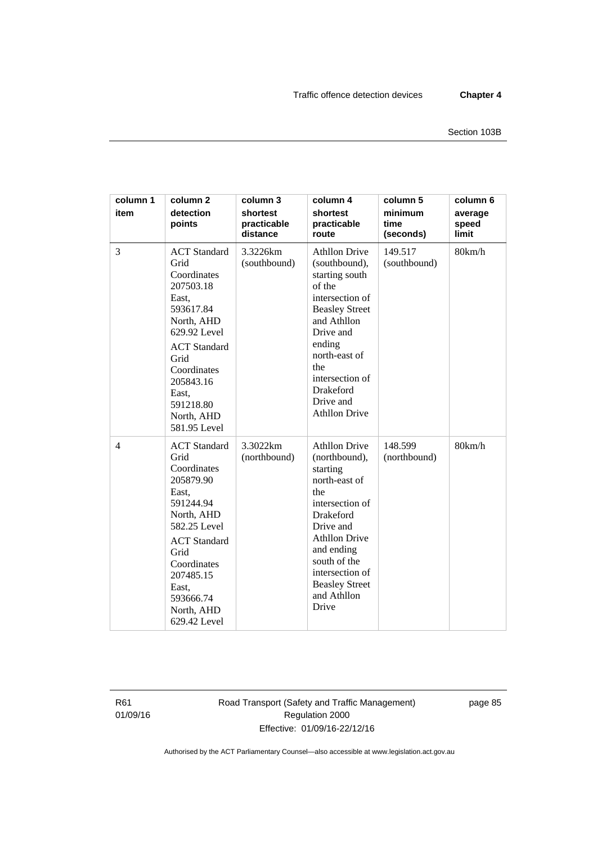| column 1<br>item | column <sub>2</sub><br>detection<br>points                                                                                                                                                                                 | column 3<br>shortest<br>practicable<br>distance | column 4<br>shortest<br>practicable<br>route                                                                                                                                                                                                            | column 5<br>minimum<br>time<br>(seconds) | column 6<br>average<br>speed<br>limit |
|------------------|----------------------------------------------------------------------------------------------------------------------------------------------------------------------------------------------------------------------------|-------------------------------------------------|---------------------------------------------------------------------------------------------------------------------------------------------------------------------------------------------------------------------------------------------------------|------------------------------------------|---------------------------------------|
| 3                | <b>ACT</b> Standard<br>Grid<br>Coordinates<br>207503.18<br>East,<br>593617.84<br>North, AHD<br>629.92 Level<br><b>ACT</b> Standard<br>Grid<br>Coordinates<br>205843.16<br>East,<br>591218.80<br>North, AHD<br>581.95 Level | 3.3226km<br>(southbound)                        | <b>Athllon Drive</b><br>(southbound),<br>starting south<br>of the<br>intersection of<br><b>Beasley Street</b><br>and Athllon<br>Drive and<br>ending<br>north-east of<br>the<br>intersection of<br>Drakeford<br>Drive and<br><b>Athllon Drive</b>        | 149.517<br>(southbound)                  | 80km/h                                |
| $\overline{4}$   | <b>ACT</b> Standard<br>Grid<br>Coordinates<br>205879.90<br>East,<br>591244.94<br>North, AHD<br>582.25 Level<br><b>ACT</b> Standard<br>Grid<br>Coordinates<br>207485.15<br>East,<br>593666.74<br>North, AHD<br>629.42 Level | 3.3022km<br>(northbound)                        | <b>Athllon Drive</b><br>(northbound),<br>starting<br>north-east of<br>the<br>intersection of<br><b>Drakeford</b><br>Drive and<br><b>Athllon Drive</b><br>and ending<br>south of the<br>intersection of<br><b>Beasley Street</b><br>and Athllon<br>Drive | 148.599<br>(northbound)                  | 80km/h                                |

R61 01/09/16 Road Transport (Safety and Traffic Management) Regulation 2000 Effective: 01/09/16-22/12/16

page 85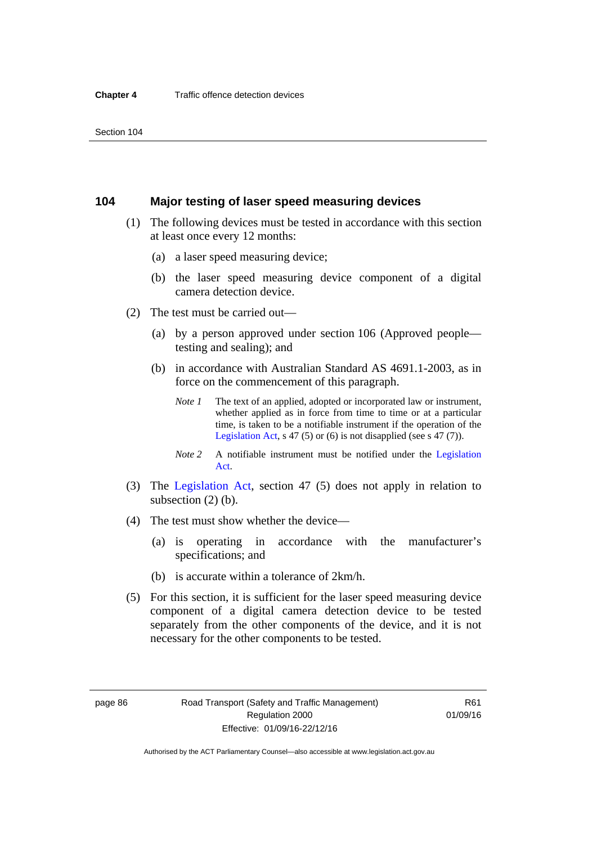#### **104 Major testing of laser speed measuring devices**

- (1) The following devices must be tested in accordance with this section at least once every 12 months:
	- (a) a laser speed measuring device;
	- (b) the laser speed measuring device component of a digital camera detection device.
- (2) The test must be carried out—
	- (a) by a person approved under section 106 (Approved people testing and sealing); and
	- (b) in accordance with Australian Standard AS 4691.1-2003, as in force on the commencement of this paragraph.
		- *Note 1* The text of an applied, adopted or incorporated law or instrument, whether applied as in force from time to time or at a particular time, is taken to be a notifiable instrument if the operation of the [Legislation Act,](http://www.legislation.act.gov.au/a/2001-14) s 47 (5) or (6) is not disapplied (see s 47 (7)).
		- *Note 2* A notifiable instrument must be notified under the [Legislation](http://www.legislation.act.gov.au/a/2001-14)  [Act](http://www.legislation.act.gov.au/a/2001-14).
- (3) The [Legislation Act,](http://www.legislation.act.gov.au/a/2001-14) section 47 (5) does not apply in relation to subsection (2) (b).
- (4) The test must show whether the device—
	- (a) is operating in accordance with the manufacturer's specifications; and
	- (b) is accurate within a tolerance of 2km/h.
- (5) For this section, it is sufficient for the laser speed measuring device component of a digital camera detection device to be tested separately from the other components of the device, and it is not necessary for the other components to be tested.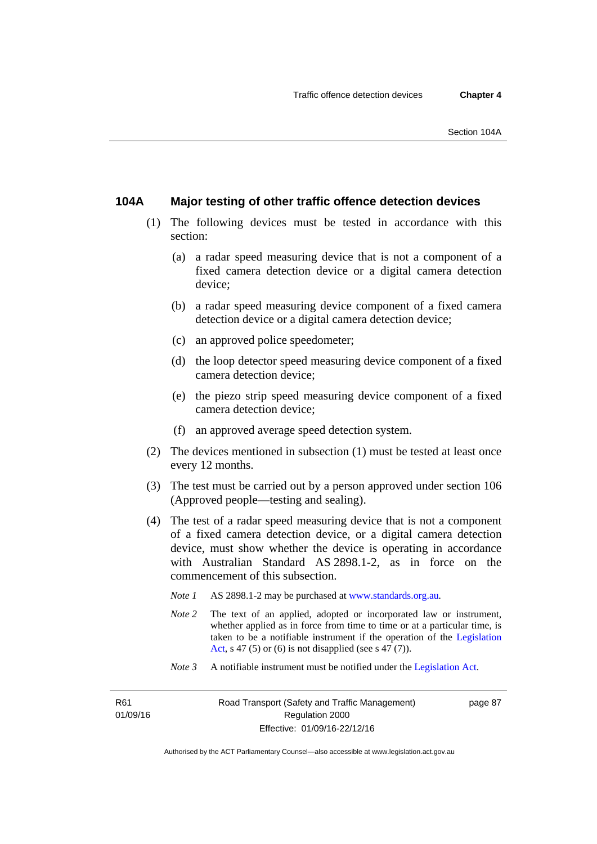#### **104A Major testing of other traffic offence detection devices**

- (1) The following devices must be tested in accordance with this section:
	- (a) a radar speed measuring device that is not a component of a fixed camera detection device or a digital camera detection device;
	- (b) a radar speed measuring device component of a fixed camera detection device or a digital camera detection device;
	- (c) an approved police speedometer;
	- (d) the loop detector speed measuring device component of a fixed camera detection device;
	- (e) the piezo strip speed measuring device component of a fixed camera detection device;
	- (f) an approved average speed detection system.
- (2) The devices mentioned in subsection (1) must be tested at least once every 12 months.
- (3) The test must be carried out by a person approved under section 106 (Approved people—testing and sealing).
- (4) The test of a radar speed measuring device that is not a component of a fixed camera detection device, or a digital camera detection device, must show whether the device is operating in accordance with Australian Standard AS 2898.1-2, as in force on the commencement of this subsection.
	- *Note 1* AS 2898.1-2 may be purchased at [www.standards.org.au](http://www.standards.org.au/Pages/default.aspx)*.*
	- *Note* 2 The text of an applied, adopted or incorporated law or instrument, whether applied as in force from time to time or at a particular time, is taken to be a notifiable instrument if the operation of the [Legislation](http://www.legislation.act.gov.au/a/2001-14)  [Act,](http://www.legislation.act.gov.au/a/2001-14) s 47 (5) or (6) is not disapplied (see s 47 (7)).
	- *Note 3* A notifiable instrument must be notified under the [Legislation Act](http://www.legislation.act.gov.au/a/2001-14).

R61 01/09/16 page 87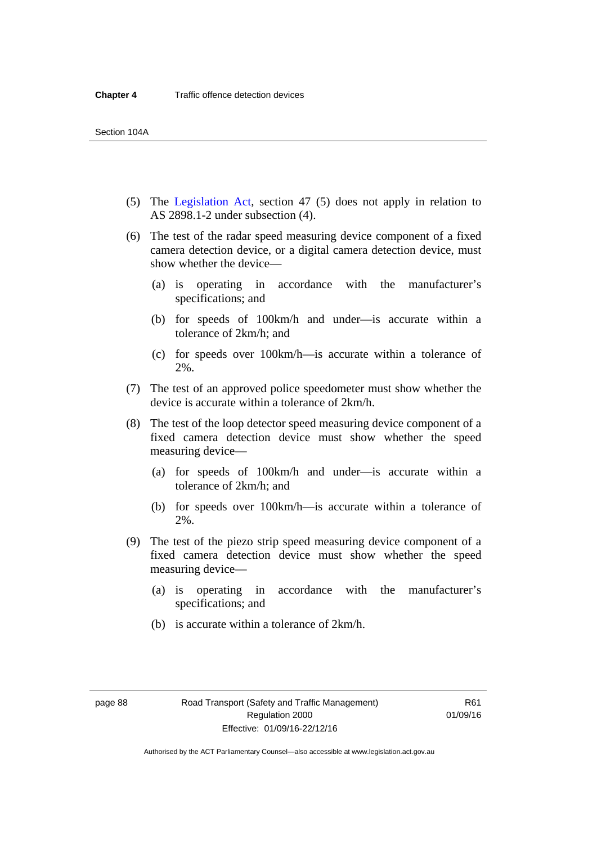- (5) The [Legislation Act,](http://www.legislation.act.gov.au/a/2001-14) section 47 (5) does not apply in relation to AS 2898.1-2 under subsection (4).
- (6) The test of the radar speed measuring device component of a fixed camera detection device, or a digital camera detection device, must show whether the device—
	- (a) is operating in accordance with the manufacturer's specifications; and
	- (b) for speeds of 100km/h and under—is accurate within a tolerance of 2km/h; and
	- (c) for speeds over 100km/h—is accurate within a tolerance of 2%.
- (7) The test of an approved police speedometer must show whether the device is accurate within a tolerance of 2km/h.
- (8) The test of the loop detector speed measuring device component of a fixed camera detection device must show whether the speed measuring device—
	- (a) for speeds of 100km/h and under—is accurate within a tolerance of 2km/h; and
	- (b) for speeds over 100km/h—is accurate within a tolerance of 2%.
- (9) The test of the piezo strip speed measuring device component of a fixed camera detection device must show whether the speed measuring device—
	- (a) is operating in accordance with the manufacturer's specifications; and
	- (b) is accurate within a tolerance of 2km/h.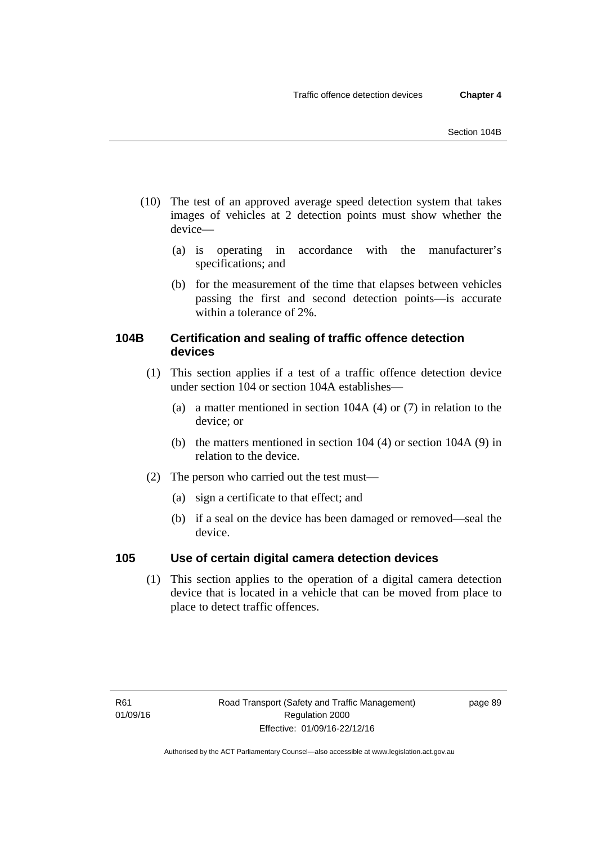- (10) The test of an approved average speed detection system that takes images of vehicles at 2 detection points must show whether the device—
	- (a) is operating in accordance with the manufacturer's specifications; and
	- (b) for the measurement of the time that elapses between vehicles passing the first and second detection points—is accurate within a tolerance of 2%.

# **104B Certification and sealing of traffic offence detection devices**

- (1) This section applies if a test of a traffic offence detection device under section 104 or section 104A establishes—
	- (a) a matter mentioned in section 104A (4) or (7) in relation to the device; or
	- (b) the matters mentioned in section 104 (4) or section 104A (9) in relation to the device.
- (2) The person who carried out the test must—
	- (a) sign a certificate to that effect; and
	- (b) if a seal on the device has been damaged or removed—seal the device.

# **105 Use of certain digital camera detection devices**

(1) This section applies to the operation of a digital camera detection device that is located in a vehicle that can be moved from place to place to detect traffic offences.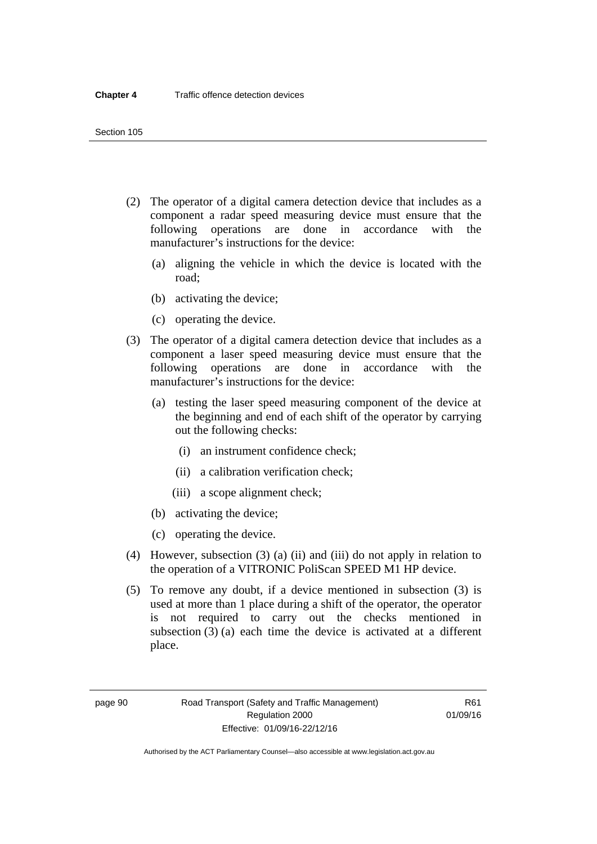- (2) The operator of a digital camera detection device that includes as a component a radar speed measuring device must ensure that the following operations are done in accordance with the manufacturer's instructions for the device:
	- (a) aligning the vehicle in which the device is located with the road;
	- (b) activating the device;
	- (c) operating the device.
- (3) The operator of a digital camera detection device that includes as a component a laser speed measuring device must ensure that the following operations are done in accordance with the manufacturer's instructions for the device:
	- (a) testing the laser speed measuring component of the device at the beginning and end of each shift of the operator by carrying out the following checks:
		- (i) an instrument confidence check;
		- (ii) a calibration verification check;
		- (iii) a scope alignment check;
	- (b) activating the device;
	- (c) operating the device.
- (4) However, subsection (3) (a) (ii) and (iii) do not apply in relation to the operation of a VITRONIC PoliScan SPEED M1 HP device.
- (5) To remove any doubt, if a device mentioned in subsection (3) is used at more than 1 place during a shift of the operator, the operator is not required to carry out the checks mentioned in subsection (3) (a) each time the device is activated at a different place.

page 90 Road Transport (Safety and Traffic Management) Regulation 2000 Effective: 01/09/16-22/12/16

R61 01/09/16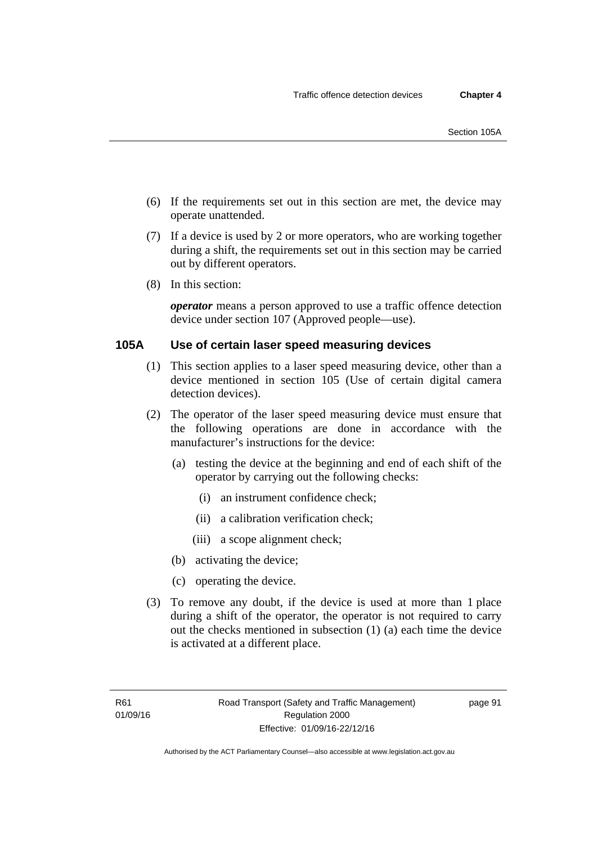- (6) If the requirements set out in this section are met, the device may operate unattended.
- (7) If a device is used by 2 or more operators, who are working together during a shift, the requirements set out in this section may be carried out by different operators.
- (8) In this section:

*operator* means a person approved to use a traffic offence detection device under section 107 (Approved people—use).

### **105A Use of certain laser speed measuring devices**

- (1) This section applies to a laser speed measuring device, other than a device mentioned in section 105 (Use of certain digital camera detection devices).
- (2) The operator of the laser speed measuring device must ensure that the following operations are done in accordance with the manufacturer's instructions for the device:
	- (a) testing the device at the beginning and end of each shift of the operator by carrying out the following checks:
		- (i) an instrument confidence check;
		- (ii) a calibration verification check;
		- (iii) a scope alignment check;
	- (b) activating the device;
	- (c) operating the device.
- (3) To remove any doubt, if the device is used at more than 1 place during a shift of the operator, the operator is not required to carry out the checks mentioned in subsection (1) (a) each time the device is activated at a different place.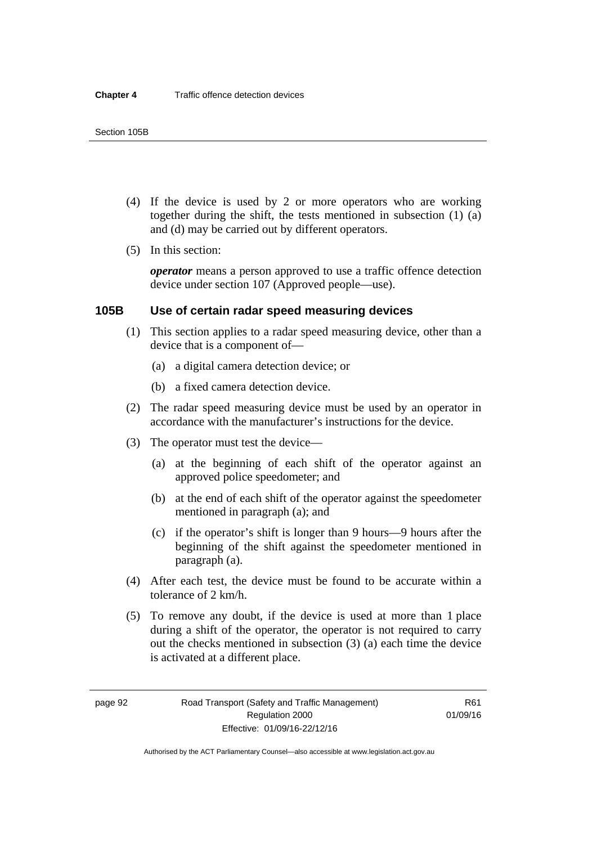- (4) If the device is used by 2 or more operators who are working together during the shift, the tests mentioned in subsection (1) (a) and (d) may be carried out by different operators.
- (5) In this section:

*operator* means a person approved to use a traffic offence detection device under section 107 (Approved people—use).

# **105B Use of certain radar speed measuring devices**

- (1) This section applies to a radar speed measuring device, other than a device that is a component of—
	- (a) a digital camera detection device; or
	- (b) a fixed camera detection device.
- (2) The radar speed measuring device must be used by an operator in accordance with the manufacturer's instructions for the device.
- (3) The operator must test the device—
	- (a) at the beginning of each shift of the operator against an approved police speedometer; and
	- (b) at the end of each shift of the operator against the speedometer mentioned in paragraph (a); and
	- (c) if the operator's shift is longer than 9 hours—9 hours after the beginning of the shift against the speedometer mentioned in paragraph (a).
- (4) After each test, the device must be found to be accurate within a tolerance of 2 km/h.
- (5) To remove any doubt, if the device is used at more than 1 place during a shift of the operator, the operator is not required to carry out the checks mentioned in subsection (3) (a) each time the device is activated at a different place.

page 92 Road Transport (Safety and Traffic Management) Regulation 2000 Effective: 01/09/16-22/12/16

R61 01/09/16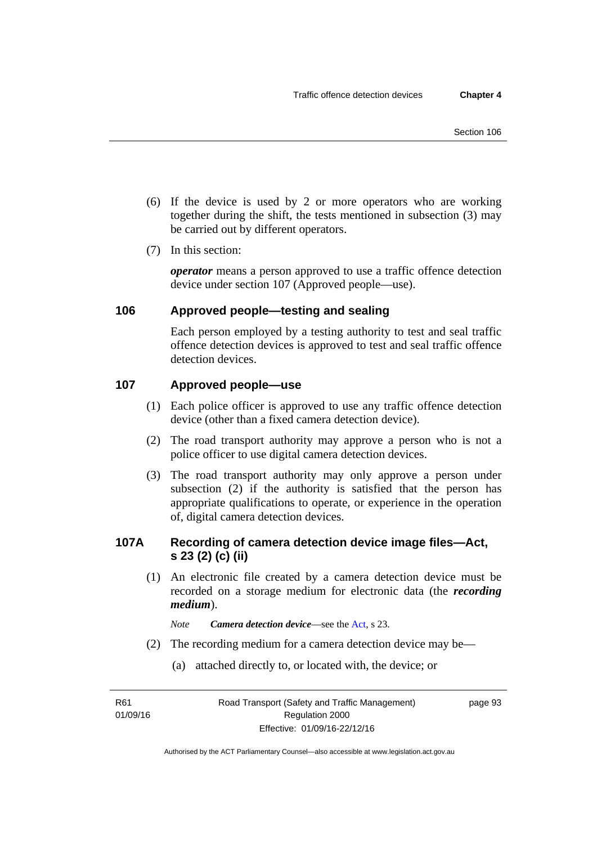- (6) If the device is used by 2 or more operators who are working together during the shift, the tests mentioned in subsection (3) may be carried out by different operators.
- (7) In this section:

*operator* means a person approved to use a traffic offence detection device under section 107 (Approved people—use).

# **106 Approved people—testing and sealing**

Each person employed by a testing authority to test and seal traffic offence detection devices is approved to test and seal traffic offence detection devices.

# **107 Approved people—use**

- (1) Each police officer is approved to use any traffic offence detection device (other than a fixed camera detection device).
- (2) The road transport authority may approve a person who is not a police officer to use digital camera detection devices.
- (3) The road transport authority may only approve a person under subsection (2) if the authority is satisfied that the person has appropriate qualifications to operate, or experience in the operation of, digital camera detection devices.

# **107A Recording of camera detection device image files—Act, s 23 (2) (c) (ii)**

(1) An electronic file created by a camera detection device must be recorded on a storage medium for electronic data (the *recording medium*).

*Note Camera detection device*—see the [Act](http://www.legislation.act.gov.au/a/1999-80/default.asp), s 23.

- (2) The recording medium for a camera detection device may be—
	- (a) attached directly to, or located with, the device; or

R61 01/09/16 page 93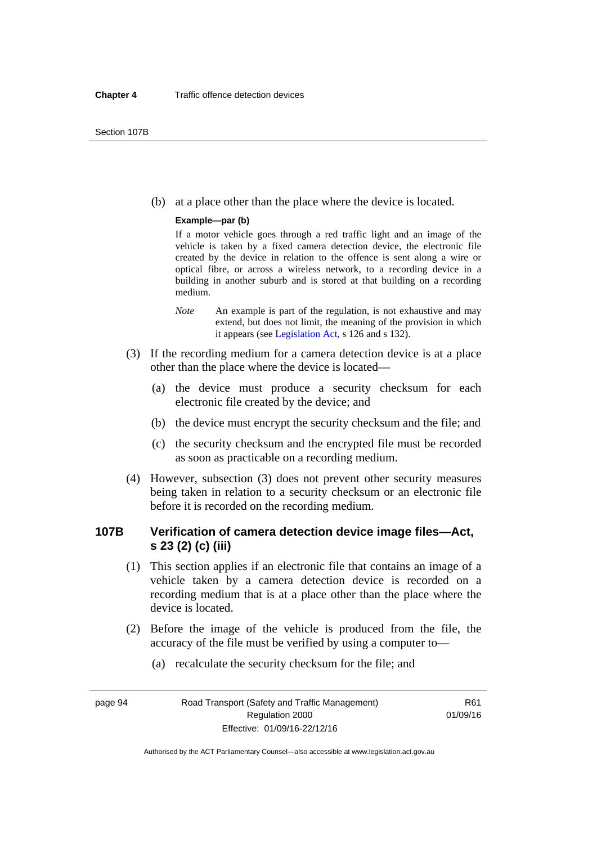(b) at a place other than the place where the device is located.

#### **Example—par (b)**

If a motor vehicle goes through a red traffic light and an image of the vehicle is taken by a fixed camera detection device, the electronic file created by the device in relation to the offence is sent along a wire or optical fibre, or across a wireless network, to a recording device in a building in another suburb and is stored at that building on a recording medium.

- *Note* An example is part of the regulation, is not exhaustive and may extend, but does not limit, the meaning of the provision in which it appears (see [Legislation Act,](http://www.legislation.act.gov.au/a/2001-14) s 126 and s 132).
- (3) If the recording medium for a camera detection device is at a place other than the place where the device is located—
	- (a) the device must produce a security checksum for each electronic file created by the device; and
	- (b) the device must encrypt the security checksum and the file; and
	- (c) the security checksum and the encrypted file must be recorded as soon as practicable on a recording medium.
- (4) However, subsection (3) does not prevent other security measures being taken in relation to a security checksum or an electronic file before it is recorded on the recording medium.

# **107B Verification of camera detection device image files—Act, s 23 (2) (c) (iii)**

- (1) This section applies if an electronic file that contains an image of a vehicle taken by a camera detection device is recorded on a recording medium that is at a place other than the place where the device is located.
- (2) Before the image of the vehicle is produced from the file, the accuracy of the file must be verified by using a computer to—
	- (a) recalculate the security checksum for the file; and

page 94 Road Transport (Safety and Traffic Management) Regulation 2000 Effective: 01/09/16-22/12/16

R61 01/09/16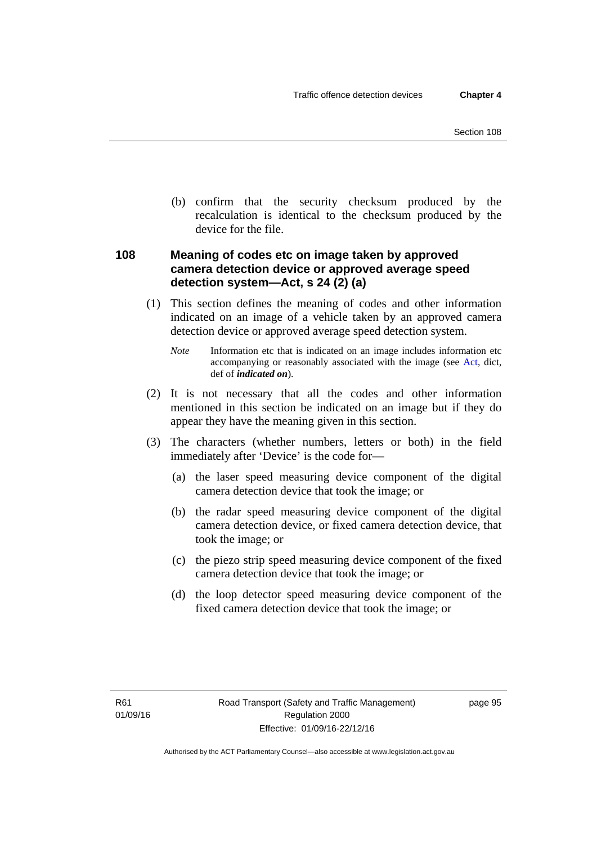(b) confirm that the security checksum produced by the recalculation is identical to the checksum produced by the device for the file.

# **108 Meaning of codes etc on image taken by approved camera detection device or approved average speed detection system—Act, s 24 (2) (a)**

(1) This section defines the meaning of codes and other information indicated on an image of a vehicle taken by an approved camera detection device or approved average speed detection system.

*Note* Information etc that is indicated on an image includes information etc accompanying or reasonably associated with the image (see [Act,](http://www.legislation.act.gov.au/a/1999-80/default.asp) dict, def of *indicated on*).

- (2) It is not necessary that all the codes and other information mentioned in this section be indicated on an image but if they do appear they have the meaning given in this section.
- (3) The characters (whether numbers, letters or both) in the field immediately after 'Device' is the code for—
	- (a) the laser speed measuring device component of the digital camera detection device that took the image; or
	- (b) the radar speed measuring device component of the digital camera detection device, or fixed camera detection device, that took the image; or
	- (c) the piezo strip speed measuring device component of the fixed camera detection device that took the image; or
	- (d) the loop detector speed measuring device component of the fixed camera detection device that took the image; or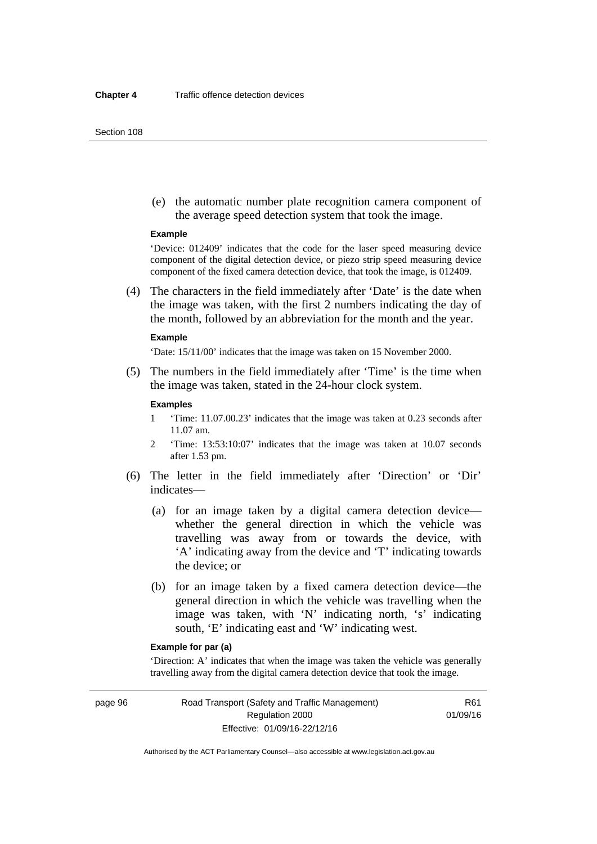#### Section 108

 (e) the automatic number plate recognition camera component of the average speed detection system that took the image.

#### **Example**

'Device: 012409' indicates that the code for the laser speed measuring device component of the digital detection device, or piezo strip speed measuring device component of the fixed camera detection device, that took the image, is 012409.

 (4) The characters in the field immediately after 'Date' is the date when the image was taken, with the first 2 numbers indicating the day of the month, followed by an abbreviation for the month and the year.

#### **Example**

'Date: 15/11/00' indicates that the image was taken on 15 November 2000.

 (5) The numbers in the field immediately after 'Time' is the time when the image was taken, stated in the 24-hour clock system.

#### **Examples**

- 1 'Time: 11.07.00.23' indicates that the image was taken at 0.23 seconds after 11.07 am.
- 2 'Time: 13:53:10:07' indicates that the image was taken at 10.07 seconds after 1.53 pm.
- (6) The letter in the field immediately after 'Direction' or 'Dir' indicates—
	- (a) for an image taken by a digital camera detection device whether the general direction in which the vehicle was travelling was away from or towards the device, with 'A' indicating away from the device and 'T' indicating towards the device; or
	- (b) for an image taken by a fixed camera detection device—the general direction in which the vehicle was travelling when the image was taken, with 'N' indicating north, 's' indicating south, 'E' indicating east and 'W' indicating west.

## **Example for par (a)**

'Direction: A' indicates that when the image was taken the vehicle was generally travelling away from the digital camera detection device that took the image.

page 96 Road Transport (Safety and Traffic Management) Regulation 2000 Effective: 01/09/16-22/12/16

R61 01/09/16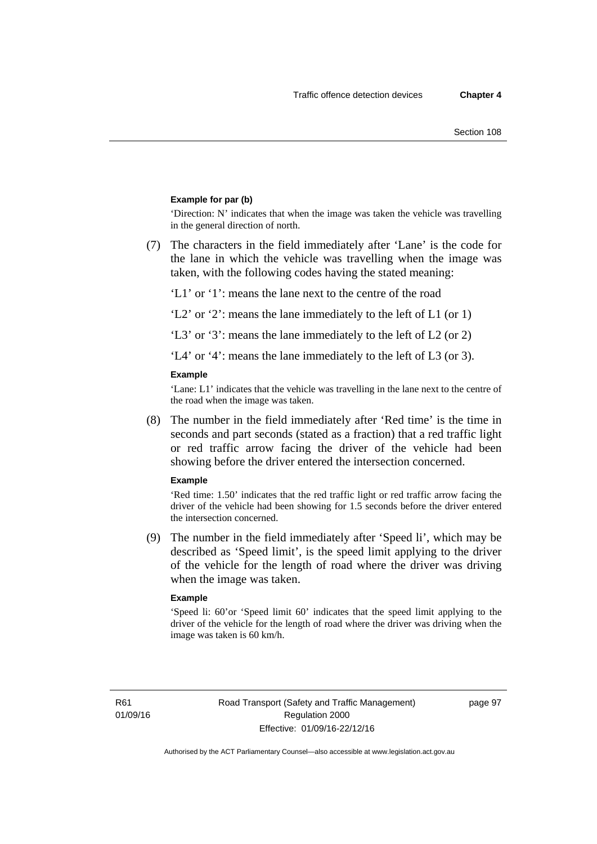## **Example for par (b)**

'Direction: N' indicates that when the image was taken the vehicle was travelling in the general direction of north.

 (7) The characters in the field immediately after 'Lane' is the code for the lane in which the vehicle was travelling when the image was taken, with the following codes having the stated meaning:

'L1' or '1': means the lane next to the centre of the road

'L2' or '2': means the lane immediately to the left of L1 (or 1)

'L3' or '3': means the lane immediately to the left of L2 (or 2)

'L4' or '4': means the lane immediately to the left of L3 (or 3).

#### **Example**

'Lane: L1' indicates that the vehicle was travelling in the lane next to the centre of the road when the image was taken.

 (8) The number in the field immediately after 'Red time' is the time in seconds and part seconds (stated as a fraction) that a red traffic light or red traffic arrow facing the driver of the vehicle had been showing before the driver entered the intersection concerned.

#### **Example**

'Red time: 1.50' indicates that the red traffic light or red traffic arrow facing the driver of the vehicle had been showing for 1.5 seconds before the driver entered the intersection concerned.

 (9) The number in the field immediately after 'Speed li', which may be described as 'Speed limit', is the speed limit applying to the driver of the vehicle for the length of road where the driver was driving when the image was taken.

#### **Example**

'Speed li: 60'or 'Speed limit 60' indicates that the speed limit applying to the driver of the vehicle for the length of road where the driver was driving when the image was taken is 60 km/h.

R61 01/09/16 page 97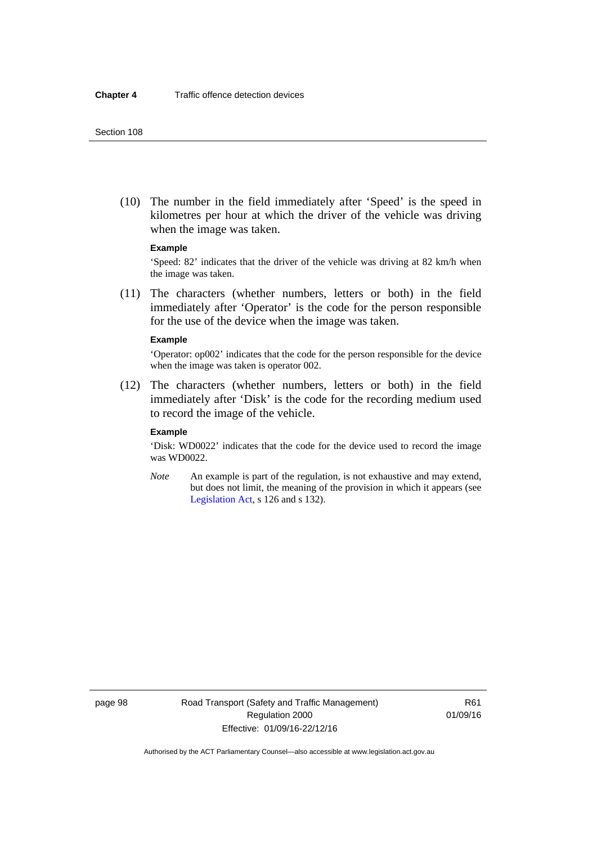(10) The number in the field immediately after 'Speed' is the speed in kilometres per hour at which the driver of the vehicle was driving when the image was taken.

## **Example**

'Speed: 82' indicates that the driver of the vehicle was driving at 82 km/h when the image was taken.

 (11) The characters (whether numbers, letters or both) in the field immediately after 'Operator' is the code for the person responsible for the use of the device when the image was taken.

#### **Example**

'Operator: op002' indicates that the code for the person responsible for the device when the image was taken is operator 002.

 (12) The characters (whether numbers, letters or both) in the field immediately after 'Disk' is the code for the recording medium used to record the image of the vehicle.

#### **Example**

'Disk: WD0022' indicates that the code for the device used to record the image was WD0022.

*Note* An example is part of the regulation, is not exhaustive and may extend, but does not limit, the meaning of the provision in which it appears (see [Legislation Act,](http://www.legislation.act.gov.au/a/2001-14) s 126 and s 132).

page 98 Road Transport (Safety and Traffic Management) Regulation 2000 Effective: 01/09/16-22/12/16

R61 01/09/16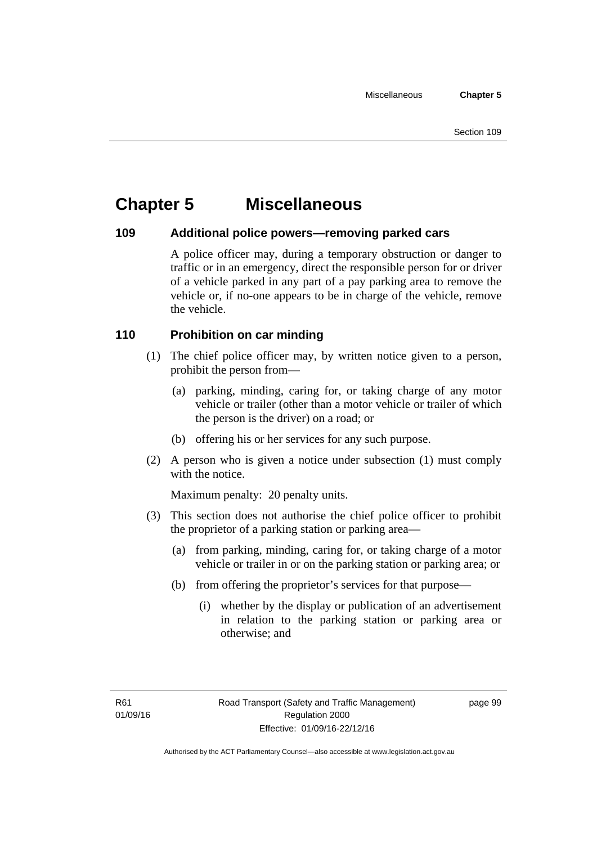# **Chapter 5 Miscellaneous**

# **109 Additional police powers—removing parked cars**

A police officer may, during a temporary obstruction or danger to traffic or in an emergency, direct the responsible person for or driver of a vehicle parked in any part of a pay parking area to remove the vehicle or, if no-one appears to be in charge of the vehicle, remove the vehicle.

# **110 Prohibition on car minding**

- (1) The chief police officer may, by written notice given to a person, prohibit the person from—
	- (a) parking, minding, caring for, or taking charge of any motor vehicle or trailer (other than a motor vehicle or trailer of which the person is the driver) on a road; or
	- (b) offering his or her services for any such purpose.
- (2) A person who is given a notice under subsection (1) must comply with the notice.

Maximum penalty: 20 penalty units.

- (3) This section does not authorise the chief police officer to prohibit the proprietor of a parking station or parking area—
	- (a) from parking, minding, caring for, or taking charge of a motor vehicle or trailer in or on the parking station or parking area; or
	- (b) from offering the proprietor's services for that purpose—
		- (i) whether by the display or publication of an advertisement in relation to the parking station or parking area or otherwise; and

page 99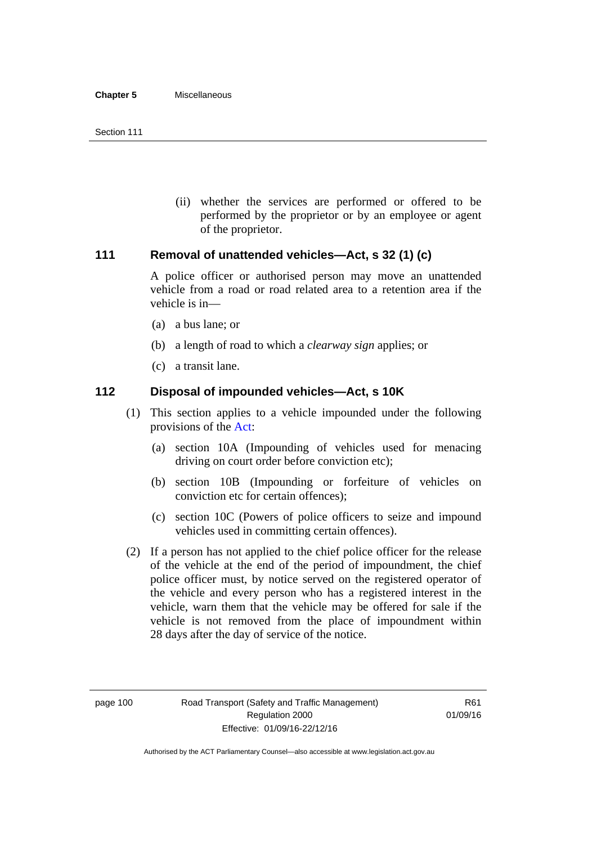(ii) whether the services are performed or offered to be performed by the proprietor or by an employee or agent of the proprietor.

# **111 Removal of unattended vehicles—Act, s 32 (1) (c)**

A police officer or authorised person may move an unattended vehicle from a road or road related area to a retention area if the vehicle is in—

- (a) a bus lane; or
- (b) a length of road to which a *clearway sign* applies; or
- (c) a transit lane.

# **112 Disposal of impounded vehicles—Act, s 10K**

- (1) This section applies to a vehicle impounded under the following provisions of the [Act:](http://www.legislation.act.gov.au/a/1999-80/default.asp)
	- (a) section 10A (Impounding of vehicles used for menacing driving on court order before conviction etc);
	- (b) section 10B (Impounding or forfeiture of vehicles on conviction etc for certain offences);
	- (c) section 10C (Powers of police officers to seize and impound vehicles used in committing certain offences).
- (2) If a person has not applied to the chief police officer for the release of the vehicle at the end of the period of impoundment, the chief police officer must, by notice served on the registered operator of the vehicle and every person who has a registered interest in the vehicle, warn them that the vehicle may be offered for sale if the vehicle is not removed from the place of impoundment within 28 days after the day of service of the notice.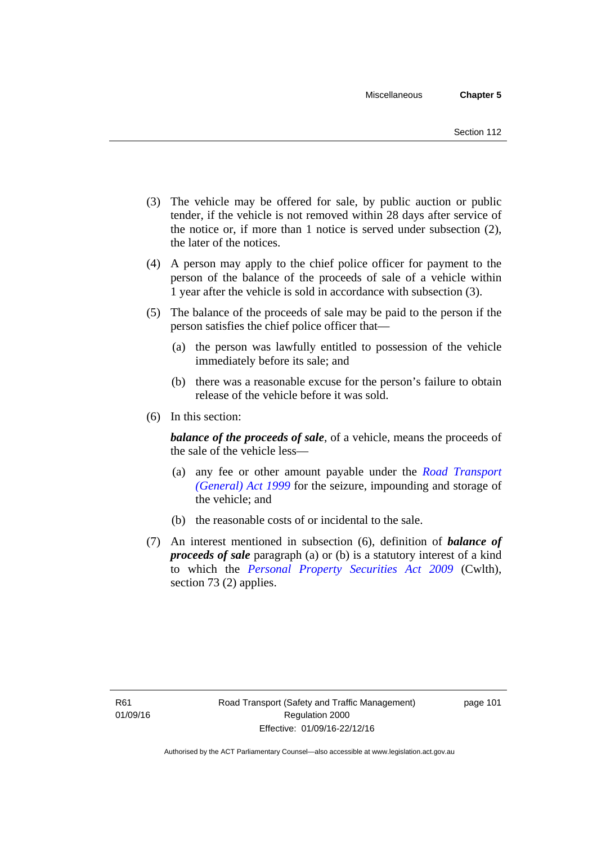- (3) The vehicle may be offered for sale, by public auction or public tender, if the vehicle is not removed within 28 days after service of the notice or, if more than 1 notice is served under subsection (2), the later of the notices.
- (4) A person may apply to the chief police officer for payment to the person of the balance of the proceeds of sale of a vehicle within 1 year after the vehicle is sold in accordance with subsection (3).
- (5) The balance of the proceeds of sale may be paid to the person if the person satisfies the chief police officer that—
	- (a) the person was lawfully entitled to possession of the vehicle immediately before its sale; and
	- (b) there was a reasonable excuse for the person's failure to obtain release of the vehicle before it was sold.
- (6) In this section:

*balance of the proceeds of sale*, of a vehicle, means the proceeds of the sale of the vehicle less—

- (a) any fee or other amount payable under the *[Road Transport](http://www.legislation.act.gov.au/a/1999-77)  [\(General\) Act 1999](http://www.legislation.act.gov.au/a/1999-77)* for the seizure, impounding and storage of the vehicle; and
- (b) the reasonable costs of or incidental to the sale.
- (7) An interest mentioned in subsection (6), definition of *balance of proceeds of sale* paragraph (a) or (b) is a statutory interest of a kind to which the *[Personal Property Securities Act 2009](http://www.comlaw.gov.au/Series/C2009A00130)* (Cwlth), section 73 (2) applies.

page 101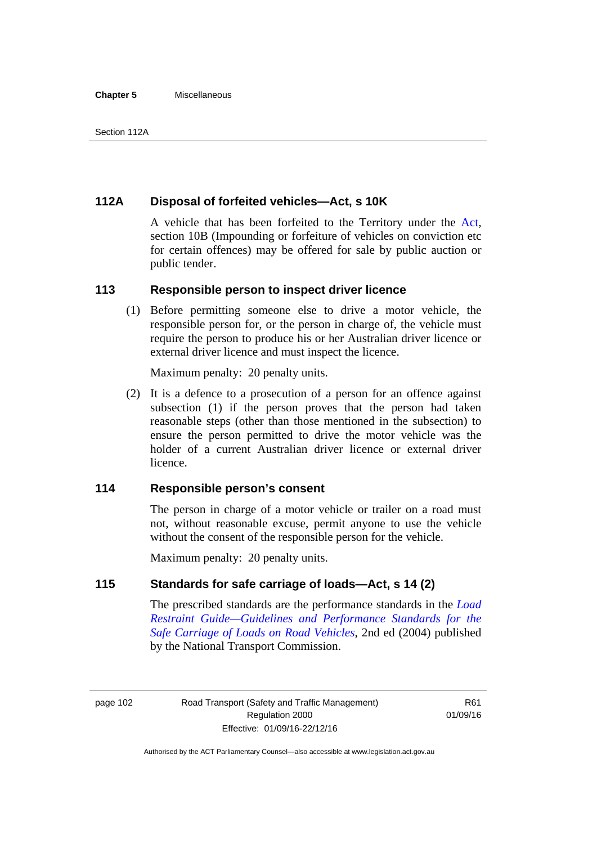#### **Chapter 5** Miscellaneous

# **112A Disposal of forfeited vehicles—Act, s 10K**

A vehicle that has been forfeited to the Territory under the [Act](http://www.legislation.act.gov.au/a/1999-80/default.asp), section 10B (Impounding or forfeiture of vehicles on conviction etc for certain offences) may be offered for sale by public auction or public tender.

# **113 Responsible person to inspect driver licence**

(1) Before permitting someone else to drive a motor vehicle, the responsible person for, or the person in charge of, the vehicle must require the person to produce his or her Australian driver licence or external driver licence and must inspect the licence.

Maximum penalty: 20 penalty units.

 (2) It is a defence to a prosecution of a person for an offence against subsection (1) if the person proves that the person had taken reasonable steps (other than those mentioned in the subsection) to ensure the person permitted to drive the motor vehicle was the holder of a current Australian driver licence or external driver licence.

# **114 Responsible person's consent**

The person in charge of a motor vehicle or trailer on a road must not, without reasonable excuse, permit anyone to use the vehicle without the consent of the responsible person for the vehicle.

Maximum penalty: 20 penalty units.

# **115 Standards for safe carriage of loads—Act, s 14 (2)**

The prescribed standards are the performance standards in the *[Load](http://www.ntc.gov.au/viewpage.aspx?documentid=862)  [Restraint Guide—Guidelines and Performance Standards for the](http://www.ntc.gov.au/viewpage.aspx?documentid=862)  [Safe Carriage of Loads on Road Vehicles](http://www.ntc.gov.au/viewpage.aspx?documentid=862)*, 2nd ed (2004) published by the National Transport Commission.

page 102 Road Transport (Safety and Traffic Management) Regulation 2000 Effective: 01/09/16-22/12/16

R61 01/09/16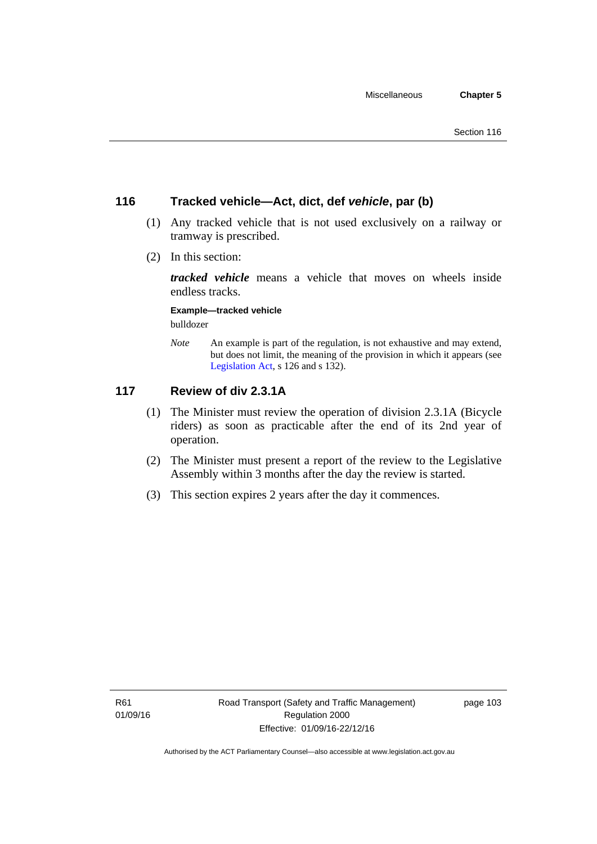# **116 Tracked vehicle—Act, dict, def** *vehicle***, par (b)**

- (1) Any tracked vehicle that is not used exclusively on a railway or tramway is prescribed.
- (2) In this section:

*tracked vehicle* means a vehicle that moves on wheels inside endless tracks.

**Example—tracked vehicle** 

bulldozer

*Note* An example is part of the regulation, is not exhaustive and may extend, but does not limit, the meaning of the provision in which it appears (see [Legislation Act,](http://www.legislation.act.gov.au/a/2001-14) s 126 and s 132).

# **117 Review of div 2.3.1A**

- (1) The Minister must review the operation of division 2.3.1A (Bicycle riders) as soon as practicable after the end of its 2nd year of operation.
- (2) The Minister must present a report of the review to the Legislative Assembly within 3 months after the day the review is started.
- (3) This section expires 2 years after the day it commences.

page 103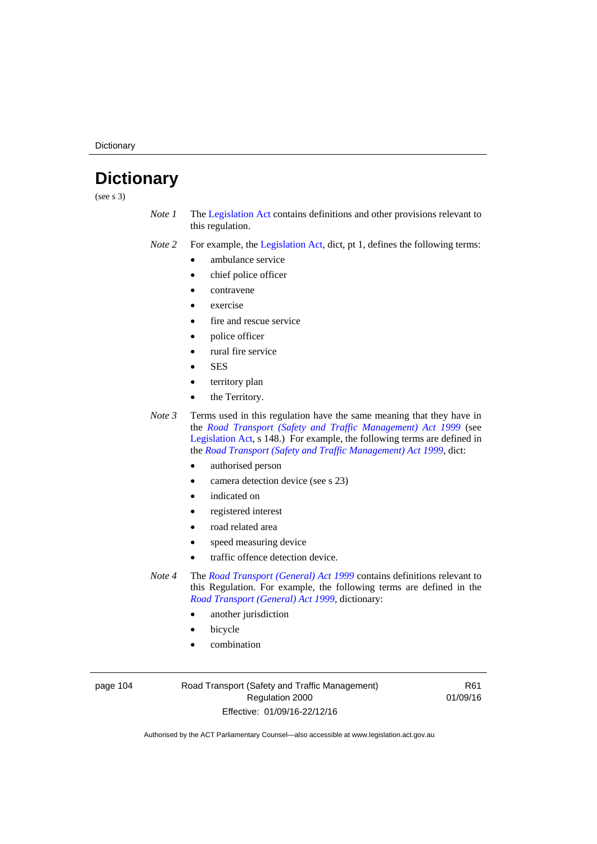**Dictionary** 

# **Dictionary**

(see s 3)

- *Note 1* The [Legislation Act](http://www.legislation.act.gov.au/a/2001-14) contains definitions and other provisions relevant to this regulation.
- *Note 2* For example, the [Legislation Act,](http://www.legislation.act.gov.au/a/2001-14) dict, pt 1, defines the following terms:
	- ambulance service
	- chief police officer
	- contravene
	- exercise
	- fire and rescue service
	- police officer
	- rural fire service
	- **SES**
	- territory plan
	- the Territory.

*Note 3* Terms used in this regulation have the same meaning that they have in the *[Road Transport \(Safety and Traffic Management\) Act 1999](http://www.legislation.act.gov.au/a/1999-80)* (see [Legislation Act,](http://www.legislation.act.gov.au/a/2001-14) s 148.) For example, the following terms are defined in the *[Road Transport \(Safety and Traffic Management\) Act 1999](http://www.legislation.act.gov.au/a/1999-80)*, dict:

- authorised person
- camera detection device (see s 23)
- indicated on
- registered interest
- road related area
- speed measuring device
- traffic offence detection device.

*Note 4* The *[Road Transport \(General\) Act 1999](http://www.legislation.act.gov.au/a/1999-77)* contains definitions relevant to this Regulation. For example, the following terms are defined in the *[Road Transport \(General\) Act 1999](http://www.legislation.act.gov.au/a/1999-77)*, dictionary:

- another jurisdiction
- bicycle
- combination

page 104 Road Transport (Safety and Traffic Management) Regulation 2000 Effective: 01/09/16-22/12/16

R61 01/09/16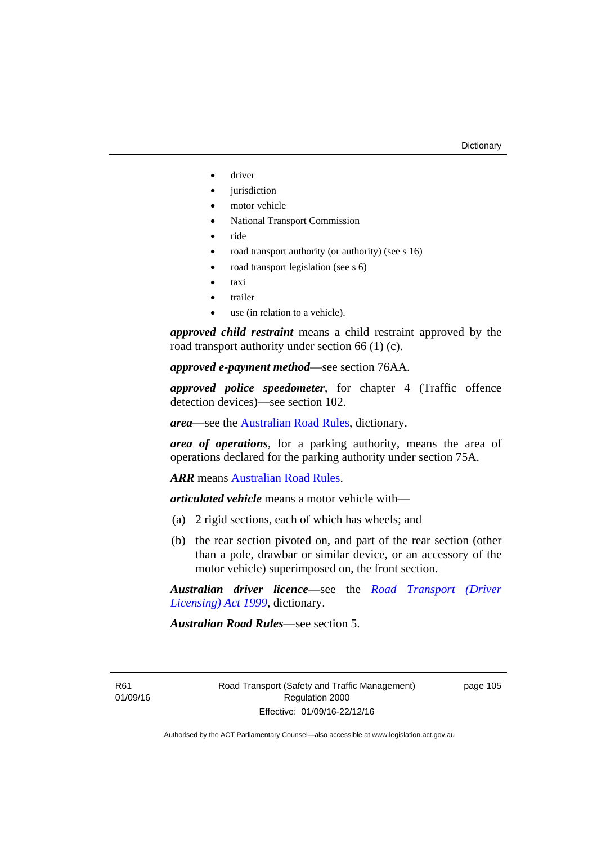- driver
- jurisdiction
- motor vehicle
- National Transport Commission
- ride
- road transport authority (or authority) (see s 16)
- road transport legislation (see s 6)
- taxi
- trailer
- use (in relation to a vehicle).

*approved child restraint* means a child restraint approved by the road transport authority under section 66 (1) (c).

*approved e-payment method*—see section 76AA.

*approved police speedometer*, for chapter 4 (Traffic offence detection devices)—see section 102.

*area*—see the [Australian Road Rules,](http://www.legislation.act.gov.au//ni/db_37271/default.asp) dictionary.

*area of operations*, for a parking authority, means the area of operations declared for the parking authority under section 75A.

*ARR* means [Australian Road Rules](http://www.legislation.act.gov.au//ni/db_37271/default.asp).

*articulated vehicle* means a motor vehicle with—

- (a) 2 rigid sections, each of which has wheels; and
- (b) the rear section pivoted on, and part of the rear section (other than a pole, drawbar or similar device, or an accessory of the motor vehicle) superimposed on, the front section.

*Australian driver licence*—see the *[Road Transport \(Driver](http://www.legislation.act.gov.au/a/1999-78)  [Licensing\) Act 1999](http://www.legislation.act.gov.au/a/1999-78)*, dictionary.

*Australian Road Rules*—see section 5.

R61 01/09/16 page 105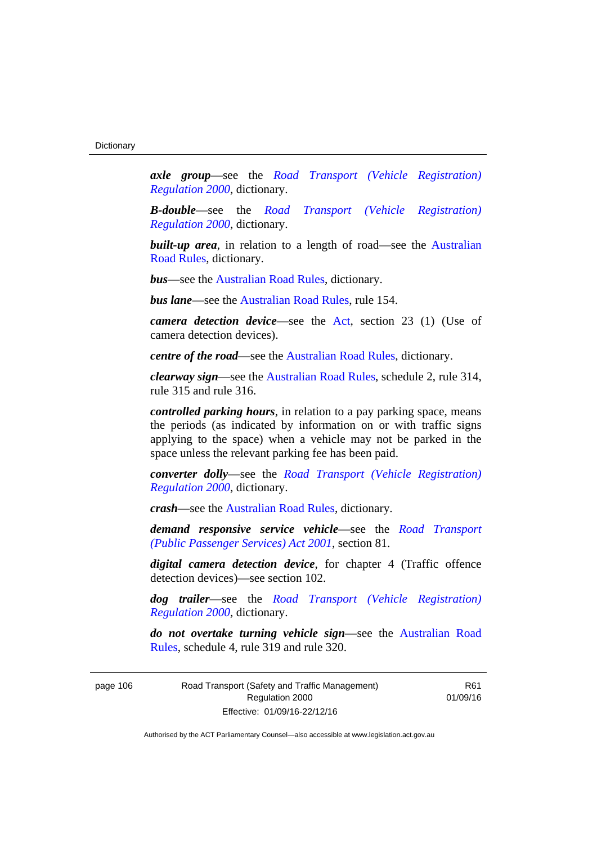*axle group*—see the *[Road Transport \(Vehicle Registration\)](http://www.legislation.act.gov.au/sl/2000-12)  [Regulation 2000](http://www.legislation.act.gov.au/sl/2000-12)*, dictionary.

*B-double*—see the *[Road Transport \(Vehicle Registration\)](http://www.legislation.act.gov.au/sl/2000-12)  [Regulation 2000](http://www.legislation.act.gov.au/sl/2000-12)*, dictionary.

**built-up area**, in relation to a length of road—see the Australian [Road Rules,](http://www.legislation.act.gov.au//ni/db_37271/default.asp) dictionary.

*bus*—see the [Australian Road Rules,](http://www.legislation.act.gov.au//ni/db_37271/default.asp) dictionary.

*bus lane*—see the [Australian Road Rules](http://www.legislation.act.gov.au//ni/db_37271/default.asp), rule 154.

*camera detection device*—see the [Act](http://www.legislation.act.gov.au/a/1999-80/default.asp), section 23 (1) (Use of camera detection devices).

*centre of the road*—see the [Australian Road Rules](http://www.legislation.act.gov.au//ni/db_37271/default.asp), dictionary.

*clearway sign*—see the [Australian Road Rules,](http://www.legislation.act.gov.au//ni/db_37271/default.asp) schedule 2, rule 314, rule 315 and rule 316.

*controlled parking hours*, in relation to a pay parking space, means the periods (as indicated by information on or with traffic signs applying to the space) when a vehicle may not be parked in the space unless the relevant parking fee has been paid.

*converter dolly*—see the *[Road Transport \(Vehicle Registration\)](http://www.legislation.act.gov.au/sl/2000-12)  [Regulation 2000](http://www.legislation.act.gov.au/sl/2000-12)*, dictionary.

*crash*—see the [Australian Road Rules](http://www.legislation.act.gov.au//ni/db_37271/default.asp), dictionary.

*demand responsive service vehicle*—see the *[Road Transport](http://www.legislation.act.gov.au/a/2001-62)  [\(Public Passenger Services\) Act 2001](http://www.legislation.act.gov.au/a/2001-62)*, section 81.

*digital camera detection device*, for chapter 4 (Traffic offence detection devices)—see section 102.

*dog trailer*—see the *[Road Transport \(Vehicle Registration\)](http://www.legislation.act.gov.au/sl/2000-12)  [Regulation 2000](http://www.legislation.act.gov.au/sl/2000-12)*, dictionary.

*do not overtake turning vehicle sign*—see the [Australian Road](http://www.legislation.act.gov.au//ni/db_37271/default.asp)  [Rules](http://www.legislation.act.gov.au//ni/db_37271/default.asp), schedule 4, rule 319 and rule 320.

page 106 Road Transport (Safety and Traffic Management) Regulation 2000 Effective: 01/09/16-22/12/16

R61 01/09/16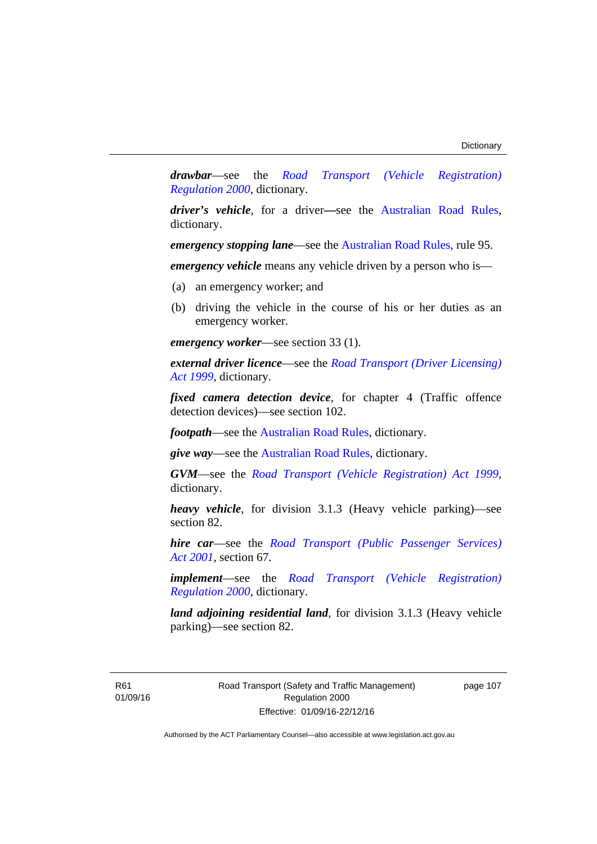*drawbar*—see the *[Road Transport \(Vehicle Registration\)](http://www.legislation.act.gov.au/sl/2000-12)  [Regulation 2000](http://www.legislation.act.gov.au/sl/2000-12)*, dictionary.

*driver's vehicle*, for a driver*—*see the [Australian Road Rules](http://www.legislation.act.gov.au//ni/db_37271/default.asp), dictionary.

*emergency stopping lane—see the [Australian Road Rules](http://www.legislation.act.gov.au//ni/db_37271/default.asp), rule 95.* 

*emergency vehicle* means any vehicle driven by a person who is—

- (a) an emergency worker; and
- (b) driving the vehicle in the course of his or her duties as an emergency worker.

*emergency worker*—see section 33 (1).

*external driver licence*—see the *[Road Transport \(Driver Licensing\)](http://www.legislation.act.gov.au/a/1999-78)  [Act 1999](http://www.legislation.act.gov.au/a/1999-78)*, dictionary.

*fixed camera detection device*, for chapter 4 (Traffic offence detection devices)—see section 102.

*footpath*—see the [Australian Road Rules](http://www.legislation.act.gov.au//ni/db_37271/default.asp), dictionary.

*give way*—see the [Australian Road Rules](http://www.legislation.act.gov.au//ni/db_37271/default.asp), dictionary.

*GVM*—see the *[Road Transport \(Vehicle Registration\) Act 1999](http://www.legislation.act.gov.au/a/1999-81)*, dictionary.

*heavy vehicle*, for division 3.1.3 (Heavy vehicle parking)—see section 82.

*hire car*—see the *[Road Transport \(Public Passenger Services\)](http://www.legislation.act.gov.au/a/2001-62)  [Act 2001](http://www.legislation.act.gov.au/a/2001-62)*, section 67.

*implement*—see the *[Road Transport \(Vehicle Registration\)](http://www.legislation.act.gov.au/sl/2000-12)  [Regulation 2000](http://www.legislation.act.gov.au/sl/2000-12)*, dictionary.

*land adjoining residential land*, for division 3.1.3 (Heavy vehicle parking)—see section 82.

R61 01/09/16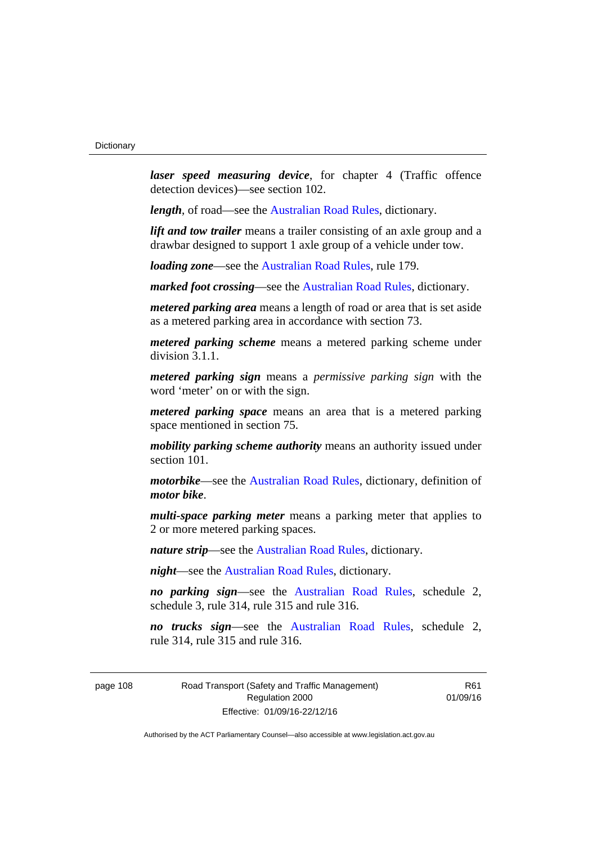*laser speed measuring device*, for chapter 4 (Traffic offence detection devices)—see section 102.

*length*, of road—see the [Australian Road Rules](http://www.legislation.act.gov.au//ni/db_37271/default.asp), dictionary.

*lift and tow trailer* means a trailer consisting of an axle group and a drawbar designed to support 1 axle group of a vehicle under tow.

*loading zone*—see the [Australian Road Rules,](http://www.legislation.act.gov.au//ni/db_37271/default.asp) rule 179.

*marked foot crossing*—see the [Australian Road Rules,](http://www.legislation.act.gov.au//ni/db_37271/default.asp) dictionary.

*metered parking area* means a length of road or area that is set aside as a metered parking area in accordance with section 73.

*metered parking scheme* means a metered parking scheme under division 3.1.1.

*metered parking sign* means a *permissive parking sign* with the word 'meter' on or with the sign.

*metered parking space* means an area that is a metered parking space mentioned in section 75.

*mobility parking scheme authority* means an authority issued under section 101.

*motorbike*—see the [Australian Road Rules,](http://www.legislation.act.gov.au//ni/db_37271/default.asp) dictionary, definition of *motor bike*.

*multi-space parking meter* means a parking meter that applies to 2 or more metered parking spaces.

*nature strip*—see the [Australian Road Rules](http://www.legislation.act.gov.au//ni/db_37271/default.asp), dictionary.

*night*—see the [Australian Road Rules,](http://www.legislation.act.gov.au//ni/db_37271/default.asp) dictionary.

*no parking sign*—see the [Australian Road Rules](http://www.legislation.act.gov.au//ni/db_37271/default.asp), schedule 2, schedule 3, rule 314, rule 315 and rule 316.

*no trucks sign*—see the [Australian Road Rules,](http://www.legislation.act.gov.au//ni/db_37271/default.asp) schedule 2, rule 314, rule 315 and rule 316.

page 108 Road Transport (Safety and Traffic Management) Regulation 2000 Effective: 01/09/16-22/12/16

R61 01/09/16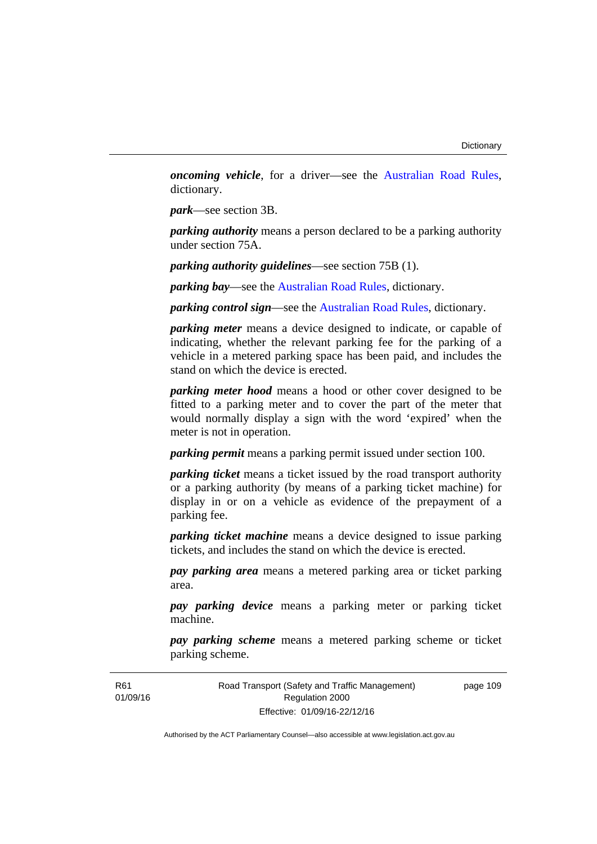*oncoming vehicle*, for a driver—see the [Australian Road Rules](http://www.legislation.act.gov.au//ni/db_37271/default.asp), dictionary.

*park*—see section 3B.

*parking authority* means a person declared to be a parking authority under section 75A.

*parking authority guidelines*—see section 75B (1).

*parking bay*—see the [Australian Road Rules,](http://www.legislation.act.gov.au//ni/db_37271/default.asp) dictionary.

*parking control sign*—see the [Australian Road Rules](http://www.legislation.act.gov.au//ni/db_37271/default.asp), dictionary.

*parking meter* means a device designed to indicate, or capable of indicating, whether the relevant parking fee for the parking of a vehicle in a metered parking space has been paid, and includes the stand on which the device is erected.

*parking meter hood* means a hood or other cover designed to be fitted to a parking meter and to cover the part of the meter that would normally display a sign with the word 'expired' when the meter is not in operation.

*parking permit* means a parking permit issued under section 100.

*parking ticket* means a ticket issued by the road transport authority or a parking authority (by means of a parking ticket machine) for display in or on a vehicle as evidence of the prepayment of a parking fee.

*parking ticket machine* means a device designed to issue parking tickets, and includes the stand on which the device is erected.

*pay parking area* means a metered parking area or ticket parking area.

*pay parking device* means a parking meter or parking ticket machine.

*pay parking scheme* means a metered parking scheme or ticket parking scheme.

Road Transport (Safety and Traffic Management) Regulation 2000 Effective: 01/09/16-22/12/16

page 109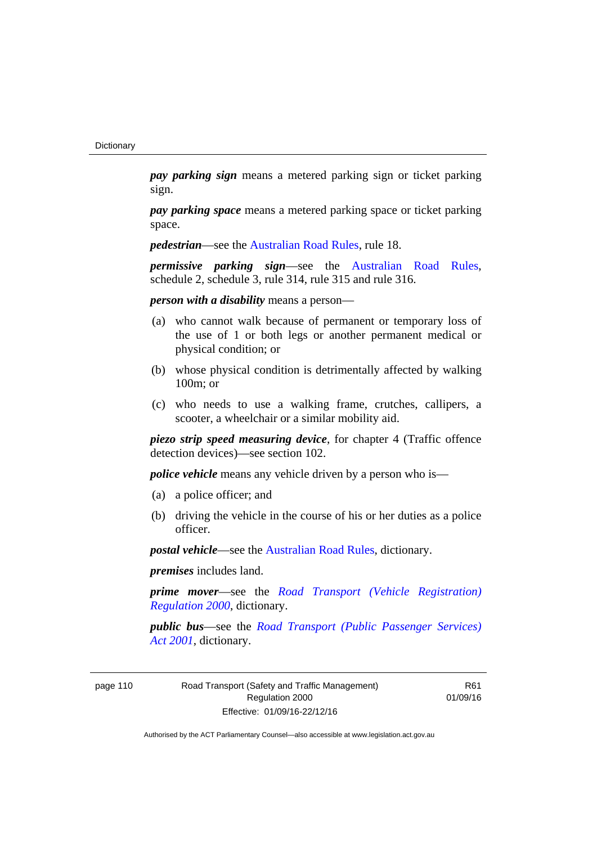*pay parking sign* means a metered parking sign or ticket parking sign.

*pay parking space* means a metered parking space or ticket parking space.

*pedestrian***—see the [Australian Road Rules](http://www.legislation.act.gov.au//ni/db_37271/default.asp)**, rule 18.

*permissive parking sign*—see the [Australian Road Rules](http://www.legislation.act.gov.au//ni/db_37271/default.asp), schedule 2, schedule 3, rule 314, rule 315 and rule 316.

*person with a disability* means a person—

- (a) who cannot walk because of permanent or temporary loss of the use of 1 or both legs or another permanent medical or physical condition; or
- (b) whose physical condition is detrimentally affected by walking 100m; or
- (c) who needs to use a walking frame, crutches, callipers, a scooter, a wheelchair or a similar mobility aid.

*piezo strip speed measuring device*, for chapter 4 (Traffic offence detection devices)—see section 102.

*police vehicle* means any vehicle driven by a person who is—

- (a) a police officer; and
- (b) driving the vehicle in the course of his or her duties as a police officer.

*postal vehicle*—see the [Australian Road Rules,](http://www.legislation.act.gov.au//ni/db_37271/default.asp) dictionary.

*premises* includes land.

*prime mover*—see the *[Road Transport \(Vehicle Registration\)](http://www.legislation.act.gov.au/sl/2000-12)  [Regulation 2000](http://www.legislation.act.gov.au/sl/2000-12)*, dictionary.

*public bus*—see the *[Road Transport \(Public Passenger Services\)](http://www.legislation.act.gov.au/a/2001-62)  [Act 2001](http://www.legislation.act.gov.au/a/2001-62)*, dictionary.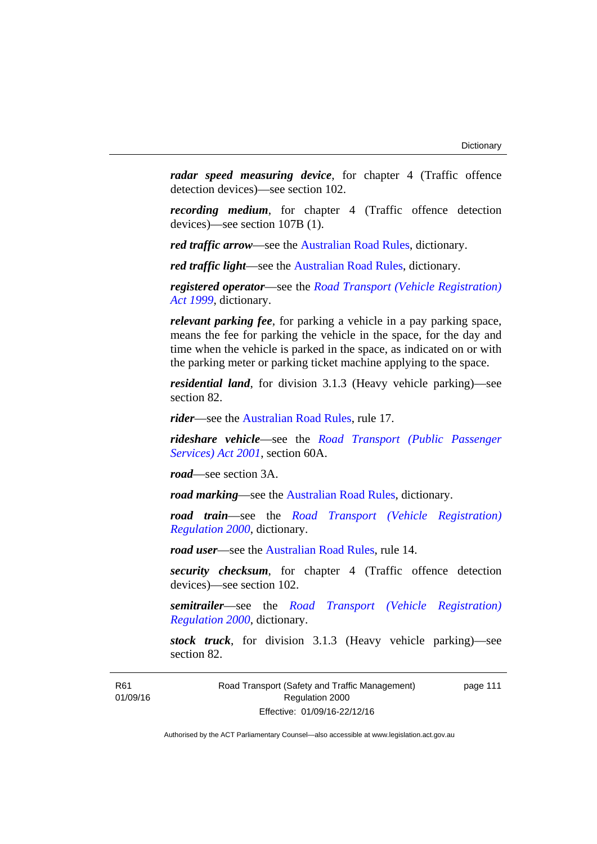*radar speed measuring device*, for chapter 4 (Traffic offence detection devices)—see section 102.

*recording medium*, for chapter 4 (Traffic offence detection devices)—see section 107B (1).

*red traffic arrow*—see the [Australian Road Rules,](http://www.legislation.act.gov.au//ni/db_37271/default.asp) dictionary.

*red traffic light*—see the [Australian Road Rules](http://www.legislation.act.gov.au//ni/db_37271/default.asp), dictionary.

*registered operator*—see the *[Road Transport \(Vehicle Registration\)](http://www.legislation.act.gov.au/a/1999-81)  [Act 1999](http://www.legislation.act.gov.au/a/1999-81)*, dictionary.

*relevant parking fee*, for parking a vehicle in a pay parking space, means the fee for parking the vehicle in the space, for the day and time when the vehicle is parked in the space, as indicated on or with the parking meter or parking ticket machine applying to the space.

*residential land*, for division 3.1.3 (Heavy vehicle parking)—see section 82.

*rider*—see the [Australian Road Rules,](http://www.legislation.act.gov.au//ni/db_37271/default.asp) rule 17.

*rideshare vehicle*—see the *[Road Transport \(Public Passenger](http://www.legislation.act.gov.au/a/2001-62)  [Services\) Act 2001](http://www.legislation.act.gov.au/a/2001-62)*, section 60A.

*road*—see section 3A.

*road marking*—see the [Australian Road Rules](http://www.legislation.act.gov.au//ni/db_37271/default.asp), dictionary.

*road train*—see the *[Road Transport \(Vehicle Registration\)](http://www.legislation.act.gov.au/sl/2000-12)  [Regulation 2000](http://www.legislation.act.gov.au/sl/2000-12)*, dictionary.

*road user*—see the [Australian Road Rules,](http://www.legislation.act.gov.au//ni/db_37271/default.asp) rule 14.

*security checksum*, for chapter 4 (Traffic offence detection devices)—see section 102.

*semitrailer*—see the *[Road Transport \(Vehicle Registration\)](http://www.legislation.act.gov.au/sl/2000-12)  [Regulation 2000](http://www.legislation.act.gov.au/sl/2000-12)*, dictionary.

*stock truck*, for division 3.1.3 (Heavy vehicle parking)—see section 82.

R61 01/09/16 Road Transport (Safety and Traffic Management) Regulation 2000 Effective: 01/09/16-22/12/16

page 111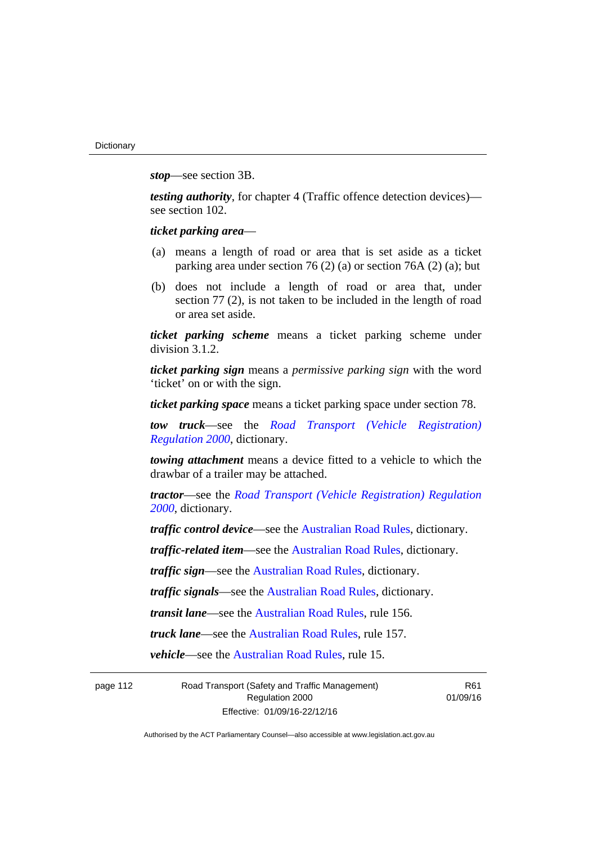*stop*—see section 3B.

*testing authority*, for chapter 4 (Traffic offence detection devices) see section 102.

*ticket parking area*—

- (a) means a length of road or area that is set aside as a ticket parking area under section 76 (2) (a) or section 76A (2) (a); but
- (b) does not include a length of road or area that, under section 77 (2), is not taken to be included in the length of road or area set aside.

*ticket parking scheme* means a ticket parking scheme under division 3.1.2.

*ticket parking sign* means a *permissive parking sign* with the word 'ticket' on or with the sign.

*ticket parking space* means a ticket parking space under section 78.

*tow truck*—see the *[Road Transport \(Vehicle Registration\)](http://www.legislation.act.gov.au/sl/2000-12)  [Regulation 2000](http://www.legislation.act.gov.au/sl/2000-12)*, dictionary.

*towing attachment* means a device fitted to a vehicle to which the drawbar of a trailer may be attached.

*tractor*—see the *[Road Transport \(Vehicle Registration\) Regulation](http://www.legislation.act.gov.au/sl/2000-12)  [2000](http://www.legislation.act.gov.au/sl/2000-12)*, dictionary.

*traffic control device*—see the [Australian Road Rules](http://www.legislation.act.gov.au//ni/db_37271/default.asp), dictionary.

*traffic-related item*—see the [Australian Road Rules,](http://www.legislation.act.gov.au//ni/db_37271/default.asp) dictionary.

*traffic sign*—see the [Australian Road Rules](http://www.legislation.act.gov.au//ni/db_37271/default.asp), dictionary.

*traffic signals*—see the [Australian Road Rules](http://www.legislation.act.gov.au//ni/db_37271/default.asp), dictionary.

*transit lane*—see the [Australian Road Rules,](http://www.legislation.act.gov.au//ni/db_37271/default.asp) rule 156.

*truck lane*—see the [Australian Road Rules,](http://www.legislation.act.gov.au//ni/db_37271/default.asp) rule 157.

*vehicle*—see the [Australian Road Rules](http://www.legislation.act.gov.au//ni/db_37271/default.asp), rule 15.

page 112 Road Transport (Safety and Traffic Management) Regulation 2000 Effective: 01/09/16-22/12/16

R61 01/09/16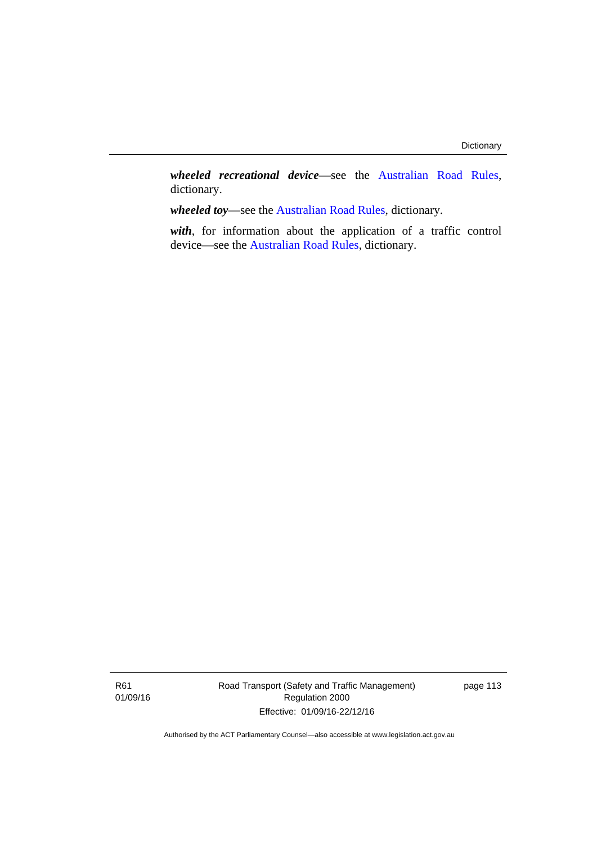*wheeled recreational device*—see the [Australian Road Rules](http://www.legislation.act.gov.au//ni/db_37271/default.asp), dictionary.

*wheeled toy*—see the [Australian Road Rules](http://www.legislation.act.gov.au//ni/db_37271/default.asp), dictionary.

*with*, for information about the application of a traffic control device—see the [Australian Road Rules](http://www.legislation.act.gov.au//ni/db_37271/default.asp), dictionary.

R61 01/09/16 Road Transport (Safety and Traffic Management) Regulation 2000 Effective: 01/09/16-22/12/16

page 113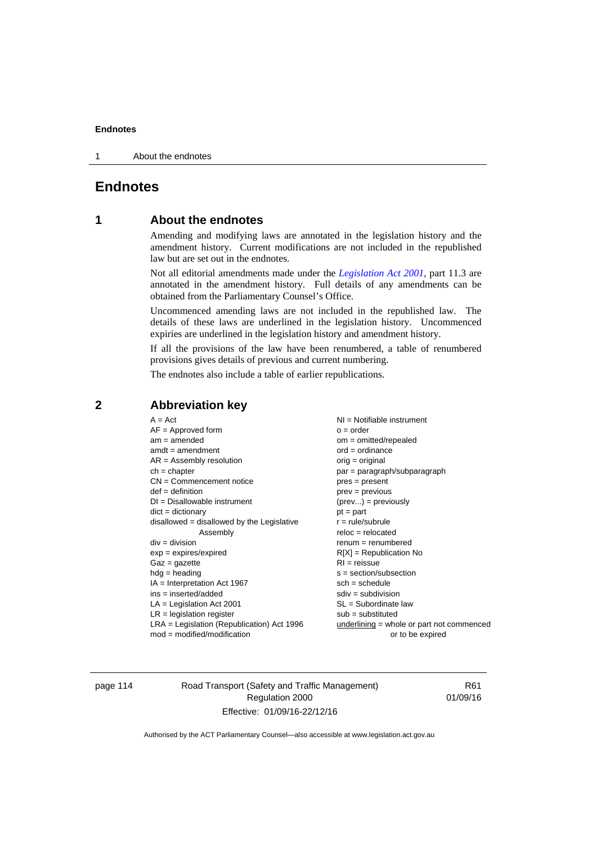1 About the endnotes

# **Endnotes**

# **1 About the endnotes**

Amending and modifying laws are annotated in the legislation history and the amendment history. Current modifications are not included in the republished law but are set out in the endnotes.

Not all editorial amendments made under the *[Legislation Act 2001](http://www.legislation.act.gov.au/a/2001-14)*, part 11.3 are annotated in the amendment history. Full details of any amendments can be obtained from the Parliamentary Counsel's Office.

Uncommenced amending laws are not included in the republished law. The details of these laws are underlined in the legislation history. Uncommenced expiries are underlined in the legislation history and amendment history.

If all the provisions of the law have been renumbered, a table of renumbered provisions gives details of previous and current numbering.

The endnotes also include a table of earlier republications.

| $A = Act$                                    | $NI =$ Notifiable instrument              |
|----------------------------------------------|-------------------------------------------|
| $AF =$ Approved form                         | $o = order$                               |
| $am = amended$                               | $om = omitted/repealed$                   |
| $amdt = amendment$                           | $ord = ordinance$                         |
| $AR = Assembly$ resolution                   | $orig = original$                         |
| $ch = chapter$                               | par = paragraph/subparagraph              |
| $CN =$ Commencement notice                   | $pres = present$                          |
| $def = definition$                           | prev = previous                           |
| $DI = Disallowable instrument$               | $(\text{prev}) = \text{previously}$       |
| $dict = dictionary$                          | $pt = part$                               |
| $disallowed = disallowed by the Legislative$ | $r = rule/subrule$                        |
| Assembly                                     | $reloc = relocated$                       |
| $div = division$                             | $renum = renumbered$                      |
| $exp = expires/expired$                      | $R[X]$ = Republication No                 |
| $Gaz = gazette$                              | $RI = reissue$                            |
| $hdg =$ heading                              | $s = section/subsection$                  |
| $IA = Interpretation Act 1967$               | $sch = schedule$                          |
| $ins = inserted/added$                       | $sdiv = subdivision$                      |
| $LA =$ Legislation Act 2001                  | $SL = Subordinate$ law                    |
| $LR =$ legislation register                  | $sub =$ substituted                       |
| $LRA =$ Legislation (Republication) Act 1996 | underlining = whole or part not commenced |
| $mod = modified/modification$                | or to be expired                          |
|                                              |                                           |

# **2 Abbreviation key**

page 114 Road Transport (Safety and Traffic Management) Regulation 2000 Effective: 01/09/16-22/12/16

R61 01/09/16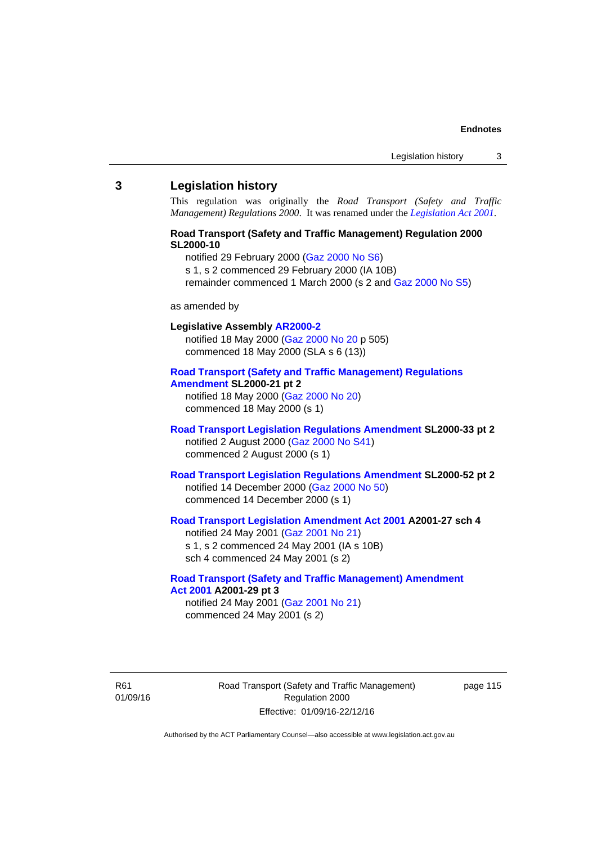## **3 Legislation history**

This regulation was originally the *Road Transport (Safety and Traffic Management) Regulations 2000*. It was renamed under the *[Legislation Act 2001](http://www.legislation.act.gov.au/a/2001-14)*.

# **Road Transport (Safety and Traffic Management) Regulation 2000 SL2000-10**

notified 29 February 2000 [\(Gaz 2000 No S6](http://www.legislation.act.gov.au/gaz/2000-S6/default.asp))

s 1, s 2 commenced 29 February 2000 (IA 10B)

remainder commenced 1 March 2000 (s 2 and [Gaz 2000 No S5\)](http://www.legislation.act.gov.au/gaz/2000-S5/default.asp)

#### as amended by

# **Legislative Assembly [AR2000-2](http://www.legislation.act.gov.au/ar/2000-2/default.asp)**

notified 18 May 2000 ([Gaz 2000 No 20 p](http://www.legislation.act.gov.au/gaz/2000-20/default.asp) 505) commenced 18 May 2000 (SLA s 6 (13))

#### **[Road Transport \(Safety and Traffic Management\) Regulations](http://www.legislation.act.gov.au/sl/2000-21/default.asp)  [Amendment](http://www.legislation.act.gov.au/sl/2000-21/default.asp) SL2000-21 pt 2**

notified 18 May 2000 ([Gaz 2000 No 20\)](http://www.legislation.act.gov.au/gaz/2000-20/default.asp) commenced 18 May 2000 (s 1)

## **[Road Transport Legislation Regulations Amendment](http://www.legislation.act.gov.au/sl/2000-33/default.asp) SL2000-33 pt 2**  notified 2 August 2000 ([Gaz 2000 No S41](http://www.legislation.act.gov.au/gaz/2000-S41/default.asp)) commenced 2 August 2000 (s 1)

# **[Road Transport Legislation Regulations Amendment](http://www.legislation.act.gov.au/sl/2000-52/default.asp) SL2000-52 pt 2**  notified 14 December 2000 [\(Gaz 2000 No 50](http://www.legislation.act.gov.au/gaz/2000-50/default.asp)) commenced 14 December 2000 (s 1)

# **[Road Transport Legislation Amendment Act 2001](http://www.legislation.act.gov.au/a/2001-27) A2001-27 sch 4**

notified 24 May 2001 ([Gaz 2001 No 21\)](http://www.legislation.act.gov.au/gaz/2001-21/default.asp) s 1, s 2 commenced 24 May 2001 (IA s 10B) sch 4 commenced 24 May 2001 (s 2)

## **[Road Transport \(Safety and Traffic Management\) Amendment](http://www.legislation.act.gov.au/a/2001-29)  [Act 2001](http://www.legislation.act.gov.au/a/2001-29) A2001-29 pt 3**  notified 24 May 2001 ([Gaz 2001 No 21\)](http://www.legislation.act.gov.au/gaz/2001-21/default.asp)

commenced 24 May 2001 (s 2)

R61 01/09/16 Road Transport (Safety and Traffic Management) Regulation 2000 Effective: 01/09/16-22/12/16

page 115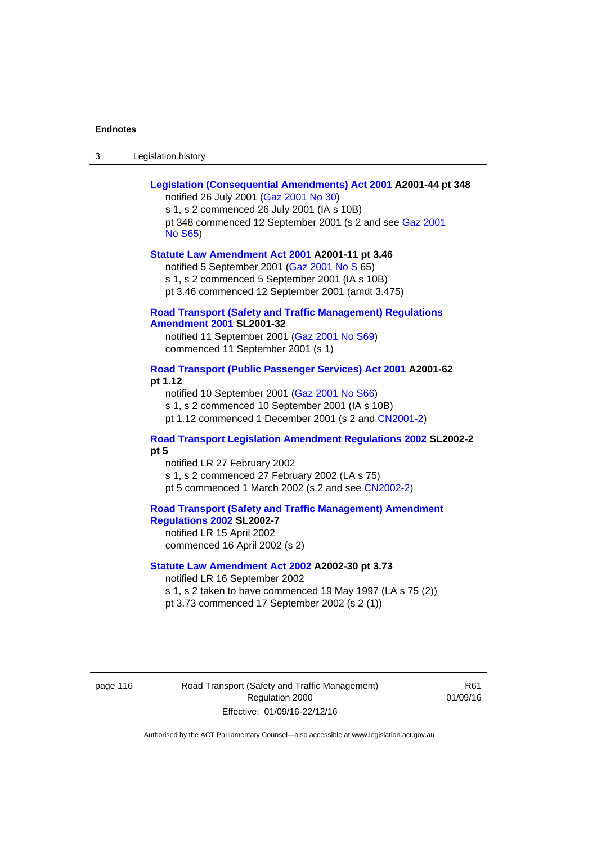| Legislation history<br>-3 |
|---------------------------|
|---------------------------|

| Legislation (Consequential Amendments) Act 2001 A2001-44 pt 348<br>notified 26 July 2001 (Gaz 2001 No 30)<br>s 1, s 2 commenced 26 July 2001 (IA s 10B)                                                                            |
|------------------------------------------------------------------------------------------------------------------------------------------------------------------------------------------------------------------------------------|
| pt 348 commenced 12 September 2001 (s 2 and see Gaz 2001<br><b>No S65)</b>                                                                                                                                                         |
| Statute Law Amendment Act 2001 A2001-11 pt 3.46<br>notified 5 September 2001 (Gaz 2001 No S 65)<br>s 1, s 2 commenced 5 September 2001 (IA s 10B)<br>pt 3.46 commenced 12 September 2001 (amdt 3.475)                              |
| <b>Road Transport (Safety and Traffic Management) Regulations</b><br><b>Amendment 2001 SL2001-32</b>                                                                                                                               |
| notified 11 September 2001 (Gaz 2001 No S69)<br>commenced 11 September 2001 (s 1)                                                                                                                                                  |
| Road Transport (Public Passenger Services) Act 2001 A2001-62<br>pt 1.12<br>notified 10 September 2001 (Gaz 2001 No S66)<br>s 1, s 2 commenced 10 September 2001 (IA s 10B)<br>pt 1.12 commenced 1 December 2001 (s 2 and CN2001-2) |
| Road Transport Legislation Amendment Regulations 2002 SL2002-2<br>pt 5                                                                                                                                                             |
| notified LR 27 February 2002<br>s 1, s 2 commenced 27 February 2002 (LA s 75)<br>pt 5 commenced 1 March 2002 (s 2 and see CN2002-2)                                                                                                |
| <b>Road Transport (Safety and Traffic Management) Amendment</b><br>Regulations 2002 SL2002-7<br>notified LR 15 April 2002<br>commenced 16 April 2002 (s 2)                                                                         |
| Statute Law Amendment Act 2002 A2002-30 pt 3.73<br>notified LR 16 September 2002<br>s 1, s 2 taken to have commenced 19 May 1997 (LA s 75 (2))<br>pt 3.73 commenced 17 September 2002 (s 2 (1))                                    |

page 116 **Road Transport (Safety and Traffic Management)** Regulation 2000 Effective: 01/09/16-22/12/16

R61 01/09/16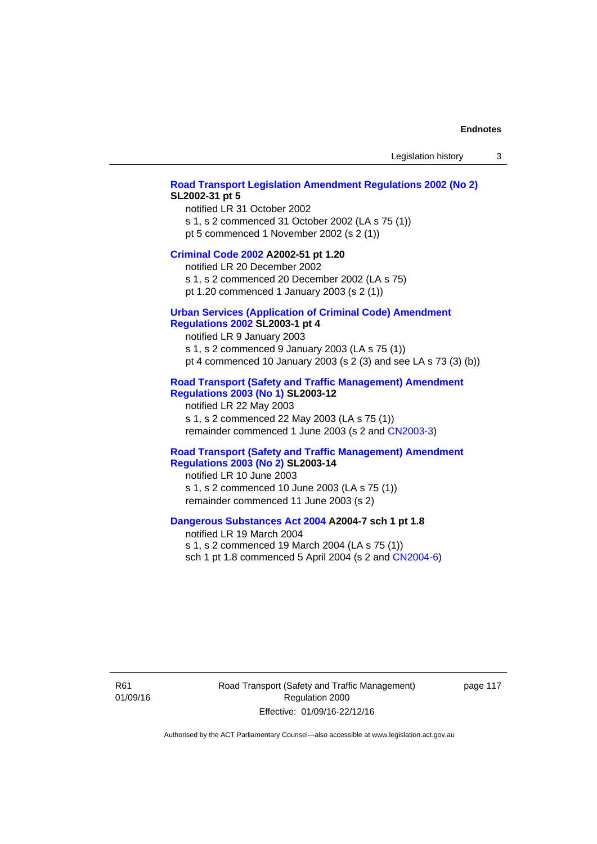## **[Road Transport Legislation Amendment Regulations 2002 \(No 2\)](http://www.legislation.act.gov.au/sl/2002-31) SL2002-31 pt 5**

notified LR 31 October 2002 s 1, s 2 commenced 31 October 2002 (LA s 75 (1)) pt 5 commenced 1 November 2002 (s 2 (1))

#### **[Criminal Code 2002](http://www.legislation.act.gov.au/a/2002-51) A2002-51 pt 1.20**

notified LR 20 December 2002 s 1, s 2 commenced 20 December 2002 (LA s 75)

pt 1.20 commenced 1 January 2003 (s 2 (1))

# **[Urban Services \(Application of Criminal Code\) Amendment](http://www.legislation.act.gov.au/sl/2003-1)**

# **[Regulations 2002](http://www.legislation.act.gov.au/sl/2003-1) SL2003-1 pt 4**

notified LR 9 January 2003 s 1, s 2 commenced 9 January 2003 (LA s 75 (1)) pt 4 commenced 10 January 2003 (s 2 (3) and see LA s 73 (3) (b))

# **[Road Transport \(Safety and Traffic Management\) Amendment](http://www.legislation.act.gov.au/sl/2003-12)  [Regulations 2003 \(No 1\)](http://www.legislation.act.gov.au/sl/2003-12) SL2003-12**

notified LR 22 May 2003 s 1, s 2 commenced 22 May 2003 (LA s 75 (1)) remainder commenced 1 June 2003 (s 2 and [CN2003-3](http://www.legislation.act.gov.au/cn/2003-3/default.asp))

## **[Road Transport \(Safety and Traffic Management\) Amendment](http://www.legislation.act.gov.au/sl/2003-14)  [Regulations 2003 \(No 2\)](http://www.legislation.act.gov.au/sl/2003-14) SL2003-14**

notified LR 10 June 2003 s 1, s 2 commenced 10 June 2003 (LA s 75 (1)) remainder commenced 11 June 2003 (s 2)

## **[Dangerous Substances Act 2004](http://www.legislation.act.gov.au/a/2004-7) A2004-7 sch 1 pt 1.8**

notified LR 19 March 2004 s 1, s 2 commenced 19 March 2004 (LA s 75 (1)) sch 1 pt 1.8 commenced 5 April 2004 (s 2 and [CN2004-6](http://www.legislation.act.gov.au/cn/2004-6/default.asp))

R61 01/09/16 Road Transport (Safety and Traffic Management) Regulation 2000 Effective: 01/09/16-22/12/16

page 117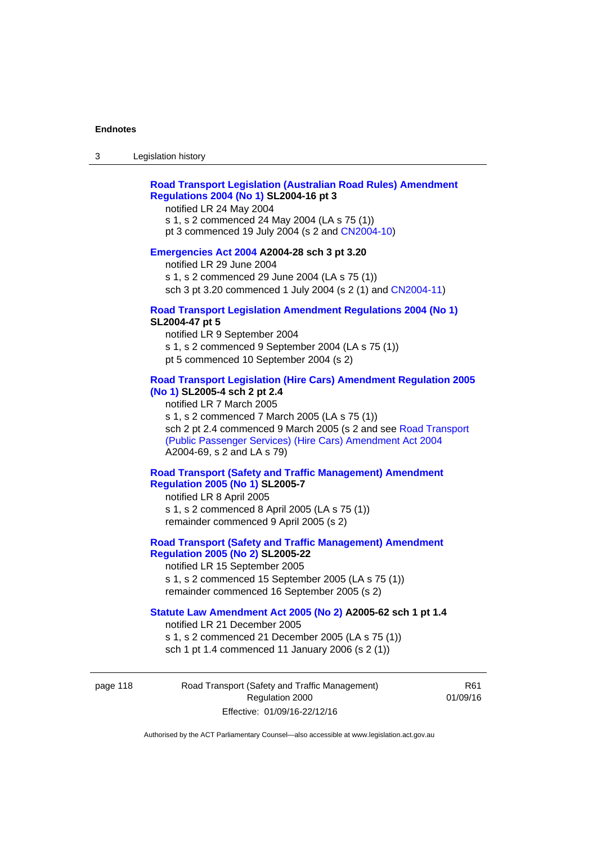# **[Road Transport Legislation \(Australian Road Rules\) Amendment](http://www.legislation.act.gov.au/sl/2004-16)  [Regulations 2004 \(No 1\)](http://www.legislation.act.gov.au/sl/2004-16) SL2004-16 pt 3**

notified LR 24 May 2004

s 1, s 2 commenced 24 May 2004 (LA s 75 (1)) pt 3 commenced 19 July 2004 (s 2 and [CN2004-10](http://www.legislation.act.gov.au/cn/2004-10/default.asp))

# **[Emergencies Act 2004](http://www.legislation.act.gov.au/a/2004-28) A2004-28 sch 3 pt 3.20**

notified LR 29 June 2004 s 1, s 2 commenced 29 June 2004 (LA s 75 (1)) sch 3 pt 3.20 commenced 1 July 2004 (s 2 (1) and [CN2004-11](http://www.legislation.act.gov.au/cn/2004-11/default.asp))

## **[Road Transport Legislation Amendment Regulations 2004 \(No 1\)](http://www.legislation.act.gov.au/sl/2004-47) SL2004-47 pt 5**

notified LR 9 September 2004 s 1, s 2 commenced 9 September 2004 (LA s 75 (1)) pt 5 commenced 10 September 2004 (s 2)

# **[Road Transport Legislation \(Hire Cars\) Amendment Regulation 2005](http://www.legislation.act.gov.au/sl/2005-4)  [\(No 1\)](http://www.legislation.act.gov.au/sl/2005-4) SL2005-4 sch 2 pt 2.4**

notified LR 7 March 2005 s 1, s 2 commenced 7 March 2005 (LA s 75 (1)) sch 2 pt 2.4 commenced 9 March 2005 (s 2 and see [Road Transport](http://www.legislation.act.gov.au/a/2004-69)  [\(Public Passenger Services\) \(Hire Cars\) Amendment Act 2004](http://www.legislation.act.gov.au/a/2004-69) A2004-69, s 2 and LA s 79)

# **[Road Transport \(Safety and Traffic Management\) Amendment](http://www.legislation.act.gov.au/sl/2005-7)  [Regulation 2005 \(No 1\)](http://www.legislation.act.gov.au/sl/2005-7) SL2005-7**

notified LR 8 April 2005 s 1, s 2 commenced 8 April 2005 (LA s 75 (1)) remainder commenced 9 April 2005 (s 2)

# **[Road Transport \(Safety and Traffic Management\) Amendment](http://www.legislation.act.gov.au/sl/2005-22)  [Regulation 2005 \(No 2\)](http://www.legislation.act.gov.au/sl/2005-22) SL2005-22**

notified LR 15 September 2005 s 1, s 2 commenced 15 September 2005 (LA s 75 (1)) remainder commenced 16 September 2005 (s 2)

# **[Statute Law Amendment Act 2005 \(No 2\)](http://www.legislation.act.gov.au/a/2005-62) A2005-62 sch 1 pt 1.4**

notified LR 21 December 2005 s 1, s 2 commenced 21 December 2005 (LA s 75 (1)) sch 1 pt 1.4 commenced 11 January 2006 (s 2 (1))

page 118 Road Transport (Safety and Traffic Management) Regulation 2000 Effective: 01/09/16-22/12/16

R61 01/09/16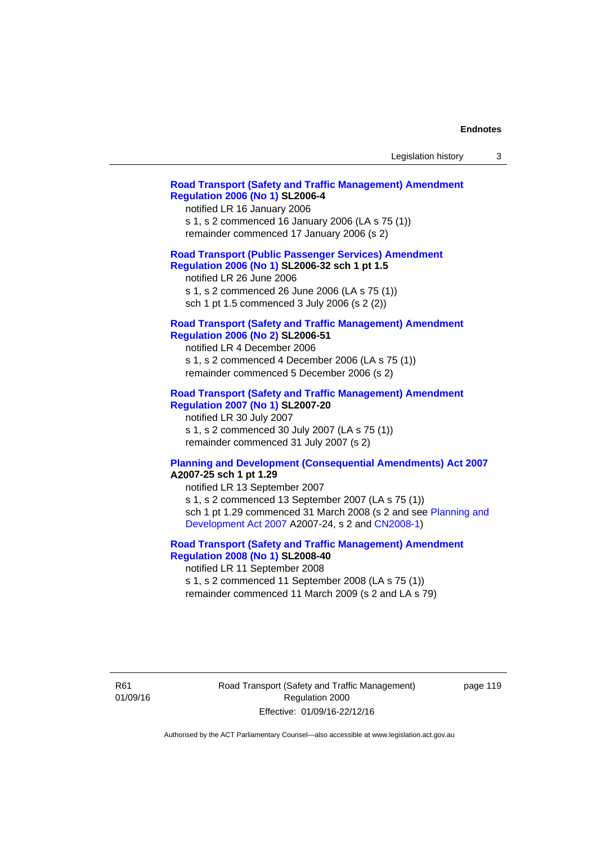| Legislation history |  |
|---------------------|--|
|---------------------|--|

## **[Road Transport \(Safety and Traffic Management\) Amendment](http://www.legislation.act.gov.au/sl/2006-4)  [Regulation 2006 \(No 1\)](http://www.legislation.act.gov.au/sl/2006-4) SL2006-4**

notified LR 16 January 2006 s 1, s 2 commenced 16 January 2006 (LA s 75 (1)) remainder commenced 17 January 2006 (s 2)

## **[Road Transport \(Public Passenger Services\) Amendment](http://www.legislation.act.gov.au/sl/2006-32)  [Regulation 2006 \(No 1\)](http://www.legislation.act.gov.au/sl/2006-32) SL2006-32 sch 1 pt 1.5**

notified LR 26 June 2006 s 1, s 2 commenced 26 June 2006 (LA s 75 (1)) sch 1 pt 1.5 commenced 3 July 2006 (s 2 (2))

#### **[Road Transport \(Safety and Traffic Management\) Amendment](http://www.legislation.act.gov.au/sl/2006-51)  [Regulation 2006 \(No 2\)](http://www.legislation.act.gov.au/sl/2006-51) SL2006-51**

notified LR 4 December 2006 s 1, s 2 commenced 4 December 2006 (LA s 75 (1)) remainder commenced 5 December 2006 (s 2)

## **[Road Transport \(Safety and Traffic Management\) Amendment](http://www.legislation.act.gov.au/sl/2007-20)**

**[Regulation 2007 \(No 1\)](http://www.legislation.act.gov.au/sl/2007-20) SL2007-20**  notified LR 30 July 2007 s 1, s 2 commenced 30 July 2007 (LA s 75 (1)) remainder commenced 31 July 2007 (s 2)

## **[Planning and Development \(Consequential Amendments\) Act 2007](http://www.legislation.act.gov.au/a/2007-25) A2007-25 sch 1 pt 1.29**

notified LR 13 September 2007 s 1, s 2 commenced 13 September 2007 (LA s 75 (1)) sch 1 pt 1.29 commenced 31 March 2008 (s 2 and see [Planning and](http://www.legislation.act.gov.au/a/2007-24)  [Development Act 2007](http://www.legislation.act.gov.au/a/2007-24) A2007-24, s 2 and [CN2008-1](http://www.legislation.act.gov.au/cn/2008-1/default.asp))

# **[Road Transport \(Safety and Traffic Management\) Amendment](http://www.legislation.act.gov.au/sl/2008-40)  [Regulation 2008 \(No 1\)](http://www.legislation.act.gov.au/sl/2008-40) SL2008-40**

notified LR 11 September 2008 s 1, s 2 commenced 11 September 2008 (LA s 75 (1)) remainder commenced 11 March 2009 (s 2 and LA s 79)

R61 01/09/16 Road Transport (Safety and Traffic Management) Regulation 2000 Effective: 01/09/16-22/12/16

page 119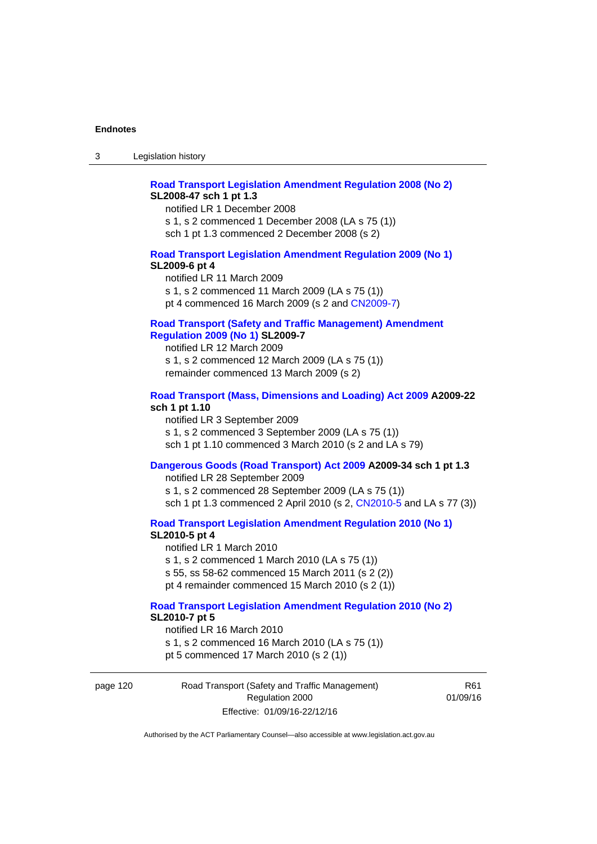# **[Road Transport Legislation Amendment Regulation 2008 \(No 2\)](http://www.legislation.act.gov.au/sl/2008-47) SL2008-47 sch 1 pt 1.3**

notified LR 1 December 2008 s 1, s 2 commenced 1 December 2008 (LA s 75 (1)) sch 1 pt 1.3 commenced 2 December 2008 (s 2)

## **[Road Transport Legislation Amendment Regulation 2009 \(No 1\)](http://www.legislation.act.gov.au/sl/2009-6) SL2009-6 pt 4**

notified LR 11 March 2009 s 1, s 2 commenced 11 March 2009 (LA s 75 (1)) pt 4 commenced 16 March 2009 (s 2 and [CN2009-7\)](http://www.legislation.act.gov.au/cn/2009-7/default.asp)

# **[Road Transport \(Safety and Traffic Management\) Amendment](http://www.legislation.act.gov.au/sl/2009-7)  [Regulation 2009 \(No 1\)](http://www.legislation.act.gov.au/sl/2009-7) SL2009-7**

notified LR 12 March 2009 s 1, s 2 commenced 12 March 2009 (LA s 75 (1)) remainder commenced 13 March 2009 (s 2)

#### **[Road Transport \(Mass, Dimensions and Loading\) Act 2009](http://www.legislation.act.gov.au/a/2009-22/default.asp) A2009-22 sch 1 pt 1.10**

notified LR 3 September 2009 s 1, s 2 commenced 3 September 2009 (LA s 75 (1)) sch 1 pt 1.10 commenced 3 March 2010 (s 2 and LA s 79)

# **[Dangerous Goods \(Road Transport\) Act 2009](http://www.legislation.act.gov.au/a/2009-34) A2009-34 sch 1 pt 1.3**

notified LR 28 September 2009 s 1, s 2 commenced 28 September 2009 (LA s 75 (1)) sch 1 pt 1.3 commenced 2 April 2010 (s 2, [CN2010-5 a](http://www.legislation.act.gov.au/cn/2010-5/default.asp)nd LA s 77 (3))

**[Road Transport Legislation Amendment Regulation 2010 \(No 1\)](http://www.legislation.act.gov.au/sl/2010-5)**

#### **SL2010-5 pt 4**

notified LR 1 March 2010 s 1, s 2 commenced 1 March 2010 (LA s 75 (1)) s 55, ss 58-62 commenced 15 March 2011 (s 2 (2)) pt 4 remainder commenced 15 March 2010 (s 2 (1))

#### **[Road Transport Legislation Amendment Regulation 2010 \(No 2\)](http://www.legislation.act.gov.au/sl/2010-7) SL2010-7 pt 5**  notified LR 16 March 2010

s 1, s 2 commenced 16 March 2010 (LA s 75 (1)) pt 5 commenced 17 March 2010 (s 2 (1))

page 120 Road Transport (Safety and Traffic Management) Regulation 2000 Effective: 01/09/16-22/12/16

R61 01/09/16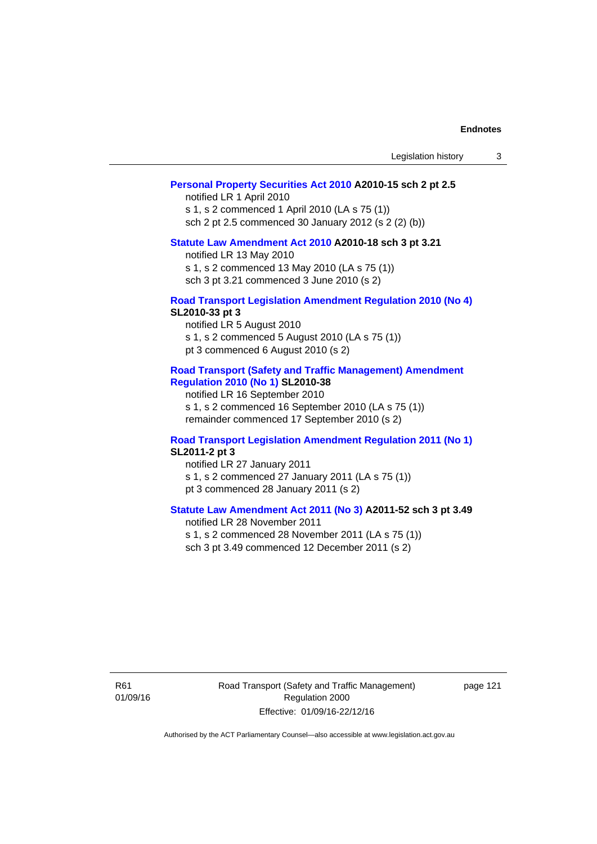| Legislation history |  |
|---------------------|--|
|---------------------|--|

## **[Personal Property Securities Act 2010](http://www.legislation.act.gov.au/a/2010-15) A2010-15 sch 2 pt 2.5**

notified LR 1 April 2010 s 1, s 2 commenced 1 April 2010 (LA s 75 (1)) sch 2 pt 2.5 commenced 30 January 2012 (s 2 (2) (b))

# **[Statute Law Amendment Act 2010](http://www.legislation.act.gov.au/a/2010-18) A2010-18 sch 3 pt 3.21**

notified LR 13 May 2010 s 1, s 2 commenced 13 May 2010 (LA s 75 (1)) sch 3 pt 3.21 commenced 3 June 2010 (s 2)

#### **[Road Transport Legislation Amendment Regulation 2010 \(No 4\)](http://www.legislation.act.gov.au/sl/2010-33) SL2010-33 pt 3**

notified LR 5 August 2010 s 1, s 2 commenced 5 August 2010 (LA s 75 (1)) pt 3 commenced 6 August 2010 (s 2)

## **[Road Transport \(Safety and Traffic Management\) Amendment](http://www.legislation.act.gov.au/sl/2010-38)  [Regulation 2010 \(No 1\)](http://www.legislation.act.gov.au/sl/2010-38) SL2010-38**

notified LR 16 September 2010 s 1, s 2 commenced 16 September 2010 (LA s 75 (1)) remainder commenced 17 September 2010 (s 2)

## **[Road Transport Legislation Amendment Regulation 2011 \(No 1\)](http://www.legislation.act.gov.au/sl/2011-2) SL2011-2 pt 3**

notified LR 27 January 2011 s 1, s 2 commenced 27 January 2011 (LA s 75 (1)) pt 3 commenced 28 January 2011 (s 2)

# **[Statute Law Amendment Act 2011 \(No 3\)](http://www.legislation.act.gov.au/a/2011-52) A2011-52 sch 3 pt 3.49**

notified LR 28 November 2011 s 1, s 2 commenced 28 November 2011 (LA s 75 (1)) sch 3 pt 3.49 commenced 12 December 2011 (s 2)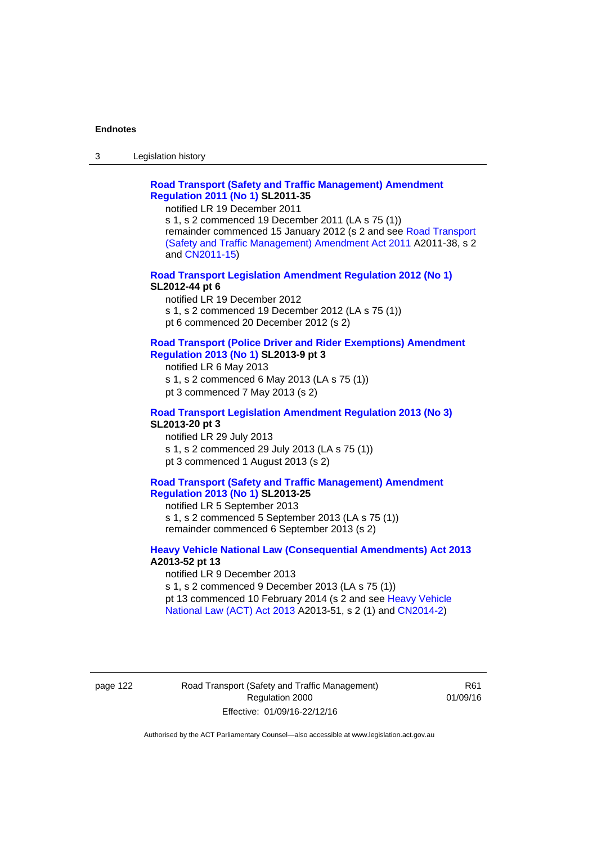3 Legislation history

# **[Road Transport \(Safety and Traffic Management\) Amendment](http://www.legislation.act.gov.au/sl/2011-35)  [Regulation 2011 \(No 1\)](http://www.legislation.act.gov.au/sl/2011-35) SL2011-35**

notified LR 19 December 2011

s 1, s 2 commenced 19 December 2011 (LA s 75 (1)) remainder commenced 15 January 2012 (s 2 and see [Road Transport](http://www.legislation.act.gov.au/a/2011-38)  [\(Safety and Traffic Management\) Amendment Act 2011](http://www.legislation.act.gov.au/a/2011-38) A2011-38, s 2 and [CN2011-15\)](http://www.legislation.act.gov.au/cn/2011-15/default.asp)

## **[Road Transport Legislation Amendment Regulation 2012 \(No 1\)](http://www.legislation.act.gov.au/sl/2012-44/default.asp) SL2012-44 pt 6**

notified LR 19 December 2012 s 1, s 2 commenced 19 December 2012 (LA s 75 (1)) pt 6 commenced 20 December 2012 (s 2)

#### **[Road Transport \(Police Driver and Rider Exemptions\) Amendment](http://www.legislation.act.gov.au/sl/2013-9/default.asp)  [Regulation 2013 \(No 1\)](http://www.legislation.act.gov.au/sl/2013-9/default.asp) SL2013-9 pt 3**

notified LR 6 May 2013 s 1, s 2 commenced 6 May 2013 (LA s 75 (1)) pt 3 commenced 7 May 2013 (s 2)

## **[Road Transport Legislation Amendment Regulation 2013 \(No 3\)](http://www.legislation.act.gov.au/sl/2013-20) SL2013-20 pt 3**  notified LR 29 July 2013

s 1, s 2 commenced 29 July 2013 (LA s 75 (1)) pt 3 commenced 1 August 2013 (s 2)

# **[Road Transport \(Safety and Traffic Management\) Amendment](http://www.legislation.act.gov.au/sl/2013-25)  [Regulation 2013 \(No 1\)](http://www.legislation.act.gov.au/sl/2013-25) SL2013-25**

notified LR 5 September 2013 s 1, s 2 commenced 5 September 2013 (LA s 75 (1)) remainder commenced 6 September 2013 (s 2)

## **[Heavy Vehicle National Law \(Consequential Amendments\) Act 2013](http://www.legislation.act.gov.au/a/2013-52) A2013-52 pt 13**  notified LR 9 December 2013

s 1, s 2 commenced 9 December 2013 (LA s 75 (1)) pt 13 commenced 10 February 2014 (s 2 and see [Heavy Vehicle](http://www.legislation.act.gov.au/a/2013-51/default.asp)  [National Law \(ACT\) Act 2013](http://www.legislation.act.gov.au/a/2013-51/default.asp) A2013-51, s 2 (1) and [CN2014-2](http://www.legislation.act.gov.au/cn/2014-2/default.asp))

page 122 Road Transport (Safety and Traffic Management) Regulation 2000 Effective: 01/09/16-22/12/16

R61 01/09/16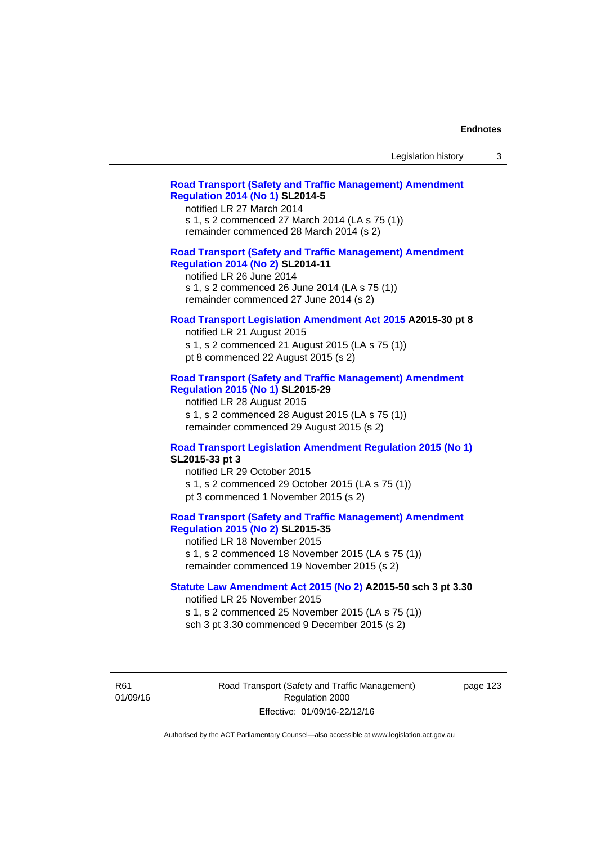| Legislation history |  |  |
|---------------------|--|--|
|---------------------|--|--|

# **[Road Transport \(Safety and Traffic Management\) Amendment](http://www.legislation.act.gov.au/sl/2014-5)  [Regulation 2014 \(No 1\)](http://www.legislation.act.gov.au/sl/2014-5) SL2014-5**

notified LR 27 March 2014 s 1, s 2 commenced 27 March 2014 (LA s 75 (1)) remainder commenced 28 March 2014 (s 2)

# **[Road Transport \(Safety and Traffic Management\) Amendment](http://www.legislation.act.gov.au/sl/2014-11)**

**[Regulation 2014 \(No 2\)](http://www.legislation.act.gov.au/sl/2014-11) SL2014-11**  notified LR 26 June 2014

s 1, s 2 commenced 26 June 2014 (LA s 75 (1)) remainder commenced 27 June 2014 (s 2)

#### **[Road Transport Legislation Amendment Act 2015](http://www.legislation.act.gov.au/a/2015-30/default.asp) A2015-30 pt 8**

notified LR 21 August 2015 s 1, s 2 commenced 21 August 2015 (LA s 75 (1)) pt 8 commenced 22 August 2015 (s 2)

## **[Road Transport \(Safety and Traffic Management\) Amendment](http://www.legislation.act.gov.au/sl/2015-29)  [Regulation 2015 \(No 1\)](http://www.legislation.act.gov.au/sl/2015-29) SL2015-29**

notified LR 28 August 2015 s 1, s 2 commenced 28 August 2015 (LA s 75 (1)) remainder commenced 29 August 2015 (s 2)

## **[Road Transport Legislation Amendment Regulation 2015 \(No 1\)](http://www.legislation.act.gov.au/sl/2015-33) SL2015-33 pt 3**

notified LR 29 October 2015 s 1, s 2 commenced 29 October 2015 (LA s 75 (1)) pt 3 commenced 1 November 2015 (s 2)

# **[Road Transport \(Safety and Traffic Management\) Amendment](http://www.legislation.act.gov.au/sl/2015-35)  [Regulation 2015 \(No 2\)](http://www.legislation.act.gov.au/sl/2015-35) SL2015-35**

notified LR 18 November 2015 s 1, s 2 commenced 18 November 2015 (LA s 75 (1)) remainder commenced 19 November 2015 (s 2)

## **[Statute Law Amendment Act 2015 \(No 2\)](http://www.legislation.act.gov.au/a/2015-50) A2015-50 sch 3 pt 3.30**

notified LR 25 November 2015

s 1, s 2 commenced 25 November 2015 (LA s 75 (1)) sch 3 pt 3.30 commenced 9 December 2015 (s 2)

R61 01/09/16 Road Transport (Safety and Traffic Management) Regulation 2000 Effective: 01/09/16-22/12/16

page 123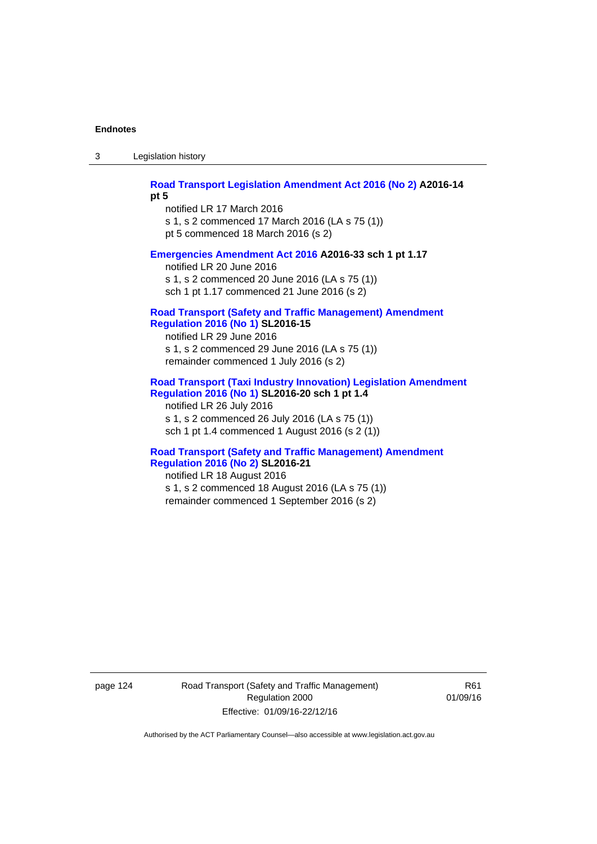3 Legislation history

**[Road Transport Legislation Amendment Act 2016 \(No 2\)](http://www.legislation.act.gov.au/a/2016-14) A2016-14** 

**pt 5** 

notified LR 17 March 2016 s 1, s 2 commenced 17 March 2016 (LA s 75 (1)) pt 5 commenced 18 March 2016 (s 2)

## **[Emergencies Amendment Act 2016](http://www.legislation.act.gov.au/a/2016-33) A2016-33 sch 1 pt 1.17**

notified LR 20 June 2016 s 1, s 2 commenced 20 June 2016 (LA s 75 (1)) sch 1 pt 1.17 commenced 21 June 2016 (s 2)

## **[Road Transport \(Safety and Traffic Management\) Amendment](http://www.legislation.act.gov.au/sl/2016-15)  [Regulation 2016 \(No 1\)](http://www.legislation.act.gov.au/sl/2016-15) SL2016-15**

notified LR 29 June 2016 s 1, s 2 commenced 29 June 2016 (LA s 75 (1)) remainder commenced 1 July 2016 (s 2)

## **[Road Transport \(Taxi Industry Innovation\) Legislation Amendment](http://www.legislation.act.gov.au/sl/2016-20/default.asp)  [Regulation 2016 \(No 1\)](http://www.legislation.act.gov.au/sl/2016-20/default.asp) SL2016-20 sch 1 pt 1.4**

notified LR 26 July 2016 s 1, s 2 commenced 26 July 2016 (LA s 75 (1)) sch 1 pt 1.4 commenced 1 August 2016 (s 2 (1))

## **[Road Transport \(Safety and Traffic Management\) Amendment](http://www.legislation.act.gov.au/sl/2016-21/default.asp)  [Regulation 2016 \(No 2\)](http://www.legislation.act.gov.au/sl/2016-21/default.asp) SL2016-21**

notified LR 18 August 2016 s 1, s 2 commenced 18 August 2016 (LA s 75 (1)) remainder commenced 1 September 2016 (s 2)

page 124 Road Transport (Safety and Traffic Management) Regulation 2000 Effective: 01/09/16-22/12/16

R61 01/09/16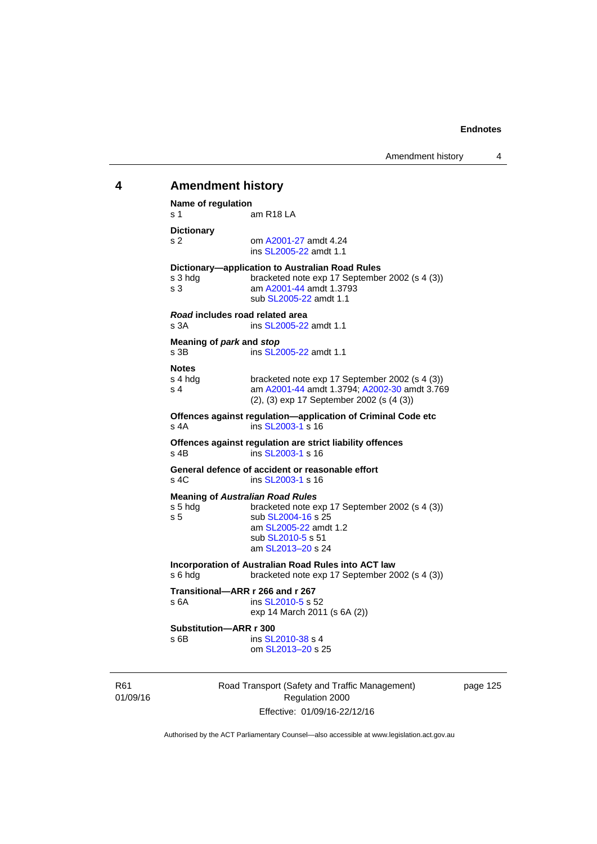# 01/09/16 Road Transport (Safety and Traffic Management) Regulation 2000 **4 Amendment history Name of regulation**  s 1 am R18 LA **Dictionary**  s 2 om [A2001-27](http://www.legislation.act.gov.au/a/2001-27) amdt 4.24 ins [SL2005-22](http://www.legislation.act.gov.au/sl/2005-22) amdt 1.1 **Dictionary—application to Australian Road Rules**  s 3 hdg bracketed note exp 17 September 2002 (s 4 (3)) s 3 am [A2001-44](http://www.legislation.act.gov.au/a/2001-44) amdt 1.3793 sub [SL2005-22](http://www.legislation.act.gov.au/sl/2005-22) amdt 1.1 *Road* **includes road related area**  s 3A **ins SL2005-22** amdt 1.1 **Meaning of** *park* **and** *stop* s 3B ins [SL2005-22](http://www.legislation.act.gov.au/sl/2005-22) amdt 1.1 **Notes**  s 4 hdg bracketed note exp 17 September 2002 (s 4 (3))<br>s 4 am A2001-44 amdt 1.3794: A2002-30 amdt 3.76 am [A2001-44](http://www.legislation.act.gov.au/a/2001-44) amdt 1.3794; [A2002-30](http://www.legislation.act.gov.au/a/2002-30) amdt 3.769 (2), (3) exp 17 September 2002 (s (4 (3)) **Offences against regulation—application of Criminal Code etc**  s 4A ins [SL2003-1](http://www.legislation.act.gov.au/sl/2003-1) s 16 **Offences against regulation are strict liability offences**  s 4B ins [SL2003-1](http://www.legislation.act.gov.au/sl/2003-1) s 16 **General defence of accident or reasonable effort**  s 4C ins [SL2003-1](http://www.legislation.act.gov.au/sl/2003-1) s 16 **Meaning of** *Australian Road Rules* s 5 hdg bracketed note exp 17 September 2002 (s 4 (3)) s 5 sub [SL2004-16](http://www.legislation.act.gov.au/sl/2004-16) s 25 am [SL2005-22](http://www.legislation.act.gov.au/sl/2005-22) amdt 1.2 sub [SL2010-5](http://www.legislation.act.gov.au/sl/2010-5) s 51 am [SL2013–20](http://www.legislation.act.gov.au/sl/2013-20) s 24 **Incorporation of Australian Road Rules into ACT law**  s 6 hdg bracketed note exp 17 September 2002 (s 4 (3)) **Transitional—ARR r 266 and r 267**  s 6A ins [SL2010-5](http://www.legislation.act.gov.au/sl/2010-5) s 52 exp 14 March 2011 (s 6A (2)) **Substitution—ARR r 300**  s 6B ins [SL2010-38](http://www.legislation.act.gov.au/sl/2010-38) s 4 om [SL2013–20](http://www.legislation.act.gov.au/sl/2013-20) s 25

page 125

Authorised by the ACT Parliamentary Counsel—also accessible at www.legislation.act.gov.au

Effective: 01/09/16-22/12/16

R61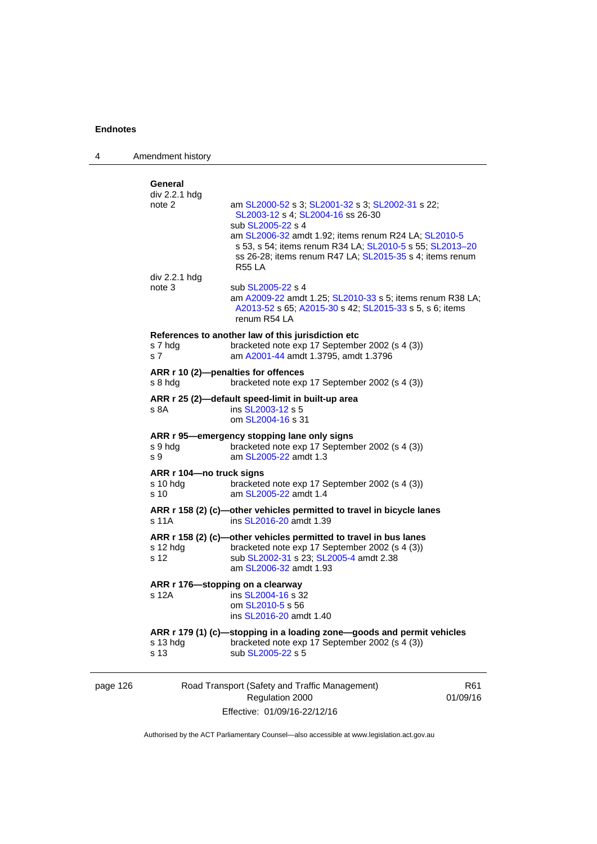| 4        | Amendment history                                                                                                                                                                                                                                                                                                                                                         |                                                                                                                                                                                                                                                                                                             |                             |
|----------|---------------------------------------------------------------------------------------------------------------------------------------------------------------------------------------------------------------------------------------------------------------------------------------------------------------------------------------------------------------------------|-------------------------------------------------------------------------------------------------------------------------------------------------------------------------------------------------------------------------------------------------------------------------------------------------------------|-----------------------------|
|          | General<br>div 2.2.1 hdg<br>note 2<br>div 2.2.1 hdg                                                                                                                                                                                                                                                                                                                       | am SL2000-52 s 3; SL2001-32 s 3; SL2002-31 s 22;<br>SL2003-12 s 4; SL2004-16 ss 26-30<br>sub SL2005-22 s 4<br>am SL2006-32 amdt 1.92; items renum R24 LA; SL2010-5<br>s 53, s 54; items renum R34 LA; SL2010-5 s 55; SL2013-20<br>ss 26-28; items renum R47 LA; SL2015-35 s 4; items renum<br><b>R55 LA</b> |                             |
|          | note 3                                                                                                                                                                                                                                                                                                                                                                    | sub SL2005-22 s 4<br>am A2009-22 amdt 1.25; SL2010-33 s 5; items renum R38 LA;<br>A2013-52 s 65; A2015-30 s 42; SL2015-33 s 5, s 6; items<br>renum R54 LA                                                                                                                                                   |                             |
|          | References to another law of this jurisdiction etc<br>s 7 hdg<br>bracketed note exp 17 September 2002 (s 4 (3))<br>am A2001-44 amdt 1.3795, amdt 1.3796<br>s 7<br>ARR r 10 (2)-penalties for offences<br>s 8 hdg<br>bracketed note exp 17 September 2002 (s 4 (3))<br>ARR r 25 (2)-default speed-limit in built-up area<br>s 8A<br>ins SL2003-12 s 5<br>om SL2004-16 s 31 |                                                                                                                                                                                                                                                                                                             |                             |
|          |                                                                                                                                                                                                                                                                                                                                                                           |                                                                                                                                                                                                                                                                                                             |                             |
|          |                                                                                                                                                                                                                                                                                                                                                                           |                                                                                                                                                                                                                                                                                                             |                             |
|          | s 9 hdg<br>s 9                                                                                                                                                                                                                                                                                                                                                            | ARR r 95-emergency stopping lane only signs<br>bracketed note exp 17 September 2002 (s 4 (3))<br>am SL2005-22 amdt 1.3                                                                                                                                                                                      |                             |
|          | ARR r 104-no truck signs<br>s 10 hda<br>s 10                                                                                                                                                                                                                                                                                                                              | bracketed note exp 17 September 2002 (s 4 (3))<br>am SL2005-22 amdt 1.4                                                                                                                                                                                                                                     |                             |
|          | s 11A                                                                                                                                                                                                                                                                                                                                                                     | ARR r 158 (2) (c)-other vehicles permitted to travel in bicycle lanes<br>ins SL2016-20 amdt 1.39                                                                                                                                                                                                            |                             |
|          | $s$ 12 hdg<br>s 12                                                                                                                                                                                                                                                                                                                                                        | ARR r 158 (2) (c)-other vehicles permitted to travel in bus lanes<br>bracketed note exp 17 September 2002 (s 4 (3))<br>sub SL2002-31 s 23; SL2005-4 amdt 2.38<br>am SL2006-32 amdt 1.93                                                                                                                     |                             |
|          | ARR r 176—stopping on a clearway<br>s 12A                                                                                                                                                                                                                                                                                                                                 | ins SL2004-16 s 32<br>om SL2010-5 s 56<br>ins SL2016-20 amdt 1.40                                                                                                                                                                                                                                           |                             |
|          | s 13 hdg<br>s 13                                                                                                                                                                                                                                                                                                                                                          | ARR r 179 (1) (c)-stopping in a loading zone-goods and permit vehicles<br>bracketed note exp 17 September 2002 (s 4 (3))<br>sub SL2005-22 s 5                                                                                                                                                               |                             |
| page 126 |                                                                                                                                                                                                                                                                                                                                                                           | Road Transport (Safety and Traffic Management)<br>Regulation 2000                                                                                                                                                                                                                                           | R <sub>61</sub><br>01/09/16 |

Authorised by the ACT Parliamentary Counsel—also accessible at www.legislation.act.gov.au

Effective: 01/09/16-22/12/16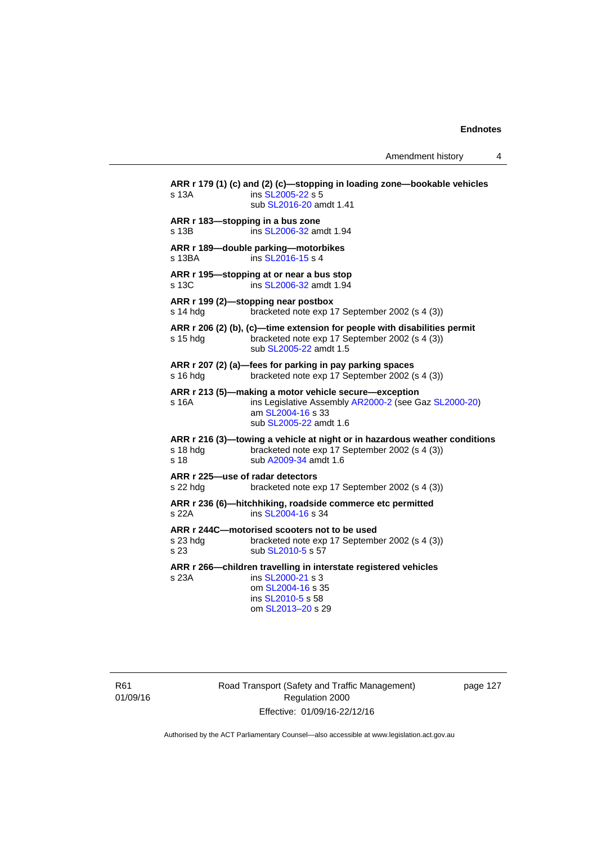Amendment history 4

**ARR r 179 (1) (c) and (2) (c)—stopping in loading zone—bookable vehicles**  s 13A **ins [SL2005-22](http://www.legislation.act.gov.au/sl/2005-22) s 5**  sub [SL2016-20](http://www.legislation.act.gov.au/sl/2016-20) amdt 1.41 **ARR r 183—stopping in a bus zone**  s 13B ins [SL2006-32](http://www.legislation.act.gov.au/sl/2006-32) amdt 1.94 **ARR r 189—double parking—motorbikes**  s 13BA ins [SL2016-15](http://www.legislation.act.gov.au/sl/2016-15) s 4 **ARR r 195—stopping at or near a bus stop**  s 13C ins [SL2006-32](http://www.legislation.act.gov.au/sl/2006-32) amdt 1.94 **ARR r 199 (2)—stopping near postbox**  s 14 hdg bracketed note exp 17 September 2002 (s 4 (3)) **ARR r 206 (2) (b), (c)—time extension for people with disabilities permit**  s 15 hdg bracketed note exp 17 September 2002 (s 4 (3)) sub [SL2005-22](http://www.legislation.act.gov.au/sl/2005-22) amdt 1.5 **ARR r 207 (2) (a)—fees for parking in pay parking spaces**  s 16 hdg bracketed note exp 17 September 2002 (s 4 (3)) **ARR r 213 (5)—making a motor vehicle secure—exception**  s 16A ins Legislative Assembly [AR2000-2](http://www.legislation.act.gov.au/ar/2000-2/default.asp) (see Gaz [SL2000-20\)](http://www.legislation.act.gov.au/sl/2000-20) am [SL2004-16](http://www.legislation.act.gov.au/sl/2004-16) s 33 sub [SL2005-22](http://www.legislation.act.gov.au/sl/2005-22) amdt 1.6 **ARR r 216 (3)—towing a vehicle at night or in hazardous weather conditions**  s 18 hdg bracketed note exp 17 September 2002 (s 4 (3)) s 18 sub [A2009-34](http://www.legislation.act.gov.au/a/2009-34) amdt 1.6 **ARR r 225—use of radar detectors**  s 22 hdg bracketed note exp 17 September 2002 (s 4 (3)) **ARR r 236 (6)—hitchhiking, roadside commerce etc permitted**  s 22A ins [SL2004-16](http://www.legislation.act.gov.au/sl/2004-16) s 34 **ARR r 244C—motorised scooters not to be used**  s 23 hdg bracketed note exp 17 September 2002 (s 4 (3)) s 23 sub [SL2010-5](http://www.legislation.act.gov.au/sl/2010-5) s 57 **ARR r 266—children travelling in interstate registered vehicles**  s 23A ins [SL2000-21](http://www.legislation.act.gov.au/sl/2000-21) s 3 om [SL2004-16](http://www.legislation.act.gov.au/sl/2004-16) s 35 ins [SL2010-5](http://www.legislation.act.gov.au/sl/2010-5) s 58 om [SL2013–20](http://www.legislation.act.gov.au/sl/2013-20) s 29

R61 01/09/16 Road Transport (Safety and Traffic Management) Regulation 2000 Effective: 01/09/16-22/12/16

page 127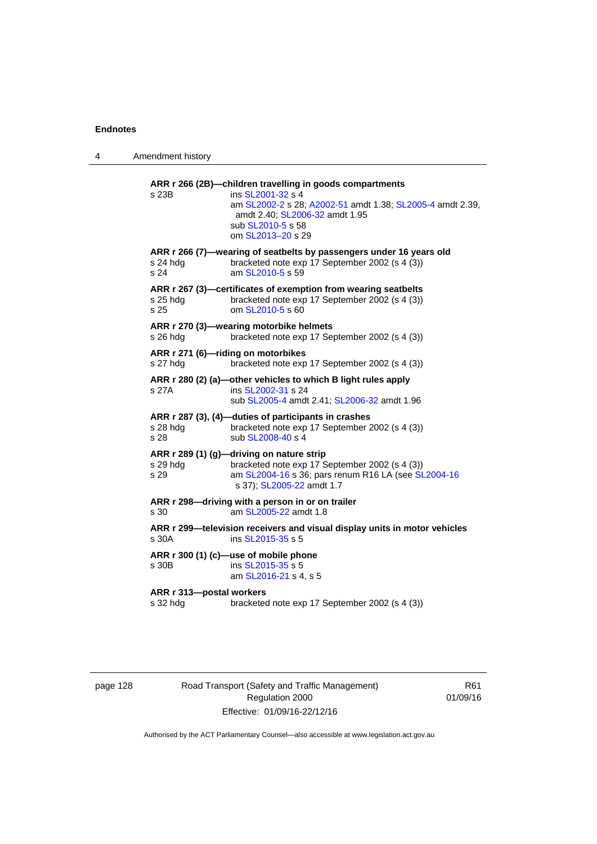| 4 | Amendment history                    |                                                                                                                                                                                                                        |
|---|--------------------------------------|------------------------------------------------------------------------------------------------------------------------------------------------------------------------------------------------------------------------|
|   | s 23B                                | ARR r 266 (2B)-children travelling in goods compartments<br>ins SL2001-32 s 4<br>am SL2002-2 s 28; A2002-51 amdt 1.38; SL2005-4 amdt 2.39,<br>amdt 2.40; SL2006-32 amdt 1.95<br>sub SL2010-5 s 58<br>om SL2013-20 s 29 |
|   | $s$ 24 hdg<br>s 24                   | ARR r 266 (7)-wearing of seatbelts by passengers under 16 years old<br>bracketed note exp 17 September 2002 (s 4 (3))<br>am SL2010-5 s 59                                                                              |
|   | s 25 hdg<br>s 25                     | ARR r 267 (3)-certificates of exemption from wearing seatbelts<br>bracketed note exp 17 September 2002 (s 4 (3))<br>om SL2010-5 s 60                                                                                   |
|   | s 26 hdg                             | ARR r 270 (3)-wearing motorbike helmets<br>bracketed note exp 17 September 2002 (s 4 (3))                                                                                                                              |
|   | s 27 hdg                             | ARR r 271 (6)-riding on motorbikes<br>bracketed note exp 17 September 2002 (s 4 (3))                                                                                                                                   |
|   | s 27A                                | ARR r 280 (2) (a)-other vehicles to which B light rules apply<br>ins SL2002-31 s 24<br>sub SL2005-4 amdt 2.41; SL2006-32 amdt 1.96                                                                                     |
|   | s 28 hdg<br>s 28                     | ARR r 287 (3), (4)-duties of participants in crashes<br>bracketed note exp 17 September 2002 (s 4 (3))<br>sub SL2008-40 s 4                                                                                            |
|   | s 29 hdg<br>s 29                     | ARR r 289 (1) (g)-driving on nature strip<br>bracketed note exp 17 September 2002 (s 4 (3))<br>am SL2004-16 s 36; pars renum R16 LA (see SL2004-16<br>s 37); SL2005-22 amdt 1.7                                        |
|   | s 30                                 | ARR r 298-driving with a person in or on trailer<br>am SL2005-22 amdt 1.8                                                                                                                                              |
|   | s 30A                                | ARR r 299—television receivers and visual display units in motor vehicles<br>ins SL2015-35 s 5                                                                                                                         |
|   | s 30B                                | ARR r 300 (1) (c)-use of mobile phone<br>ins SL2015-35 s 5<br>am SL2016-21 s 4, s 5                                                                                                                                    |
|   | ARR r 313-postal workers<br>s 32 hdg | bracketed note exp 17 September 2002 (s 4 (3))                                                                                                                                                                         |
|   |                                      |                                                                                                                                                                                                                        |

page 128 Road Transport (Safety and Traffic Management) Regulation 2000 Effective: 01/09/16-22/12/16

R61 01/09/16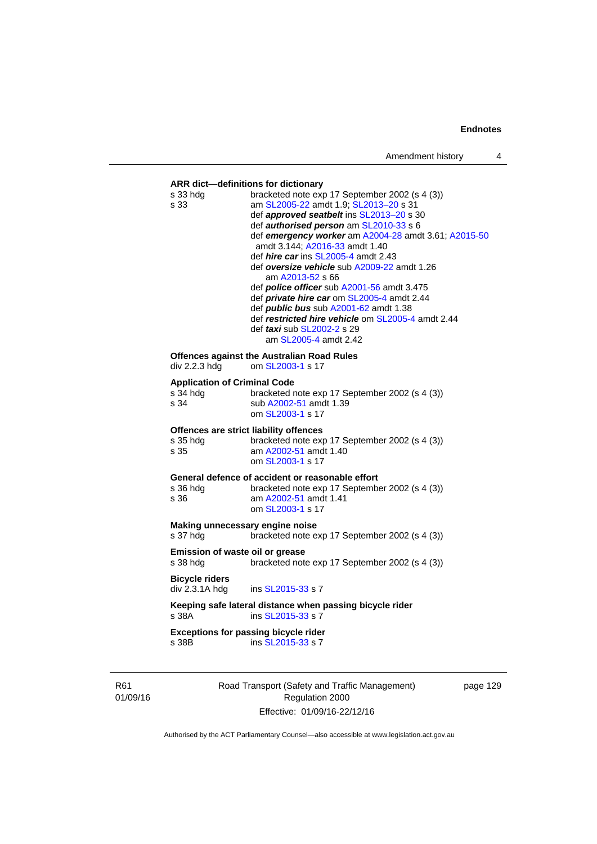# **ARR dict—definitions for dictionary**  s 33 hdg bracketed note exp 17 September 2002 (s 4 (3)) s 33 am [SL2005-22](http://www.legislation.act.gov.au/sl/2005-22) amdt 1.9; [SL2013–20](http://www.legislation.act.gov.au/sl/2013-20) s 31 def *approved seatbelt* ins [SL2013–20](http://www.legislation.act.gov.au/sl/2013-20) s 30 def *authorised person* am [SL2010-33](http://www.legislation.act.gov.au/sl/2010-33) s 6 def *emergency worker* am [A2004-28](http://www.legislation.act.gov.au/a/2004-28) amdt 3.61; [A2015-50](http://www.legislation.act.gov.au/a/2015-50) amdt 3.144; [A2016-33](http://www.legislation.act.gov.au/a/2016-33/default.asp) amdt 1.40 def *hire car* ins [SL2005-4](http://www.legislation.act.gov.au/sl/2005-4) amdt 2.43 def *oversize vehicle* sub [A2009-22](http://www.legislation.act.gov.au/a/2009-22) amdt 1.26 am [A2013-52](http://www.legislation.act.gov.au/a/2013-52) s 66 def *police officer* sub [A2001-56](http://www.legislation.act.gov.au/a/2001-56) amdt 3.475 def *private hire car* om [SL2005-4](http://www.legislation.act.gov.au/sl/2005-4) amdt 2.44 def *public bus* sub [A2001-62](http://www.legislation.act.gov.au/a/2001-62) amdt 1.38 def *restricted hire vehicle* om [SL2005-4](http://www.legislation.act.gov.au/sl/2005-4) amdt 2.44 def *taxi* sub [SL2002-2](http://www.legislation.act.gov.au/sl/2002-2) s 29 am [SL2005-4](http://www.legislation.act.gov.au/sl/2005-4) amdt 2.42 **Offences against the Australian Road Rules**<br>div 2.2.3 hdg om SL2003-1 s 17 om [SL2003-1](http://www.legislation.act.gov.au/sl/2003-1) s 17 **Application of Criminal Code**  s  $\frac{34 \text{ hdg}}{34}$  bracketed note exp 17 September 2002 (s 4 (3))<br>s  $\frac{34}{34}$ sub [A2002-51](http://www.legislation.act.gov.au/a/2002-51) amdt 1.39 om [SL2003-1](http://www.legislation.act.gov.au/sl/2003-1) s 17 **Offences are strict liability offences**  s 35 hdg bracketed note exp 17 September 2002 (s 4 (3)) s 35 am [A2002-51](http://www.legislation.act.gov.au/a/2002-51) amdt 1.40 om [SL2003-1](http://www.legislation.act.gov.au/sl/2003-1) s 17 **General defence of accident or reasonable effort**  s 36 hdg bracketed note exp 17 September 2002 (s 4 (3))<br>s 36 am A2002-51 amdt 1.41 am [A2002-51](http://www.legislation.act.gov.au/a/2002-51) amdt 1.41 om [SL2003-1](http://www.legislation.act.gov.au/sl/2003-1) s 17 **Making unnecessary engine noise**  s 37 hdg bracketed note exp 17 September 2002 (s 4 (3)) **Emission of waste oil or grease**  s 38 hdg bracketed note exp 17 September 2002 (s 4 (3)) **Bicycle riders**  ins [SL2015-33](http://www.legislation.act.gov.au/sl/2015-33) s 7 **Keeping safe lateral distance when passing bicycle rider**  s 38A ins [SL2015-33](http://www.legislation.act.gov.au/sl/2015-33) s 7 **Exceptions for passing bicycle rider**<br>s 38B **ins SL2015-33** s 7 ins [SL2015-33](http://www.legislation.act.gov.au/sl/2015-33) s 7

R61 01/09/16 Road Transport (Safety and Traffic Management) Regulation 2000 Effective: 01/09/16-22/12/16

page 129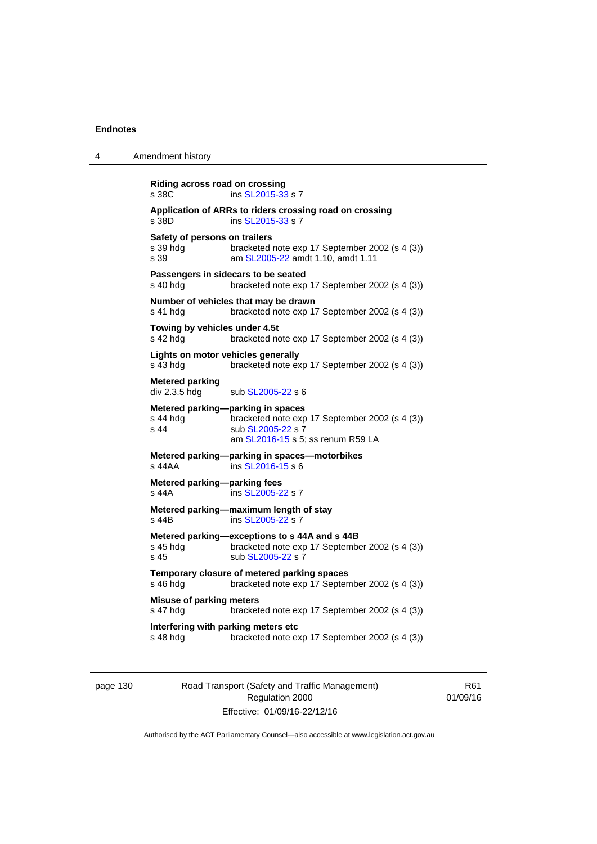| 4 | Amendment history                                                                                                                                                 |
|---|-------------------------------------------------------------------------------------------------------------------------------------------------------------------|
|   | Riding across road on crossing<br>ins SL2015-33 s 7<br>s 38C                                                                                                      |
|   | Application of ARRs to riders crossing road on crossing<br>s 38D<br>ins SL2015-33 s 7                                                                             |
|   | Safety of persons on trailers<br>bracketed note exp 17 September 2002 (s 4 (3))<br>s 39 hdg<br>s 39<br>am SL2005-22 amdt 1.10, amdt 1.11                          |
|   | Passengers in sidecars to be seated<br>s 40 hdg<br>bracketed note exp 17 September 2002 (s 4 (3))                                                                 |
|   | Number of vehicles that may be drawn<br>bracketed note exp 17 September 2002 (s 4 (3))<br>s 41 hdg                                                                |
|   | Towing by vehicles under 4.5t<br>s 42 hdg<br>bracketed note exp 17 September 2002 (s 4 (3))                                                                       |
|   | Lights on motor vehicles generally<br>s 43 hdg<br>bracketed note exp 17 September 2002 (s 4 (3))                                                                  |
|   | <b>Metered parking</b><br>div 2.3.5 hdg<br>sub SL2005-22 s 6                                                                                                      |
|   | Metered parking-parking in spaces<br>s 44 hdg<br>bracketed note exp 17 September 2002 (s 4 (3))<br>s 44<br>sub SL2005-22 s 7<br>am SL2016-15 s 5; ss renum R59 LA |
|   | Metered parking-parking in spaces-motorbikes<br>ins SL2016-15 s 6<br>s 44AA                                                                                       |
|   | Metered parking-parking fees<br>ins SL2005-22 s 7<br>s 44A                                                                                                        |
|   | Metered parking-maximum length of stay<br>ins SL2005-22 s 7<br>s 44B                                                                                              |
|   | Metered parking-exceptions to s 44A and s 44B<br>bracketed note exp 17 September 2002 (s 4 (3))<br>s 45 hdg<br>sub SL2005-22 s 7<br>s 45                          |
|   | Temporary closure of metered parking spaces<br>s 46 hdg<br>bracketed note exp 17 September 2002 (s 4 (3))                                                         |
|   | <b>Misuse of parking meters</b><br>s 47 hdg<br>bracketed note exp 17 September 2002 (s 4 (3))                                                                     |
|   | Interfering with parking meters etc<br>s 48 hdg<br>bracketed note exp 17 September 2002 (s 4 (3))                                                                 |
|   |                                                                                                                                                                   |

page 130 Road Transport (Safety and Traffic Management) Regulation 2000 Effective: 01/09/16-22/12/16

R61 01/09/16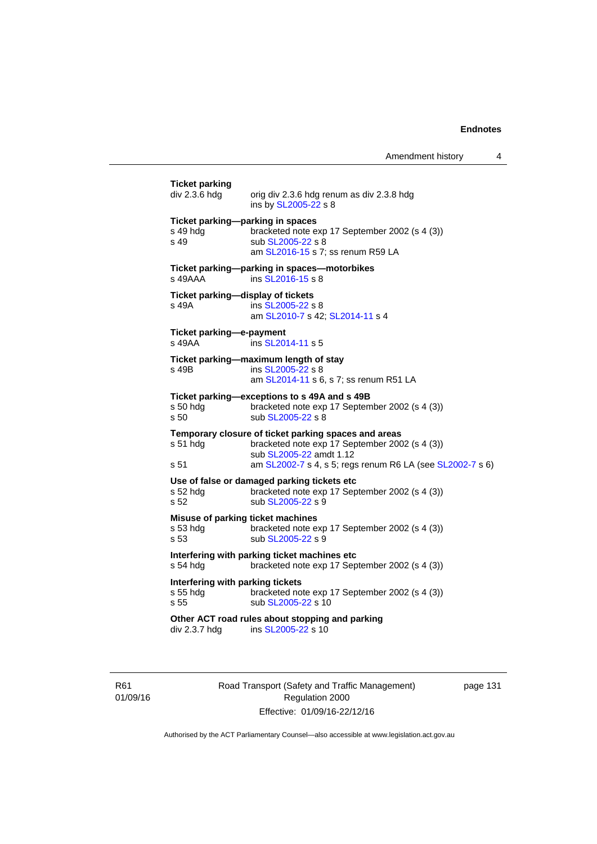| <b>Ticket parking</b><br>div 2.3.6 hdg               | orig div 2.3.6 hdg renum as div 2.3.8 hdg<br>ins by SL2005-22 s 8                                                                                                                              |
|------------------------------------------------------|------------------------------------------------------------------------------------------------------------------------------------------------------------------------------------------------|
| s 49 hdg<br>s <sub>49</sub>                          | Ticket parking-parking in spaces<br>bracketed note exp 17 September 2002 (s 4 (3))<br>sub SL2005-22 s 8<br>am SL2016-15 s 7; ss renum R59 LA                                                   |
| $s$ 49AAA                                            | Ticket parking-parking in spaces-motorbikes<br>ins SL2016-15 s 8                                                                                                                               |
| s 49A                                                | Ticket parking-display of tickets<br>ins SL2005-22 s 8<br>am SL2010-7 s 42; SL2014-11 s 4                                                                                                      |
| Ticket parking-e-payment<br>s 49AA                   | ins SL2014-11 s 5                                                                                                                                                                              |
| s 49B                                                | Ticket parking-maximum length of stay<br>ins SL2005-22 s 8<br>am SL2014-11 s 6, s 7; ss renum R51 LA                                                                                           |
| s 50 hda<br>s 50                                     | Ticket parking-exceptions to s 49A and s 49B<br>bracketed note exp 17 September 2002 (s 4 (3))<br>sub SL2005-22 s 8                                                                            |
| s 51 hdg<br>s 51                                     | Temporary closure of ticket parking spaces and areas<br>bracketed note exp 17 September 2002 (s 4 (3))<br>sub SL2005-22 amdt 1.12<br>am SL2002-7 s 4, s 5; regs renum R6 LA (see SL2002-7 s 6) |
| s 52 hdg<br>s 52                                     | Use of false or damaged parking tickets etc<br>bracketed note exp 17 September 2002 (s 4 (3))<br>sub SL2005-22 s 9                                                                             |
| s 53 hdg<br>s 53                                     | Misuse of parking ticket machines<br>bracketed note exp 17 September 2002 (s 4 (3))<br>sub SL2005-22 s 9                                                                                       |
| s 54 hdg                                             | Interfering with parking ticket machines etc<br>bracketed note exp 17 September 2002 (s 4 (3))                                                                                                 |
| Interfering with parking tickets<br>s 55 hdg<br>s 55 | bracketed note exp 17 September 2002 (s 4 (3))<br>sub SL2005-22 s 10                                                                                                                           |
| div 2.3.7 hdg                                        | Other ACT road rules about stopping and parking<br>ins SL2005-22 s 10                                                                                                                          |
|                                                      |                                                                                                                                                                                                |

R61 01/09/16 Road Transport (Safety and Traffic Management) Regulation 2000 Effective: 01/09/16-22/12/16

page 131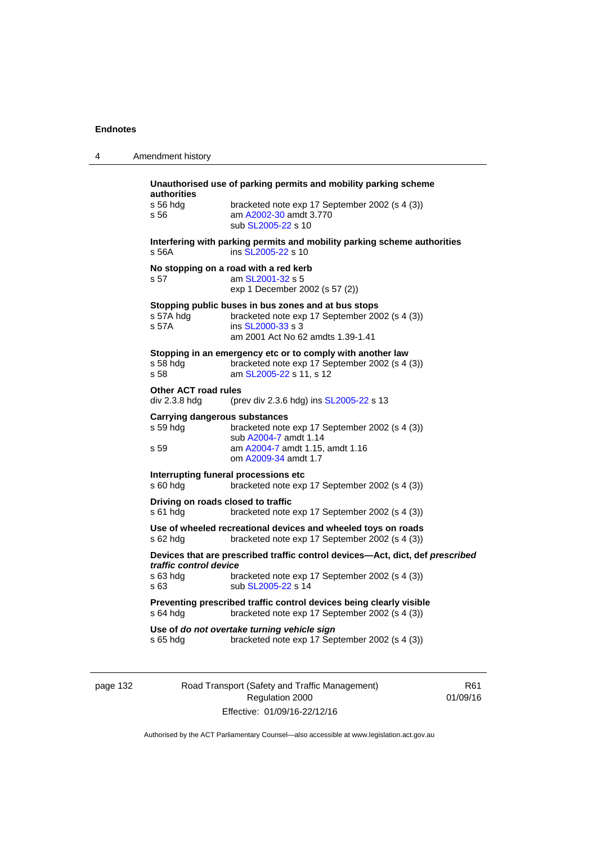| 4 | Amendment history                                                                                                                                                                                    |
|---|------------------------------------------------------------------------------------------------------------------------------------------------------------------------------------------------------|
|   | Unauthorised use of parking permits and mobility parking scheme<br>authorities<br>s 56 hdg<br>bracketed note exp 17 September 2002 (s 4 (3))<br>am A2002-30 amdt 3.770<br>s 56<br>sub SL2005-22 s 10 |
|   | Interfering with parking permits and mobility parking scheme authorities<br>s 56A<br>ins SL2005-22 s 10                                                                                              |
|   | No stopping on a road with a red kerb<br>s 57<br>am SL2001-32 s 5<br>exp 1 December 2002 (s 57 (2))                                                                                                  |
|   | Stopping public buses in bus zones and at bus stops<br>s 57A hda<br>bracketed note exp 17 September 2002 (s 4 (3))<br>s 57A<br>ins SL2000-33 s 3<br>am 2001 Act No 62 amdts 1.39-1.41                |
|   | Stopping in an emergency etc or to comply with another law<br>bracketed note exp 17 September 2002 (s 4 (3))<br>s 58 hda<br>s 58<br>am SL2005-22 s 11, s 12                                          |
|   | <b>Other ACT road rules</b><br>div 2.3.8 hdg<br>(prev div 2.3.6 hdg) ins SL2005-22 s 13                                                                                                              |
|   | Carrying dangerous substances<br>s 59 hdg<br>bracketed note exp 17 September 2002 (s 4 (3))<br>sub A2004-7 amdt 1.14<br>am A2004-7 amdt 1.15, amdt 1.16<br>s 59<br>om A2009-34 amdt 1.7              |
|   | Interrupting funeral processions etc<br>s 60 hdg<br>bracketed note exp 17 September 2002 (s 4 (3))                                                                                                   |
|   | Driving on roads closed to traffic<br>s 61 hdg<br>bracketed note exp 17 September 2002 (s 4 (3))                                                                                                     |
|   | Use of wheeled recreational devices and wheeled toys on roads<br>s 62 hdg<br>bracketed note exp 17 September 2002 (s 4 (3))                                                                          |
|   | Devices that are prescribed traffic control devices-Act, dict, def prescribed<br>traffic control device<br>s 63 hdg<br>bracketed note exp 17 September 2002 (s 4 (3))<br>s 63<br>sub SL2005-22 s 14  |
|   | Preventing prescribed traffic control devices being clearly visible<br>bracketed note exp 17 September 2002 (s 4 (3))<br>s 64 hdg                                                                    |
|   | Use of do not overtake turning vehicle sign<br>bracketed note exp 17 September 2002 (s 4 (3))<br>s 65 hda                                                                                            |

page 132 Road Transport (Safety and Traffic Management) Regulation 2000 Effective: 01/09/16-22/12/16

R61 01/09/16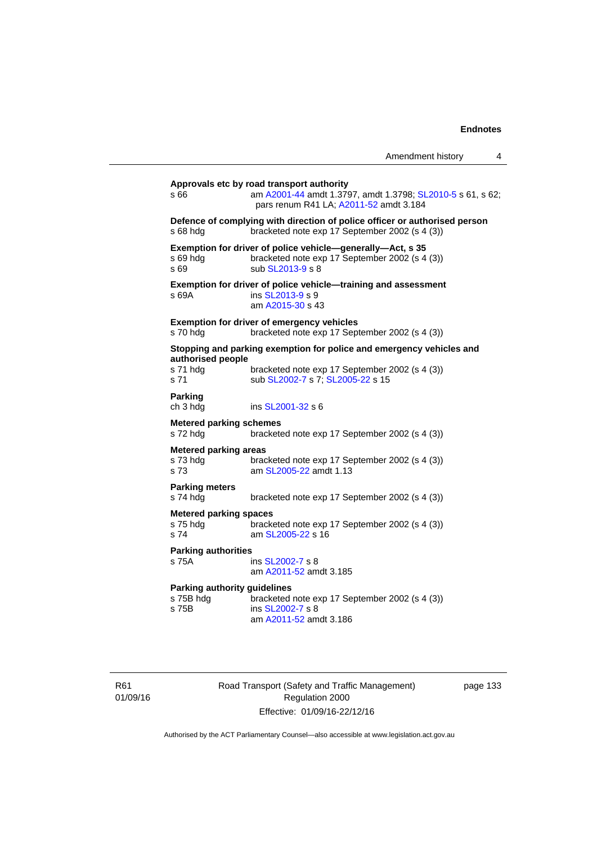|                                                           |                                                                                                                                                   | Amendment history | 4 |
|-----------------------------------------------------------|---------------------------------------------------------------------------------------------------------------------------------------------------|-------------------|---|
| s 66                                                      | Approvals etc by road transport authority<br>am A2001-44 amdt 1.3797, amdt 1.3798; SL2010-5 s 61, s 62;<br>pars renum R41 LA; A2011-52 amdt 3.184 |                   |   |
| s 68 hdg                                                  | Defence of complying with direction of police officer or authorised person<br>bracketed note exp 17 September 2002 (s 4 (3))                      |                   |   |
| s 69 hdg<br>s 69                                          | Exemption for driver of police vehicle-generally-Act, s 35<br>bracketed note exp 17 September 2002 (s 4 (3))<br>sub SL2013-9 s 8                  |                   |   |
| s 69A                                                     | Exemption for driver of police vehicle-training and assessment<br>ins SL2013-9 s 9<br>am A2015-30 s 43                                            |                   |   |
| s 70 hdg                                                  | <b>Exemption for driver of emergency vehicles</b><br>bracketed note exp 17 September 2002 (s 4 (3))                                               |                   |   |
|                                                           | Stopping and parking exemption for police and emergency vehicles and                                                                              |                   |   |
| authorised people<br>s 71 hdg<br>s 71                     | bracketed note exp 17 September 2002 (s 4 (3))<br>sub SL2002-7 s 7; SL2005-22 s 15                                                                |                   |   |
| <b>Parking</b><br>ch 3 hdg                                | ins SL2001-32 s 6                                                                                                                                 |                   |   |
| <b>Metered parking schemes</b><br>s 72 hdg                | bracketed note exp 17 September 2002 (s 4 (3))                                                                                                    |                   |   |
| <b>Metered parking areas</b><br>s 73 hdg<br>s 73          | bracketed note exp 17 September 2002 (s 4 (3))<br>am SL2005-22 amdt 1.13                                                                          |                   |   |
| <b>Parking meters</b><br>s 74 hdg                         | bracketed note exp 17 September 2002 (s 4 (3))                                                                                                    |                   |   |
| Metered parking spaces<br>s 75 hdg<br>s 74                | bracketed note exp 17 September 2002 (s 4 (3))<br>am SL2005-22 s 16                                                                               |                   |   |
| <b>Parking authorities</b><br>s 75A                       | ins SL2002-7 s 8<br>am A2011-52 amdt 3.185                                                                                                        |                   |   |
| <b>Parking authority guidelines</b><br>s 75B hdg<br>s 75B | bracketed note exp 17 September 2002 (s 4 (3))<br>ins SL2002-7 s 8<br>am A2011-52 amdt 3.186                                                      |                   |   |

R61 01/09/16 Road Transport (Safety and Traffic Management) Regulation 2000 Effective: 01/09/16-22/12/16

page 133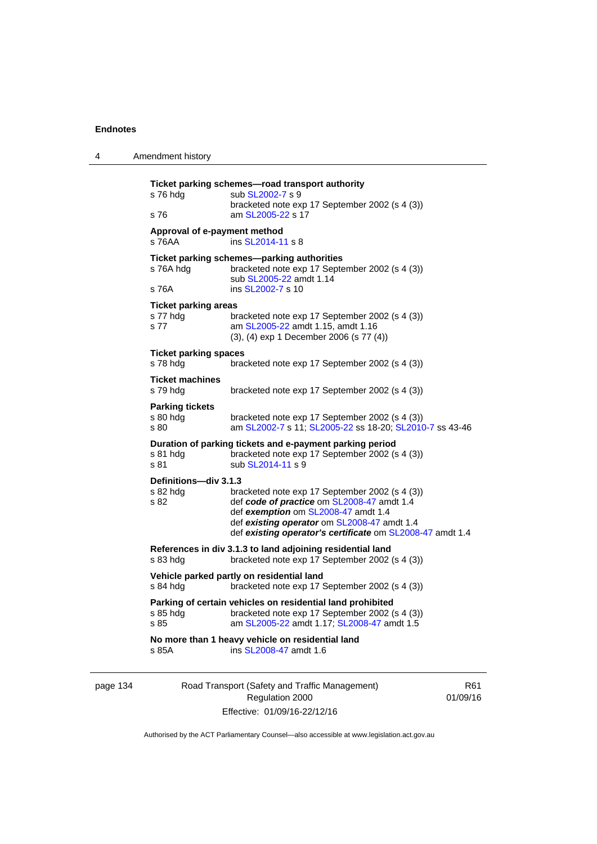| 4        | Amendment history                               |                                                                                                                                                                                                                                                 |     |
|----------|-------------------------------------------------|-------------------------------------------------------------------------------------------------------------------------------------------------------------------------------------------------------------------------------------------------|-----|
|          | s 76 hdg<br>s 76                                | Ticket parking schemes-road transport authority<br>sub SL2002-7 s 9<br>bracketed note exp 17 September 2002 (s 4 (3))<br>am SL2005-22 s 17                                                                                                      |     |
|          | Approval of e-payment method<br>s 76AA          | ins SL2014-11 s 8                                                                                                                                                                                                                               |     |
|          | s 76A hdg<br>s 76A                              | Ticket parking schemes-parking authorities<br>bracketed note exp 17 September 2002 (s 4 (3))<br>sub SL2005-22 amdt 1.14<br>ins SL2002-7 s 10                                                                                                    |     |
|          | <b>Ticket parking areas</b><br>s 77 hdg<br>s 77 | bracketed note exp 17 September 2002 (s 4 (3))<br>am SL2005-22 amdt 1.15, amdt 1.16<br>(3), (4) exp 1 December 2006 (s 77 (4))                                                                                                                  |     |
|          | <b>Ticket parking spaces</b><br>s 78 hdg        | bracketed note exp 17 September 2002 (s 4 (3))                                                                                                                                                                                                  |     |
|          | Ticket machines<br>s 79 hdg                     | bracketed note exp 17 September 2002 (s 4 (3))                                                                                                                                                                                                  |     |
|          | <b>Parking tickets</b><br>$s80h$ dg<br>s 80     | bracketed note exp 17 September 2002 (s 4 (3))<br>am SL2002-7 s 11; SL2005-22 ss 18-20; SL2010-7 ss 43-46                                                                                                                                       |     |
|          | s 81 hdg<br>s 81                                | Duration of parking tickets and e-payment parking period<br>bracketed note exp 17 September 2002 (s 4 (3))<br>sub SL2014-11 s 9                                                                                                                 |     |
|          | Definitions-div 3.1.3<br>s 82 hdg<br>s 82       | bracketed note exp 17 September 2002 (s 4 (3))<br>def code of practice om SL2008-47 amdt 1.4<br>def exemption om SL2008-47 amdt 1.4<br>def existing operator om SL2008-47 amdt 1.4<br>def existing operator's certificate om SL2008-47 amdt 1.4 |     |
|          | s 83 hdg                                        | References in div 3.1.3 to land adjoining residential land<br>bracketed note exp 17 September 2002 (s 4 (3))                                                                                                                                    |     |
|          | $s$ 84 hdg                                      | Vehicle parked partly on residential land<br>bracketed note exp 17 September 2002 (s 4 (3))                                                                                                                                                     |     |
|          | s 85 hdg<br>s 85                                | Parking of certain vehicles on residential land prohibited<br>bracketed note exp 17 September 2002 (s 4 (3))<br>am SL2005-22 amdt 1.17; SL2008-47 amdt 1.5                                                                                      |     |
|          | s 85A                                           | No more than 1 heavy vehicle on residential land<br>ins SL2008-47 amdt 1.6                                                                                                                                                                      |     |
| page 134 |                                                 | Road Transport (Safety and Traffic Management)                                                                                                                                                                                                  | R61 |

Authorised by the ACT Parliamentary Counsel—also accessible at www.legislation.act.gov.au

Regulation 2000 Effective: 01/09/16-22/12/16 01/09/16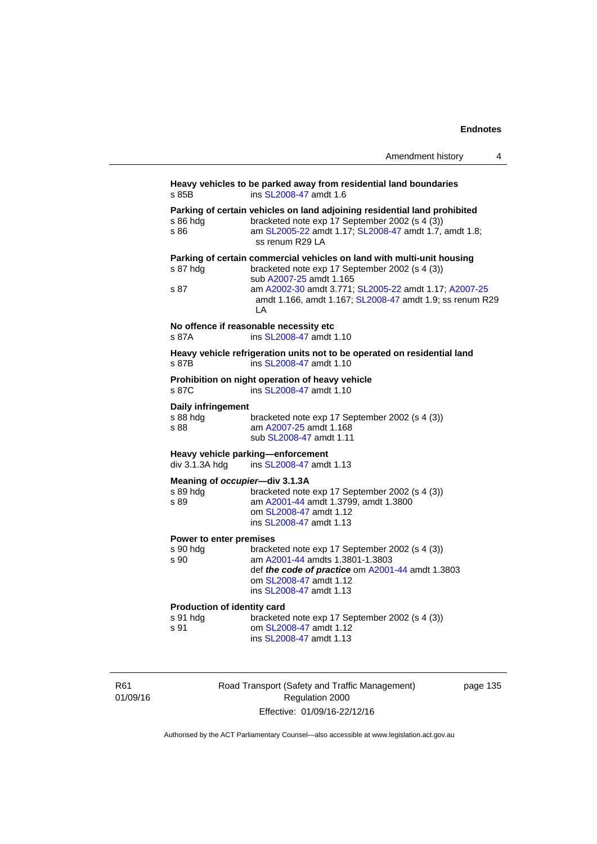|                                                            | Amendment history<br>4                                                                                                                                                                                                                                                         |
|------------------------------------------------------------|--------------------------------------------------------------------------------------------------------------------------------------------------------------------------------------------------------------------------------------------------------------------------------|
| s 85B                                                      | Heavy vehicles to be parked away from residential land boundaries<br>ins SL2008-47 amdt 1.6                                                                                                                                                                                    |
| s 86 hdg<br>s 86                                           | Parking of certain vehicles on land adjoining residential land prohibited<br>bracketed note exp 17 September 2002 (s 4 (3))<br>am SL2005-22 amdt 1.17; SL2008-47 amdt 1.7, amdt 1.8;<br>ss renum R29 LA                                                                        |
| s 87 hdg<br>s 87                                           | Parking of certain commercial vehicles on land with multi-unit housing<br>bracketed note exp 17 September 2002 (s 4 (3))<br>sub A2007-25 amdt 1.165<br>am A2002-30 amdt 3.771; SL2005-22 amdt 1.17; A2007-25<br>amdt 1.166, amdt 1.167; SL2008-47 amdt 1.9; ss renum R29<br>LA |
| s 87A                                                      | No offence if reasonable necessity etc<br>ins SL2008-47 amdt 1.10                                                                                                                                                                                                              |
| s 87B                                                      | Heavy vehicle refrigeration units not to be operated on residential land<br>ins SL2008-47 amdt 1.10                                                                                                                                                                            |
| s 87C                                                      | Prohibition on night operation of heavy vehicle<br>ins SL2008-47 amdt 1.10                                                                                                                                                                                                     |
| Daily infringement<br>s 88 hdg<br>s 88                     | bracketed note exp 17 September 2002 (s 4 (3))<br>am A2007-25 amdt 1.168<br>sub SL2008-47 amdt 1.11                                                                                                                                                                            |
| div 3.1.3A hdg                                             | Heavy vehicle parking—enforcement<br>ins SL2008-47 amdt 1.13                                                                                                                                                                                                                   |
| Meaning of <i>occupier</i> —div 3.1.3A<br>s 89 hdg<br>s 89 | bracketed note exp 17 September 2002 (s 4 (3))<br>am A2001-44 amdt 1.3799, amdt 1.3800<br>om SL2008-47 amdt 1.12<br>ins SL2008-47 amdt 1.13                                                                                                                                    |
| Power to enter premises<br>s 90 hdg<br>s 90                | bracketed note exp 17 September 2002 (s 4 (3))<br>am A2001-44 amdts 1.3801-1.3803<br>def the code of practice om A2001-44 amdt 1.3803<br>om SL2008-47 amdt 1.12<br>ins SL2008-47 amdt 1.13                                                                                     |
| <b>Production of identity card</b><br>s 91 hdg<br>s 91     | bracketed note exp 17 September 2002 (s 4 (3))<br>om SL2008-47 amdt 1.12<br>ins SL2008-47 amdt 1.13                                                                                                                                                                            |

R61 01/09/16 Road Transport (Safety and Traffic Management) Regulation 2000 Effective: 01/09/16-22/12/16

page 135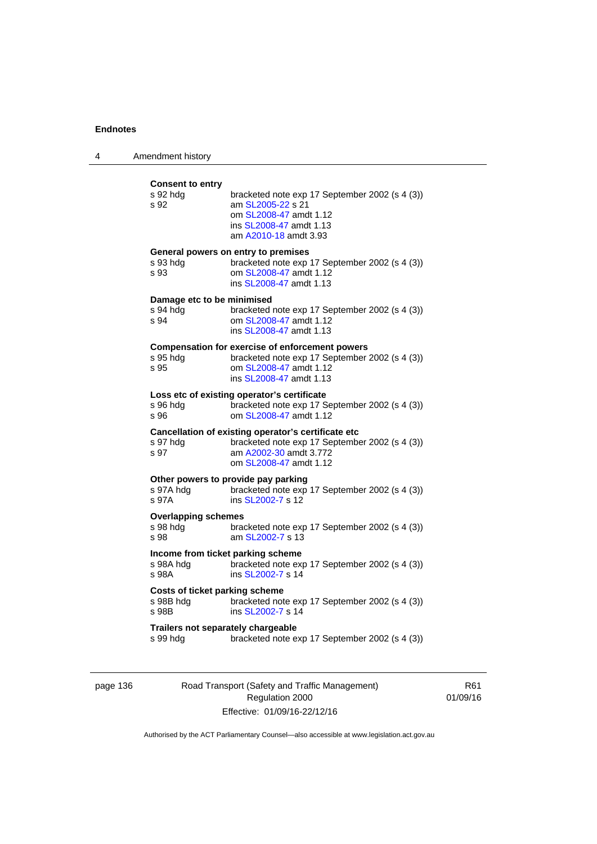| 4 | Amendment history                                       |                                                                                                                                                               |
|---|---------------------------------------------------------|---------------------------------------------------------------------------------------------------------------------------------------------------------------|
|   | <b>Consent to entry</b><br>s 92 hdg<br>s 92             | bracketed note exp 17 September 2002 (s 4 (3))<br>am SL2005-22 s 21<br>om SL2008-47 amdt 1.12<br>ins SL2008-47 amdt 1.13<br>am A2010-18 amdt 3.93             |
|   | s 93 hdg<br>s 93                                        | General powers on entry to premises<br>bracketed note exp 17 September 2002 (s 4 (3))<br>om SL2008-47 amdt 1.12<br>ins SL2008-47 amdt 1.13                    |
|   | Damage etc to be minimised<br>s 94 hdg<br>s 94          | bracketed note exp 17 September 2002 (s 4 (3))<br>om SL2008-47 amdt 1.12<br>ins SL2008-47 amdt 1.13                                                           |
|   | s 95 hdg<br>s 95                                        | <b>Compensation for exercise of enforcement powers</b><br>bracketed note exp 17 September 2002 (s 4 (3))<br>om SL2008-47 amdt 1.12<br>ins SL2008-47 amdt 1.13 |
|   | s 96 hdg<br>s 96                                        | Loss etc of existing operator's certificate<br>bracketed note exp 17 September 2002 (s 4 (3))<br>om SL2008-47 amdt 1.12                                       |
|   | s 97 hdg<br>s 97                                        | Cancellation of existing operator's certificate etc<br>bracketed note exp 17 September 2002 (s 4 (3))<br>am A2002-30 amdt 3.772<br>om SL2008-47 amdt 1.12     |
|   | s 97A hdg<br>s 97A                                      | Other powers to provide pay parking<br>bracketed note exp 17 September 2002 (s 4 (3))<br>ins SL2002-7 s 12                                                    |
|   | <b>Overlapping schemes</b><br>s 98 hdg<br>s 98          | bracketed note exp 17 September 2002 (s 4 (3))<br>am SL2002-7 s 13                                                                                            |
|   | Income from ticket parking scheme<br>s 98A hdg<br>s 98A | bracketed note exp 17 September 2002 (s 4 (3))<br>ins SL2002-7 s 14                                                                                           |
|   | Costs of ticket parking scheme<br>s 98B hdg<br>s 98B    | bracketed note exp 17 September 2002 (s 4 (3))<br>ins SL2002-7 s 14                                                                                           |
|   | Trailers not separately chargeable<br>s 99 hdg          | bracketed note exp 17 September 2002 (s 4 (3))                                                                                                                |

page 136 Road Transport (Safety and Traffic Management) Regulation 2000 Effective: 01/09/16-22/12/16

R61 01/09/16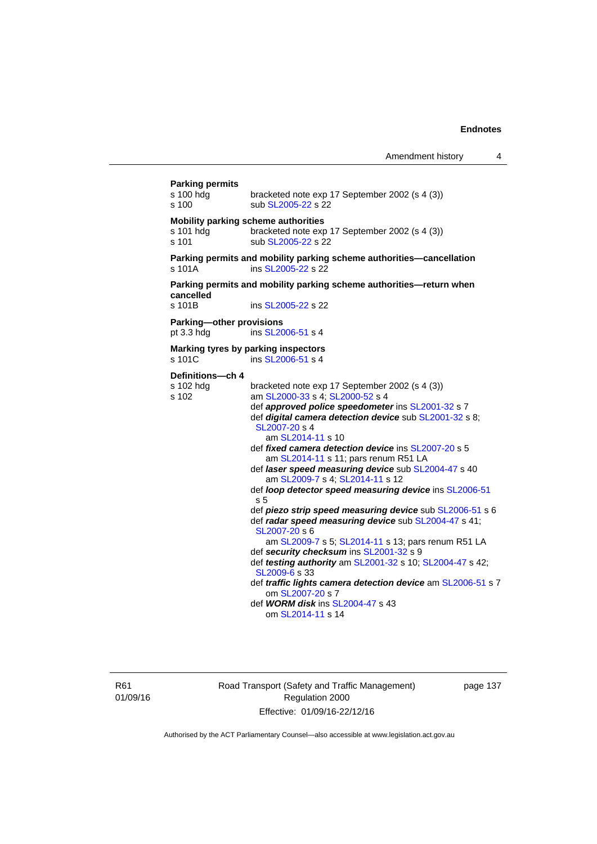| <b>Parking permits</b><br>s 100 hdg<br>s 100              | bracketed note exp 17 September 2002 (s 4 (3))<br>sub SL2005-22 s 22                                                                                                                                                                                                                                                                                                                                                                                                                                                                                                                                                                                                                                                                                                                                                                                                                                                                                                   |
|-----------------------------------------------------------|------------------------------------------------------------------------------------------------------------------------------------------------------------------------------------------------------------------------------------------------------------------------------------------------------------------------------------------------------------------------------------------------------------------------------------------------------------------------------------------------------------------------------------------------------------------------------------------------------------------------------------------------------------------------------------------------------------------------------------------------------------------------------------------------------------------------------------------------------------------------------------------------------------------------------------------------------------------------|
| Mobility parking scheme authorities<br>s 101 hdg<br>s 101 | bracketed note exp 17 September 2002 (s 4 (3))<br>sub SL2005-22 s 22                                                                                                                                                                                                                                                                                                                                                                                                                                                                                                                                                                                                                                                                                                                                                                                                                                                                                                   |
| s 101A                                                    | Parking permits and mobility parking scheme authorities-cancellation<br>ins SL2005-22 s 22                                                                                                                                                                                                                                                                                                                                                                                                                                                                                                                                                                                                                                                                                                                                                                                                                                                                             |
| cancelled<br>s 101B                                       | Parking permits and mobility parking scheme authorities—return when<br>ins SL2005-22 s 22                                                                                                                                                                                                                                                                                                                                                                                                                                                                                                                                                                                                                                                                                                                                                                                                                                                                              |
| Parking-other provisions<br>pt 3.3 hdg                    | ins SL2006-51 s 4                                                                                                                                                                                                                                                                                                                                                                                                                                                                                                                                                                                                                                                                                                                                                                                                                                                                                                                                                      |
| s 101C                                                    | Marking tyres by parking inspectors<br>ins SL2006-51 s 4                                                                                                                                                                                                                                                                                                                                                                                                                                                                                                                                                                                                                                                                                                                                                                                                                                                                                                               |
| Definitions-ch 4<br>s 102 hdg<br>s 102                    | bracketed note exp 17 September 2002 (s 4 (3))<br>am SL2000-33 s 4; SL2000-52 s 4<br>def approved police speedometer ins SL2001-32 s 7<br>def digital camera detection device sub SL2001-32 s 8;<br>SL2007-20 s 4<br>am SL2014-11 s 10<br>def fixed camera detection device ins SL2007-20 s 5<br>am SL2014-11 s 11; pars renum R51 LA<br>def laser speed measuring device sub SL2004-47 s 40<br>am SL2009-7 s 4; SL2014-11 s 12<br>def loop detector speed measuring device ins SL2006-51<br>s 5<br>def piezo strip speed measuring device sub SL2006-51 s 6<br>def radar speed measuring device sub SL2004-47 s 41;<br>SL2007-20 s 6<br>am SL2009-7 s 5; SL2014-11 s 13; pars renum R51 LA<br>def security checksum ins SL2001-32 s 9<br>def testing authority am SL2001-32 s 10; SL2004-47 s 42;<br>SL2009-6 s 33<br>def traffic lights camera detection device am SL2006-51 s 7<br>om SL2007-20 s 7<br>def <b>WORM disk</b> ins SL2004-47 s 43<br>om SL2014-11 s 14 |

R61 01/09/16 Road Transport (Safety and Traffic Management) Regulation 2000 Effective: 01/09/16-22/12/16

page 137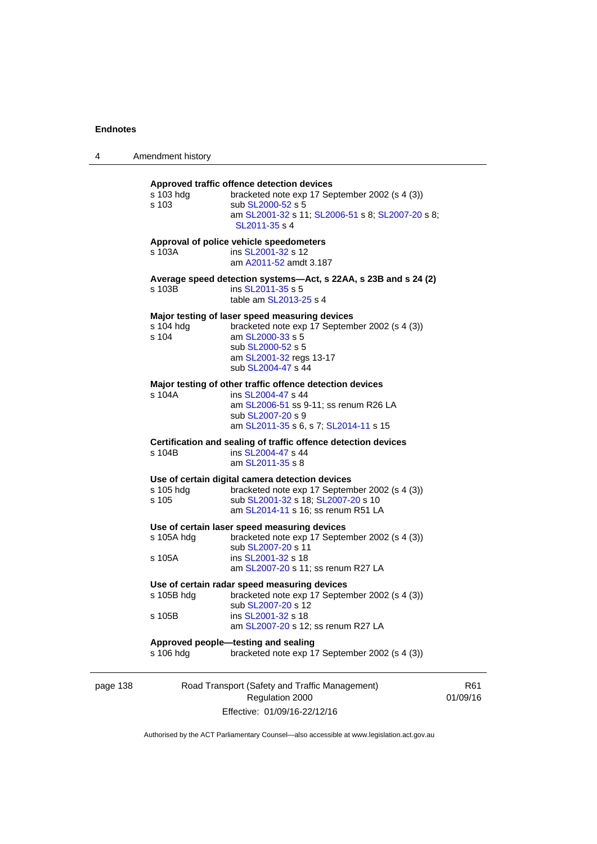| 4        | Amendment history    |                                                                                                                                                                                            |       |
|----------|----------------------|--------------------------------------------------------------------------------------------------------------------------------------------------------------------------------------------|-------|
|          | s 103 hdg<br>s 103   | Approved traffic offence detection devices<br>bracketed note exp 17 September 2002 (s 4 (3))<br>sub SL2000-52 s 5<br>am SL2001-32 s 11; SL2006-51 s 8; SL2007-20 s 8;<br>SL2011-35 s 4     |       |
|          | s 103A               | Approval of police vehicle speedometers<br>ins SL2001-32 s 12<br>am A2011-52 amdt 3.187                                                                                                    |       |
|          | s 103B               | Average speed detection systems—Act, s 22AA, s 23B and s 24 (2)<br>ins SL2011-35 s 5<br>table am SL2013-25 s 4                                                                             |       |
|          | s 104 hdg<br>s 104   | Major testing of laser speed measuring devices<br>bracketed note exp 17 September 2002 (s 4 (3))<br>am SL2000-33 s 5<br>sub SL2000-52 s 5<br>am SL2001-32 regs 13-17<br>sub SL2004-47 s 44 |       |
|          | s 104A               | Major testing of other traffic offence detection devices<br>ins SL2004-47 s 44<br>am SL2006-51 ss 9-11; ss renum R26 LA<br>sub SL2007-20 s 9<br>am SL2011-35 s 6, s 7; SL2014-11 s 15      |       |
|          | s 104B               | Certification and sealing of traffic offence detection devices<br>ins SL2004-47 s 44<br>am SL2011-35 s 8                                                                                   |       |
|          | s 105 hdg<br>s 105   | Use of certain digital camera detection devices<br>bracketed note exp 17 September 2002 (s 4 (3))<br>sub SL2001-32 s 18; SL2007-20 s 10<br>am SL2014-11 s 16; ss renum R51 LA              |       |
|          | s 105A hdg<br>s 105A | Use of certain laser speed measuring devices<br>bracketed note exp 17 September 2002 (s 4 (3))<br>sub SL2007-20 s 11<br>ins SL2001-32 s 18<br>am SL2007-20 s 11; ss renum R27 LA           |       |
|          | s 105B               | Use of certain radar speed measuring devices<br>s 105B hdg bracketed note exp 17 September 2002 (s 4 (3))<br>sub SL2007-20 s 12<br>ins SL2001-32 s 18                                      |       |
|          | s 106 hdg            | am SL2007-20 s 12; ss renum R27 LA<br>Approved people-testing and sealing<br>bracketed note exp 17 September 2002 (s 4 (3))                                                                |       |
| page 138 |                      | Road Transport (Safety and Traffic Management)<br>Regulation 2000                                                                                                                          | 01/09 |

Effective: 01/09/16-22/12/16

R61 01/09/16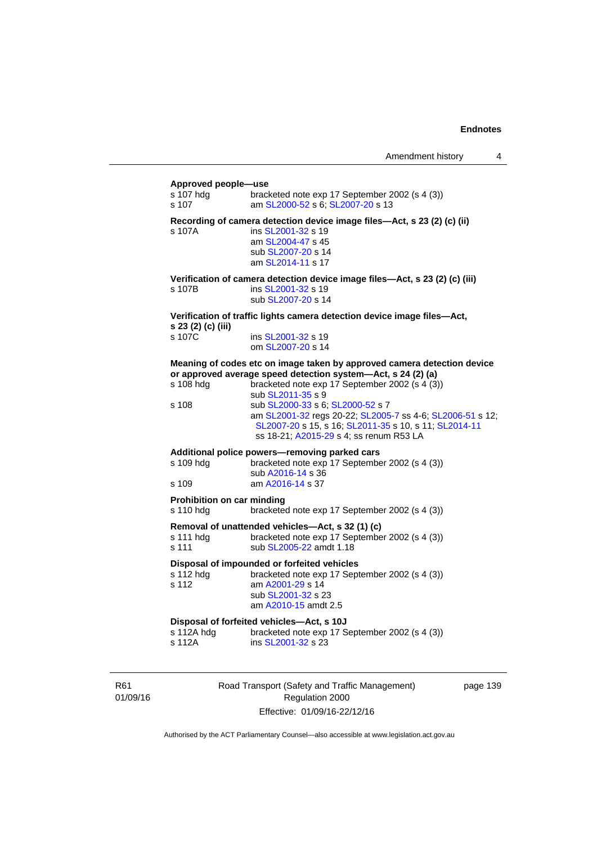#### **Approved people—use**

| s 107 hdg<br>s 107                             | bracketed note exp 17 September 2002 (s 4 (3))<br>am SL2000-52 s 6; SL2007-20 s 13                                                                                                                                                                                                                                                                                                                                  |
|------------------------------------------------|---------------------------------------------------------------------------------------------------------------------------------------------------------------------------------------------------------------------------------------------------------------------------------------------------------------------------------------------------------------------------------------------------------------------|
| s 107A                                         | Recording of camera detection device image files-Act, s 23 (2) (c) (ii)<br>ins SL2001-32 s 19<br>am SL2004-47 s 45<br>sub SL2007-20 s 14<br>am SL2014-11 s 17                                                                                                                                                                                                                                                       |
| s 107B                                         | Verification of camera detection device image files-Act, s 23 (2) (c) (iii)<br>ins SL2001-32 s 19<br>sub SL2007-20 s 14                                                                                                                                                                                                                                                                                             |
| s 23 (2) (c) (iii)                             | Verification of traffic lights camera detection device image files-Act,                                                                                                                                                                                                                                                                                                                                             |
| s 107C                                         | ins SL2001-32 s 19<br>om SL2007-20 s 14                                                                                                                                                                                                                                                                                                                                                                             |
| s 108 hdg<br>s 108                             | Meaning of codes etc on image taken by approved camera detection device<br>or approved average speed detection system-Act, s 24 (2) (a)<br>bracketed note exp 17 September 2002 (s 4 (3))<br>sub SL2011-35 s 9<br>sub SL2000-33 s 6; SL2000-52 s 7<br>am SL2001-32 regs 20-22; SL2005-7 ss 4-6; SL2006-51 s 12;<br>SL2007-20 s 15, s 16; SL2011-35 s 10, s 11; SL2014-11<br>ss 18-21; A2015-29 s 4; ss renum R53 LA |
| s 109 hdg<br>s 109                             | Additional police powers-removing parked cars<br>bracketed note exp 17 September 2002 (s 4 (3))<br>sub A2016-14 s 36<br>am A2016-14 s 37                                                                                                                                                                                                                                                                            |
| <b>Prohibition on car minding</b><br>s 110 hdg | bracketed note exp 17 September 2002 (s 4 (3))                                                                                                                                                                                                                                                                                                                                                                      |
| s 111 hdg<br>s 111                             | Removal of unattended vehicles-Act, s 32 (1) (c)<br>bracketed note exp 17 September 2002 (s 4 (3))<br>sub SL2005-22 amdt 1.18                                                                                                                                                                                                                                                                                       |
| s 112 hdg<br>s 112                             | Disposal of impounded or forfeited vehicles<br>bracketed note exp 17 September 2002 (s 4 (3))<br>am A2001-29 s 14<br>sub SL2001-32 s 23<br>am A2010-15 amdt 2.5                                                                                                                                                                                                                                                     |
| s 112A hdg<br>s 112A                           | Disposal of forfeited vehicles-Act, s 10J<br>bracketed note exp 17 September 2002 (s 4 (3))<br>ins SL2001-32 s 23                                                                                                                                                                                                                                                                                                   |

R61 01/09/16 Road Transport (Safety and Traffic Management) Regulation 2000 Effective: 01/09/16-22/12/16

page 139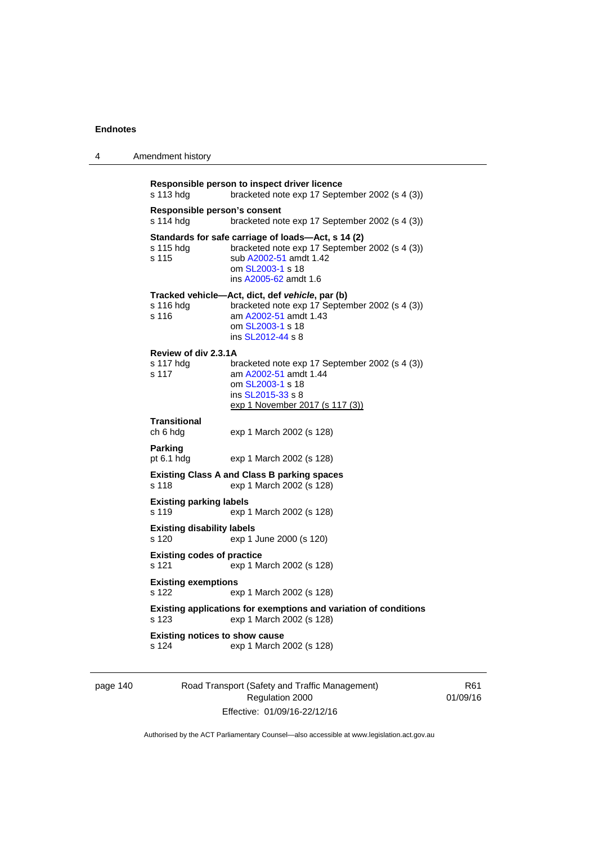4 Amendment history

| Responsible person to inspect driver licence<br>s 113 hdg<br>bracketed note exp 17 September 2002 (s 4 (3)) |                                                                                                                                                                             |  |  |
|-------------------------------------------------------------------------------------------------------------|-----------------------------------------------------------------------------------------------------------------------------------------------------------------------------|--|--|
| Responsible person's consent<br>s 114 hdg                                                                   | bracketed note exp 17 September 2002 (s 4 (3))                                                                                                                              |  |  |
| s 115 hdg<br>s 115                                                                                          | Standards for safe carriage of loads-Act, s 14 (2)<br>bracketed note exp 17 September 2002 (s 4 (3))<br>sub A2002-51 amdt 1.42<br>om SL2003-1 s 18<br>ins A2005-62 amdt 1.6 |  |  |
| s 116 hda<br>s 116                                                                                          | Tracked vehicle—Act, dict, def vehicle, par (b)<br>bracketed note exp 17 September 2002 (s 4 (3))<br>am A2002-51 amdt 1.43<br>om SL2003-1 s 18<br>ins SL2012-44 s 8         |  |  |
| Review of div 2.3.1A                                                                                        |                                                                                                                                                                             |  |  |
| s 117 hda<br>s 117                                                                                          | bracketed note exp 17 September 2002 (s 4 (3))<br>am A2002-51 amdt 1.44<br>om SL2003-1 s 18<br>ins SL2015-33 s 8<br>exp 1 November 2017 (s 117 (3))                         |  |  |
|                                                                                                             |                                                                                                                                                                             |  |  |
| <b>Transitional</b><br>ch 6 hdg                                                                             | exp 1 March 2002 (s 128)                                                                                                                                                    |  |  |
| <b>Parking</b><br>pt $6.1$ hdg                                                                              | exp 1 March 2002 (s 128)                                                                                                                                                    |  |  |
| s 118                                                                                                       | <b>Existing Class A and Class B parking spaces</b><br>exp 1 March 2002 (s 128)                                                                                              |  |  |
|                                                                                                             |                                                                                                                                                                             |  |  |
| <b>Existing parking labels</b><br>s 119                                                                     | exp 1 March 2002 (s 128)                                                                                                                                                    |  |  |
| <b>Existing disability labels</b><br>s 120                                                                  | exp 1 June 2000 (s 120)                                                                                                                                                     |  |  |
| <b>Existing codes of practice</b><br>s 121                                                                  | exp 1 March 2002 (s 128)                                                                                                                                                    |  |  |
| <b>Existing exemptions</b><br>s 122                                                                         | exp 1 March 2002 (s 128)                                                                                                                                                    |  |  |
| s 123                                                                                                       | Existing applications for exemptions and variation of conditions<br>exp 1 March 2002 (s 128)                                                                                |  |  |
| <b>Existing notices to show cause</b><br>s 124                                                              | exp 1 March 2002 (s 128)                                                                                                                                                    |  |  |
|                                                                                                             |                                                                                                                                                                             |  |  |

page 140 Road Transport (Safety and Traffic Management) Regulation 2000 Effective: 01/09/16-22/12/16

R61 01/09/16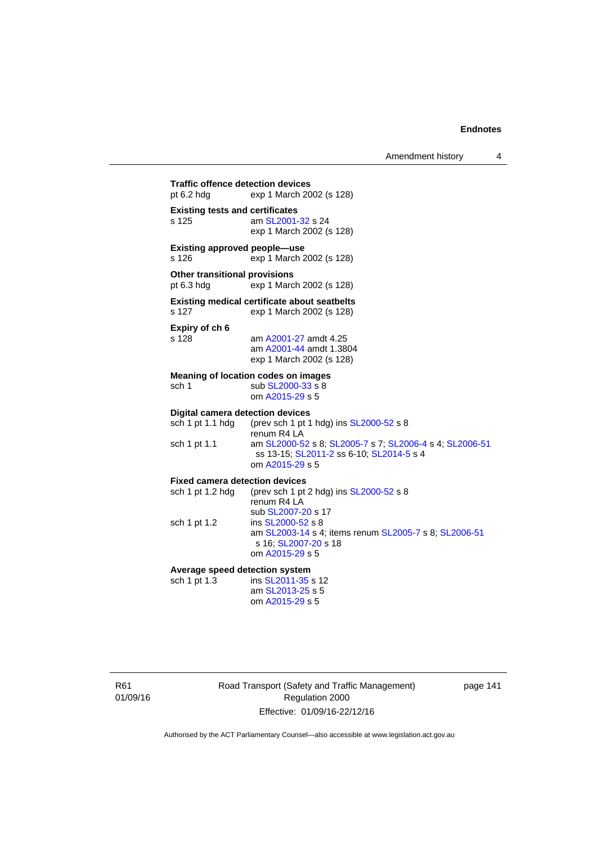Amendment history 4

**Traffic offence detection devices**  pt 6.2 hdg exp 1 March 2002 (s 128) **Existing tests and certificates**  s 125 am [SL2001-32](http://www.legislation.act.gov.au/sl/2001-32) s 24 exp 1 March 2002 (s 128) **Existing approved people—use**  s 126 exp 1 March 2002 (s 128) **Other transitional provisions**  pt 6.3 hdg exp 1 March 2002 (s 128) **Existing medical certificate about seatbelts**  s 127 exp 1 March 2002 (s 128) **Expiry of ch 6**  s 128 am [A2001-27](http://www.legislation.act.gov.au/a/2001-27) amdt 4.25 am [A2001-44](http://www.legislation.act.gov.au/a/2001-44) amdt 1.3804 exp 1 March 2002 (s 128) **Meaning of location codes on images**  sch 1 sub [SL2000-33](http://www.legislation.act.gov.au/sl/2000-33) s 8 om [A2015-29](http://www.legislation.act.gov.au/a/2015-29) s 5 **Digital camera detection devices**<br>sch 1 pt 1.1 hdg (prev sch 1 pt 1 (prev sch 1 pt 1 hdg) ins  $SL2000-52$  s 8 renum R4 LA sch 1 pt 1.1 am [SL2000-52](http://www.legislation.act.gov.au/sl/2000-52) s 8; [SL2005-7](http://www.legislation.act.gov.au/sl/2005-7) s 7; [SL2006-4](http://www.legislation.act.gov.au/sl/2006-4) s 4; [SL2006-51](http://www.legislation.act.gov.au/sl/2006-51) ss 13-15; [SL2011-2](http://www.legislation.act.gov.au/sl/2011-2) ss 6-10; [SL2014-5](http://www.legislation.act.gov.au/sl/2014-5) s 4 om [A2015-29](http://www.legislation.act.gov.au/a/2015-29) s 5 **Fixed camera detection devices**  sch 1 pt 1.2 hdg (prev sch 1 pt 2 hdg) ins  $SL2000-52$  s 8 renum R4 LA sub [SL2007-20](http://www.legislation.act.gov.au/sl/2007-20) s 17<br>sch 1 pt 1.2 ins SL2000-52 s 8 ins [SL2000-52](http://www.legislation.act.gov.au/sl/2000-52) s 8 am [SL2003-14](http://www.legislation.act.gov.au/sl/2003-14) s 4; items renum [SL2005-7](http://www.legislation.act.gov.au/sl/2005-7) s 8; [SL2006-51](http://www.legislation.act.gov.au/sl/2006-51) s 16; [SL2007-20](http://www.legislation.act.gov.au/sl/2007-20) s 18 om [A2015-29](http://www.legislation.act.gov.au/a/2015-29) s 5 **Average speed detection system**  sch 1 pt 1.3 ins [SL2011-35](http://www.legislation.act.gov.au/sl/2011-35) s 12 am [SL2013-25](http://www.legislation.act.gov.au/sl/2013-25) s 5 om [A2015-29](http://www.legislation.act.gov.au/a/2015-29) s 5

R61 01/09/16 Road Transport (Safety and Traffic Management) Regulation 2000 Effective: 01/09/16-22/12/16

page 141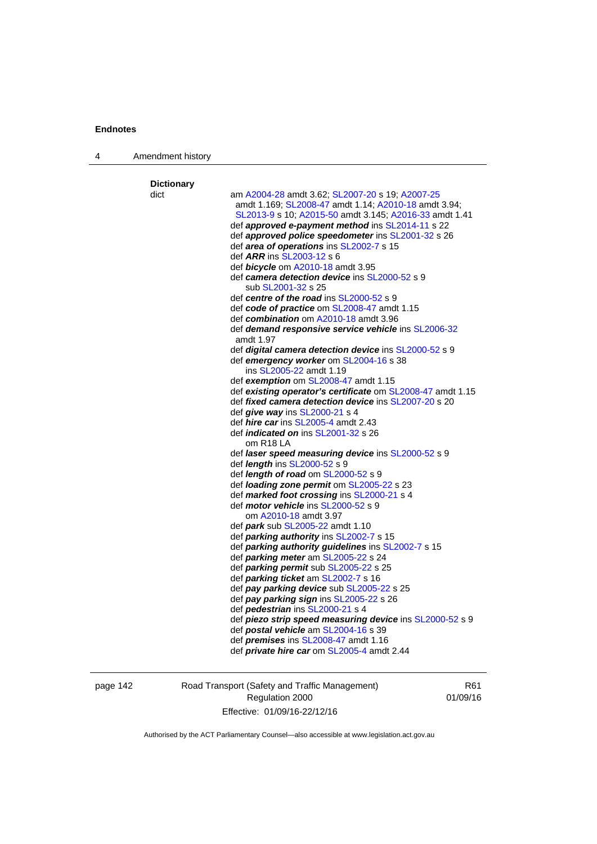| 4 | Amendment history |                                                                   |
|---|-------------------|-------------------------------------------------------------------|
|   | <b>Dictionary</b> |                                                                   |
|   | dict              | am A2004-28 amdt 3.62; SL2007-20 s 19; A2007-25                   |
|   |                   | amdt 1.169; SL2008-47 amdt 1.14; A2010-18 amdt 3.94;              |
|   |                   | SL2013-9 s 10; A2015-50 amdt 3.145; A2016-33 amdt 1.41            |
|   |                   | def approved e-payment method ins SL2014-11 s 22                  |
|   |                   | def approved police speedometer ins SL2001-32 s 26                |
|   |                   | def area of operations ins SL2002-7 s 15                          |
|   |                   | def <i>ARR</i> ins SL2003-12 s 6                                  |
|   |                   | def <b>bicycle</b> om A2010-18 amdt 3.95                          |
|   |                   | def camera detection device ins SL2000-52 s 9                     |
|   |                   | sub SL2001-32 s 25                                                |
|   |                   | def centre of the road ins SL2000-52 s 9                          |
|   |                   | def code of practice om SL2008-47 amdt 1.15                       |
|   |                   | def combination om A2010-18 amdt 3.96                             |
|   |                   | def <b>demand responsive service vehicle</b> ins <b>SL2006-32</b> |
|   |                   | amdt 1.97                                                         |
|   |                   | def digital camera detection device ins SL2000-52 s 9             |
|   |                   | def emergency worker om SL2004-16 s 38                            |
|   |                   | ins SL2005-22 amdt 1.19                                           |
|   |                   | def exemption om SL2008-47 amdt 1.15                              |
|   |                   | def existing operator's certificate om SL2008-47 amdt 1.15        |
|   |                   | def <i>fixed camera detection device</i> ins SL2007-20 s 20       |
|   |                   | def give way ins SL2000-21 s 4                                    |
|   |                   | def <i>hire car</i> ins SL2005-4 amdt 2.43                        |
|   |                   | def <i>indicated on</i> ins SL2001-32 s 26                        |
|   |                   | om R <sub>18</sub> LA                                             |
|   |                   | def laser speed measuring device ins SL2000-52 s 9                |
|   |                   | def <i>length</i> ins SL2000-52 s 9                               |
|   |                   | def <i>length of road</i> om SL2000-52 s 9                        |
|   |                   | def loading zone permit om SL2005-22 s 23                         |
|   |                   | def marked foot crossing ins SL2000-21 s 4                        |
|   |                   | def <i>motor vehicle</i> ins SL2000-52 s 9                        |
|   |                   | om A2010-18 amdt 3.97                                             |
|   |                   | def <i>park</i> sub SL2005-22 amdt 1.10                           |
|   |                   | def <i>parking authority</i> ins SL2002-7 s 15                    |
|   |                   | def parking authority guidelines ins SL2002-7 s 15                |
|   |                   | def parking meter am SL2005-22 s 24                               |
|   |                   | def parking permit sub SL2005-22 s 25                             |
|   |                   | def parking ticket am SL2002-7 s 16                               |
|   |                   | def pay parking device sub SL2005-22 s 25                         |
|   |                   | def pay parking sign ins SL2005-22 s 26                           |
|   |                   | def <b>pedestrian</b> ins SL2000-21 s 4                           |
|   |                   | def piezo strip speed measuring device ins SL2000-52 s 9          |
|   |                   | def postal vehicle am SL2004-16 s 39                              |
|   |                   | def <i>premises</i> ins SL2008-47 amdt 1.16                       |
|   |                   | def <i>private hire car</i> om SL2005-4 amdt 2.44                 |

page 142 Road Transport (Safety and Traffic Management) Regulation 2000 Effective: 01/09/16-22/12/16

R61 01/09/16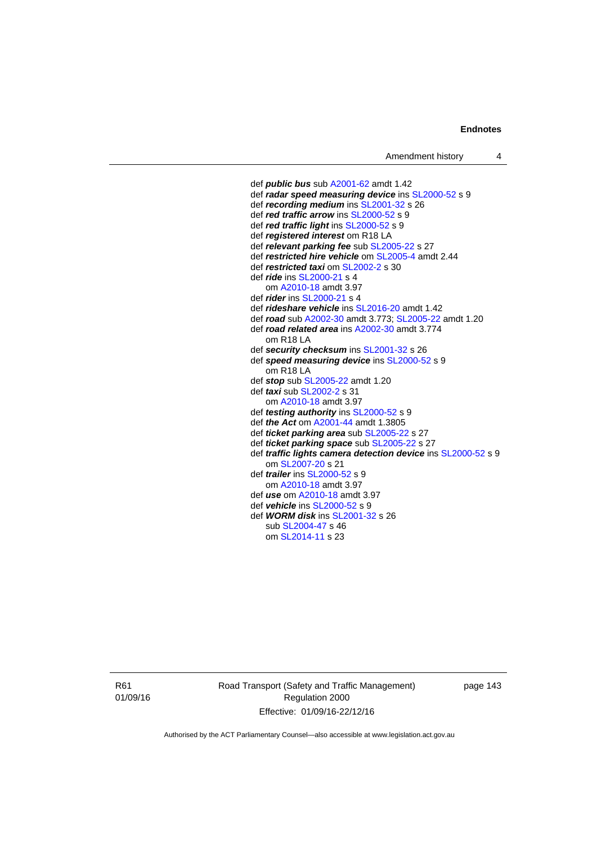def *public bus* sub [A2001-62](http://www.legislation.act.gov.au/a/2001-62) amdt 1.42 def *radar speed measuring device* ins [SL2000-52](http://www.legislation.act.gov.au/sl/2000-52) s 9 def *recording medium* ins [SL2001-32](http://www.legislation.act.gov.au/sl/2001-32) s 26 def *red traffic arrow* ins [SL2000-52](http://www.legislation.act.gov.au/sl/2000-52) s 9 def *red traffic light* ins [SL2000-52](http://www.legislation.act.gov.au/sl/2000-52) s 9 def *registered interest* om R18 LA def *relevant parking fee* sub [SL2005-22](http://www.legislation.act.gov.au/sl/2005-22) s 27 def *restricted hire vehicle* om [SL2005-4](http://www.legislation.act.gov.au/sl/2005-4) amdt 2.44 def *restricted taxi* om [SL2002-2](http://www.legislation.act.gov.au/sl/2002-2) s 30 def *ride* ins [SL2000-21](http://www.legislation.act.gov.au/sl/2000-21) s 4 om [A2010-18](http://www.legislation.act.gov.au/a/2010-18) amdt 3.97 def *rider* ins [SL2000-21](http://www.legislation.act.gov.au/sl/2000-21) s 4 def *rideshare vehicle* ins [SL2016-20](http://www.legislation.act.gov.au/sl/2016-20) amdt 1.42 def *road* sub [A2002-30](http://www.legislation.act.gov.au/a/2002-30) amdt 3.773; [SL2005-22](http://www.legislation.act.gov.au/sl/2005-22) amdt 1.20 def *road related area* ins [A2002-30](http://www.legislation.act.gov.au/a/2002-30) amdt 3.774 om R18 LA def *security checksum* ins [SL2001-32](http://www.legislation.act.gov.au/sl/2001-32) s 26 def *speed measuring device* ins [SL2000-52](http://www.legislation.act.gov.au/sl/2000-52) s 9 om R18 LA def *stop* sub [SL2005-22](http://www.legislation.act.gov.au/sl/2005-22) amdt 1.20 def *taxi* sub [SL2002-2](http://www.legislation.act.gov.au/sl/2002-2) s 31 om [A2010-18](http://www.legislation.act.gov.au/a/2010-18) amdt 3.97 def *testing authority* ins [SL2000-52](http://www.legislation.act.gov.au/sl/2000-52) s 9 def *the Act* om [A2001-44](http://www.legislation.act.gov.au/a/2001-44) amdt 1.3805 def *ticket parking area* sub [SL2005-22](http://www.legislation.act.gov.au/sl/2005-22) s 27 def *ticket parking space* sub [SL2005-22](http://www.legislation.act.gov.au/sl/2005-22) s 27 def *traffic lights camera detection device* ins [SL2000-52](http://www.legislation.act.gov.au/sl/2000-52) s 9 om [SL2007-20](http://www.legislation.act.gov.au/sl/2007-20) s 21 def *trailer* ins [SL2000-52](http://www.legislation.act.gov.au/sl/2000-52) s 9 om [A2010-18](http://www.legislation.act.gov.au/a/2010-18) amdt 3.97 def *use* om [A2010-18](http://www.legislation.act.gov.au/a/2010-18) amdt 3.97 def *vehicle* ins [SL2000-52](http://www.legislation.act.gov.au/sl/2000-52) s 9 def *WORM disk* ins [SL2001-32](http://www.legislation.act.gov.au/sl/2001-32) s 26 sub [SL2004-47](http://www.legislation.act.gov.au/sl/2004-47) s 46 om [SL2014-11](http://www.legislation.act.gov.au/sl/2014-11) s 23

R61 01/09/16 Road Transport (Safety and Traffic Management) Regulation 2000 Effective: 01/09/16-22/12/16

page 143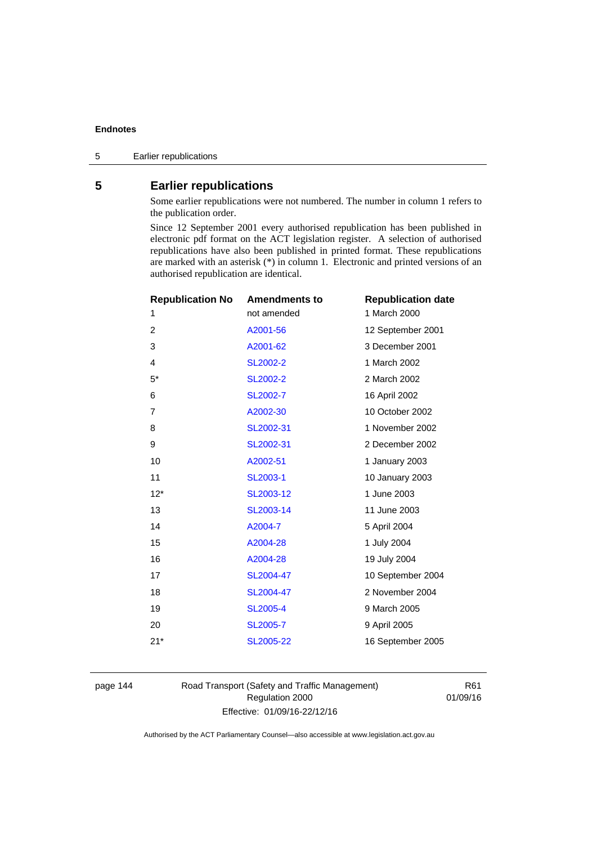# **5 Earlier republications**

Some earlier republications were not numbered. The number in column 1 refers to the publication order.

Since 12 September 2001 every authorised republication has been published in electronic pdf format on the ACT legislation register. A selection of authorised republications have also been published in printed format. These republications are marked with an asterisk (\*) in column 1. Electronic and printed versions of an authorised republication are identical.

| <b>Republication No</b> | <b>Amendments to</b> | <b>Republication date</b> |
|-------------------------|----------------------|---------------------------|
| 1                       | not amended          | 1 March 2000              |
| $\overline{2}$          | A2001-56             | 12 September 2001         |
| 3                       | A2001-62             | 3 December 2001           |
| 4                       | SL2002-2             | 1 March 2002              |
| $5^*$                   | <b>SL2002-2</b>      | 2 March 2002              |
| 6                       | SL2002-7             | 16 April 2002             |
| $\overline{7}$          | A2002-30             | 10 October 2002           |
| 8                       | SL2002-31            | 1 November 2002           |
| 9                       | SL2002-31            | 2 December 2002           |
| 10                      | A2002-51             | 1 January 2003            |
| 11                      | SL2003-1             | 10 January 2003           |
| $12*$                   | SL2003-12            | 1 June 2003               |
| 13                      | SL2003-14            | 11 June 2003              |
| 14                      | A2004-7              | 5 April 2004              |
| 15                      | A2004-28             | 1 July 2004               |
| 16                      | A2004-28             | 19 July 2004              |
| 17                      | SL2004-47            | 10 September 2004         |
| 18                      | SL2004-47            | 2 November 2004           |
| 19                      | <b>SL2005-4</b>      | 9 March 2005              |
| 20                      | SL2005-7             | 9 April 2005              |
| $21*$                   | SL2005-22            | 16 September 2005         |
|                         |                      |                           |

page 144 Road Transport (Safety and Traffic Management) Regulation 2000 Effective: 01/09/16-22/12/16

R61 01/09/16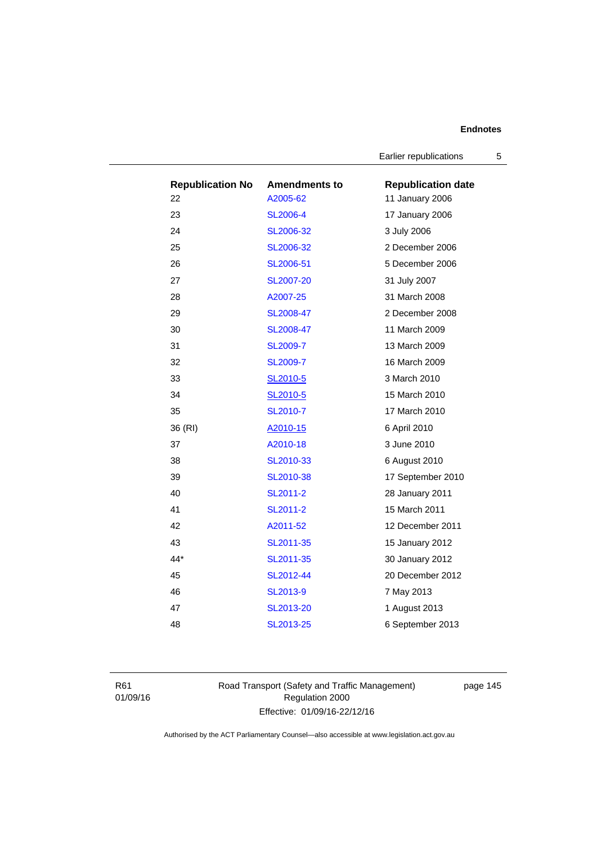Earlier republications 5

| <b>Republication No</b> | <b>Amendments to</b> | <b>Republication date</b> |
|-------------------------|----------------------|---------------------------|
| 22                      | A2005-62             | 11 January 2006           |
| 23                      | <b>SL2006-4</b>      | 17 January 2006           |
| 24                      | SL2006-32            | 3 July 2006               |
| 25                      | SL2006-32            | 2 December 2006           |
| 26                      | SL2006-51            | 5 December 2006           |
| 27                      | SL2007-20            | 31 July 2007              |
| 28                      | A2007-25             | 31 March 2008             |
| 29                      | SL2008-47            | 2 December 2008           |
| 30                      | SL2008-47            | 11 March 2009             |
| 31                      | SL2009-7             | 13 March 2009             |
| 32                      | <b>SL2009-7</b>      | 16 March 2009             |
| 33                      | SL2010-5             | 3 March 2010              |
| 34                      | SL2010-5             | 15 March 2010             |
| 35                      | SL2010-7             | 17 March 2010             |
| 36 (RI)                 | A2010-15             | 6 April 2010              |
| 37                      | A2010-18             | 3 June 2010               |
| 38                      | SL2010-33            | 6 August 2010             |
| 39                      | SL2010-38            | 17 September 2010         |
| 40                      | SL2011-2             | 28 January 2011           |
| 41                      | SL2011-2             | 15 March 2011             |
| 42                      | A2011-52             | 12 December 2011          |
| 43                      | SL2011-35            | 15 January 2012           |
| 44*                     | SL2011-35            | 30 January 2012           |
| 45                      | SL2012-44            | 20 December 2012          |
| 46                      | SL2013-9             | 7 May 2013                |
| 47                      | SL2013-20            | 1 August 2013             |
| 48                      | SL2013-25            | 6 September 2013          |

R61 01/09/16 Road Transport (Safety and Traffic Management) Regulation 2000 Effective: 01/09/16-22/12/16

page 145